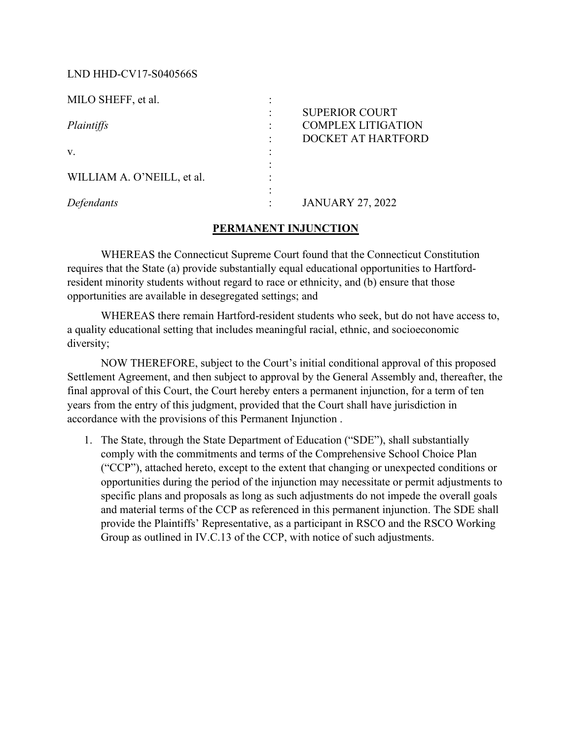### LND HHD-CV17-S040566S

| <b>SUPERIOR COURT</b>     |
|---------------------------|
| <b>COMPLEX LITIGATION</b> |
| DOCKET AT HARTFORD        |
|                           |
|                           |
|                           |
|                           |
| <b>JANUARY 27, 2022</b>   |
|                           |

#### PERMANENT INJUNCTION

WHEREAS the Connecticut Supreme Court found that the Connecticut Constitution requires that the State (a) provide substantially equal educational opportunities to Hartfordresident minority students without regard to race or ethnicity, and (b) ensure that those opportunities are available in desegregated settings; and

WHEREAS there remain Hartford-resident students who seek, but do not have access to, a quality educational setting that includes meaningful racial, ethnic, and socioeconomic diversity;

NOW THEREFORE, subject to the Court's initial conditional approval of this proposed Settlement Agreement, and then subject to approval by the General Assembly and, thereafter, the final approval of this Court, the Court hereby enters a permanent injunction, for a term of ten years from the entry of this judgment, provided that the Court shall have jurisdiction in accordance with the provisions of this Permanent Injunction .

1. JANUARY 27, 2022<br>
1. THEREAS the Connecticut Supreme Court found that the Connecticut Constitution<br>
1. WHEREAS the Connecticut Supreme Court found that the Connecticut Constitution<br>
1. The State (a) provide substantiall comply with the commitments and terms of the Comprehensive School Choice Plan **PERMANENT INJUNCTION**<br>
State the State (a) provide substantially equal educational opportunities to Hartford-<br>
thin the State (a) provide substantially equal educational opportunities to Hartford-<br>
Iminority students with opportunities during the period of the injunction may necessitate or permit adjustments to specific plans and proposals as long as such adjustments do not impede the overall goals In the Nate (a) provide substantially equal couteanonal opportunities to Hartford-<br>Immority students without regard to race or ethnicity, and (b) ensure that those<br>mities are available in desegregated settings; and<br>WHEREAS provide the Plaintiffs' Representative, as a participant in RSCO and the RSCO Working Group as outlined in IV.C.13 of the CCP, with notice of such adjustments.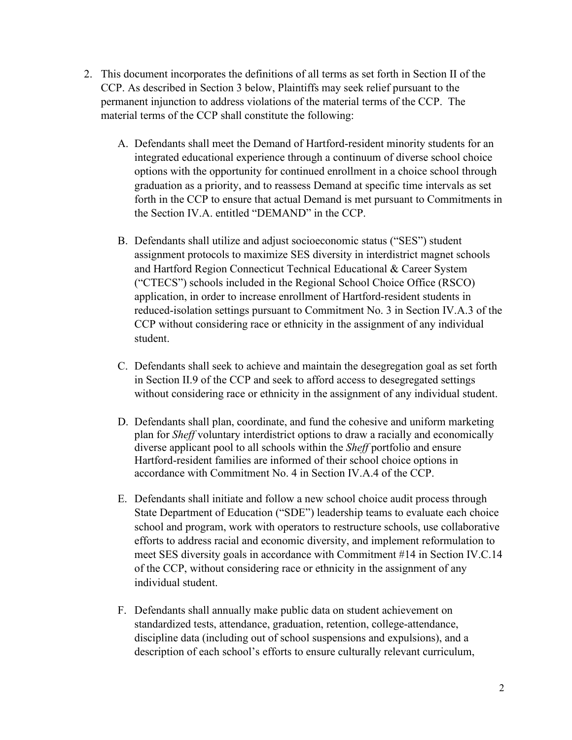- 2. This document incorporates the definitions of all terms as set forth in Section II of the CCP. As described in Section 3 below, Plaintiffs may seek relief pursuant to the permanent injunction to address violations of the material terms of the CCP. The material terms of the CCP shall constitute the following:
- A. Defendants shall meet the Demand of Hartford-resident minority students for an integrated educational experience through a continuum of diverse school choice options with the opportunity for continued enrollment in a choice school through graduation as a priority, and to reassess Demand at specific time intervals as set forth in the CCP to ensure that actual Demand is met pursuant to Commitments in the Section IV.A. entitled "DEMAND" in the CCP. S. As described in Section 3 below, Plaintiffs may seek relief pursuant to the P. As described in Section 3 below, Plaintiffs may seek relief pursuant to the mannent injunction to address violations of the material terms o
- assignment protocols to maximize SES diversity in interdistrict magnet schools and Hartford Region Connecticut Technical Educational & Career System cument incorporates the definitions of all terms as set forth in Section II of the st described in Section 3 below, Plaintiffs may seek relief pursuant to the enti nijunction to address violations of the material terms of cument incorporates the definitions of all terms as set forth in Section II of the s described in Section 3 below, Plaintiffs may seek relief pursuant to the ent injunction to address violations of the material terms of th cument incorporates the definitions of all terms as set forth in Section II of the described in Section 3 below, Plainitfis may seek relief pursuant to the enti nigurotion to address violations of the material terms of the s described in Section 3 below, Plaintiffis may seek relief pursuant to the<br>ent injunction to address violations of the material terms of the CCP. The<br>terms of the CCP shall constitute the following:<br>Defendants shall meet student. Defendants shall utilize and adjust socioeconomic status ("SES") student<br>assignment protocols to maximize SES diversity in interdistrict magnet schools<br>and Hartford Region Connecticut Technical Educational & Career System<br> Defendants shall utilize and adjust socioeconomic status ("SES") student<br>assignment protocols to maximize SES diversity in interdistrict magnet schools<br>and Hartford Region Connecticut Technical Educational & Carect System<br> any monocolous on instantant Technical Educational & Career System<br>
and Hartford Region Connecticut Technical Educational & Career System<br>
("CTECS") schools included in the Regional School Choice Office (RSCO)<br>
applicatio
	- C. Defendants shall seek to achieve and maintain the desegregation goal as set forth in Section II.9 of the CCP and seek to afford access to desegregated settings without considering race or ethnicity in the assignment of any individual student.
	- D. Defendants shall plan, coordinate, and fund the cohesive and uniform marketing plan for Sheff voluntary interdistrict options to draw a racially and economically diverse applicant pool to all schools within the Sheff portfolio and ensure
	- and Traitolon teapor Connected retulment Leader Conference relater of the CCP of CTECS") schools included in the Regional School Choice Office (RSCO) application, in order to increase cnrollment of Hartford-resident studen school and program, work with operators to restructure schools, use collaborative efforts to address racial and economic diversity, and implement reformulation to reacted-solation setting plantative Commintent (6.0 s in occupative factors of CCP without considering race or ethnicity in the assignment of any individual student.<br>Defendants shall seek to achieve and maintain the desegr of the CCP, without considering race or ethnicity in the assignment of any Defendants shall seek to achieve and maintain the desegregation goal as set for<br>in Section II.9 of the CCP and seek to afford access to desegregated settings<br>without considering race or ethnicity in the assignment of any i E. Decircularly shall a shall annually make public data on student achievement on student<br>in Section II.9 of the CCP and seck to afford access to desegregated settings<br>without considering race or ethnicity in the assignme Wilhout considering late of cunnerly in the assignment of any intrividual stadent.<br>Defendants shall plan, coordinate, and fund the cohesive and uniform marketing<br>plan for *Sheff* yolutnary interdistrict options to draw a
	- standardized tests, attendance, graduation, retention, college-attendance, description of each school's efforts to ensure culturally relevant curriculum,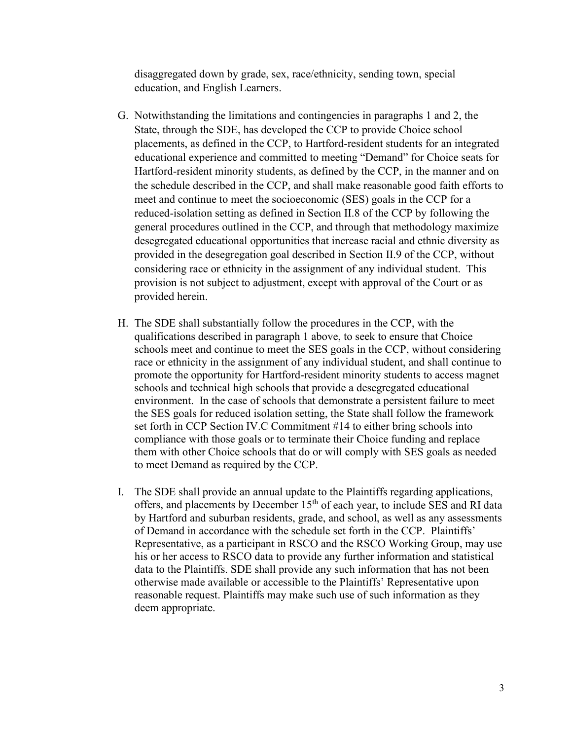disaggregated down by grade, sex, race/ethnicity, sending town, special education, and English Learners.

- G. Notwithstanding the limitations and contingencies in paragraphs 1 and 2, the State, through the SDE, has developed the CCP to provide Choice school placements, as defined in the CCP, to Hartford-resident students for an integrated educational experience and committed to meeting "Demand" for Choice seats for Hartford-resident minority students, as defined by the CCP, in the manner and on the schedule described in the CCP, and shall make reasonable good faith efforts to meet and continue to meet the socioeconomic (SES) goals in the CCP for a reduced-isolation setting as defined in Section II.8 of the CCP by following the general procedures outlined in the CCP, and through that methodology maximize desegregated educational opportunities that increase racial and ethnic diversity as disaggregated down by grade, sex, race/ethnicity, sending town, special<br>education, and English Learners.<br>State, through the SDF, has developed the CCP to provide Choice school<br>placements, as defined in the CCP, to Hartford disaggregated down by grade, sex, race/ethnicity, sending town, special<br>education, and English Learners.<br>Notwithstanding the limitations and contingencies in paragraphs 1 and 2, the<br>State, through the SDE, has developed th provision is not subject to adjustment, except with approval of the Court or as provided herein. education, and English Learners.<br>
G. Notwithstanding the limitations and contingencies in paragraphs 1 and 2, the<br>
State, through the SDE, has developed the CCP to provide Choice school<br>
placements, as defined in the CCP, placements, as defined in the CCP, to Hartford-resident students for an integrated educational experience and committed to meeting "Demand" for Choice seats for Hartford-resident minority students for an integrated educat
- qualifications described in paragraph 1 above, to seek to ensure that Choice schools meet and continue to meet the SES goals in the CCP, without considering race or ethnicity in the assignment of any individual student, and shall continue to schools and technical high schools that provide a desegregated educational environment. In the case of schools that demonstrate a persistent failure to meet rarivol-restatent minority students, as denied by the CCP, in the manner arro on the schedule described in the CCP, and shall make reasonable good faith efforts to meet and continue to meet the socioeconomic (SES) goals i set forth in CCP Section IV.C Commitment #14 to either bring schools into compliance with those goals or to terminate their Choice funding and replace them with other Choice schools that do or will comply with SES goals as needed to meet Demand as required by the CCP.
- I. The SDE shall provide an annual update to the Plaintiffs regarding applications, offers, and placements by December 15<sup>th</sup> of each year, to include SES and RI data by Hartford and suburban residents, grade, and school, as well as any assessments of Demand in accordance with the schedule set forth in the CCP. Plaintiffs' Representative, as a participant in RSCO and the RSCO Working Group, may use his or her access to RSCO data to provide any further information and statistical data to the Plaintiffs. SDE shall provide any such information that has not been otherwise made available or accessible to the Plaintiffs' Representative upon reasonable request. Plaintiffs may make such use of such information as they deem appropriate.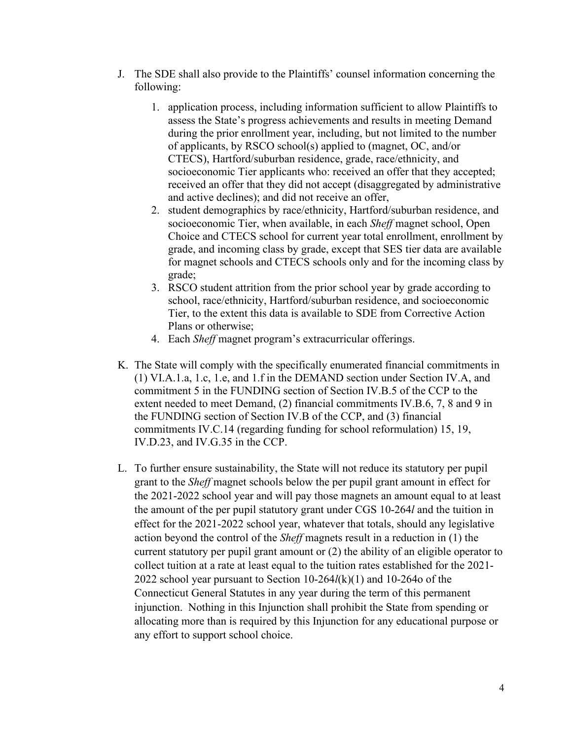- J. The SDE shall also provide to the Plaintiffs' counsel information concerning the following:
- SDE shall also provide to the Plaintiffs' counsel information concerning the<br>owing:<br>1. application process, including information sufficient to allow Plaintiffs to<br>assess the State's progress achievements and results in me assess the State's progress achievements and results in meeting Demand during the prior enrollment year, including, but not limited to the number of applicants, by RSCO school(s) applied to (magnet, OC, and/or CTECS), Hartford/suburban residence, grade, race/ethnicity, and socioeconomic Tier applicants who: received an offer that they accepted; received an offer that they did not accept (disaggregated by administrative and active declines); and did not receive an offer, SDE shall also provide to the Plaintiffs' counsel information concerning the owing:<br>
1. application process, including information sufficient to allow Plaintiffs to<br>
assess the State's progress achievements and results in E shall also provide to the Plaintiffs' counsel information concerning the application process, including information sufficient to allow Plaintiffs to apsess the State's progress achievements and results in meeting Deman E shall also provide to the Plaintiffs' counsel information concerning the application process, including information sufficient to allow Plaintiffs to application process, including, but not limited to the number of appli SDE shall also provide to the Plaintiffs' counsel information concerning the owing:<br>
1. application process, including information sufficient to allow Plaintiffs to<br>
assess the State's progress achievements and results in 1. application process, including information sufficient to allow Plaintiffs<br>assess the State's progress achievements and results in meeting Demana<br>during the prior enrollment year, including, but not limited to the numb<br>o
	- Choice and CTECS school for current year total enrollment, enrollment by for magnet schools and CTECS schools only and for the incoming class by grade;
	- school, race/ethnicity, Hartford/suburban residence, and socioeconomic Tier, to the extent this data is available to SDE from Corrective Action Plans or otherwise;
	-
- K. The State will comply with the specifically enumerated financial commitments in ation, the partic schools (s) applied to (magnet, OC, and/or<br>of applicants, by RSCO school(s) applied to (magnet, OC, and/or<br>CTECS), Hartford/suburban residence, grade, race/ethnicity, and<br>socieconomic Tier applicants who: commitment 5 in the FUNDING section of Section IV.B.5 of the CCP to the extent needed to meet Demand, (2) financial commitments IV.B.6, 7, 8 and 9 in the FUNDING section of Section IV.B of the CCP, and (3) financial commitments IV.C.14 (regarding funding for school reformulation) 15, 19, IV.D.23, and IV.G.35 in the CCP.
- L. To further ensure sustainability, the State will not reduce its statutory per pupil grant to the Sheff magnet schools below the per pupil grant amount in effect for the 2021-2022 school year and will pay those magnets an amount equal to at least the amount of the per pupil statutory grant under CGS 10-264l and the tuition in effect for the 2021-2022 school year, whatever that totals, should any legislative action beyond the control of the Sheff magnets result in a reduction in (1) the current statutory per pupil grant amount or (2) the ability of an eligible operator to collect tuition at a rate at least equal to the tuition rates established for the 2021- 2022 school year pursuant to Section  $10-264l(k)(1)$  and  $10-264o$  of the Connecticut General Statutes in any year during the term of this permanent injunction. Nothing in this Injunction shall prohibit the State from spending or allocating more than is required by this Injunction for any educational purpose or any effort to support school choice.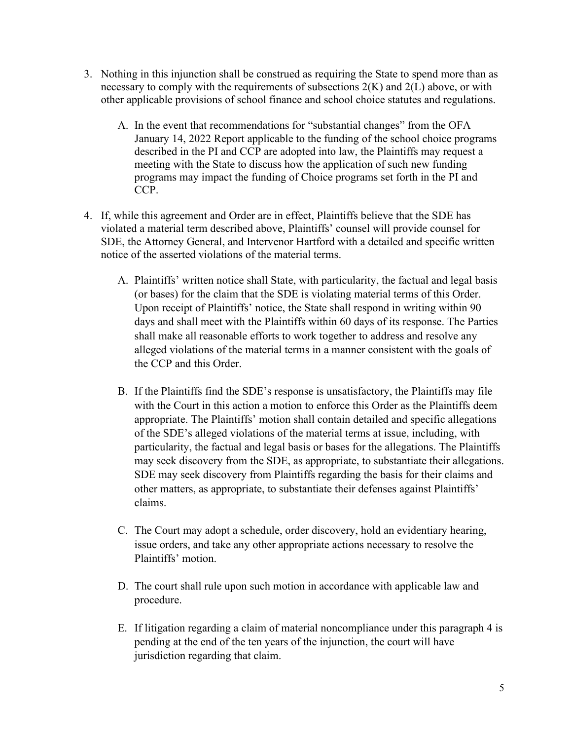- 3. Nothing in this injunction shall be construed as requiring the State to spend more than as<br>necessary to comply with the requirements of subsections  $2(K)$  and  $2(L)$  above, or with<br>other applicable provisions of school f necessary to comply with the requirements of subsections  $2(K)$  and  $2(L)$  above, or with other applicable provisions of school finance and school choice statutes and regulations.
	- A. In the event that recommendations for "substantial changes" from the OFA January 14, 2022 Report applicable to the funding of the school choice programs described in the PI and CCP are adopted into law, the Plaintiffs may request a meeting with the State to discuss how the application of such new funding programs may impact the funding of Choice programs set forth in the PI and CCP.
- 4. If, while this agreement and Order are in effect, Plaintiffs believe that the SDE has violated a material term described above, Plaintiffs' counsel will provide counsel for SDE, the Attorney General, and Intervenor Hartford with a detailed and specific written notice of the asserted violations of the material terms.
	- A. Plaintiffs' written notice shall State, with particularity, the factual and legal basis (or bases) for the claim that the SDE is violating material terms of this Order. Upon receipt of Plaintiffs' notice, the State shall respond in writing within 90 days and shall meet with the Plaintiffs within 60 days of its response. The Parties shall make all reasonable efforts to work together to address and resolve any alleged violations of the material terms in a manner consistent with the goals of the CCP and this Order.
- B. If the Plaintiffs find the SDE's response is unsatisfactory, the Plaintiffs may file with the Court in this action a motion to enforce this Order as the Plaintiffs deem appropriate. The Plaintiffs' motion shall contain detailed and specific allegations CCT.<br>
CCT.<br>
CC this agreement and Order are in effect, Plaintiff's counsel will provide counsel for<br>
la matterial term described above, Plaintiff's' counsel will provide counsel for<br>
c Attorney General, and Intervenor Hart particularity, the factual and legal basis or bases for the allegations. The Plaintiffs value and the control and the metrical term and their and their control and a material term described above, Plaintiffs' counsel will provide counsel for the Attomey General, and Intervenor Hartford with a detailed and spe SDE may seek discovery from Plaintiffs regarding the basis for their claims and Plaintiffs' written notice shall State, with particularity, the factual and legal basis<br>(or bases) for the claim that the SDE is violating material terms of this Order.<br>Upon receipt of Plaintiffs' notice, the State shall r claims. alleged violations of the material terms in a manner consistent with the goals of<br>the CCP and this Order.<br>B. If the Plaintiffs find the SDE's response is unsatisfactory, the Plaintiffs may file<br>with the Court in this actio B. If the Plaintiffs find the SDE's response is unsatisfactory, the Plaintiffs may file<br>with the Court in this action a motion to enforce this Order as the Plaintiffs' deem<br>appropriate. The Plaintiffs' motion shall contai
	- C. The Court may adopt a schedule, order discovery, hold an evidentiary hearing, issue orders, and take any other appropriate actions necessary to resolve the Plaintiffs' motion.
	- procedure.
	- pending at the end of the ten years of the injunction, the court will have jurisdiction regarding that claim.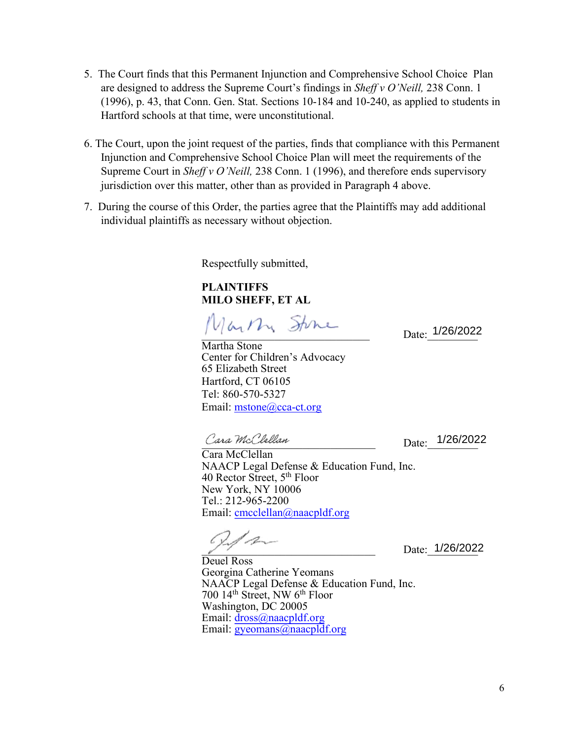- 5. The Court finds that this Permanent Injunction and Comprehensive School Choice Plan<br>are designed to address the Supreme Court's findings in *Sheff v O'Neill*, 238 Conn. 1<br>(1996), p. 43, that Conn. Gen. Stat. Sections 1 are designed to address the Supreme Court's findings in Sheff v O'Neill, 238 Conn. 1 (1996), p. 43, that Conn. Gen. Stat. Sections 10-184 and 10-240, as applied to students in Hartford schools at that time, were unconstitutional.
- 5. The Court finds that this Permanent Injunction and Comprehensive School Choice Plan<br>are designed to address the Supreme Court's findings in *Sheffy v O'Neill*, 238 Conn. 1<br>(1996), p. 43, that Conn. Gen. Stat. Sections Injunction and Comprehensive School Choice Plan will meet the requirements of the Supreme Court in *Sheff v O'Neill*, 238 Conn. 1 (1996), and therefore ends supervisory jurisdiction over this matter, other than as provided in Paragraph 4 above. 5. The Court finds that this Permanent Injunction and Comprehensive School Choice Plan<br>are designed to address the Supreme Court's findings in *Sheff v O'Neill*, 238 Com. I<br>(1996), p. 43, that Conn. Gen. Stat. Sections 10
- individual plaintiffs as necessary without objection.

Respectfully submitted,

PLAINTIFFS MILO SHEFF, ET AL

 $D_{\text{ate:}}$  1/26/2022

Martha Stone Center for Children's Advocacy 65 Elizabeth Street Hartford, CT 06105 Tel: 860-570-5327 Email: mstone@cca-ct.org

\_\_\_\_\_\_\_\_\_\_\_\_\_\_\_\_\_\_\_\_\_\_\_\_\_\_\_\_\_\_\_ Cara McClellan

Date: 1/26/2022

NAACP Legal Defense & Education Fund, Inc. 40 Rector Street, 5th Floor New York, NY 10006 Tel.: 212-965-2200 Email: cmcclellan@naacpldf.org

1

Date: 1/26/2022

Deuel Ross Georgina Catherine Yeomans NAACP Legal Defense & Education Fund, Inc. 700 14th Street, NW 6th Floor Washington, DC 20005 Email: dross@naacpldf.org Email: gyeomans@naacpldf.org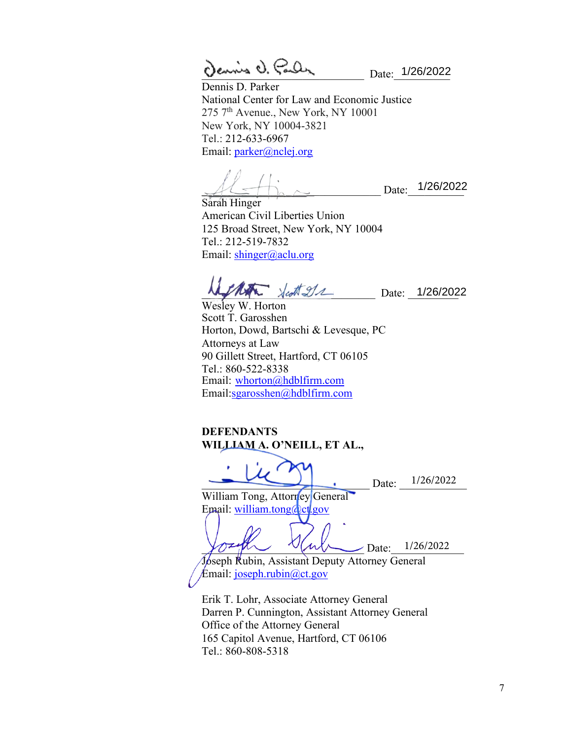$Q$  case  $Q$ ,  $\zeta$  and  $\zeta$ 

Dennis D. Parker National Center for Law and Economic Justice 275 7<sup>th</sup> Avenue., New York, NY 10001 New York, NY 10004-3821 Tel.: 212-633-6967 Email: parker@nclej.org

 $\mathcal{A}$ 

Sarah Hinger American Civil Liberties Union 125 Broad Street, New York, NY 10004 Tel.: 212-519-7832 Email: shinger@aclu.org

 $\mathcal{N}$  destruction Date: 1/26/2022

Wesley W. Horton Scott T. Garosshen Horton, Dowd, Bartschi & Levesque, PC Attorneys at Law 90 Gillett Street, Hartford, CT 06105 Tel.: 860-522-8338 Email: whorton@hdblfirm.com Email:sgarosshen@hdblfirm.com

DEFENDANTS WILLIAM A. O'NEILL, ET AL.,

 $Date: \t 1/26/2022$ William Tong, Attorney General Email: william.tong@ct.gov  $\gamma$ Ozy $\chi$  V(ull Date:  $1/26/2022$ Joseph Rubin, Assistant Deputy Attorney General Email: joseph.rubin@ct.gov 1/26/2022

Erik T. Lohr, Associate Attorney General Darren P. Cunnington, Assistant Attorney General Office of the Attorney General 165 Capitol Avenue, Hartford, CT 06106 Tel.: 860-808-5318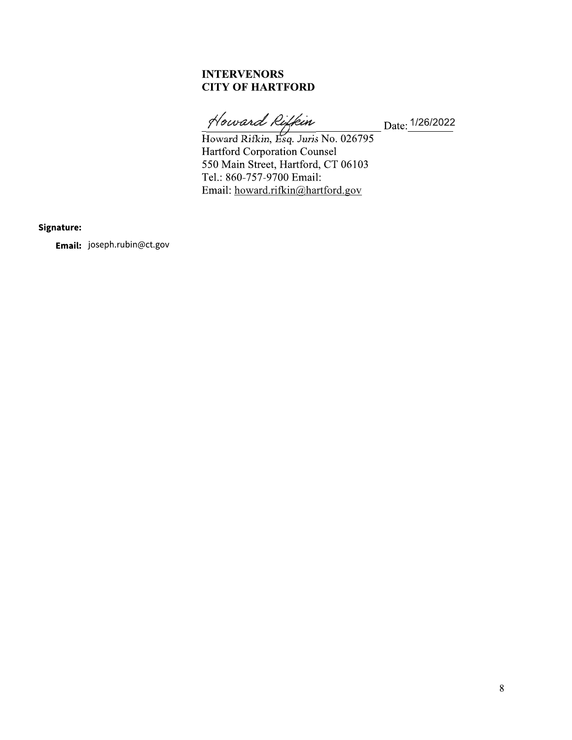### **INTERVENORS CITY OF HARTFORD**

 $\_$ Date:  $1/26/2022$ 

Howard Riffein<br>
Howard Rifkin, Esq. Juris No. 026795<br>
Hartford Corporation Counsel<br>
550 Main Street, Hartford, CT 06103 Tel.: 860-757-9700 Email: Email: howard.rifkin@hartford.gov

Signature:

Email: joseph.rubin@ct.gov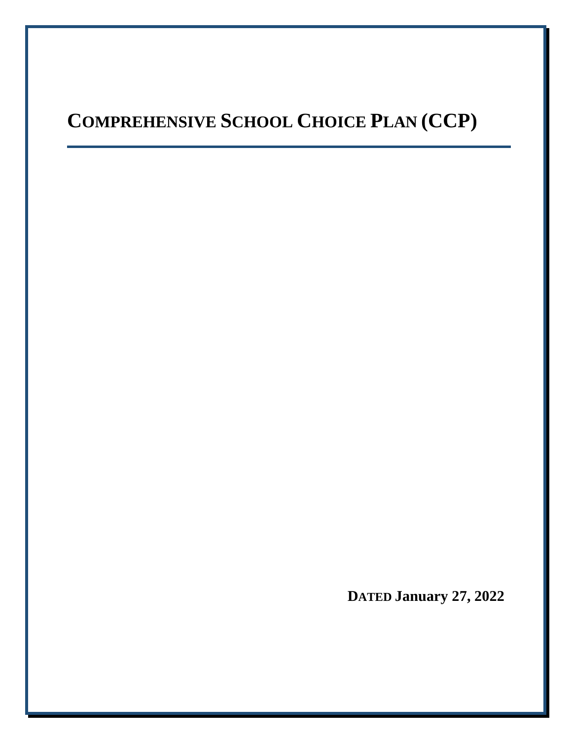# **COMPREHENSIVE SCHOOL CHOICE PLAN (CCP)**

**DATED January 27, 2022**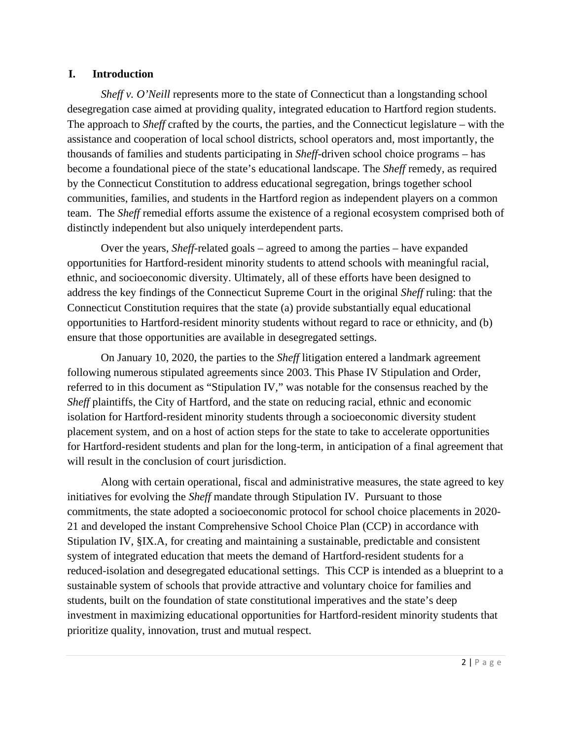### **I. Introduction**

*Sheff v. O'Neill* represents more to the state of Connecticut than a longstanding school desegregation case aimed at providing quality, integrated education to Hartford region students. The approach to *Sheff* crafted by the courts, the parties, and the Connecticut legislature – with the assistance and cooperation of local school districts, school operators and, most importantly, the thousands of families and students participating in *Sheff*-driven school choice programs – has become a foundational piece of the state's educational landscape. The *Sheff* remedy, as required by the Connecticut Constitution to address educational segregation, brings together school communities, families, and students in the Hartford region as independent players on a common team. The *Sheff* remedial efforts assume the existence of a regional ecosystem comprised both of distinctly independent but also uniquely interdependent parts.

Over the years, *Sheff*-related goals – agreed to among the parties – have expanded opportunities for Hartford-resident minority students to attend schools with meaningful racial, ethnic, and socioeconomic diversity. Ultimately, all of these efforts have been designed to address the key findings of the Connecticut Supreme Court in the original *Sheff* ruling: that the Connecticut Constitution requires that the state (a) provide substantially equal educational opportunities to Hartford-resident minority students without regard to race or ethnicity, and (b) ensure that those opportunities are available in desegregated settings.

On January 10, 2020, the parties to the *Sheff* litigation entered a landmark agreement following numerous stipulated agreements since 2003. This Phase IV Stipulation and Order, referred to in this document as "Stipulation IV," was notable for the consensus reached by the *Sheff* plaintiffs, the City of Hartford, and the state on reducing racial, ethnic and economic isolation for Hartford-resident minority students through a socioeconomic diversity student placement system, and on a host of action steps for the state to take to accelerate opportunities for Hartford-resident students and plan for the long-term, in anticipation of a final agreement that will result in the conclusion of court jurisdiction.

Along with certain operational, fiscal and administrative measures, the state agreed to key initiatives for evolving the *Sheff* mandate through Stipulation IV. Pursuant to those commitments, the state adopted a socioeconomic protocol for school choice placements in 2020- 21 and developed the instant Comprehensive School Choice Plan (CCP) in accordance with Stipulation IV, §IX.A, for creating and maintaining a sustainable, predictable and consistent system of integrated education that meets the demand of Hartford-resident students for a reduced-isolation and desegregated educational settings. This CCP is intended as a blueprint to a sustainable system of schools that provide attractive and voluntary choice for families and students, built on the foundation of state constitutional imperatives and the state's deep investment in maximizing educational opportunities for Hartford-resident minority students that prioritize quality, innovation, trust and mutual respect.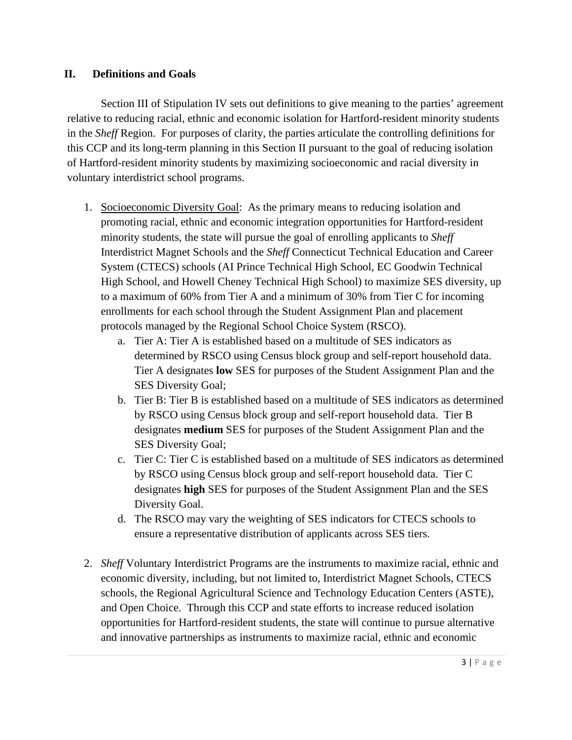## **II. Definitions and Goals**

Section III of Stipulation IV sets out definitions to give meaning to the parties' agreement relative to reducing racial, ethnic and economic isolation for Hartford-resident minority students in the *Sheff* Region. For purposes of clarity, the parties articulate the controlling definitions for this CCP and its long-term planning in this Section II pursuant to the goal of reducing isolation of Hartford-resident minority students by maximizing socioeconomic and racial diversity in voluntary interdistrict school programs.

- 1. Socioeconomic Diversity Goal: As the primary means to reducing isolation and promoting racial, ethnic and economic integration opportunities for Hartford-resident minority students, the state will pursue the goal of enrolling applicants to *Sheff* Interdistrict Magnet Schools and the *Sheff* Connecticut Technical Education and Career System (CTECS) schools (AI Prince Technical High School, EC Goodwin Technical High School, and Howell Cheney Technical High School) to maximize SES diversity, up to a maximum of 60% from Tier A and a minimum of 30% from Tier C for incoming enrollments for each school through the Student Assignment Plan and placement protocols managed by the Regional School Choice System (RSCO).
	- a. Tier A: Tier A is established based on a multitude of SES indicators as determined by RSCO using Census block group and self-report household data. Tier A designates **low** SES for purposes of the Student Assignment Plan and the SES Diversity Goal;
	- b. Tier B: Tier B is established based on a multitude of SES indicators as determined by RSCO using Census block group and self-report household data. Tier B designates **medium** SES for purposes of the Student Assignment Plan and the SES Diversity Goal;
	- c. Tier C: Tier C is established based on a multitude of SES indicators as determined by RSCO using Census block group and self-report household data. Tier C designates **high** SES for purposes of the Student Assignment Plan and the SES Diversity Goal.
	- d. The RSCO may vary the weighting of SES indicators for CTECS schools to ensure a representative distribution of applicants across SES tiers.
- 2. *Sheff* Voluntary Interdistrict Programs are the instruments to maximize racial, ethnic and economic diversity, including, but not limited to, Interdistrict Magnet Schools, CTECS schools, the Regional Agricultural Science and Technology Education Centers (ASTE), and Open Choice. Through this CCP and state efforts to increase reduced isolation opportunities for Hartford-resident students, the state will continue to pursue alternative and innovative partnerships as instruments to maximize racial, ethnic and economic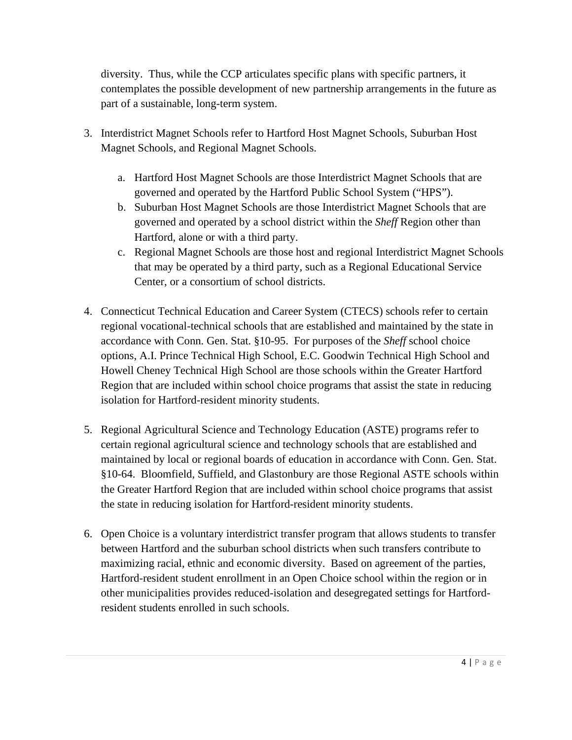diversity. Thus, while the CCP articulates specific plans with specific partners, it contemplates the possible development of new partnership arrangements in the future as part of a sustainable, long-term system.

- 3. Interdistrict Magnet Schools refer to Hartford Host Magnet Schools, Suburban Host Magnet Schools, and Regional Magnet Schools.
	- a. Hartford Host Magnet Schools are those Interdistrict Magnet Schools that are governed and operated by the Hartford Public School System ("HPS").
	- b. Suburban Host Magnet Schools are those Interdistrict Magnet Schools that are governed and operated by a school district within the *Sheff* Region other than Hartford, alone or with a third party.
	- c. Regional Magnet Schools are those host and regional Interdistrict Magnet Schools that may be operated by a third party, such as a Regional Educational Service Center, or a consortium of school districts.
- 4. Connecticut Technical Education and Career System (CTECS) schools refer to certain regional vocational-technical schools that are established and maintained by the state in accordance with Conn. Gen. Stat. §10-95. For purposes of the *Sheff* school choice options, A.I. Prince Technical High School, E.C. Goodwin Technical High School and Howell Cheney Technical High School are those schools within the Greater Hartford Region that are included within school choice programs that assist the state in reducing isolation for Hartford-resident minority students.
- 5. Regional Agricultural Science and Technology Education (ASTE) programs refer to certain regional agricultural science and technology schools that are established and maintained by local or regional boards of education in accordance with Conn. Gen. Stat. §10-64. Bloomfield, Suffield, and Glastonbury are those Regional ASTE schools within the Greater Hartford Region that are included within school choice programs that assist the state in reducing isolation for Hartford-resident minority students.
- 6. Open Choice is a voluntary interdistrict transfer program that allows students to transfer between Hartford and the suburban school districts when such transfers contribute to maximizing racial, ethnic and economic diversity. Based on agreement of the parties, Hartford-resident student enrollment in an Open Choice school within the region or in other municipalities provides reduced-isolation and desegregated settings for Hartfordresident students enrolled in such schools.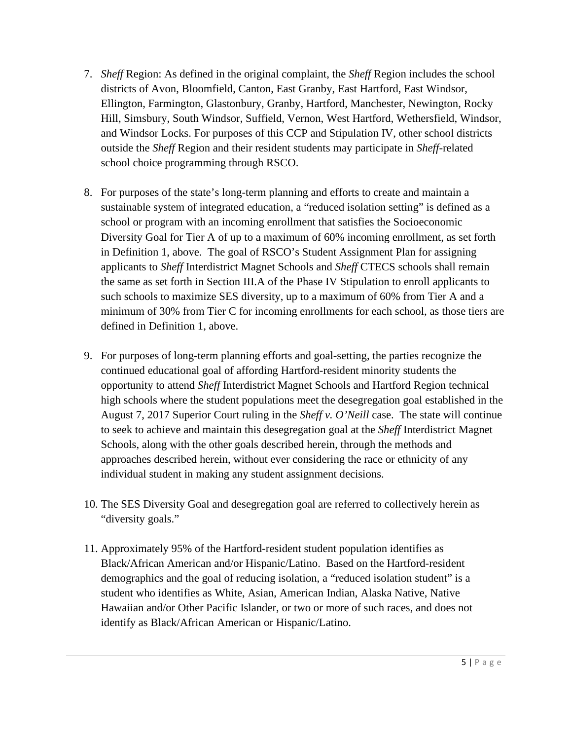- 7. *Sheff* Region: As defined in the original complaint, the *Sheff* Region includes the school districts of Avon, Bloomfield, Canton, East Granby, East Hartford, East Windsor, Ellington, Farmington, Glastonbury, Granby, Hartford, Manchester, Newington, Rocky Hill, Simsbury, South Windsor, Suffield, Vernon, West Hartford, Wethersfield, Windsor, and Windsor Locks. For purposes of this CCP and Stipulation IV, other school districts outside the *Sheff* Region and their resident students may participate in *Sheff*-related school choice programming through RSCO.
- 8. For purposes of the state's long-term planning and efforts to create and maintain a sustainable system of integrated education, a "reduced isolation setting" is defined as a school or program with an incoming enrollment that satisfies the Socioeconomic Diversity Goal for Tier A of up to a maximum of 60% incoming enrollment, as set forth in Definition 1, above. The goal of RSCO's Student Assignment Plan for assigning applicants to *Sheff* Interdistrict Magnet Schools and *Sheff* CTECS schools shall remain the same as set forth in Section III.A of the Phase IV Stipulation to enroll applicants to such schools to maximize SES diversity, up to a maximum of 60% from Tier A and a minimum of 30% from Tier C for incoming enrollments for each school, as those tiers are defined in Definition 1, above.
- 9. For purposes of long-term planning efforts and goal-setting, the parties recognize the continued educational goal of affording Hartford-resident minority students the opportunity to attend *Sheff* Interdistrict Magnet Schools and Hartford Region technical high schools where the student populations meet the desegregation goal established in the August 7, 2017 Superior Court ruling in the *Sheff v. O'Neill* case. The state will continue to seek to achieve and maintain this desegregation goal at the *Sheff* Interdistrict Magnet Schools, along with the other goals described herein, through the methods and approaches described herein, without ever considering the race or ethnicity of any individual student in making any student assignment decisions.
- 10. The SES Diversity Goal and desegregation goal are referred to collectively herein as "diversity goals."
- 11. Approximately 95% of the Hartford-resident student population identifies as Black/African American and/or Hispanic/Latino. Based on the Hartford-resident demographics and the goal of reducing isolation, a "reduced isolation student" is a student who identifies as White, Asian, American Indian, Alaska Native, Native Hawaiian and/or Other Pacific Islander, or two or more of such races, and does not identify as Black/African American or Hispanic/Latino.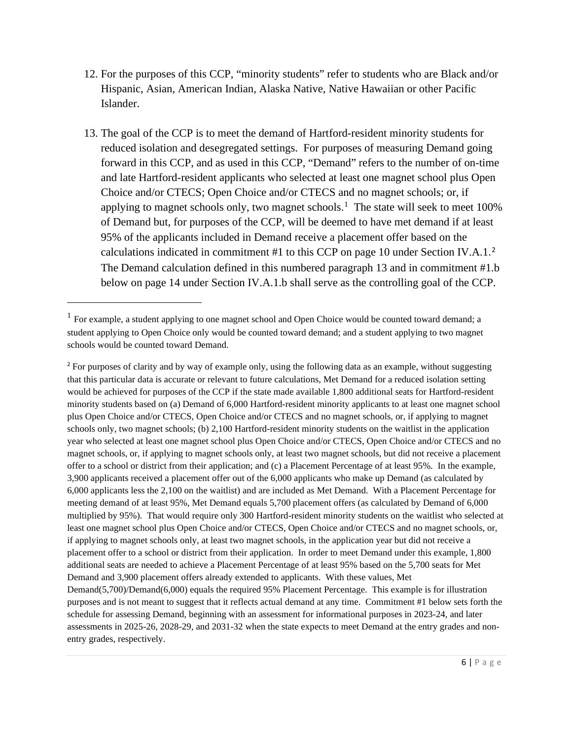- 12. For the purposes of this CCP, "minority students" refer to students who are Black and/or Hispanic, Asian, American Indian, Alaska Native, Native Hawaiian or other Pacific Islander.
- 13. The goal of the CCP is to meet the demand of Hartford-resident minority students for reduced isolation and desegregated settings. For purposes of measuring Demand going forward in this CCP, and as used in this CCP, "Demand" refers to the number of on-time and late Hartford-resident applicants who selected at least one magnet school plus Open Choice and/or CTECS; Open Choice and/or CTECS and no magnet schools; or, if applying to magnet schools only, two magnet schools.<sup>[1](#page-13-0)</sup> The state will seek to meet  $100\%$ of Demand but, for purposes of the CCP, will be deemed to have met demand if at least 95% of the applicants included in Demand receive a placement offer based on the calculations indicated in commitment #1 to this CCP on page 10 under Section IV.A.1. [2](#page-13-1)  The Demand calculation defined in this numbered paragraph 13 and in commitment #1.b below on page 14 under Section IV.A.1.b shall serve as the controlling goal of the CCP.

<span id="page-13-0"></span> $<sup>1</sup>$  For example, a student applying to one magnet school and Open Choice would be counted toward demand; a</sup> student applying to Open Choice only would be counted toward demand; and a student applying to two magnet schools would be counted toward Demand.

<span id="page-13-1"></span><sup>&</sup>lt;sup>2</sup> For purposes of clarity and by way of example only, using the following data as an example, without suggesting that this particular data is accurate or relevant to future calculations, Met Demand for a reduced isolation setting would be achieved for purposes of the CCP if the state made available 1,800 additional seats for Hartford-resident minority students based on (a) Demand of 6,000 Hartford-resident minority applicants to at least one magnet school plus Open Choice and/or CTECS, Open Choice and/or CTECS and no magnet schools, or, if applying to magnet schools only, two magnet schools; (b) 2,100 Hartford-resident minority students on the waitlist in the application year who selected at least one magnet school plus Open Choice and/or CTECS, Open Choice and/or CTECS and no magnet schools, or, if applying to magnet schools only, at least two magnet schools, but did not receive a placement offer to a school or district from their application; and (c) a Placement Percentage of at least 95%. In the example, 3,900 applicants received a placement offer out of the 6,000 applicants who make up Demand (as calculated by 6,000 applicants less the 2,100 on the waitlist) and are included as Met Demand. With a Placement Percentage for meeting demand of at least 95%, Met Demand equals 5,700 placement offers (as calculated by Demand of 6,000 multiplied by 95%). That would require only 300 Hartford-resident minority students on the waitlist who selected at least one magnet school plus Open Choice and/or CTECS, Open Choice and/or CTECS and no magnet schools, or, if applying to magnet schools only, at least two magnet schools, in the application year but did not receive a placement offer to a school or district from their application. In order to meet Demand under this example, 1,800 additional seats are needed to achieve a Placement Percentage of at least 95% based on the 5,700 seats for Met Demand and 3,900 placement offers already extended to applicants. With these values, Met Demand(5,700)/Demand(6,000) equals the required 95% Placement Percentage. This example is for illustration purposes and is not meant to suggest that it reflects actual demand at any time. Commitment #1 below sets forth the schedule for assessing Demand, beginning with an assessment for informational purposes in 2023-24, and later assessments in 2025-26, 2028-29, and 2031-32 when the state expects to meet Demand at the entry grades and nonentry grades, respectively.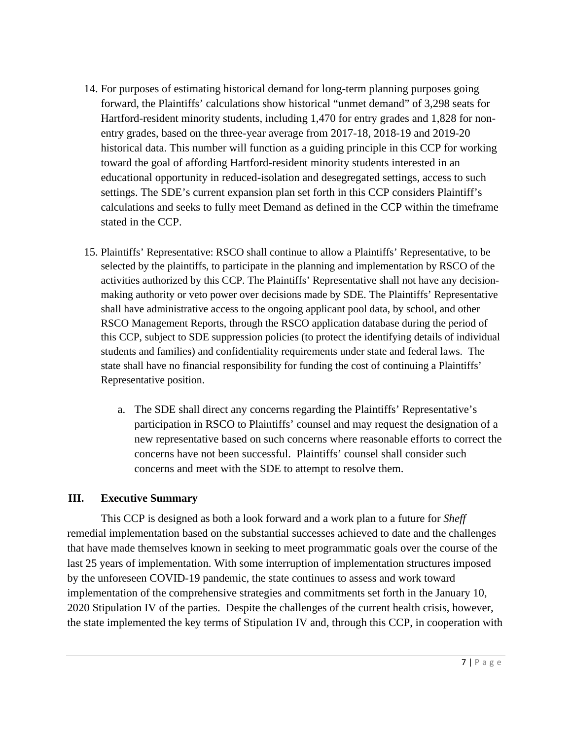- 14. For purposes of estimating historical demand for long-term planning purposes going forward, the Plaintiffs' calculations show historical "unmet demand" of 3,298 seats for Hartford-resident minority students, including 1,470 for entry grades and 1,828 for nonentry grades, based on the three-year average from 2017-18, 2018-19 and 2019-20 historical data. This number will function as a guiding principle in this CCP for working toward the goal of affording Hartford-resident minority students interested in an educational opportunity in reduced-isolation and desegregated settings, access to such settings. The SDE's current expansion plan set forth in this CCP considers Plaintiff's calculations and seeks to fully meet Demand as defined in the CCP within the timeframe stated in the CCP.
- 15. Plaintiffs' Representative: RSCO shall continue to allow a Plaintiffs' Representative, to be selected by the plaintiffs, to participate in the planning and implementation by RSCO of the activities authorized by this CCP. The Plaintiffs' Representative shall not have any decisionmaking authority or veto power over decisions made by SDE. The Plaintiffs' Representative shall have administrative access to the ongoing applicant pool data, by school, and other RSCO Management Reports, through the RSCO application database during the period of this CCP, subject to SDE suppression policies (to protect the identifying details of individual students and families) and confidentiality requirements under state and federal laws. The state shall have no financial responsibility for funding the cost of continuing a Plaintiffs' Representative position.
	- a. The SDE shall direct any concerns regarding the Plaintiffs' Representative's participation in RSCO to Plaintiffs' counsel and may request the designation of a new representative based on such concerns where reasonable efforts to correct the concerns have not been successful. Plaintiffs' counsel shall consider such concerns and meet with the SDE to attempt to resolve them.

## **III. Executive Summary**

This CCP is designed as both a look forward and a work plan to a future for *Sheff* remedial implementation based on the substantial successes achieved to date and the challenges that have made themselves known in seeking to meet programmatic goals over the course of the last 25 years of implementation. With some interruption of implementation structures imposed by the unforeseen COVID-19 pandemic, the state continues to assess and work toward implementation of the comprehensive strategies and commitments set forth in the January 10, 2020 Stipulation IV of the parties. Despite the challenges of the current health crisis, however, the state implemented the key terms of Stipulation IV and, through this CCP, in cooperation with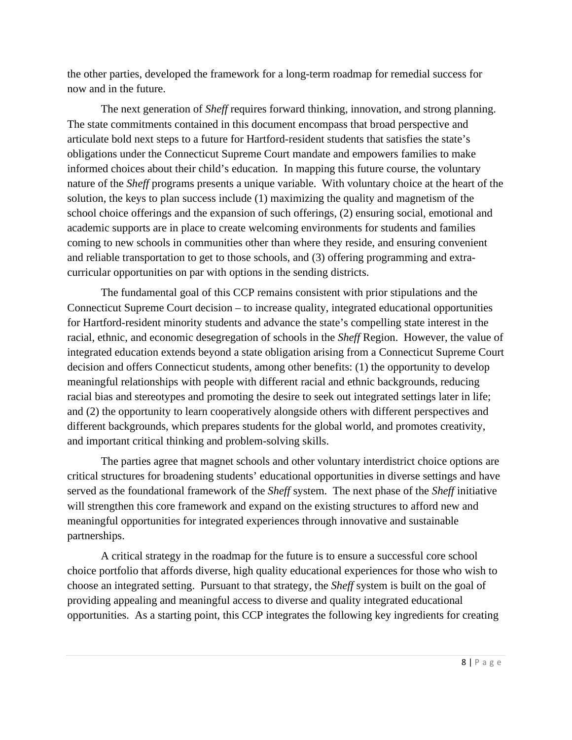the other parties, developed the framework for a long-term roadmap for remedial success for now and in the future.

The next generation of *Sheff* requires forward thinking, innovation, and strong planning. The state commitments contained in this document encompass that broad perspective and articulate bold next steps to a future for Hartford-resident students that satisfies the state's obligations under the Connecticut Supreme Court mandate and empowers families to make informed choices about their child's education. In mapping this future course, the voluntary nature of the *Sheff* programs presents a unique variable. With voluntary choice at the heart of the solution, the keys to plan success include (1) maximizing the quality and magnetism of the school choice offerings and the expansion of such offerings, (2) ensuring social, emotional and academic supports are in place to create welcoming environments for students and families coming to new schools in communities other than where they reside, and ensuring convenient and reliable transportation to get to those schools, and (3) offering programming and extracurricular opportunities on par with options in the sending districts.

The fundamental goal of this CCP remains consistent with prior stipulations and the Connecticut Supreme Court decision – to increase quality, integrated educational opportunities for Hartford-resident minority students and advance the state's compelling state interest in the racial, ethnic, and economic desegregation of schools in the *Sheff* Region. However, the value of integrated education extends beyond a state obligation arising from a Connecticut Supreme Court decision and offers Connecticut students, among other benefits: (1) the opportunity to develop meaningful relationships with people with different racial and ethnic backgrounds, reducing racial bias and stereotypes and promoting the desire to seek out integrated settings later in life; and (2) the opportunity to learn cooperatively alongside others with different perspectives and different backgrounds, which prepares students for the global world, and promotes creativity, and important critical thinking and problem-solving skills.

The parties agree that magnet schools and other voluntary interdistrict choice options are critical structures for broadening students' educational opportunities in diverse settings and have served as the foundational framework of the *Sheff* system. The next phase of the *Sheff* initiative will strengthen this core framework and expand on the existing structures to afford new and meaningful opportunities for integrated experiences through innovative and sustainable partnerships.

A critical strategy in the roadmap for the future is to ensure a successful core school choice portfolio that affords diverse, high quality educational experiences for those who wish to choose an integrated setting. Pursuant to that strategy, the *Sheff* system is built on the goal of providing appealing and meaningful access to diverse and quality integrated educational opportunities. As a starting point, this CCP integrates the following key ingredients for creating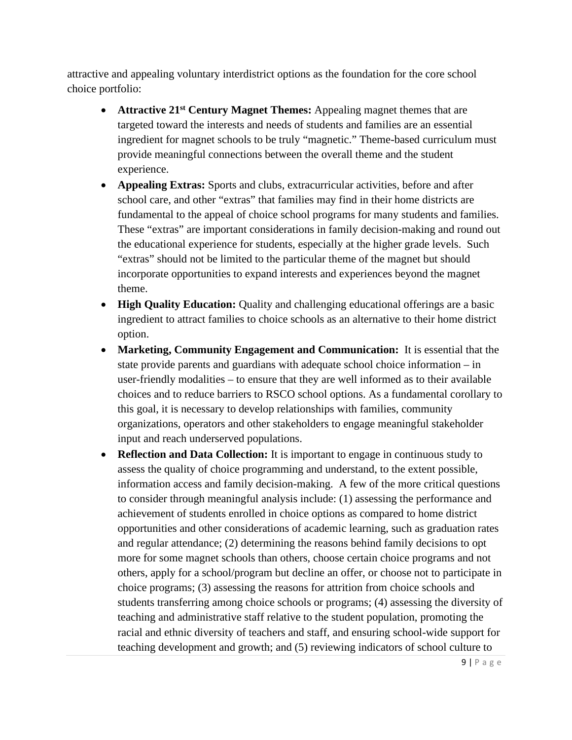attractive and appealing voluntary interdistrict options as the foundation for the core school choice portfolio:

- **Attractive 21<sup>st</sup> Century Magnet Themes:** Appealing magnet themes that are targeted toward the interests and needs of students and families are an essential ingredient for magnet schools to be truly "magnetic." Theme-based curriculum must provide meaningful connections between the overall theme and the student experience.
- **Appealing Extras:** Sports and clubs, extracurricular activities, before and after school care, and other "extras" that families may find in their home districts are fundamental to the appeal of choice school programs for many students and families. These "extras" are important considerations in family decision-making and round out the educational experience for students, especially at the higher grade levels. Such "extras" should not be limited to the particular theme of the magnet but should incorporate opportunities to expand interests and experiences beyond the magnet theme.
- **High Quality Education:** Quality and challenging educational offerings are a basic ingredient to attract families to choice schools as an alternative to their home district option.
- **Marketing, Community Engagement and Communication:** It is essential that the state provide parents and guardians with adequate school choice information – in user-friendly modalities – to ensure that they are well informed as to their available choices and to reduce barriers to RSCO school options. As a fundamental corollary to this goal, it is necessary to develop relationships with families, community organizations, operators and other stakeholders to engage meaningful stakeholder input and reach underserved populations.
- **Reflection and Data Collection:** It is important to engage in continuous study to assess the quality of choice programming and understand, to the extent possible, information access and family decision-making. A few of the more critical questions to consider through meaningful analysis include: (1) assessing the performance and achievement of students enrolled in choice options as compared to home district opportunities and other considerations of academic learning, such as graduation rates and regular attendance; (2) determining the reasons behind family decisions to opt more for some magnet schools than others, choose certain choice programs and not others, apply for a school/program but decline an offer, or choose not to participate in choice programs; (3) assessing the reasons for attrition from choice schools and students transferring among choice schools or programs; (4) assessing the diversity of teaching and administrative staff relative to the student population, promoting the racial and ethnic diversity of teachers and staff, and ensuring school-wide support for teaching development and growth; and (5) reviewing indicators of school culture to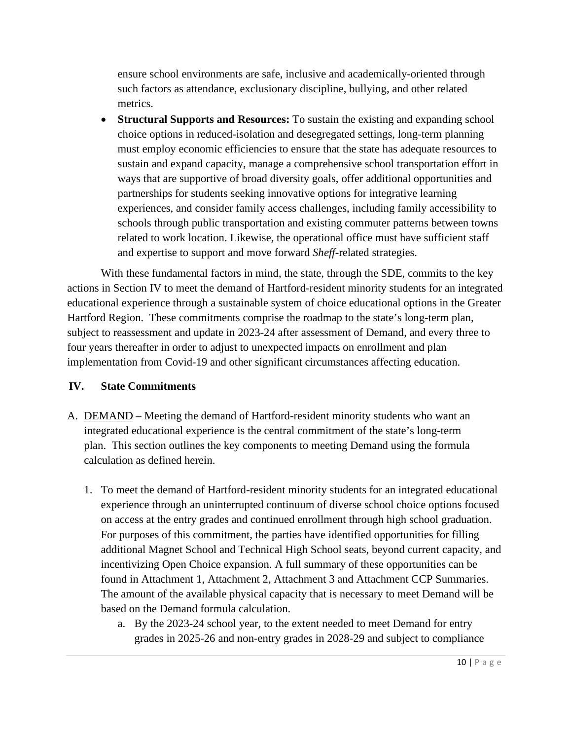ensure school environments are safe, inclusive and academically-oriented through such factors as attendance, exclusionary discipline, bullying, and other related metrics.

• **Structural Supports and Resources:** To sustain the existing and expanding school choice options in reduced-isolation and desegregated settings, long-term planning must employ economic efficiencies to ensure that the state has adequate resources to sustain and expand capacity, manage a comprehensive school transportation effort in ways that are supportive of broad diversity goals, offer additional opportunities and partnerships for students seeking innovative options for integrative learning experiences, and consider family access challenges, including family accessibility to schools through public transportation and existing commuter patterns between towns related to work location. Likewise, the operational office must have sufficient staff and expertise to support and move forward *Sheff-*related strategies.

With these fundamental factors in mind, the state, through the SDE, commits to the key actions in Section IV to meet the demand of Hartford-resident minority students for an integrated educational experience through a sustainable system of choice educational options in the Greater Hartford Region. These commitments comprise the roadmap to the state's long-term plan, subject to reassessment and update in 2023-24 after assessment of Demand, and every three to four years thereafter in order to adjust to unexpected impacts on enrollment and plan implementation from Covid-19 and other significant circumstances affecting education.

## **IV. State Commitments**

- A. DEMAND Meeting the demand of Hartford-resident minority students who want an integrated educational experience is the central commitment of the state's long-term plan. This section outlines the key components to meeting Demand using the formula calculation as defined herein.
	- 1. To meet the demand of Hartford-resident minority students for an integrated educational experience through an uninterrupted continuum of diverse school choice options focused on access at the entry grades and continued enrollment through high school graduation. For purposes of this commitment, the parties have identified opportunities for filling additional Magnet School and Technical High School seats, beyond current capacity, and incentivizing Open Choice expansion. A full summary of these opportunities can be found in Attachment 1, Attachment 2, Attachment 3 and Attachment CCP Summaries. The amount of the available physical capacity that is necessary to meet Demand will be based on the Demand formula calculation.
		- a. By the 2023-24 school year, to the extent needed to meet Demand for entry grades in 2025-26 and non-entry grades in 2028-29 and subject to compliance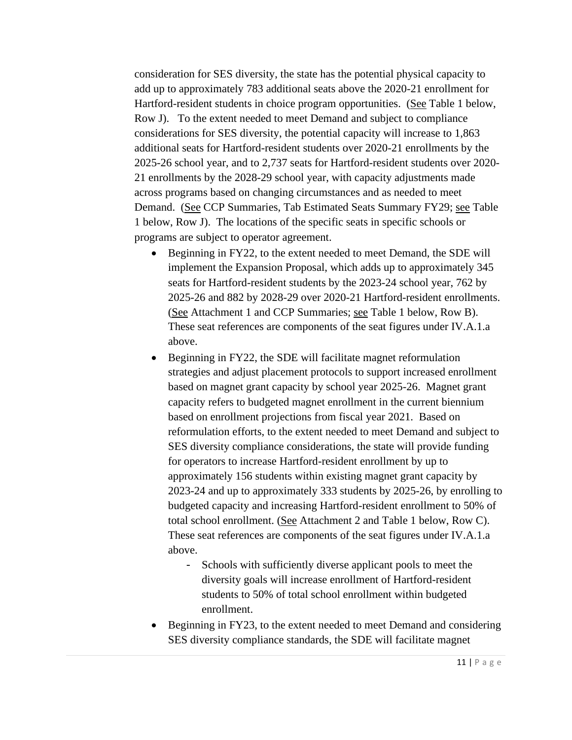consideration for SES diversity, the state has the potential physical capacity to add up to approximately 783 additional seats above the 2020-21 enrollment for Hartford-resident students in choice program opportunities. (See Table 1 below, Row J). To the extent needed to meet Demand and subject to compliance considerations for SES diversity, the potential capacity will increase to 1,863 additional seats for Hartford-resident students over 2020-21 enrollments by the 2025-26 school year, and to 2,737 seats for Hartford-resident students over 2020- 21 enrollments by the 2028-29 school year, with capacity adjustments made across programs based on changing circumstances and as needed to meet Demand. (See CCP Summaries, Tab Estimated Seats Summary FY29; see Table 1 below, Row J). The locations of the specific seats in specific schools or programs are subject to operator agreement.

- Beginning in FY22, to the extent needed to meet Demand, the SDE will implement the Expansion Proposal, which adds up to approximately 345 seats for Hartford-resident students by the 2023-24 school year, 762 by 2025-26 and 882 by 2028-29 over 2020-21 Hartford-resident enrollments. (See Attachment 1 and CCP Summaries; see Table 1 below, Row B). These seat references are components of the seat figures under IV.A.1.a above.
- Beginning in FY22, the SDE will facilitate magnet reformulation strategies and adjust placement protocols to support increased enrollment based on magnet grant capacity by school year 2025-26. Magnet grant capacity refers to budgeted magnet enrollment in the current biennium based on enrollment projections from fiscal year 2021. Based on reformulation efforts, to the extent needed to meet Demand and subject to SES diversity compliance considerations, the state will provide funding for operators to increase Hartford-resident enrollment by up to approximately 156 students within existing magnet grant capacity by 2023-24 and up to approximately 333 students by 2025-26, by enrolling to budgeted capacity and increasing Hartford-resident enrollment to 50% of total school enrollment. (See Attachment 2 and Table 1 below, Row C). These seat references are components of the seat figures under IV.A.1.a above.
	- Schools with sufficiently diverse applicant pools to meet the diversity goals will increase enrollment of Hartford-resident students to 50% of total school enrollment within budgeted enrollment.
- Beginning in FY23, to the extent needed to meet Demand and considering SES diversity compliance standards, the SDE will facilitate magnet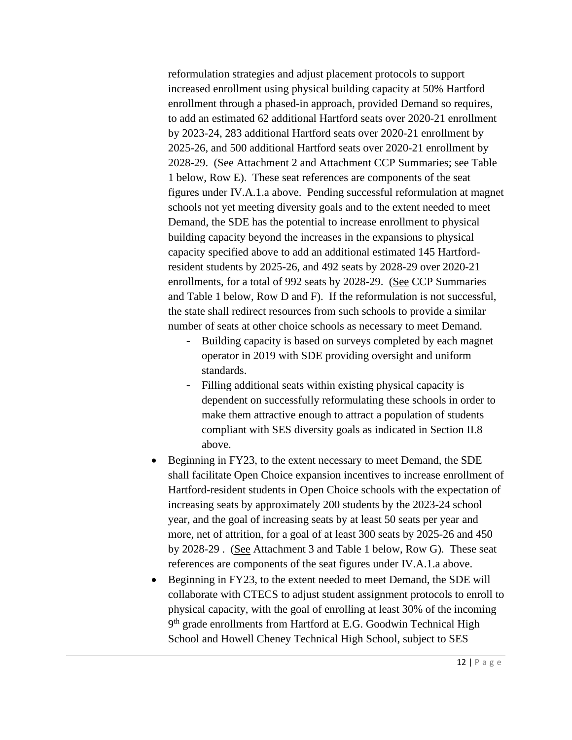reformulation strategies and adjust placement protocols to support increased enrollment using physical building capacity at 50% Hartford enrollment through a phased-in approach, provided Demand so requires, to add an estimated 62 additional Hartford seats over 2020-21 enrollment by 2023-24, 283 additional Hartford seats over 2020-21 enrollment by 2025-26, and 500 additional Hartford seats over 2020-21 enrollment by 2028-29. (See Attachment 2 and Attachment CCP Summaries; see Table 1 below, Row E). These seat references are components of the seat figures under IV.A.1.a above. Pending successful reformulation at magnet schools not yet meeting diversity goals and to the extent needed to meet Demand, the SDE has the potential to increase enrollment to physical building capacity beyond the increases in the expansions to physical capacity specified above to add an additional estimated 145 Hartfordresident students by 2025-26, and 492 seats by 2028-29 over 2020-21 enrollments, for a total of 992 seats by 2028-29. (See CCP Summaries and Table 1 below, Row D and F). If the reformulation is not successful, the state shall redirect resources from such schools to provide a similar number of seats at other choice schools as necessary to meet Demand.

- Building capacity is based on surveys completed by each magnet operator in 2019 with SDE providing oversight and uniform standards.
- Filling additional seats within existing physical capacity is dependent on successfully reformulating these schools in order to make them attractive enough to attract a population of students compliant with SES diversity goals as indicated in Section II.8 above.
- Beginning in FY23, to the extent necessary to meet Demand, the SDE shall facilitate Open Choice expansion incentives to increase enrollment of Hartford-resident students in Open Choice schools with the expectation of increasing seats by approximately 200 students by the 2023-24 school year, and the goal of increasing seats by at least 50 seats per year and more, net of attrition, for a goal of at least 300 seats by 2025-26 and 450 by 2028-29 . (See Attachment 3 and Table 1 below, Row G). These seat references are components of the seat figures under IV.A.1.a above.
- Beginning in FY23, to the extent needed to meet Demand, the SDE will collaborate with CTECS to adjust student assignment protocols to enroll to physical capacity, with the goal of enrolling at least 30% of the incoming 9<sup>th</sup> grade enrollments from Hartford at E.G. Goodwin Technical High School and Howell Cheney Technical High School, subject to SES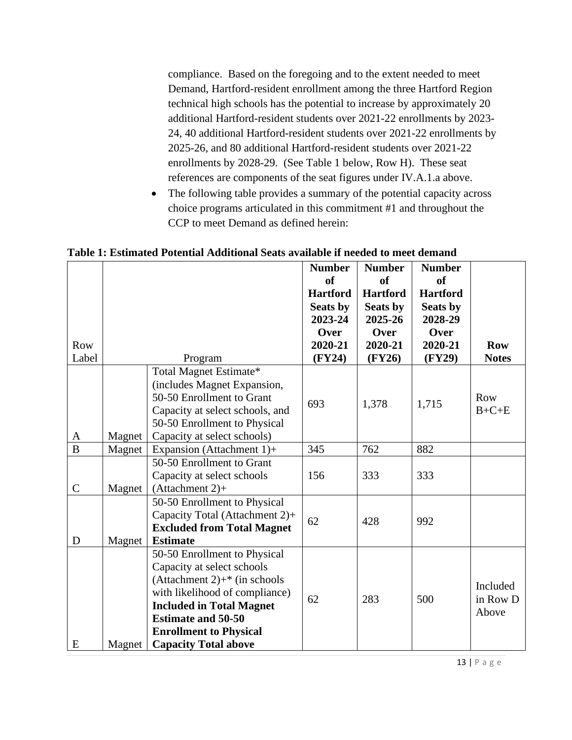compliance. Based on the foregoing and to the extent needed to meet Demand, Hartford-resident enrollment among the three Hartford Region technical high schools has the potential to increase by approximately 20 additional Hartford-resident students over 2021-22 enrollments by 2023- 24, 40 additional Hartford-resident students over 2021-22 enrollments by 2025-26, and 80 additional Hartford-resident students over 2021-22 enrollments by 2028-29. (See Table 1 below, Row H). These seat references are components of the seat figures under IV.A.1.a above.

• The following table provides a summary of the potential capacity across choice programs articulated in this commitment #1 and throughout the CCP to meet Demand as defined herein:

**Table 1: Estimated Potential Additional Seats available if needed to meet demand**

|                |        |                                             | <b>Number</b><br><b>of</b><br><b>Hartford</b> | <b>Number</b><br><b>of</b><br><b>Hartford</b> | <b>Number</b><br><b>of</b><br><b>Hartford</b> |              |
|----------------|--------|---------------------------------------------|-----------------------------------------------|-----------------------------------------------|-----------------------------------------------|--------------|
|                |        |                                             | <b>Seats by</b><br>2023-24                    | <b>Seats by</b><br>2025-26                    | <b>Seats by</b><br>2028-29                    |              |
|                |        |                                             | Over                                          | Over                                          | Over                                          |              |
| Row            |        |                                             | 2020-21                                       | 2020-21                                       | 2020-21                                       | <b>Row</b>   |
| Label          |        | Program                                     | (FY24)                                        | (FY26)                                        | (FY29)                                        | <b>Notes</b> |
|                |        | Total Magnet Estimate*                      |                                               |                                               |                                               |              |
|                |        | (includes Magnet Expansion,                 |                                               |                                               |                                               |              |
|                |        | 50-50 Enrollment to Grant                   |                                               |                                               |                                               | Row          |
|                |        | Capacity at select schools, and             | 693                                           | 1,378                                         | 1,715                                         | $B+C+E$      |
|                |        | 50-50 Enrollment to Physical                |                                               |                                               |                                               |              |
| A              | Magnet | Capacity at select schools)                 |                                               |                                               |                                               |              |
| $\overline{B}$ | Magnet | Expansion (Attachment 1)+                   | 345                                           | 762                                           | 882                                           |              |
|                |        | 50-50 Enrollment to Grant                   |                                               |                                               |                                               |              |
|                |        | Capacity at select schools                  | 156                                           | 333                                           | 333                                           |              |
| $\mathcal{C}$  | Magnet | $(Attachment 2) +$                          |                                               |                                               |                                               |              |
|                |        | 50-50 Enrollment to Physical                |                                               |                                               |                                               |              |
|                |        | Capacity Total (Attachment 2)+              | 62                                            | 428                                           | 992                                           |              |
|                |        | <b>Excluded from Total Magnet</b>           |                                               |                                               |                                               |              |
| D              | Magnet | <b>Estimate</b>                             |                                               |                                               |                                               |              |
|                |        | 50-50 Enrollment to Physical                |                                               |                                               |                                               |              |
|                |        | Capacity at select schools                  |                                               |                                               |                                               |              |
|                |        | (Attachment 2) $+$ <sup>*</sup> (in schools |                                               |                                               |                                               | Included     |
|                |        | with likelihood of compliance)              | 62                                            | 283                                           | 500                                           | in Row D     |
|                |        | <b>Included in Total Magnet</b>             |                                               |                                               |                                               | Above        |
|                |        | <b>Estimate and 50-50</b>                   |                                               |                                               |                                               |              |
|                |        | <b>Enrollment to Physical</b>               |                                               |                                               |                                               |              |
| E              | Magnet | <b>Capacity Total above</b>                 |                                               |                                               |                                               |              |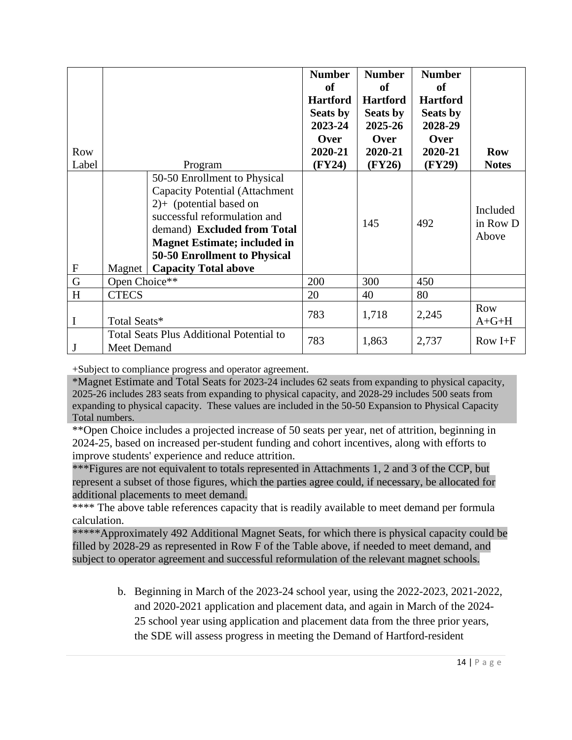| Row<br>Label              |                                                                       | Program                                                                                                                                                                                                                                                                  | <b>Number</b><br><b>of</b><br><b>Hartford</b><br>Seats by<br>2023-24<br><b>Over</b><br>2020-21<br>(FY24) | <b>Number</b><br><b>of</b><br><b>Hartford</b><br>Seats by<br>2025-26<br>Over<br>2020-21<br>(FY26) | <b>Number</b><br><b>of</b><br><b>Hartford</b><br>Seats by<br>2028-29<br>Over<br>2020-21<br>(FY29) | <b>Row</b><br><b>Notes</b>    |
|---------------------------|-----------------------------------------------------------------------|--------------------------------------------------------------------------------------------------------------------------------------------------------------------------------------------------------------------------------------------------------------------------|----------------------------------------------------------------------------------------------------------|---------------------------------------------------------------------------------------------------|---------------------------------------------------------------------------------------------------|-------------------------------|
| $\boldsymbol{\mathrm{F}}$ | Magnet                                                                | 50-50 Enrollment to Physical<br><b>Capacity Potential (Attachment</b><br>$2$ )+ (potential based on<br>successful reformulation and<br>demand) Excluded from Total<br><b>Magnet Estimate; included in</b><br>50-50 Enrollment to Physical<br><b>Capacity Total above</b> |                                                                                                          | 145                                                                                               | 492                                                                                               | Included<br>in Row D<br>Above |
| $\mathbf G$               | Open Choice**                                                         |                                                                                                                                                                                                                                                                          | 200                                                                                                      | 300                                                                                               | 450                                                                                               |                               |
| H                         | <b>CTECS</b>                                                          |                                                                                                                                                                                                                                                                          | 20                                                                                                       | 40                                                                                                | 80                                                                                                |                               |
|                           | Total Seats*                                                          |                                                                                                                                                                                                                                                                          | 783                                                                                                      | 1,718                                                                                             | 2,245                                                                                             | <b>Row</b><br>$A + G + H$     |
| J                         | <b>Total Seats Plus Additional Potential to</b><br><b>Meet Demand</b> |                                                                                                                                                                                                                                                                          | 783                                                                                                      | 1,863                                                                                             | 2,737                                                                                             | Row $I + F$                   |

+Subject to compliance progress and operator agreement.

\*Magnet Estimate and Total Seats for 2023-24 includes 62 seats from expanding to physical capacity, 2025-26 includes 283 seats from expanding to physical capacity, and 2028-29 includes 500 seats from expanding to physical capacity. These values are included in the 50-50 Expansion to Physical Capacity Total numbers.

\*\*Open Choice includes a projected increase of 50 seats per year, net of attrition, beginning in 2024-25, based on increased per-student funding and cohort incentives, along with efforts to improve students' experience and reduce attrition.

\*\*\*Figures are not equivalent to totals represented in Attachments 1, 2 and 3 of the CCP, but represent a subset of those figures, which the parties agree could, if necessary, be allocated for additional placements to meet demand.

\*\*\*\* The above table references capacity that is readily available to meet demand per formula calculation.

\*\*\*\*\*Approximately 492 Additional Magnet Seats, for which there is physical capacity could be filled by 2028-29 as represented in Row F of the Table above, if needed to meet demand, and subject to operator agreement and successful reformulation of the relevant magnet schools.

> b. Beginning in March of the 2023-24 school year, using the 2022-2023, 2021-2022, and 2020-2021 application and placement data, and again in March of the 2024- 25 school year using application and placement data from the three prior years, the SDE will assess progress in meeting the Demand of Hartford-resident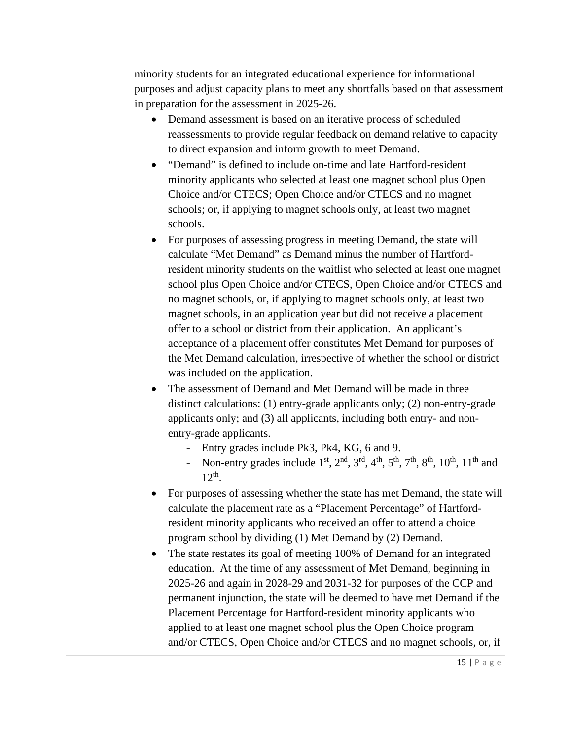minority students for an integrated educational experience for informational purposes and adjust capacity plans to meet any shortfalls based on that assessment in preparation for the assessment in 2025-26.

- Demand assessment is based on an iterative process of scheduled reassessments to provide regular feedback on demand relative to capacity to direct expansion and inform growth to meet Demand.
- "Demand" is defined to include on-time and late Hartford-resident minority applicants who selected at least one magnet school plus Open Choice and/or CTECS; Open Choice and/or CTECS and no magnet schools; or, if applying to magnet schools only, at least two magnet schools.
- For purposes of assessing progress in meeting Demand, the state will calculate "Met Demand" as Demand minus the number of Hartfordresident minority students on the waitlist who selected at least one magnet school plus Open Choice and/or CTECS, Open Choice and/or CTECS and no magnet schools, or, if applying to magnet schools only, at least two magnet schools, in an application year but did not receive a placement offer to a school or district from their application. An applicant's acceptance of a placement offer constitutes Met Demand for purposes of the Met Demand calculation, irrespective of whether the school or district was included on the application.
- The assessment of Demand and Met Demand will be made in three distinct calculations: (1) entry-grade applicants only; (2) non-entry-grade applicants only; and (3) all applicants, including both entry- and nonentry-grade applicants.
	- Entry grades include Pk3, Pk4, KG, 6 and 9.
	- Non-entry grades include 1<sup>st</sup>, 2<sup>nd</sup>, 3<sup>rd</sup>, 4<sup>th</sup>, 5<sup>th</sup>, 7<sup>th</sup>, 8<sup>th</sup>, 10<sup>th</sup>, 11<sup>th</sup> and  $12<sup>th</sup>$ .
- For purposes of assessing whether the state has met Demand, the state will calculate the placement rate as a "Placement Percentage" of Hartfordresident minority applicants who received an offer to attend a choice program school by dividing (1) Met Demand by (2) Demand.
- The state restates its goal of meeting 100% of Demand for an integrated education. At the time of any assessment of Met Demand, beginning in 2025-26 and again in 2028-29 and 2031-32 for purposes of the CCP and permanent injunction, the state will be deemed to have met Demand if the Placement Percentage for Hartford-resident minority applicants who applied to at least one magnet school plus the Open Choice program and/or CTECS, Open Choice and/or CTECS and no magnet schools, or, if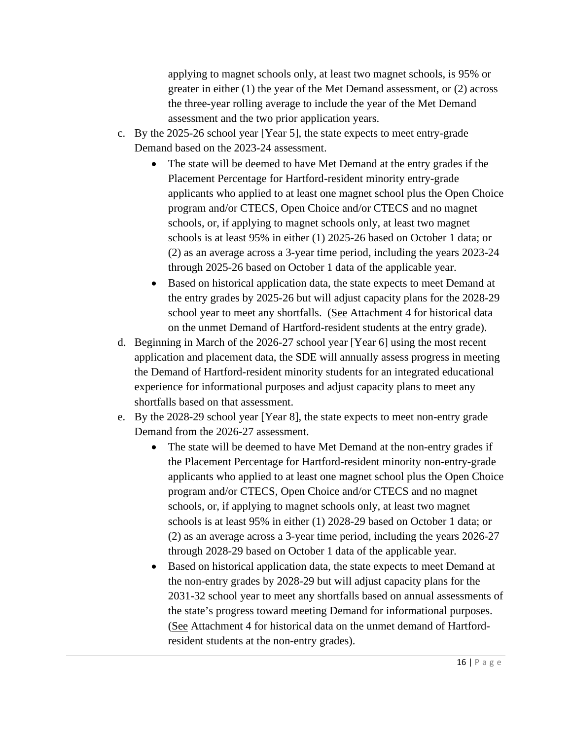applying to magnet schools only, at least two magnet schools, is 95% or greater in either (1) the year of the Met Demand assessment, or (2) across the three-year rolling average to include the year of the Met Demand assessment and the two prior application years.

- c. By the 2025-26 school year [Year 5], the state expects to meet entry-grade Demand based on the 2023-24 assessment.
	- The state will be deemed to have Met Demand at the entry grades if the Placement Percentage for Hartford-resident minority entry-grade applicants who applied to at least one magnet school plus the Open Choice program and/or CTECS, Open Choice and/or CTECS and no magnet schools, or, if applying to magnet schools only, at least two magnet schools is at least 95% in either (1) 2025-26 based on October 1 data; or (2) as an average across a 3-year time period, including the years 2023-24 through 2025-26 based on October 1 data of the applicable year.
	- Based on historical application data, the state expects to meet Demand at the entry grades by 2025-26 but will adjust capacity plans for the 2028-29 school year to meet any shortfalls. (See Attachment 4 for historical data on the unmet Demand of Hartford-resident students at the entry grade).
- d. Beginning in March of the 2026-27 school year [Year 6] using the most recent application and placement data, the SDE will annually assess progress in meeting the Demand of Hartford-resident minority students for an integrated educational experience for informational purposes and adjust capacity plans to meet any shortfalls based on that assessment.
- e. By the 2028-29 school year [Year 8], the state expects to meet non-entry grade Demand from the 2026-27 assessment.
	- The state will be deemed to have Met Demand at the non-entry grades if the Placement Percentage for Hartford-resident minority non-entry-grade applicants who applied to at least one magnet school plus the Open Choice program and/or CTECS, Open Choice and/or CTECS and no magnet schools, or, if applying to magnet schools only, at least two magnet schools is at least 95% in either (1) 2028-29 based on October 1 data; or (2) as an average across a 3-year time period, including the years 2026-27 through 2028-29 based on October 1 data of the applicable year.
	- Based on historical application data, the state expects to meet Demand at the non-entry grades by 2028-29 but will adjust capacity plans for the 2031-32 school year to meet any shortfalls based on annual assessments of the state's progress toward meeting Demand for informational purposes. (See Attachment 4 for historical data on the unmet demand of Hartfordresident students at the non-entry grades).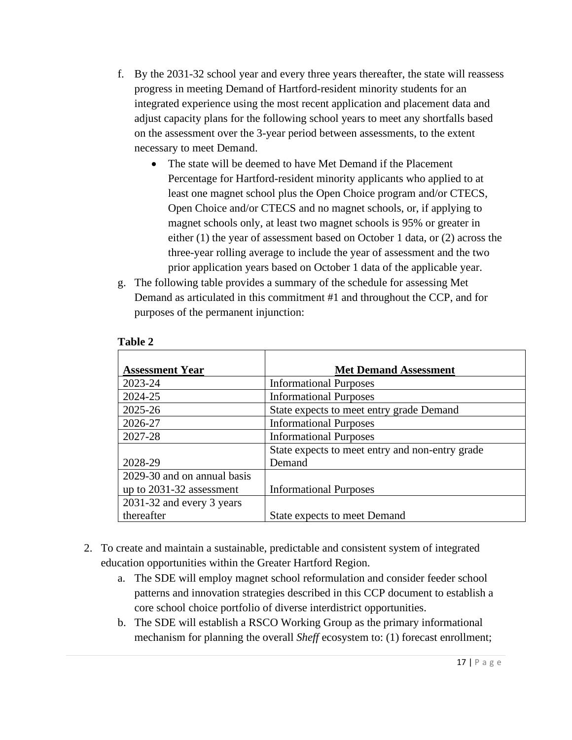- f. By the 2031-32 school year and every three years thereafter, the state will reassess progress in meeting Demand of Hartford-resident minority students for an integrated experience using the most recent application and placement data and adjust capacity plans for the following school years to meet any shortfalls based on the assessment over the 3-year period between assessments, to the extent necessary to meet Demand.
	- The state will be deemed to have Met Demand if the Placement Percentage for Hartford-resident minority applicants who applied to at least one magnet school plus the Open Choice program and/or CTECS, Open Choice and/or CTECS and no magnet schools, or, if applying to magnet schools only, at least two magnet schools is 95% or greater in either (1) the year of assessment based on October 1 data, or (2) across the three-year rolling average to include the year of assessment and the two prior application years based on October 1 data of the applicable year.
- g. The following table provides a summary of the schedule for assessing Met Demand as articulated in this commitment #1 and throughout the CCP, and for purposes of the permanent injunction:

| <b>Assessment Year</b>      | <b>Met Demand Assessment</b>                    |
|-----------------------------|-------------------------------------------------|
| 2023-24                     | <b>Informational Purposes</b>                   |
| 2024-25                     | <b>Informational Purposes</b>                   |
| 2025-26                     | State expects to meet entry grade Demand        |
| 2026-27                     | <b>Informational Purposes</b>                   |
| 2027-28                     | <b>Informational Purposes</b>                   |
|                             | State expects to meet entry and non-entry grade |
| 2028-29                     | Demand                                          |
| 2029-30 and on annual basis |                                                 |
| up to 2031-32 assessment    | <b>Informational Purposes</b>                   |
| 2031-32 and every 3 years   |                                                 |
| thereafter                  | State expects to meet Demand                    |

### **Table 2**

- 2. To create and maintain a sustainable, predictable and consistent system of integrated education opportunities within the Greater Hartford Region.
	- a. The SDE will employ magnet school reformulation and consider feeder school patterns and innovation strategies described in this CCP document to establish a core school choice portfolio of diverse interdistrict opportunities.
	- b. The SDE will establish a RSCO Working Group as the primary informational mechanism for planning the overall *Sheff* ecosystem to: (1) forecast enrollment;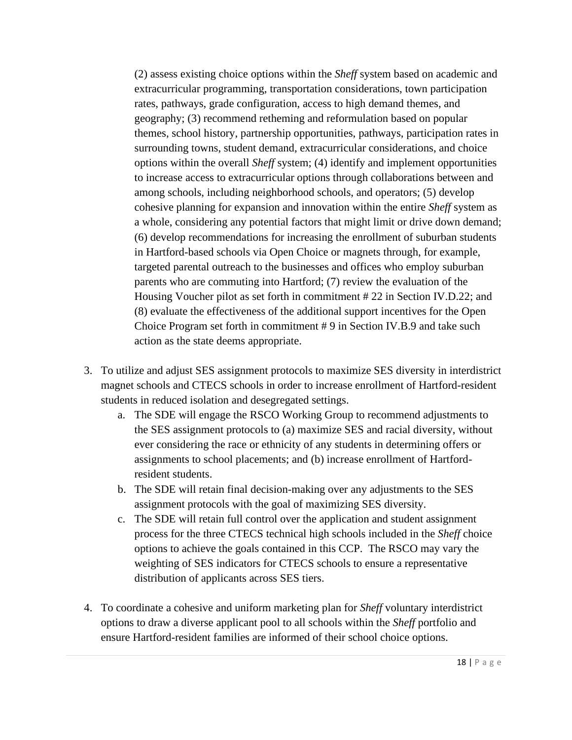(2) assess existing choice options within the *Sheff* system based on academic and extracurricular programming, transportation considerations, town participation rates, pathways, grade configuration, access to high demand themes, and geography; (3) recommend retheming and reformulation based on popular themes, school history, partnership opportunities, pathways, participation rates in surrounding towns, student demand, extracurricular considerations, and choice options within the overall *Sheff* system; (4) identify and implement opportunities to increase access to extracurricular options through collaborations between and among schools, including neighborhood schools, and operators; (5) develop cohesive planning for expansion and innovation within the entire *Sheff* system as a whole, considering any potential factors that might limit or drive down demand; (6) develop recommendations for increasing the enrollment of suburban students in Hartford-based schools via Open Choice or magnets through, for example, targeted parental outreach to the businesses and offices who employ suburban parents who are commuting into Hartford; (7) review the evaluation of the Housing Voucher pilot as set forth in commitment # 22 in Section IV.D.22; and (8) evaluate the effectiveness of the additional support incentives for the Open Choice Program set forth in commitment # 9 in Section IV.B.9 and take such action as the state deems appropriate.

- 3. To utilize and adjust SES assignment protocols to maximize SES diversity in interdistrict magnet schools and CTECS schools in order to increase enrollment of Hartford-resident students in reduced isolation and desegregated settings.
	- a. The SDE will engage the RSCO Working Group to recommend adjustments to the SES assignment protocols to (a) maximize SES and racial diversity, without ever considering the race or ethnicity of any students in determining offers or assignments to school placements; and (b) increase enrollment of Hartfordresident students.
	- b. The SDE will retain final decision-making over any adjustments to the SES assignment protocols with the goal of maximizing SES diversity.
	- c. The SDE will retain full control over the application and student assignment process for the three CTECS technical high schools included in the *Sheff* choice options to achieve the goals contained in this CCP. The RSCO may vary the weighting of SES indicators for CTECS schools to ensure a representative distribution of applicants across SES tiers.
- 4. To coordinate a cohesive and uniform marketing plan for *Sheff* voluntary interdistrict options to draw a diverse applicant pool to all schools within the *Sheff* portfolio and ensure Hartford-resident families are informed of their school choice options.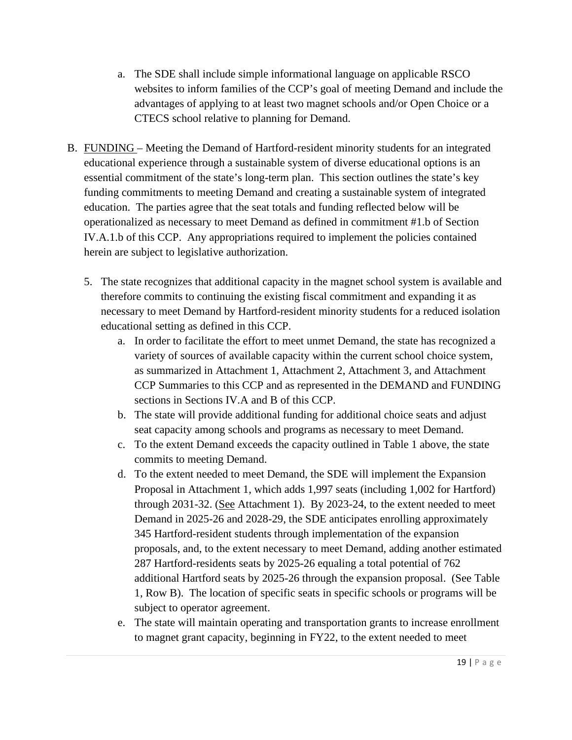- a. The SDE shall include simple informational language on applicable RSCO websites to inform families of the CCP's goal of meeting Demand and include the advantages of applying to at least two magnet schools and/or Open Choice or a CTECS school relative to planning for Demand.
- B. FUNDING Meeting the Demand of Hartford-resident minority students for an integrated educational experience through a sustainable system of diverse educational options is an essential commitment of the state's long-term plan. This section outlines the state's key funding commitments to meeting Demand and creating a sustainable system of integrated education. The parties agree that the seat totals and funding reflected below will be operationalized as necessary to meet Demand as defined in commitment #1.b of Section IV.A.1.b of this CCP. Any appropriations required to implement the policies contained herein are subject to legislative authorization.
	- 5. The state recognizes that additional capacity in the magnet school system is available and therefore commits to continuing the existing fiscal commitment and expanding it as necessary to meet Demand by Hartford-resident minority students for a reduced isolation educational setting as defined in this CCP.
		- a. In order to facilitate the effort to meet unmet Demand, the state has recognized a variety of sources of available capacity within the current school choice system, as summarized in Attachment 1, Attachment 2, Attachment 3, and Attachment CCP Summaries to this CCP and as represented in the DEMAND and FUNDING sections in Sections IV.A and B of this CCP.
		- b. The state will provide additional funding for additional choice seats and adjust seat capacity among schools and programs as necessary to meet Demand.
		- c. To the extent Demand exceeds the capacity outlined in Table 1 above, the state commits to meeting Demand.
		- d. To the extent needed to meet Demand, the SDE will implement the Expansion Proposal in Attachment 1, which adds 1,997 seats (including 1,002 for Hartford) through 2031-32. (See Attachment 1). By 2023-24, to the extent needed to meet Demand in 2025-26 and 2028-29, the SDE anticipates enrolling approximately 345 Hartford-resident students through implementation of the expansion proposals, and, to the extent necessary to meet Demand, adding another estimated 287 Hartford-residents seats by 2025-26 equaling a total potential of 762 additional Hartford seats by 2025-26 through the expansion proposal. (See Table 1, Row B). The location of specific seats in specific schools or programs will be subject to operator agreement.
		- e. The state will maintain operating and transportation grants to increase enrollment to magnet grant capacity, beginning in FY22, to the extent needed to meet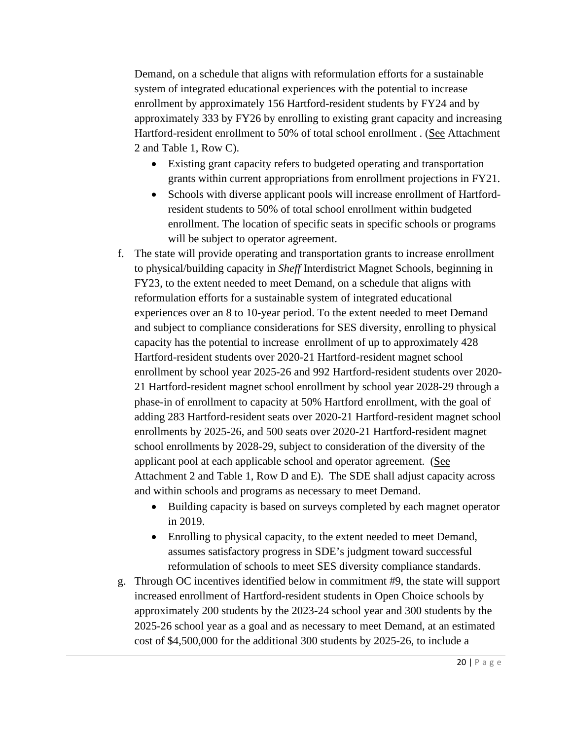Demand, on a schedule that aligns with reformulation efforts for a sustainable system of integrated educational experiences with the potential to increase enrollment by approximately 156 Hartford-resident students by FY24 and by approximately 333 by FY26 by enrolling to existing grant capacity and increasing Hartford-resident enrollment to 50% of total school enrollment . (See Attachment 2 and Table 1, Row C).

- Existing grant capacity refers to budgeted operating and transportation grants within current appropriations from enrollment projections in FY21.
- Schools with diverse applicant pools will increase enrollment of Hartfordresident students to 50% of total school enrollment within budgeted enrollment. The location of specific seats in specific schools or programs will be subject to operator agreement.
- f. The state will provide operating and transportation grants to increase enrollment to physical/building capacity in *Sheff* Interdistrict Magnet Schools, beginning in FY23, to the extent needed to meet Demand, on a schedule that aligns with reformulation efforts for a sustainable system of integrated educational experiences over an 8 to 10-year period. To the extent needed to meet Demand and subject to compliance considerations for SES diversity, enrolling to physical capacity has the potential to increase enrollment of up to approximately 428 Hartford-resident students over 2020-21 Hartford-resident magnet school enrollment by school year 2025-26 and 992 Hartford-resident students over 2020- 21 Hartford-resident magnet school enrollment by school year 2028-29 through a phase-in of enrollment to capacity at 50% Hartford enrollment, with the goal of adding 283 Hartford-resident seats over 2020-21 Hartford-resident magnet school enrollments by 2025-26, and 500 seats over 2020-21 Hartford-resident magnet school enrollments by 2028-29, subject to consideration of the diversity of the applicant pool at each applicable school and operator agreement. (See Attachment 2 and Table 1, Row D and E). The SDE shall adjust capacity across and within schools and programs as necessary to meet Demand.
	- Building capacity is based on surveys completed by each magnet operator in 2019.
	- Enrolling to physical capacity, to the extent needed to meet Demand, assumes satisfactory progress in SDE's judgment toward successful reformulation of schools to meet SES diversity compliance standards.
- g. Through OC incentives identified below in commitment #9, the state will support increased enrollment of Hartford-resident students in Open Choice schools by approximately 200 students by the 2023-24 school year and 300 students by the 2025-26 school year as a goal and as necessary to meet Demand, at an estimated cost of \$4,500,000 for the additional 300 students by 2025-26, to include a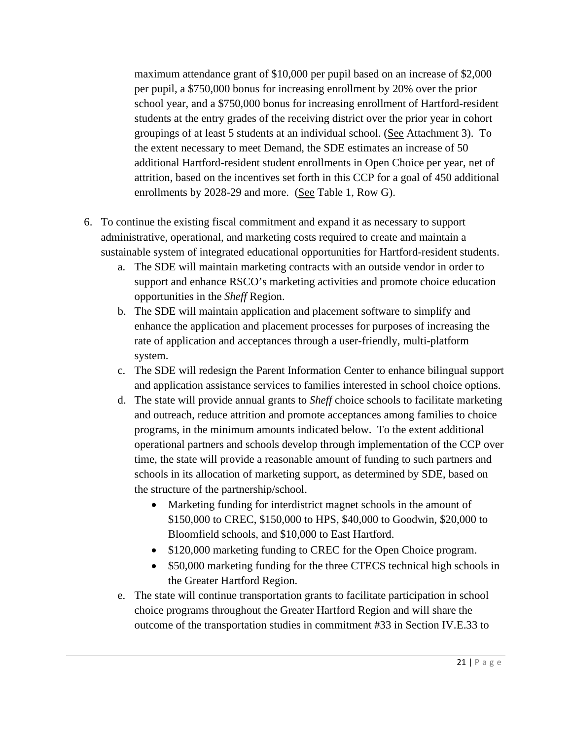maximum attendance grant of \$10,000 per pupil based on an increase of \$2,000 per pupil, a \$750,000 bonus for increasing enrollment by 20% over the prior school year, and a \$750,000 bonus for increasing enrollment of Hartford-resident students at the entry grades of the receiving district over the prior year in cohort groupings of at least 5 students at an individual school. (See Attachment 3). To the extent necessary to meet Demand, the SDE estimates an increase of 50 additional Hartford-resident student enrollments in Open Choice per year, net of attrition, based on the incentives set forth in this CCP for a goal of 450 additional enrollments by 2028-29 and more. (See Table 1, Row G).

- 6. To continue the existing fiscal commitment and expand it as necessary to support administrative, operational, and marketing costs required to create and maintain a sustainable system of integrated educational opportunities for Hartford-resident students.
	- a. The SDE will maintain marketing contracts with an outside vendor in order to support and enhance RSCO's marketing activities and promote choice education opportunities in the *Sheff* Region.
	- b. The SDE will maintain application and placement software to simplify and enhance the application and placement processes for purposes of increasing the rate of application and acceptances through a user-friendly, multi-platform system.
	- c. The SDE will redesign the Parent Information Center to enhance bilingual support and application assistance services to families interested in school choice options.
	- d. The state will provide annual grants to *Sheff* choice schools to facilitate marketing and outreach, reduce attrition and promote acceptances among families to choice programs, in the minimum amounts indicated below. To the extent additional operational partners and schools develop through implementation of the CCP over time, the state will provide a reasonable amount of funding to such partners and schools in its allocation of marketing support, as determined by SDE, based on the structure of the partnership/school.
		- Marketing funding for interdistrict magnet schools in the amount of \$150,000 to CREC, \$150,000 to HPS, \$40,000 to Goodwin, \$20,000 to Bloomfield schools, and \$10,000 to East Hartford.
		- \$120,000 marketing funding to CREC for the Open Choice program.
		- \$50,000 marketing funding for the three CTECS technical high schools in the Greater Hartford Region.
	- e. The state will continue transportation grants to facilitate participation in school choice programs throughout the Greater Hartford Region and will share the outcome of the transportation studies in commitment #33 in Section IV.E.33 to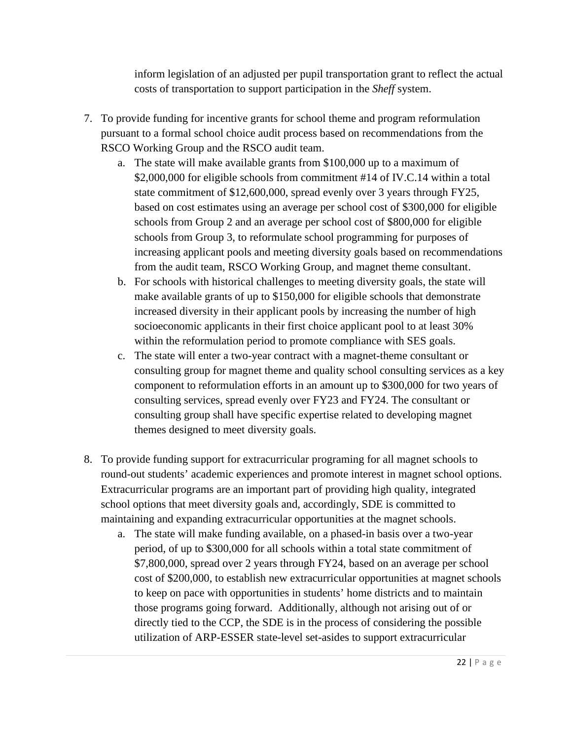inform legislation of an adjusted per pupil transportation grant to reflect the actual costs of transportation to support participation in the *Sheff* system.

- 7. To provide funding for incentive grants for school theme and program reformulation pursuant to a formal school choice audit process based on recommendations from the RSCO Working Group and the RSCO audit team.
	- a. The state will make available grants from \$100,000 up to a maximum of \$2,000,000 for eligible schools from commitment #14 of IV.C.14 within a total state commitment of \$12,600,000, spread evenly over 3 years through FY25, based on cost estimates using an average per school cost of \$300,000 for eligible schools from Group 2 and an average per school cost of \$800,000 for eligible schools from Group 3, to reformulate school programming for purposes of increasing applicant pools and meeting diversity goals based on recommendations from the audit team, RSCO Working Group, and magnet theme consultant.
	- b. For schools with historical challenges to meeting diversity goals, the state will make available grants of up to \$150,000 for eligible schools that demonstrate increased diversity in their applicant pools by increasing the number of high socioeconomic applicants in their first choice applicant pool to at least 30% within the reformulation period to promote compliance with SES goals.
	- c. The state will enter a two-year contract with a magnet-theme consultant or consulting group for magnet theme and quality school consulting services as a key component to reformulation efforts in an amount up to \$300,000 for two years of consulting services, spread evenly over FY23 and FY24. The consultant or consulting group shall have specific expertise related to developing magnet themes designed to meet diversity goals.
- 8. To provide funding support for extracurricular programing for all magnet schools to round-out students' academic experiences and promote interest in magnet school options. Extracurricular programs are an important part of providing high quality, integrated school options that meet diversity goals and, accordingly, SDE is committed to maintaining and expanding extracurricular opportunities at the magnet schools.
	- a. The state will make funding available, on a phased-in basis over a two-year period, of up to \$300,000 for all schools within a total state commitment of \$7,800,000, spread over 2 years through FY24, based on an average per school cost of \$200,000, to establish new extracurricular opportunities at magnet schools to keep on pace with opportunities in students' home districts and to maintain those programs going forward. Additionally, although not arising out of or directly tied to the CCP, the SDE is in the process of considering the possible utilization of ARP-ESSER state-level set-asides to support extracurricular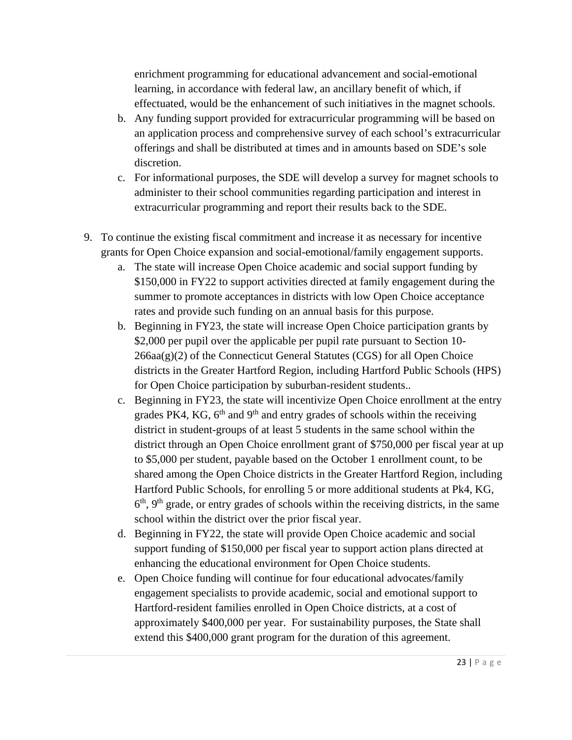enrichment programming for educational advancement and social-emotional learning, in accordance with federal law, an ancillary benefit of which, if effectuated, would be the enhancement of such initiatives in the magnet schools.

- b. Any funding support provided for extracurricular programming will be based on an application process and comprehensive survey of each school's extracurricular offerings and shall be distributed at times and in amounts based on SDE's sole discretion.
- c. For informational purposes, the SDE will develop a survey for magnet schools to administer to their school communities regarding participation and interest in extracurricular programming and report their results back to the SDE.
- 9. To continue the existing fiscal commitment and increase it as necessary for incentive grants for Open Choice expansion and social-emotional/family engagement supports.
	- a. The state will increase Open Choice academic and social support funding by \$150,000 in FY22 to support activities directed at family engagement during the summer to promote acceptances in districts with low Open Choice acceptance rates and provide such funding on an annual basis for this purpose.
	- b. Beginning in FY23, the state will increase Open Choice participation grants by \$2,000 per pupil over the applicable per pupil rate pursuant to Section 10- $266$ aa $(g)(2)$  of the Connecticut General Statutes (CGS) for all Open Choice districts in the Greater Hartford Region, including Hartford Public Schools (HPS) for Open Choice participation by suburban-resident students..
	- c. Beginning in FY23, the state will incentivize Open Choice enrollment at the entry grades PK4, KG,  $6<sup>th</sup>$  and  $9<sup>th</sup>$  and entry grades of schools within the receiving district in student-groups of at least 5 students in the same school within the district through an Open Choice enrollment grant of \$750,000 per fiscal year at up to \$5,000 per student, payable based on the October 1 enrollment count, to be shared among the Open Choice districts in the Greater Hartford Region, including Hartford Public Schools, for enrolling 5 or more additional students at Pk4, KG,  $6<sup>th</sup>$ ,  $9<sup>th</sup>$  grade, or entry grades of schools within the receiving districts, in the same school within the district over the prior fiscal year.
	- d. Beginning in FY22, the state will provide Open Choice academic and social support funding of \$150,000 per fiscal year to support action plans directed at enhancing the educational environment for Open Choice students.
	- e. Open Choice funding will continue for four educational advocates/family engagement specialists to provide academic, social and emotional support to Hartford-resident families enrolled in Open Choice districts, at a cost of approximately \$400,000 per year. For sustainability purposes, the State shall extend this \$400,000 grant program for the duration of this agreement.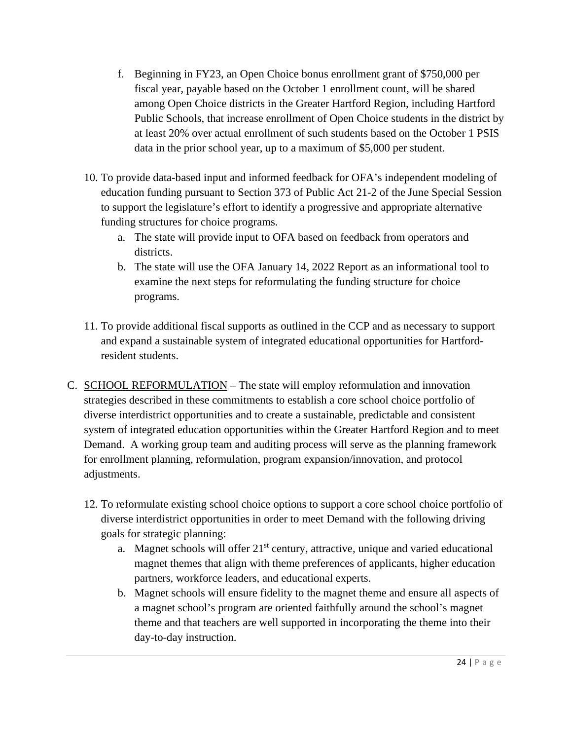- f. Beginning in FY23, an Open Choice bonus enrollment grant of \$750,000 per fiscal year, payable based on the October 1 enrollment count, will be shared among Open Choice districts in the Greater Hartford Region, including Hartford Public Schools, that increase enrollment of Open Choice students in the district by at least 20% over actual enrollment of such students based on the October 1 PSIS data in the prior school year, up to a maximum of \$5,000 per student.
- 10. To provide data-based input and informed feedback for OFA's independent modeling of education funding pursuant to Section 373 of Public Act 21-2 of the June Special Session to support the legislature's effort to identify a progressive and appropriate alternative funding structures for choice programs.
	- a. The state will provide input to OFA based on feedback from operators and districts.
	- b. The state will use the OFA January 14, 2022 Report as an informational tool to examine the next steps for reformulating the funding structure for choice programs.
- 11. To provide additional fiscal supports as outlined in the CCP and as necessary to support and expand a sustainable system of integrated educational opportunities for Hartfordresident students.
- C. SCHOOL REFORMULATION The state will employ reformulation and innovation strategies described in these commitments to establish a core school choice portfolio of diverse interdistrict opportunities and to create a sustainable, predictable and consistent system of integrated education opportunities within the Greater Hartford Region and to meet Demand. A working group team and auditing process will serve as the planning framework for enrollment planning, reformulation, program expansion/innovation, and protocol adjustments.
	- 12. To reformulate existing school choice options to support a core school choice portfolio of diverse interdistrict opportunities in order to meet Demand with the following driving goals for strategic planning:
		- a. Magnet schools will offer 21<sup>st</sup> century, attractive, unique and varied educational magnet themes that align with theme preferences of applicants, higher education partners, workforce leaders, and educational experts.
		- b. Magnet schools will ensure fidelity to the magnet theme and ensure all aspects of a magnet school's program are oriented faithfully around the school's magnet theme and that teachers are well supported in incorporating the theme into their day-to-day instruction.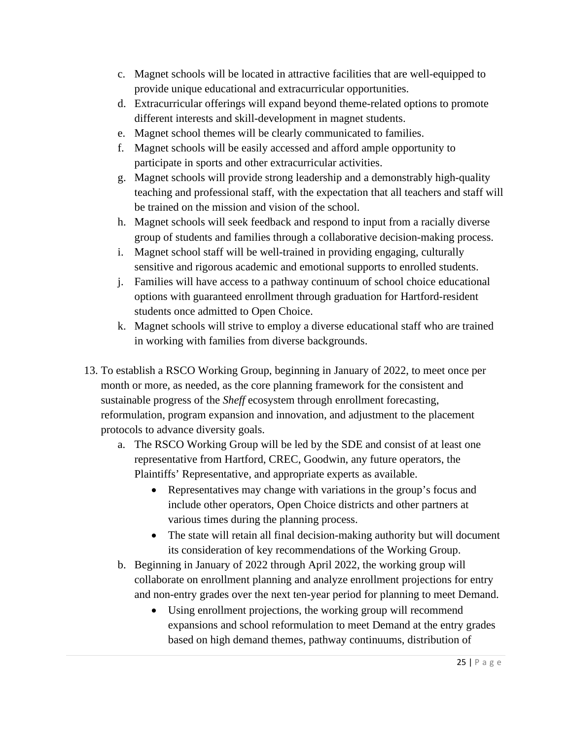- c. Magnet schools will be located in attractive facilities that are well-equipped to provide unique educational and extracurricular opportunities.
- d. Extracurricular offerings will expand beyond theme-related options to promote different interests and skill-development in magnet students.
- e. Magnet school themes will be clearly communicated to families.
- f. Magnet schools will be easily accessed and afford ample opportunity to participate in sports and other extracurricular activities.
- g. Magnet schools will provide strong leadership and a demonstrably high-quality teaching and professional staff, with the expectation that all teachers and staff will be trained on the mission and vision of the school.
- h. Magnet schools will seek feedback and respond to input from a racially diverse group of students and families through a collaborative decision-making process.
- i. Magnet school staff will be well-trained in providing engaging, culturally sensitive and rigorous academic and emotional supports to enrolled students.
- j. Families will have access to a pathway continuum of school choice educational options with guaranteed enrollment through graduation for Hartford-resident students once admitted to Open Choice.
- k. Magnet schools will strive to employ a diverse educational staff who are trained in working with families from diverse backgrounds.
- 13. To establish a RSCO Working Group, beginning in January of 2022, to meet once per month or more, as needed, as the core planning framework for the consistent and sustainable progress of the *Sheff* ecosystem through enrollment forecasting, reformulation, program expansion and innovation, and adjustment to the placement protocols to advance diversity goals.
	- a. The RSCO Working Group will be led by the SDE and consist of at least one representative from Hartford, CREC, Goodwin, any future operators, the Plaintiffs' Representative, and appropriate experts as available.
		- Representatives may change with variations in the group's focus and include other operators, Open Choice districts and other partners at various times during the planning process.
		- The state will retain all final decision-making authority but will document its consideration of key recommendations of the Working Group.
	- b. Beginning in January of 2022 through April 2022, the working group will collaborate on enrollment planning and analyze enrollment projections for entry and non-entry grades over the next ten-year period for planning to meet Demand.
		- Using enrollment projections, the working group will recommend expansions and school reformulation to meet Demand at the entry grades based on high demand themes, pathway continuums, distribution of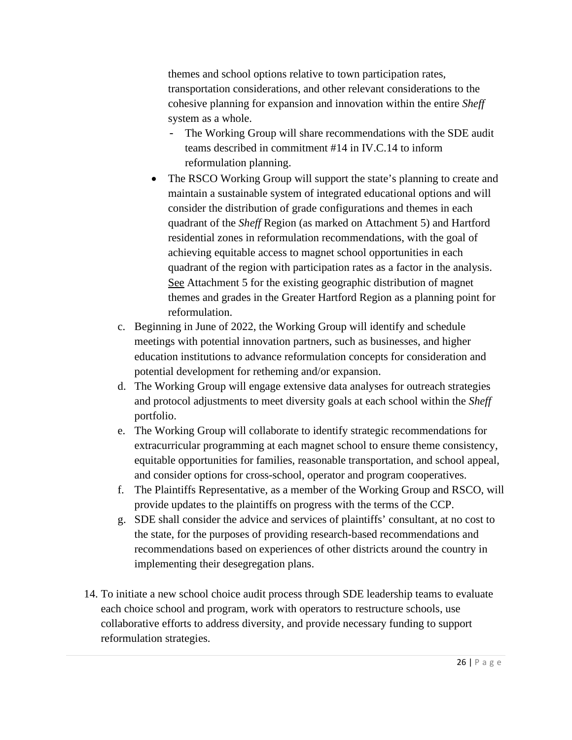themes and school options relative to town participation rates, transportation considerations, and other relevant considerations to the cohesive planning for expansion and innovation within the entire *Sheff* system as a whole.

- The Working Group will share recommendations with the SDE audit teams described in commitment #14 in IV.C.14 to inform reformulation planning.
- The RSCO Working Group will support the state's planning to create and maintain a sustainable system of integrated educational options and will consider the distribution of grade configurations and themes in each quadrant of the *Sheff* Region (as marked on Attachment 5) and Hartford residential zones in reformulation recommendations, with the goal of achieving equitable access to magnet school opportunities in each quadrant of the region with participation rates as a factor in the analysis. See Attachment 5 for the existing geographic distribution of magnet themes and grades in the Greater Hartford Region as a planning point for reformulation.
- c. Beginning in June of 2022, the Working Group will identify and schedule meetings with potential innovation partners, such as businesses, and higher education institutions to advance reformulation concepts for consideration and potential development for retheming and/or expansion.
- d. The Working Group will engage extensive data analyses for outreach strategies and protocol adjustments to meet diversity goals at each school within the *Sheff*  portfolio.
- e. The Working Group will collaborate to identify strategic recommendations for extracurricular programming at each magnet school to ensure theme consistency, equitable opportunities for families, reasonable transportation, and school appeal, and consider options for cross-school, operator and program cooperatives.
- f. The Plaintiffs Representative, as a member of the Working Group and RSCO, will provide updates to the plaintiffs on progress with the terms of the CCP.
- g. SDE shall consider the advice and services of plaintiffs' consultant, at no cost to the state, for the purposes of providing research-based recommendations and recommendations based on experiences of other districts around the country in implementing their desegregation plans.
- 14. To initiate a new school choice audit process through SDE leadership teams to evaluate each choice school and program, work with operators to restructure schools, use collaborative efforts to address diversity, and provide necessary funding to support reformulation strategies.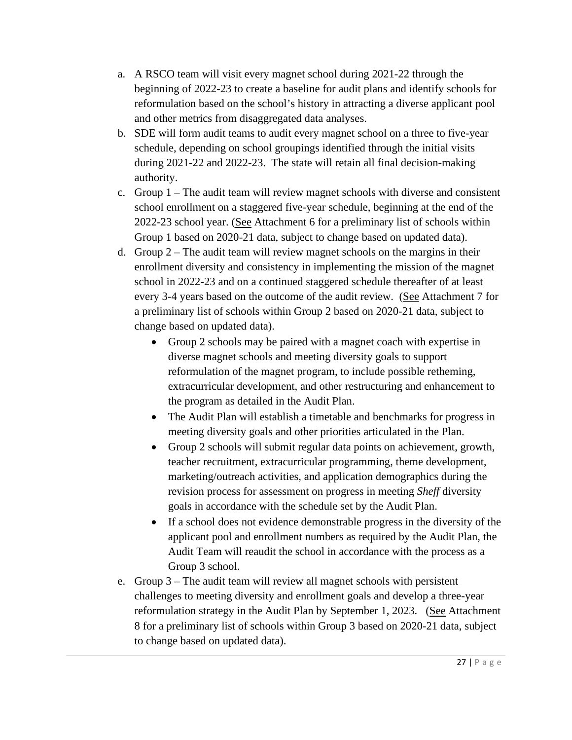- a. A RSCO team will visit every magnet school during 2021-22 through the beginning of 2022-23 to create a baseline for audit plans and identify schools for reformulation based on the school's history in attracting a diverse applicant pool and other metrics from disaggregated data analyses.
- b. SDE will form audit teams to audit every magnet school on a three to five-year schedule, depending on school groupings identified through the initial visits during 2021-22 and 2022-23. The state will retain all final decision-making authority.
- c. Group 1 The audit team will review magnet schools with diverse and consistent school enrollment on a staggered five-year schedule, beginning at the end of the 2022-23 school year. (See Attachment 6 for a preliminary list of schools within Group 1 based on 2020-21 data, subject to change based on updated data).
- d. Group  $2 -$ The audit team will review magnet schools on the margins in their enrollment diversity and consistency in implementing the mission of the magnet school in 2022-23 and on a continued staggered schedule thereafter of at least every 3-4 years based on the outcome of the audit review. (See Attachment 7 for a preliminary list of schools within Group 2 based on 2020-21 data, subject to change based on updated data).
	- Group 2 schools may be paired with a magnet coach with expertise in diverse magnet schools and meeting diversity goals to support reformulation of the magnet program, to include possible retheming, extracurricular development, and other restructuring and enhancement to the program as detailed in the Audit Plan.
	- The Audit Plan will establish a timetable and benchmarks for progress in meeting diversity goals and other priorities articulated in the Plan.
	- Group 2 schools will submit regular data points on achievement, growth, teacher recruitment, extracurricular programming, theme development, marketing/outreach activities, and application demographics during the revision process for assessment on progress in meeting *Sheff* diversity goals in accordance with the schedule set by the Audit Plan.
	- If a school does not evidence demonstrable progress in the diversity of the applicant pool and enrollment numbers as required by the Audit Plan, the Audit Team will reaudit the school in accordance with the process as a Group 3 school.
- e. Group 3 The audit team will review all magnet schools with persistent challenges to meeting diversity and enrollment goals and develop a three-year reformulation strategy in the Audit Plan by September 1, 2023. (See Attachment 8 for a preliminary list of schools within Group 3 based on 2020-21 data, subject to change based on updated data).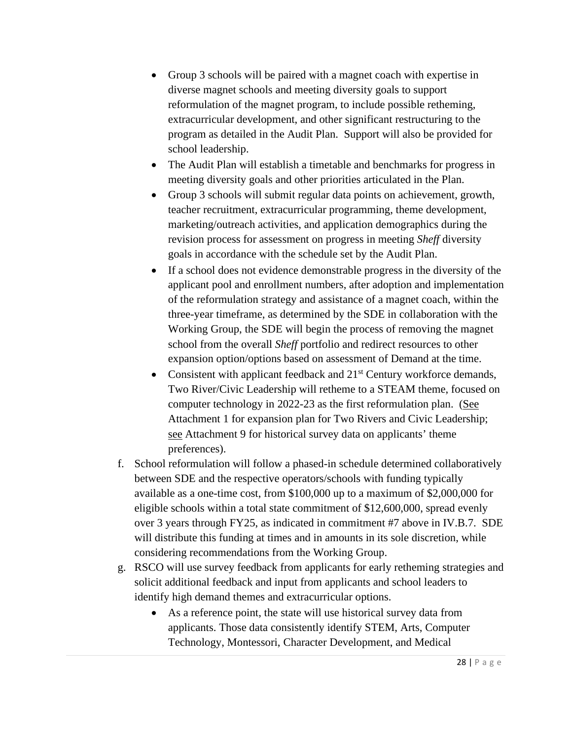- Group 3 schools will be paired with a magnet coach with expertise in diverse magnet schools and meeting diversity goals to support reformulation of the magnet program, to include possible retheming, extracurricular development, and other significant restructuring to the program as detailed in the Audit Plan. Support will also be provided for school leadership.
- The Audit Plan will establish a timetable and benchmarks for progress in meeting diversity goals and other priorities articulated in the Plan.
- Group 3 schools will submit regular data points on achievement, growth, teacher recruitment, extracurricular programming, theme development, marketing/outreach activities, and application demographics during the revision process for assessment on progress in meeting *Sheff* diversity goals in accordance with the schedule set by the Audit Plan.
- If a school does not evidence demonstrable progress in the diversity of the applicant pool and enrollment numbers, after adoption and implementation of the reformulation strategy and assistance of a magnet coach, within the three-year timeframe, as determined by the SDE in collaboration with the Working Group, the SDE will begin the process of removing the magnet school from the overall *Sheff* portfolio and redirect resources to other expansion option/options based on assessment of Demand at the time.
- Consistent with applicant feedback and  $21<sup>st</sup>$  Century workforce demands, Two River/Civic Leadership will retheme to a STEAM theme, focused on computer technology in 2022-23 as the first reformulation plan. (See Attachment 1 for expansion plan for Two Rivers and Civic Leadership; see Attachment 9 for historical survey data on applicants' theme preferences).
- f. School reformulation will follow a phased-in schedule determined collaboratively between SDE and the respective operators/schools with funding typically available as a one-time cost, from \$100,000 up to a maximum of \$2,000,000 for eligible schools within a total state commitment of \$12,600,000, spread evenly over 3 years through FY25, as indicated in commitment #7 above in IV.B.7. SDE will distribute this funding at times and in amounts in its sole discretion, while considering recommendations from the Working Group.
- g. RSCO will use survey feedback from applicants for early retheming strategies and solicit additional feedback and input from applicants and school leaders to identify high demand themes and extracurricular options.
	- As a reference point, the state will use historical survey data from applicants. Those data consistently identify STEM, Arts, Computer Technology, Montessori, Character Development, and Medical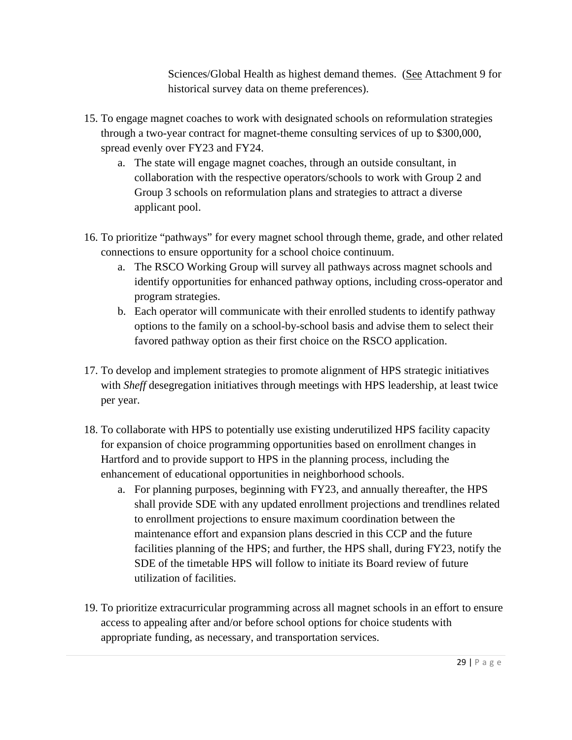Sciences/Global Health as highest demand themes. (See Attachment 9 for historical survey data on theme preferences).

- 15. To engage magnet coaches to work with designated schools on reformulation strategies through a two-year contract for magnet-theme consulting services of up to \$300,000, spread evenly over FY23 and FY24.
	- a. The state will engage magnet coaches, through an outside consultant, in collaboration with the respective operators/schools to work with Group 2 and Group 3 schools on reformulation plans and strategies to attract a diverse applicant pool.
- 16. To prioritize "pathways" for every magnet school through theme, grade, and other related connections to ensure opportunity for a school choice continuum.
	- a. The RSCO Working Group will survey all pathways across magnet schools and identify opportunities for enhanced pathway options, including cross-operator and program strategies.
	- b. Each operator will communicate with their enrolled students to identify pathway options to the family on a school-by-school basis and advise them to select their favored pathway option as their first choice on the RSCO application.
- 17. To develop and implement strategies to promote alignment of HPS strategic initiatives with *Sheff* desegregation initiatives through meetings with HPS leadership, at least twice per year.
- 18. To collaborate with HPS to potentially use existing underutilized HPS facility capacity for expansion of choice programming opportunities based on enrollment changes in Hartford and to provide support to HPS in the planning process, including the enhancement of educational opportunities in neighborhood schools.
	- a. For planning purposes, beginning with FY23, and annually thereafter, the HPS shall provide SDE with any updated enrollment projections and trendlines related to enrollment projections to ensure maximum coordination between the maintenance effort and expansion plans descried in this CCP and the future facilities planning of the HPS; and further, the HPS shall, during FY23, notify the SDE of the timetable HPS will follow to initiate its Board review of future utilization of facilities.
- 19. To prioritize extracurricular programming across all magnet schools in an effort to ensure access to appealing after and/or before school options for choice students with appropriate funding, as necessary, and transportation services.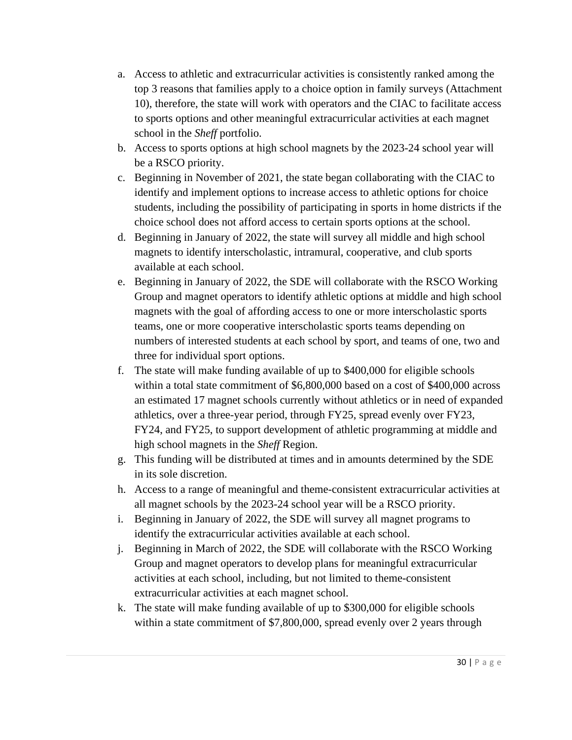- a. Access to athletic and extracurricular activities is consistently ranked among the top 3 reasons that families apply to a choice option in family surveys (Attachment 10), therefore, the state will work with operators and the CIAC to facilitate access to sports options and other meaningful extracurricular activities at each magnet school in the *Sheff* portfolio.
- b. Access to sports options at high school magnets by the 2023-24 school year will be a RSCO priority.
- c. Beginning in November of 2021, the state began collaborating with the CIAC to identify and implement options to increase access to athletic options for choice students, including the possibility of participating in sports in home districts if the choice school does not afford access to certain sports options at the school.
- d. Beginning in January of 2022, the state will survey all middle and high school magnets to identify interscholastic, intramural, cooperative, and club sports available at each school.
- e. Beginning in January of 2022, the SDE will collaborate with the RSCO Working Group and magnet operators to identify athletic options at middle and high school magnets with the goal of affording access to one or more interscholastic sports teams, one or more cooperative interscholastic sports teams depending on numbers of interested students at each school by sport, and teams of one, two and three for individual sport options.
- f. The state will make funding available of up to \$400,000 for eligible schools within a total state commitment of \$6,800,000 based on a cost of \$400,000 across an estimated 17 magnet schools currently without athletics or in need of expanded athletics, over a three-year period, through FY25, spread evenly over FY23, FY24, and FY25, to support development of athletic programming at middle and high school magnets in the *Sheff* Region.
- g. This funding will be distributed at times and in amounts determined by the SDE in its sole discretion.
- h. Access to a range of meaningful and theme-consistent extracurricular activities at all magnet schools by the 2023-24 school year will be a RSCO priority.
- i. Beginning in January of 2022, the SDE will survey all magnet programs to identify the extracurricular activities available at each school.
- j. Beginning in March of 2022, the SDE will collaborate with the RSCO Working Group and magnet operators to develop plans for meaningful extracurricular activities at each school, including, but not limited to theme-consistent extracurricular activities at each magnet school.
- k. The state will make funding available of up to \$300,000 for eligible schools within a state commitment of \$7,800,000, spread evenly over 2 years through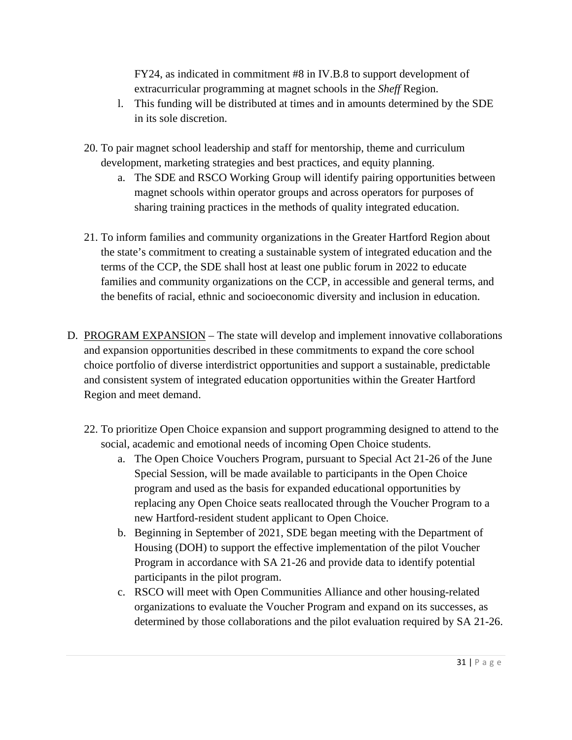FY24, as indicated in commitment #8 in IV.B.8 to support development of extracurricular programming at magnet schools in the *Sheff* Region.

- l. This funding will be distributed at times and in amounts determined by the SDE in its sole discretion.
- 20. To pair magnet school leadership and staff for mentorship, theme and curriculum development, marketing strategies and best practices, and equity planning.
	- a. The SDE and RSCO Working Group will identify pairing opportunities between magnet schools within operator groups and across operators for purposes of sharing training practices in the methods of quality integrated education.
- 21. To inform families and community organizations in the Greater Hartford Region about the state's commitment to creating a sustainable system of integrated education and the terms of the CCP, the SDE shall host at least one public forum in 2022 to educate families and community organizations on the CCP, in accessible and general terms, and the benefits of racial, ethnic and socioeconomic diversity and inclusion in education.
- D. PROGRAM EXPANSION The state will develop and implement innovative collaborations and expansion opportunities described in these commitments to expand the core school choice portfolio of diverse interdistrict opportunities and support a sustainable, predictable and consistent system of integrated education opportunities within the Greater Hartford Region and meet demand.
	- 22. To prioritize Open Choice expansion and support programming designed to attend to the social, academic and emotional needs of incoming Open Choice students.
		- a. The Open Choice Vouchers Program, pursuant to Special Act 21-26 of the June Special Session, will be made available to participants in the Open Choice program and used as the basis for expanded educational opportunities by replacing any Open Choice seats reallocated through the Voucher Program to a new Hartford-resident student applicant to Open Choice.
		- b. Beginning in September of 2021, SDE began meeting with the Department of Housing (DOH) to support the effective implementation of the pilot Voucher Program in accordance with SA 21-26 and provide data to identify potential participants in the pilot program.
		- c. RSCO will meet with Open Communities Alliance and other housing-related organizations to evaluate the Voucher Program and expand on its successes, as determined by those collaborations and the pilot evaluation required by SA 21-26.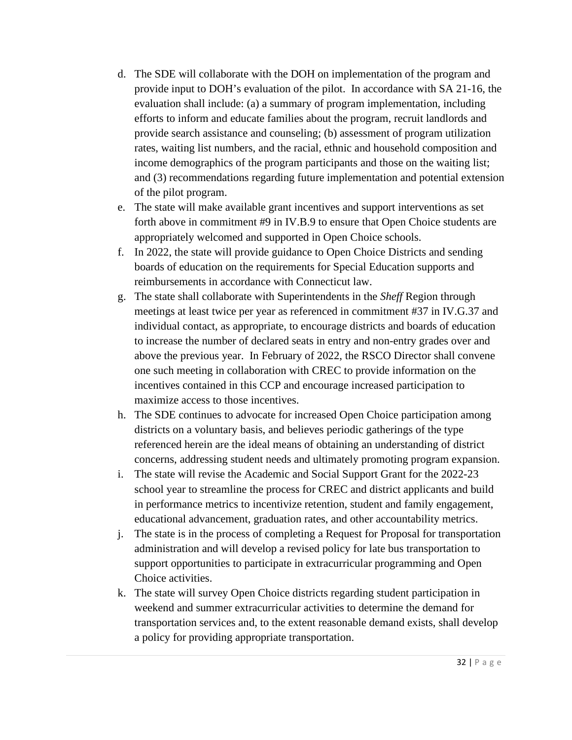- d. The SDE will collaborate with the DOH on implementation of the program and provide input to DOH's evaluation of the pilot. In accordance with SA 21-16, the evaluation shall include: (a) a summary of program implementation, including efforts to inform and educate families about the program, recruit landlords and provide search assistance and counseling; (b) assessment of program utilization rates, waiting list numbers, and the racial, ethnic and household composition and income demographics of the program participants and those on the waiting list; and (3) recommendations regarding future implementation and potential extension of the pilot program.
- e. The state will make available grant incentives and support interventions as set forth above in commitment #9 in IV.B.9 to ensure that Open Choice students are appropriately welcomed and supported in Open Choice schools.
- f. In 2022, the state will provide guidance to Open Choice Districts and sending boards of education on the requirements for Special Education supports and reimbursements in accordance with Connecticut law.
- g. The state shall collaborate with Superintendents in the *Sheff* Region through meetings at least twice per year as referenced in commitment #37 in IV.G.37 and individual contact, as appropriate, to encourage districts and boards of education to increase the number of declared seats in entry and non-entry grades over and above the previous year. In February of 2022, the RSCO Director shall convene one such meeting in collaboration with CREC to provide information on the incentives contained in this CCP and encourage increased participation to maximize access to those incentives.
- h. The SDE continues to advocate for increased Open Choice participation among districts on a voluntary basis, and believes periodic gatherings of the type referenced herein are the ideal means of obtaining an understanding of district concerns, addressing student needs and ultimately promoting program expansion.
- i. The state will revise the Academic and Social Support Grant for the 2022-23 school year to streamline the process for CREC and district applicants and build in performance metrics to incentivize retention, student and family engagement, educational advancement, graduation rates, and other accountability metrics.
- j. The state is in the process of completing a Request for Proposal for transportation administration and will develop a revised policy for late bus transportation to support opportunities to participate in extracurricular programming and Open Choice activities.
- k. The state will survey Open Choice districts regarding student participation in weekend and summer extracurricular activities to determine the demand for transportation services and, to the extent reasonable demand exists, shall develop a policy for providing appropriate transportation.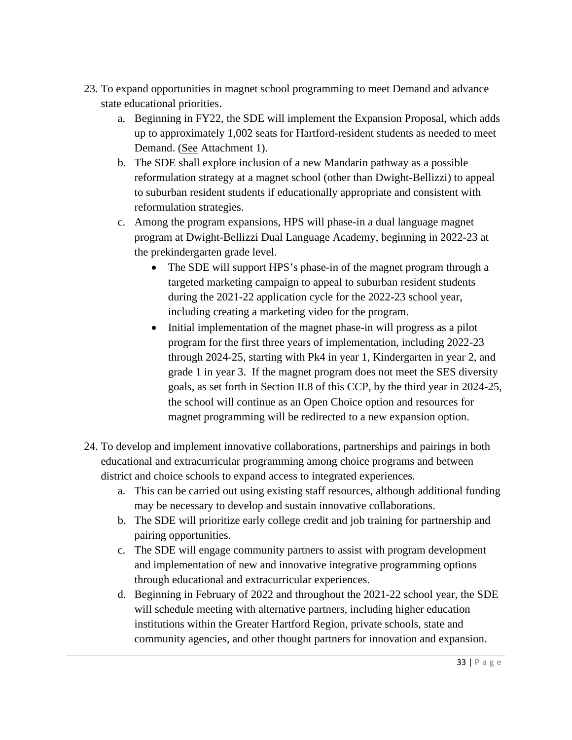- 23. To expand opportunities in magnet school programming to meet Demand and advance state educational priorities.
	- a. Beginning in FY22, the SDE will implement the Expansion Proposal, which adds up to approximately 1,002 seats for Hartford-resident students as needed to meet Demand. (See Attachment 1).
	- b. The SDE shall explore inclusion of a new Mandarin pathway as a possible reformulation strategy at a magnet school (other than Dwight-Bellizzi) to appeal to suburban resident students if educationally appropriate and consistent with reformulation strategies.
	- c. Among the program expansions, HPS will phase-in a dual language magnet program at Dwight-Bellizzi Dual Language Academy, beginning in 2022-23 at the prekindergarten grade level.
		- The SDE will support HPS's phase-in of the magnet program through a targeted marketing campaign to appeal to suburban resident students during the 2021-22 application cycle for the 2022-23 school year, including creating a marketing video for the program.
		- Initial implementation of the magnet phase-in will progress as a pilot program for the first three years of implementation, including 2022-23 through 2024-25, starting with Pk4 in year 1, Kindergarten in year 2, and grade 1 in year 3. If the magnet program does not meet the SES diversity goals, as set forth in Section II.8 of this CCP, by the third year in 2024-25, the school will continue as an Open Choice option and resources for magnet programming will be redirected to a new expansion option.
- 24. To develop and implement innovative collaborations, partnerships and pairings in both educational and extracurricular programming among choice programs and between district and choice schools to expand access to integrated experiences.
	- a. This can be carried out using existing staff resources, although additional funding may be necessary to develop and sustain innovative collaborations.
	- b. The SDE will prioritize early college credit and job training for partnership and pairing opportunities.
	- c. The SDE will engage community partners to assist with program development and implementation of new and innovative integrative programming options through educational and extracurricular experiences.
	- d. Beginning in February of 2022 and throughout the 2021-22 school year, the SDE will schedule meeting with alternative partners, including higher education institutions within the Greater Hartford Region, private schools, state and community agencies, and other thought partners for innovation and expansion.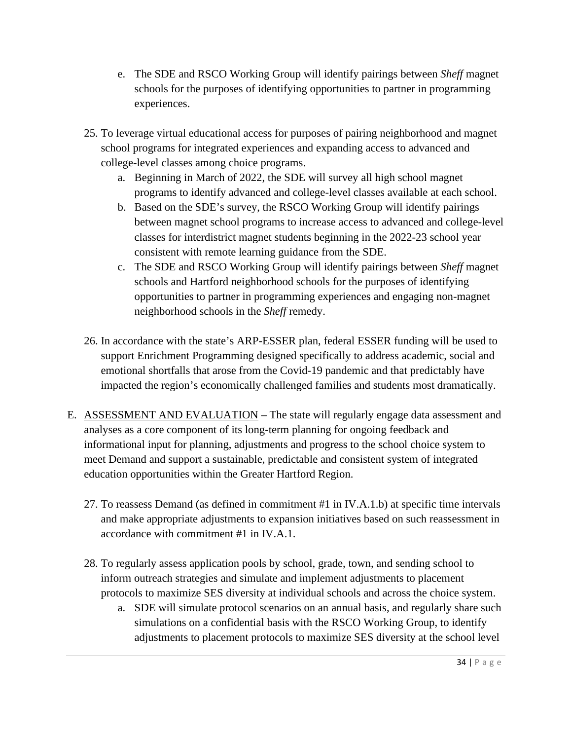- e. The SDE and RSCO Working Group will identify pairings between *Sheff* magnet schools for the purposes of identifying opportunities to partner in programming experiences.
- 25. To leverage virtual educational access for purposes of pairing neighborhood and magnet school programs for integrated experiences and expanding access to advanced and college-level classes among choice programs.
	- a. Beginning in March of 2022, the SDE will survey all high school magnet programs to identify advanced and college-level classes available at each school.
	- b. Based on the SDE's survey, the RSCO Working Group will identify pairings between magnet school programs to increase access to advanced and college-level classes for interdistrict magnet students beginning in the 2022-23 school year consistent with remote learning guidance from the SDE.
	- c. The SDE and RSCO Working Group will identify pairings between *Sheff* magnet schools and Hartford neighborhood schools for the purposes of identifying opportunities to partner in programming experiences and engaging non-magnet neighborhood schools in the *Sheff* remedy.
- 26. In accordance with the state's ARP-ESSER plan, federal ESSER funding will be used to support Enrichment Programming designed specifically to address academic, social and emotional shortfalls that arose from the Covid-19 pandemic and that predictably have impacted the region's economically challenged families and students most dramatically.
- E. ASSESSMENT AND EVALUATION The state will regularly engage data assessment and analyses as a core component of its long-term planning for ongoing feedback and informational input for planning, adjustments and progress to the school choice system to meet Demand and support a sustainable, predictable and consistent system of integrated education opportunities within the Greater Hartford Region.
	- 27. To reassess Demand (as defined in commitment #1 in IV.A.1.b) at specific time intervals and make appropriate adjustments to expansion initiatives based on such reassessment in accordance with commitment #1 in IV.A.1.
	- 28. To regularly assess application pools by school, grade, town, and sending school to inform outreach strategies and simulate and implement adjustments to placement protocols to maximize SES diversity at individual schools and across the choice system.
		- a. SDE will simulate protocol scenarios on an annual basis, and regularly share such simulations on a confidential basis with the RSCO Working Group, to identify adjustments to placement protocols to maximize SES diversity at the school level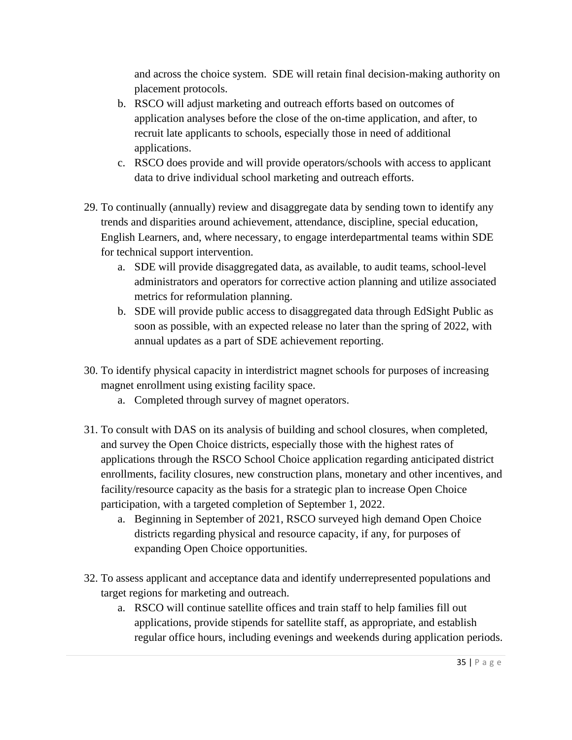and across the choice system. SDE will retain final decision-making authority on placement protocols.

- b. RSCO will adjust marketing and outreach efforts based on outcomes of application analyses before the close of the on-time application, and after, to recruit late applicants to schools, especially those in need of additional applications.
- c. RSCO does provide and will provide operators/schools with access to applicant data to drive individual school marketing and outreach efforts.
- 29. To continually (annually) review and disaggregate data by sending town to identify any trends and disparities around achievement, attendance, discipline, special education, English Learners, and, where necessary, to engage interdepartmental teams within SDE for technical support intervention.
	- a. SDE will provide disaggregated data, as available, to audit teams, school-level administrators and operators for corrective action planning and utilize associated metrics for reformulation planning.
	- b. SDE will provide public access to disaggregated data through EdSight Public as soon as possible, with an expected release no later than the spring of 2022, with annual updates as a part of SDE achievement reporting.
- 30. To identify physical capacity in interdistrict magnet schools for purposes of increasing magnet enrollment using existing facility space.
	- a. Completed through survey of magnet operators.
- 31. To consult with DAS on its analysis of building and school closures, when completed, and survey the Open Choice districts, especially those with the highest rates of applications through the RSCO School Choice application regarding anticipated district enrollments, facility closures, new construction plans, monetary and other incentives, and facility/resource capacity as the basis for a strategic plan to increase Open Choice participation, with a targeted completion of September 1, 2022.
	- a. Beginning in September of 2021, RSCO surveyed high demand Open Choice districts regarding physical and resource capacity, if any, for purposes of expanding Open Choice opportunities.
- 32. To assess applicant and acceptance data and identify underrepresented populations and target regions for marketing and outreach.
	- a. RSCO will continue satellite offices and train staff to help families fill out applications, provide stipends for satellite staff, as appropriate, and establish regular office hours, including evenings and weekends during application periods.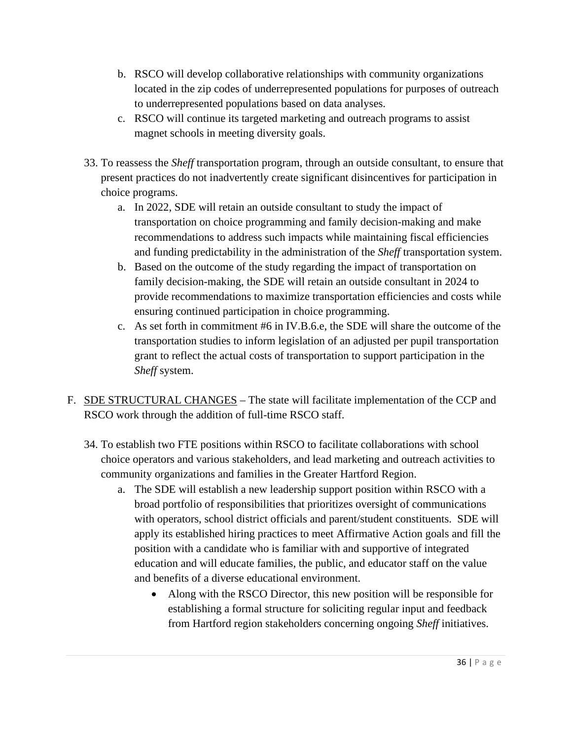- b. RSCO will develop collaborative relationships with community organizations located in the zip codes of underrepresented populations for purposes of outreach to underrepresented populations based on data analyses.
- c. RSCO will continue its targeted marketing and outreach programs to assist magnet schools in meeting diversity goals.
- 33. To reassess the *Sheff* transportation program, through an outside consultant, to ensure that present practices do not inadvertently create significant disincentives for participation in choice programs.
	- a. In 2022, SDE will retain an outside consultant to study the impact of transportation on choice programming and family decision-making and make recommendations to address such impacts while maintaining fiscal efficiencies and funding predictability in the administration of the *Sheff* transportation system.
	- b. Based on the outcome of the study regarding the impact of transportation on family decision-making, the SDE will retain an outside consultant in 2024 to provide recommendations to maximize transportation efficiencies and costs while ensuring continued participation in choice programming.
	- c. As set forth in commitment #6 in IV.B.6.e, the SDE will share the outcome of the transportation studies to inform legislation of an adjusted per pupil transportation grant to reflect the actual costs of transportation to support participation in the *Sheff* system.
- F. SDE STRUCTURAL CHANGES The state will facilitate implementation of the CCP and RSCO work through the addition of full-time RSCO staff.
	- 34. To establish two FTE positions within RSCO to facilitate collaborations with school choice operators and various stakeholders, and lead marketing and outreach activities to community organizations and families in the Greater Hartford Region.
		- a. The SDE will establish a new leadership support position within RSCO with a broad portfolio of responsibilities that prioritizes oversight of communications with operators, school district officials and parent/student constituents. SDE will apply its established hiring practices to meet Affirmative Action goals and fill the position with a candidate who is familiar with and supportive of integrated education and will educate families, the public, and educator staff on the value and benefits of a diverse educational environment.
			- Along with the RSCO Director, this new position will be responsible for establishing a formal structure for soliciting regular input and feedback from Hartford region stakeholders concerning ongoing *Sheff* initiatives.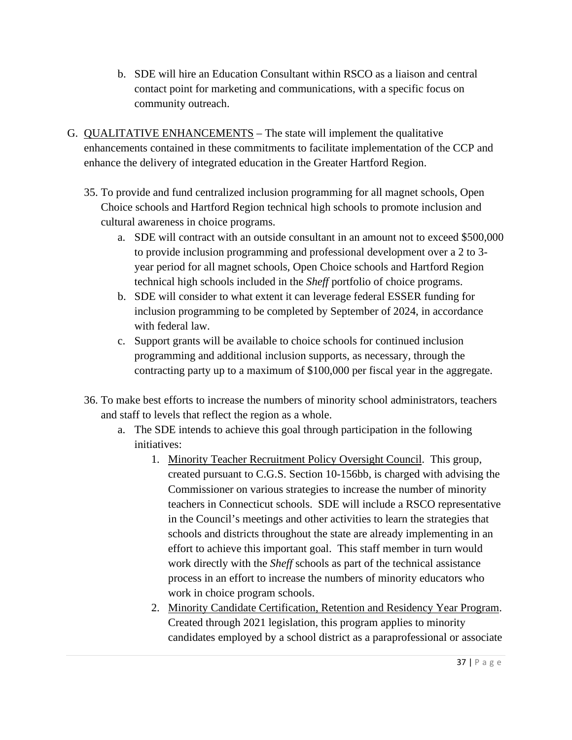- b. SDE will hire an Education Consultant within RSCO as a liaison and central contact point for marketing and communications, with a specific focus on community outreach.
- G. QUALITATIVE ENHANCEMENTS The state will implement the qualitative enhancements contained in these commitments to facilitate implementation of the CCP and enhance the delivery of integrated education in the Greater Hartford Region.
	- 35. To provide and fund centralized inclusion programming for all magnet schools, Open Choice schools and Hartford Region technical high schools to promote inclusion and cultural awareness in choice programs.
		- a. SDE will contract with an outside consultant in an amount not to exceed \$500,000 to provide inclusion programming and professional development over a 2 to 3 year period for all magnet schools, Open Choice schools and Hartford Region technical high schools included in the *Sheff* portfolio of choice programs.
		- b. SDE will consider to what extent it can leverage federal ESSER funding for inclusion programming to be completed by September of 2024, in accordance with federal law.
		- c. Support grants will be available to choice schools for continued inclusion programming and additional inclusion supports, as necessary, through the contracting party up to a maximum of \$100,000 per fiscal year in the aggregate.
	- 36. To make best efforts to increase the numbers of minority school administrators, teachers and staff to levels that reflect the region as a whole.
		- a. The SDE intends to achieve this goal through participation in the following initiatives:
			- 1. Minority Teacher Recruitment Policy Oversight Council. This group, created pursuant to C.G.S. Section 10-156bb, is charged with advising the Commissioner on various strategies to increase the number of minority teachers in Connecticut schools. SDE will include a RSCO representative in the Council's meetings and other activities to learn the strategies that schools and districts throughout the state are already implementing in an effort to achieve this important goal. This staff member in turn would work directly with the *Sheff* schools as part of the technical assistance process in an effort to increase the numbers of minority educators who work in choice program schools.
			- 2. Minority Candidate Certification, Retention and Residency Year Program. Created through 2021 legislation, this program applies to minority candidates employed by a school district as a paraprofessional or associate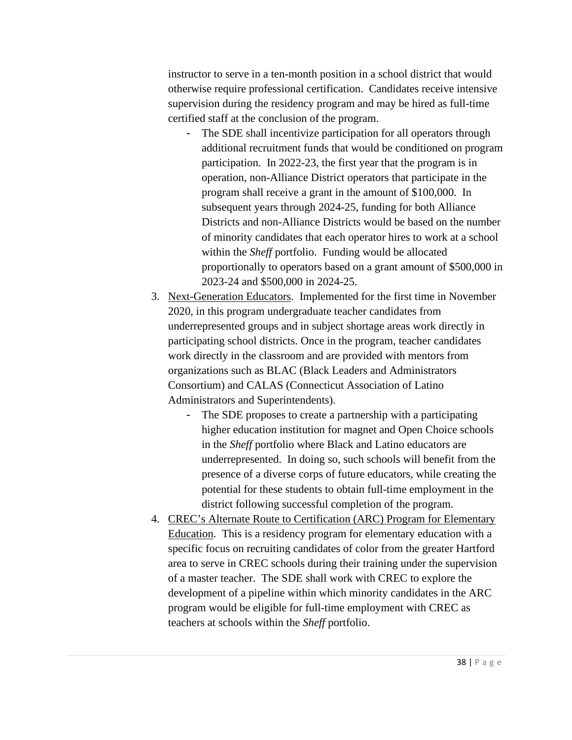instructor to serve in a ten-month position in a school district that would otherwise require professional certification. Candidates receive intensive supervision during the residency program and may be hired as full-time certified staff at the conclusion of the program.

- The SDE shall incentivize participation for all operators through additional recruitment funds that would be conditioned on program participation. In 2022-23, the first year that the program is in operation, non-Alliance District operators that participate in the program shall receive a grant in the amount of \$100,000. In subsequent years through 2024-25, funding for both Alliance Districts and non-Alliance Districts would be based on the number of minority candidates that each operator hires to work at a school within the *Sheff* portfolio. Funding would be allocated proportionally to operators based on a grant amount of \$500,000 in 2023-24 and \$500,000 in 2024-25.
- 3. Next-Generation Educators. Implemented for the first time in November 2020, in this program undergraduate teacher candidates from underrepresented groups and in subject shortage areas work directly in participating school districts. Once in the program, teacher candidates work directly in the classroom and are provided with mentors from organizations such as BLAC (Black Leaders and Administrators Consortium) and CALAS (Connecticut Association of Latino Administrators and Superintendents).
	- The SDE proposes to create a partnership with a participating higher education institution for magnet and Open Choice schools in the *Sheff* portfolio where Black and Latino educators are underrepresented. In doing so, such schools will benefit from the presence of a diverse corps of future educators, while creating the potential for these students to obtain full-time employment in the district following successful completion of the program.
- 4. CREC's Alternate Route to Certification (ARC) Program for Elementary Education. This is a residency program for elementary education with a specific focus on recruiting candidates of color from the greater Hartford area to serve in CREC schools during their training under the supervision of a master teacher. The SDE shall work with CREC to explore the development of a pipeline within which minority candidates in the ARC program would be eligible for full-time employment with CREC as teachers at schools within the *Sheff* portfolio.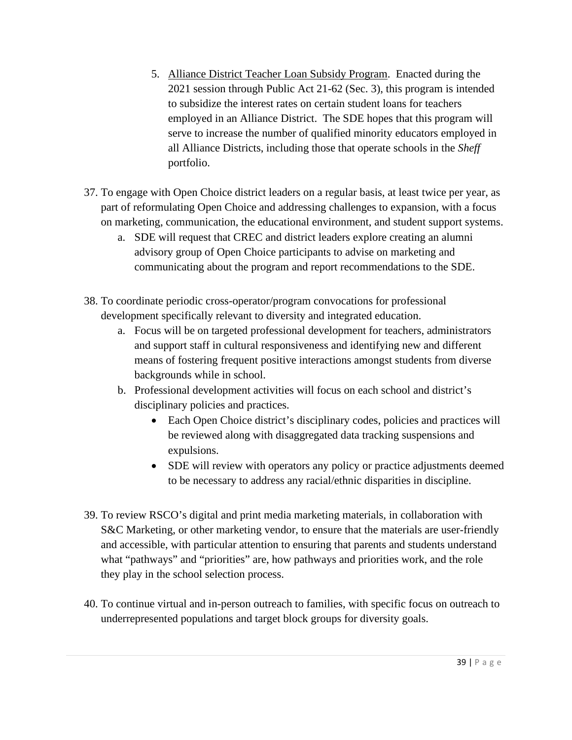- 5. Alliance District Teacher Loan Subsidy Program. Enacted during the 2021 session through Public Act 21-62 (Sec. 3), this program is intended to subsidize the interest rates on certain student loans for teachers employed in an Alliance District. The SDE hopes that this program will serve to increase the number of qualified minority educators employed in all Alliance Districts, including those that operate schools in the *Sheff* portfolio.
- 37. To engage with Open Choice district leaders on a regular basis, at least twice per year, as part of reformulating Open Choice and addressing challenges to expansion, with a focus on marketing, communication, the educational environment, and student support systems.
	- a. SDE will request that CREC and district leaders explore creating an alumni advisory group of Open Choice participants to advise on marketing and communicating about the program and report recommendations to the SDE.
- 38. To coordinate periodic cross-operator/program convocations for professional development specifically relevant to diversity and integrated education.
	- a. Focus will be on targeted professional development for teachers, administrators and support staff in cultural responsiveness and identifying new and different means of fostering frequent positive interactions amongst students from diverse backgrounds while in school.
	- b. Professional development activities will focus on each school and district's disciplinary policies and practices.
		- Each Open Choice district's disciplinary codes, policies and practices will be reviewed along with disaggregated data tracking suspensions and expulsions.
		- SDE will review with operators any policy or practice adjustments deemed to be necessary to address any racial/ethnic disparities in discipline.
- 39. To review RSCO's digital and print media marketing materials, in collaboration with S&C Marketing, or other marketing vendor, to ensure that the materials are user-friendly and accessible, with particular attention to ensuring that parents and students understand what "pathways" and "priorities" are, how pathways and priorities work, and the role they play in the school selection process.
- 40. To continue virtual and in-person outreach to families, with specific focus on outreach to underrepresented populations and target block groups for diversity goals.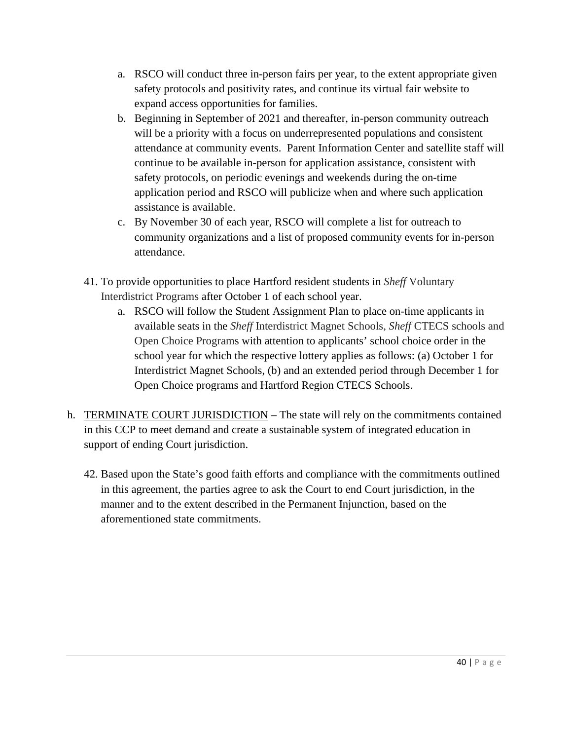- a. RSCO will conduct three in-person fairs per year, to the extent appropriate given safety protocols and positivity rates, and continue its virtual fair website to expand access opportunities for families.
- b. Beginning in September of 2021 and thereafter, in-person community outreach will be a priority with a focus on underrepresented populations and consistent attendance at community events. Parent Information Center and satellite staff will continue to be available in-person for application assistance, consistent with safety protocols, on periodic evenings and weekends during the on-time application period and RSCO will publicize when and where such application assistance is available.
- c. By November 30 of each year, RSCO will complete a list for outreach to community organizations and a list of proposed community events for in-person attendance.
- 41. To provide opportunities to place Hartford resident students in *Sheff* Voluntary Interdistrict Programs after October 1 of each school year.
	- a. RSCO will follow the Student Assignment Plan to place on-time applicants in available seats in the *Sheff* Interdistrict Magnet Schools, *Sheff* CTECS schools and Open Choice Programs with attention to applicants' school choice order in the school year for which the respective lottery applies as follows: (a) October 1 for Interdistrict Magnet Schools, (b) and an extended period through December 1 for Open Choice programs and Hartford Region CTECS Schools.
- h. TERMINATE COURT JURISDICTION The state will rely on the commitments contained in this CCP to meet demand and create a sustainable system of integrated education in support of ending Court jurisdiction.
	- 42. Based upon the State's good faith efforts and compliance with the commitments outlined in this agreement, the parties agree to ask the Court to end Court jurisdiction, in the manner and to the extent described in the Permanent Injunction, based on the aforementioned state commitments.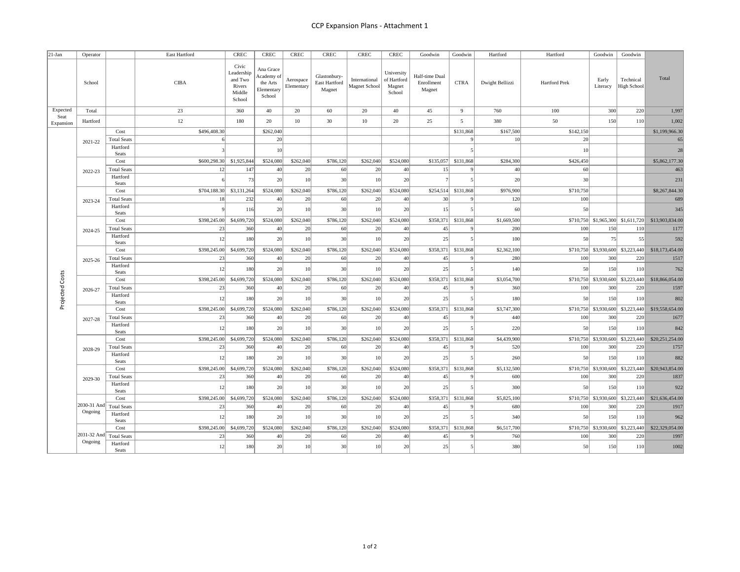| $21-Jan$          | Operator    |                          | East Hartford | <b>CREC</b>                                                  | CREC                                                        | <b>CREC</b>             | CREC                                    | $\ensuremath{\mathsf{CREC}}$   | <b>CREC</b>                                   | Goodwin                                | Goodwin             | Hartford        | Hartford             | Goodwin           | Goodwin                           |                 |
|-------------------|-------------|--------------------------|---------------|--------------------------------------------------------------|-------------------------------------------------------------|-------------------------|-----------------------------------------|--------------------------------|-----------------------------------------------|----------------------------------------|---------------------|-----------------|----------------------|-------------------|-----------------------------------|-----------------|
|                   | School      |                          | <b>CIBA</b>   | Civic<br>Leadership<br>and Two<br>Rivers<br>Middle<br>School | Ana Grace<br>Academy of<br>the Arts<br>Elementary<br>School | Aerospace<br>Elementary | Glastonbury-<br>East Hartford<br>Magnet | International<br>Magnet School | University<br>of Hartford<br>Magnet<br>School | Half-time Dual<br>Enrollment<br>Magnet | <b>CTRA</b>         | Dwight Bellizzi | <b>Hartford Prek</b> | Early<br>Literacy | Technical<br>High School          | Total           |
| Expected          | Total       |                          | 23            | 360                                                          | 40                                                          | 20                      | 60                                      | 20                             | 40                                            | 45                                     | $\overline{9}$      | 760             | 100                  | 300               | 220                               | 1,997           |
| Seat<br>Expansion | Hartford    |                          | 12            | 180                                                          | 20                                                          | 10                      | 30                                      | 10                             | 20                                            | 25                                     | 5                   | 380             | 50                   | 150               | 110                               | 1,002           |
|                   |             | Cost                     | \$496,408.30  |                                                              | \$262,040                                                   |                         |                                         |                                |                                               |                                        | \$131,868           | \$167,500       | \$142,150            |                   |                                   | \$1,199,966.30  |
|                   | 2021-22     | <b>Total Seats</b>       |               |                                                              | 20                                                          |                         |                                         |                                |                                               |                                        |                     | 10 <sup>1</sup> | 20                   |                   |                                   | 65              |
|                   |             | Hartford<br>Seats        |               |                                                              | 10                                                          |                         |                                         |                                |                                               |                                        |                     |                 | 10                   |                   |                                   | 28              |
|                   |             | Cost                     | \$600,298.30  | \$1,925,844                                                  | \$524,080                                                   | \$262,040               | \$786,120                               | \$262,040                      | \$524,080                                     | \$135,057                              | \$131,868           | \$284,300       | \$426,450            |                   |                                   | \$5,862,177.30  |
|                   | 2022-23     | <b>Total Seats</b>       | 12            | 147                                                          | 40                                                          | 20                      | 60                                      | 20                             | 40                                            | 15                                     |                     | 40              | 60                   |                   |                                   | 463             |
|                   |             | Hartford<br><b>Seats</b> |               | 73                                                           | 20                                                          | 10                      | 30                                      |                                | 20                                            |                                        |                     | 20              | 30                   |                   |                                   | 231             |
|                   |             | Cost                     | \$704,188.30  | \$3,131,264                                                  | \$524,080                                                   | \$262,040               | \$786,120                               | \$262,040                      | \$524,080                                     | \$254,514                              | \$131,868           | \$976,900       | \$710,750            |                   |                                   | \$8,267,844.30  |
|                   | 2023-24     | <b>Total Seats</b>       | 18            | 232                                                          | 40                                                          | 20                      | 60                                      | 20                             | 40                                            | 30                                     |                     | 120             | 100                  |                   |                                   | 689             |
|                   |             | Hartford<br>Seats        |               | 116                                                          | 20                                                          | 10                      | 30                                      |                                | 20                                            | 15                                     |                     | 60              | 50                   |                   |                                   | 345             |
|                   |             | Cost                     | \$398,245.00  | \$4,699,720                                                  | \$524,080                                                   | \$262,040               | \$786,120                               | \$262,040                      | \$524,080                                     | \$358,371                              | \$131,868           | \$1,669,500     |                      |                   | \$710,750 \$1,965,300 \$1,611,720 | \$13,903,834.00 |
|                   | 2024-25     | <b>Total Seats</b>       | 23            | 360                                                          | 40                                                          | 20                      | 60                                      | 20                             | 40                                            | 45                                     |                     | 200             | 100                  | 150               | 110                               | 1177            |
|                   |             | Hartford<br><b>Seats</b> | 12            | 180                                                          | 20                                                          | 10                      | 30                                      |                                | 20                                            | 25                                     |                     | 100             | 50                   | 75                | 55                                | 592             |
|                   |             | Cost                     | \$398,245.00  | \$4,699,720                                                  | \$524,080                                                   | \$262,040               | \$786,120                               | \$262,040                      | \$524,080                                     |                                        | \$358,371 \$131,868 | \$2,362,100     |                      |                   | \$710,750 \$3,930,600 \$3,223,440 | \$18,173,454.00 |
|                   | 2025-26     | <b>Total Seats</b>       | 23            | 360                                                          | 40                                                          | 20                      | 60                                      | 20                             | 40                                            | 45                                     |                     | 280             | 100                  | 300               | 220                               | 1517            |
|                   |             | Hartford<br>Seats        | 12            | 180                                                          | 20                                                          | 10                      | 30                                      |                                | 20                                            | 25                                     |                     | 140             | 50                   | 150               | 110                               | 762             |
|                   |             | Cost                     | \$398,245.00  | \$4,699,720                                                  | \$524,080                                                   | \$262,040               | \$786,120                               | \$262,040                      | \$524,080                                     | \$358,371                              | \$131,868           | \$3,054,700     |                      |                   | \$710,750 \$3,930,600 \$3,223,440 | \$18,866,054.00 |
|                   | 2026-27     | <b>Total Seats</b>       | 23            | 360                                                          | 40                                                          | 20                      | 60                                      | 20                             | 40                                            | 45                                     |                     | 360             | 100                  | 300               | 220                               | 1597            |
| Projected Costs   |             | Hartford<br>Seats        | 12            | 180                                                          | 20                                                          | 10                      | 30                                      |                                | 20                                            | 25                                     |                     | 180             | 50                   | 150               | 110                               | 802             |
|                   |             | Cost                     | \$398,245.00  | \$4,699,720                                                  | \$524,080                                                   | \$262,040               | \$786,120                               | \$262,040                      | \$524,080                                     | \$358,371                              | \$131,868           | \$3,747,300     |                      |                   | \$710,750 \$3,930,600 \$3,223,440 | \$19,558,654.00 |
|                   | 2027-28     | <b>Total Seats</b>       | 23            | 360                                                          | 40                                                          | 20                      | 60                                      | 20                             | 40                                            | 45                                     |                     | 440             | 100                  | 300               | 220                               | 1677            |
|                   |             | Hartford<br>Seats        | 12            | 180                                                          | 20                                                          | 10                      | 30                                      |                                | 20                                            | 25                                     |                     | 220             | 50                   | 150               | 110                               | 842             |
|                   |             | Cost                     | \$398,245.00  | \$4,699,720                                                  | \$524,080                                                   | \$262,040               | \$786,120                               | \$262,040                      | \$524,080                                     |                                        | \$358,371 \$131,868 | \$4,439,900     |                      |                   | \$710,750 \$3,930,600 \$3,223,440 | \$20,251,254.00 |
|                   | 2028-29     | <b>Total Seats</b>       | 23            | 360                                                          | 40                                                          | 20                      | 60                                      | 20                             | 40                                            | 45                                     |                     | 520             | 100                  | 300               | 220                               | 1757            |
|                   |             | Hartford<br>Seats        | 12            | 180                                                          | 20                                                          | 10                      | 30                                      | $\frac{1}{2}$                  | 20                                            | 25                                     |                     | 260             | 50                   | 150               | 110                               | 882             |
|                   |             | Cost                     | \$398,245.00  | \$4,699,720                                                  | \$524,080                                                   | \$262,040               | \$786,120                               | \$262,040                      | \$524,080                                     |                                        | \$358,371 \$131,868 | \$5,132,500     |                      |                   | \$710,750 \$3,930,600 \$3,223,440 | \$20,943,854.00 |
|                   | 2029-30     | <b>Total Seats</b>       | 23            | 360                                                          | 40                                                          | 20                      | 60                                      | 20                             | 40                                            | 45                                     |                     | 600             | 100                  | 300               | 220                               | 1837            |
|                   |             | Hartford<br>Seats        | 12            | 180                                                          | 20                                                          | 10                      | 30                                      |                                | 20                                            | 25                                     |                     | 300             | 50                   | 150               | 110                               | 922             |
|                   |             | Cost                     | \$398,245.00  | \$4,699,720                                                  | \$524,080                                                   | \$262,040               | \$786,120                               | \$262,040                      | \$524,080                                     | \$358,371                              | \$131,868           | \$5,825,100     |                      |                   | \$710,750 \$3,930,600 \$3,223,440 | \$21,636,454.00 |
|                   | 2030-31 And | <b>Total Seats</b>       | 23            | 360                                                          | 40                                                          | 20                      | 60                                      | 20                             | 40                                            | 45                                     |                     | 680             | 100                  | 300               | 220                               | 1917            |
|                   | Ongoing     | Hartford<br>Seats        | 12            | 180                                                          | 20                                                          | 10                      | 30                                      | $\frac{1}{2}$                  | 20                                            | 25                                     |                     | 340             | 50                   | 150               | 110                               | 962             |
|                   |             | Cost                     | \$398,245.00  | \$4,699,720                                                  | \$524,080                                                   | \$262,040               | \$786,120                               | \$262,040                      | \$524,080                                     |                                        | \$358,371 \$131,868 | \$6,517,700     |                      |                   | \$710,750 \$3,930,600 \$3,223,440 | \$22,329,054.00 |
|                   | 2031-32 And | <b>Total Seats</b>       | 23            | 360                                                          | 40                                                          | 20                      | 60                                      | 20                             | 40                                            | 45                                     |                     | 760             | 100                  | 300               | 220                               | 1997            |
|                   | Ongoing     | Hartford<br>Seats        | 12            | 180                                                          | 20                                                          | 10                      | 30                                      |                                | 20                                            | 25                                     |                     | 380             | 50                   | 150               | 110                               | 1002            |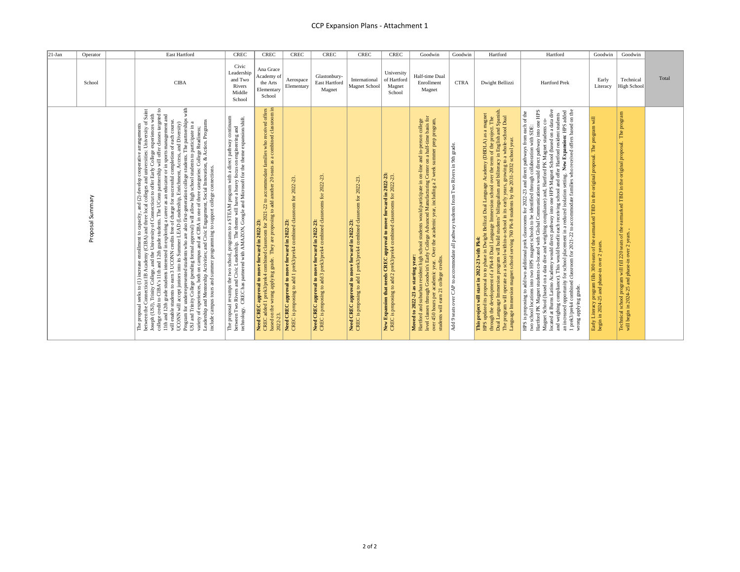| $21-Jan$ | Operator         | East Hartford                                                                                                                                                                                                                                                                                                                 | <b>CREC</b>                                                                                                                                                                                                                                        | <b>CREC</b>                                                                                                                                                                                                                                                                                                        | <b>CREC</b>                                                                                                             | CREC                                                                                                                      | <b>CREC</b>                                                                                                             | <b>CREC</b>                                                                                                                                  | Goodwin                                                                                                                                                                                                                                                                                                                                                                                                            | Goodwin                                                                                               | Hartford                                                                                                                                                                                                                                                                                                                                                                                                                                                                                                                                             | Hartford                                                                                                                                                                                                                                                                                                                                                                                                                                                                                                                                                                           | Goodwin                                                                                                                                               | Goodwin                                                                                                                                                        |       |
|----------|------------------|-------------------------------------------------------------------------------------------------------------------------------------------------------------------------------------------------------------------------------------------------------------------------------------------------------------------------------|----------------------------------------------------------------------------------------------------------------------------------------------------------------------------------------------------------------------------------------------------|--------------------------------------------------------------------------------------------------------------------------------------------------------------------------------------------------------------------------------------------------------------------------------------------------------------------|-------------------------------------------------------------------------------------------------------------------------|---------------------------------------------------------------------------------------------------------------------------|-------------------------------------------------------------------------------------------------------------------------|----------------------------------------------------------------------------------------------------------------------------------------------|--------------------------------------------------------------------------------------------------------------------------------------------------------------------------------------------------------------------------------------------------------------------------------------------------------------------------------------------------------------------------------------------------------------------|-------------------------------------------------------------------------------------------------------|------------------------------------------------------------------------------------------------------------------------------------------------------------------------------------------------------------------------------------------------------------------------------------------------------------------------------------------------------------------------------------------------------------------------------------------------------------------------------------------------------------------------------------------------------|------------------------------------------------------------------------------------------------------------------------------------------------------------------------------------------------------------------------------------------------------------------------------------------------------------------------------------------------------------------------------------------------------------------------------------------------------------------------------------------------------------------------------------------------------------------------------------|-------------------------------------------------------------------------------------------------------------------------------------------------------|----------------------------------------------------------------------------------------------------------------------------------------------------------------|-------|
|          | School           | <b>CIBA</b>                                                                                                                                                                                                                                                                                                                   | Civic<br>Leadership<br>and Two<br>Rivers<br>Middle<br>School                                                                                                                                                                                       | Ana Grace<br>Academy of<br>the Arts<br>Elementary<br>School                                                                                                                                                                                                                                                        | Aerospace<br>Elementary                                                                                                 | Glastonbury-<br>East Hartford<br>Magnet                                                                                   | International<br><b>Magnet School</b>                                                                                   | University<br>of Hartford<br>Magnet<br>School                                                                                                | Half-time Dual<br>Enrollment<br>Magnet                                                                                                                                                                                                                                                                                                                                                                             | <b>CTRA</b>                                                                                           | Dwight Bellizzi                                                                                                                                                                                                                                                                                                                                                                                                                                                                                                                                      | <b>Hartford Prek</b>                                                                                                                                                                                                                                                                                                                                                                                                                                                                                                                                                               | Early<br>Literacy                                                                                                                                     | Technical<br><b>High School</b>                                                                                                                                | Total |
|          | Proposal Summary | with<br>The proposal seeks to (1) increase enrollment to capacity, and (2) develop cooperative arrangements<br>obsept (US). Trinity Collegs, and the (USBA) times focal college for electrol condense or priestry or in<br>locsph (USL).<br>and summer programming to support college connections.<br>campus tours<br>include | The proposal revamps the two school, programs to a STEAM program with a direct pathway continuum<br>between Two Rivers and Civic Leadership. The theme will have a heavy focus on engineering and<br>technology. CREC has partnered<br>technology. | d classroom for $2021-22$ to accommodate families who received offers They are proposing to add another $20$ seats as a combined classroom in<br>2021-22<br>Need CREC approval to move forward in 2022-23:<br>CREC added 1 prek3/prek4 combined classroom for 20<br>based on the wrong applying grade.<br>2022-23. | Need CREC approval to move forward in 2022-23:<br>CREC is proposing to add 1 prek3/prek4 combined classroom for 2022-23 | Need CREC approval to move forward in 2022-23:<br>CREC is proposing to add 3 prek3/prek4 combined classrooms for 2022-23. | Need CREC approval to move forward in 2022-23:<br>CREC is proposing to add 1 prek3/prek4 combined dassroom for 2022-23. | New Expansion that needs CREC approval to move forward in 2022-23<br>CREC is proposing to add 2 prek3/prek4 combined classrooms for 2022-23. | college<br>basis for<br>Over the academic year, including a 2 week summer prep program,<br>Moved to 2022-23 as starting year:<br>Hartford and suburban resident high school students would participate in on-line and in-person<br>level classes through Goodwin's Early College Advanced Manufacturing Center on a half-time<br>students will earn 21 college credits<br>academic year.<br>450 hours per<br>over. | grade.<br>Two Rivers in 9th<br>students from<br>CAP to accommodate all pathway<br>seats over<br>Add 9 | HPS updated its proposal to to phase in Dwight Bellizzi Dual Language Academy (DBDLA) as a magnet<br>through the development of a Pk4-8 Dual Language Immersion school over the term of the project. The<br>Dual Language Immersion<br>Dual<br>school<br>school year.<br>os (1904) 2007-100 et Advanced S-14 09. But assemblance and annual units and alternational agentional state an<br>Space 2007-100 et Advanced State and Advanced Section and account of the State and Section and Section 3.<br>This project will start in 2022-23 with Pk4: | Magnet School (based on a data dive and weighing compliance) and, Hartford PK Magnet students co-<br>located at Burns Latino Academy would direct pathway into one HPS Magnet School (based on a data dive<br>and weighing complian<br>two school locations into two HPS magnet schools to be identified through collaboration with SDE:<br>Hartford PK Magnet students co-located with Global Communications would direct pathway into one HPS<br>HPS is proposing to add two additional prek classrooms for 2022-23 and direct pathways from each of the<br>wrong applying grade | earmarked TBD in the original proposal. The program will<br>Early Literacy program fills 300 seats of the begin in 2024-25 and phase-in over 2 years. | The program<br>Technical school program will fill 220 seats of the earmarked TBD in the original proposal.<br>will begin in 2024-25 and phase-in over 2 years. |       |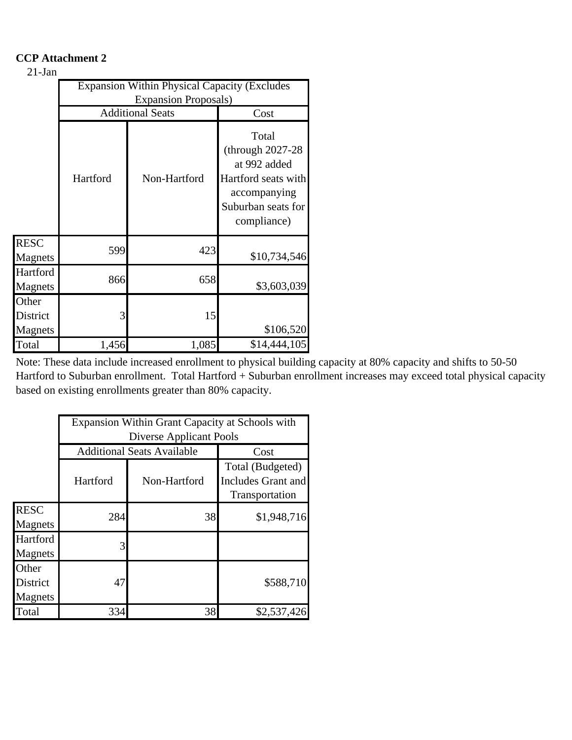# **CCP Attachment 2**

# 21-Jan

|                              |          | <b>Expansion Within Physical Capacity (Excludes</b> |                                                                                                                         |
|------------------------------|----------|-----------------------------------------------------|-------------------------------------------------------------------------------------------------------------------------|
|                              |          | <b>Expansion Proposals</b> )                        |                                                                                                                         |
|                              |          | <b>Additional Seats</b>                             | Cost                                                                                                                    |
|                              | Hartford | Non-Hartford                                        | Total<br>(through $2027-28$<br>at 992 added<br>Hartford seats with<br>accompanying<br>Suburban seats for<br>compliance) |
| <b>RESC</b><br>Magnets       | 599      | 423                                                 | \$10,734,546                                                                                                            |
| Hartford<br>Magnets          | 866      | 658                                                 | \$3,603,039                                                                                                             |
| Other<br>District<br>Magnets | 3        | 15                                                  | \$106,520                                                                                                               |
| Total                        | 1,456    | 1,085                                               | \$14,444,105                                                                                                            |

Note: These data include increased enrollment to physical building capacity at 80% capacity and shifts to 50-50 Hartford to Suburban enrollment. Total Hartford + Suburban enrollment increases may exceed total physical capacity based on existing enrollments greater than 80% capacity.

|                                     |          | Expansion Within Grant Capacity at Schools with |                                                          |
|-------------------------------------|----------|-------------------------------------------------|----------------------------------------------------------|
|                                     |          | Diverse Applicant Pools                         |                                                          |
|                                     |          | <b>Additional Seats Available</b>               | Cost                                                     |
|                                     | Hartford | Non-Hartford                                    | Total (Budgeted)<br>Includes Grant and<br>Transportation |
| <b>RESC</b><br>Magnets              | 284      | 38                                              | \$1,948,716                                              |
| Hartford<br>Magnets                 | 3        |                                                 |                                                          |
| Other<br><b>District</b><br>Magnets | 47       |                                                 | \$588,710                                                |
| Total                               | 334      | 38                                              | \$2,537,426                                              |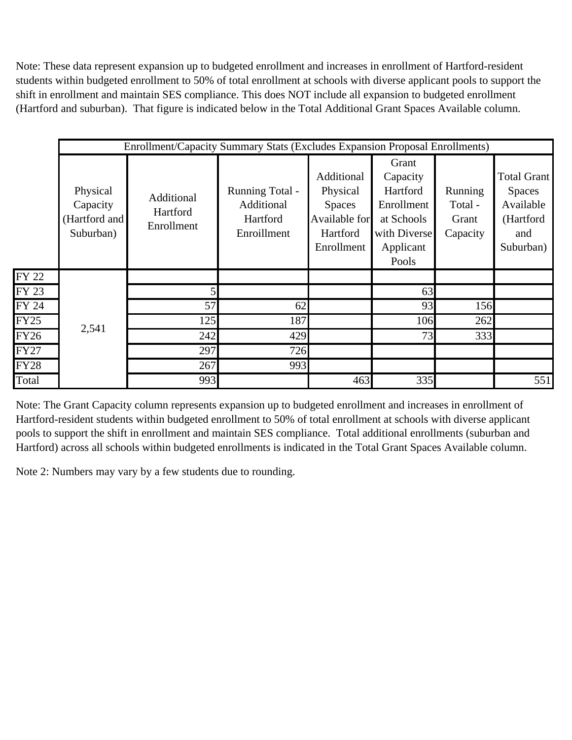Note: These data represent expansion up to budgeted enrollment and increases in enrollment of Hartford-resident students within budgeted enrollment to 50% of total enrollment at schools with diverse applicant pools to support the shift in enrollment and maintain SES compliance. This does NOT include all expansion to budgeted enrollment (Hartford and suburban). That figure is indicated below in the Total Additional Grant Spaces Available column.

|             |                                                    | <b>Enrollment/Capacity Summary Stats (Excludes Expansion Proposal Enrollments)</b> |                                                                 |                                                                                    |                                                                                                 |                                                |                                                                            |
|-------------|----------------------------------------------------|------------------------------------------------------------------------------------|-----------------------------------------------------------------|------------------------------------------------------------------------------------|-------------------------------------------------------------------------------------------------|------------------------------------------------|----------------------------------------------------------------------------|
|             | Physical<br>Capacity<br>(Hartford and<br>Suburban) | Additional<br>Hartford<br>Enrollment                                               | <b>Running Total -</b><br>Additional<br>Hartford<br>Enroillment | Additional<br>Physical<br><b>Spaces</b><br>Available for<br>Hartford<br>Enrollment | Grant<br>Capacity<br>Hartford<br>Enrollment<br>at Schools<br>with Diverse<br>Applicant<br>Pools | <b>Running</b><br>Total -<br>Grant<br>Capacity | Total Grant<br><b>Spaces</b><br>Available<br>(Hartford<br>and<br>Suburban) |
| FY 22       |                                                    |                                                                                    |                                                                 |                                                                                    |                                                                                                 |                                                |                                                                            |
| FY 23       |                                                    |                                                                                    |                                                                 |                                                                                    | 63                                                                                              |                                                |                                                                            |
| FY 24       |                                                    | 57                                                                                 | 62                                                              |                                                                                    | 93                                                                                              | 156                                            |                                                                            |
| <b>FY25</b> | 2,541                                              | 125                                                                                | 187                                                             |                                                                                    | 106                                                                                             | 262                                            |                                                                            |
| <b>FY26</b> |                                                    | 242                                                                                | 429                                                             |                                                                                    | 73                                                                                              | 333                                            |                                                                            |
| <b>FY27</b> |                                                    | 297                                                                                | 726                                                             |                                                                                    |                                                                                                 |                                                |                                                                            |
| <b>FY28</b> |                                                    | 267                                                                                | 993                                                             |                                                                                    |                                                                                                 |                                                |                                                                            |
| Total       |                                                    | 993                                                                                |                                                                 | 463                                                                                | 335                                                                                             |                                                | 551                                                                        |

Note: The Grant Capacity column represents expansion up to budgeted enrollment and increases in enrollment of Hartford-resident students within budgeted enrollment to 50% of total enrollment at schools with diverse applicant pools to support the shift in enrollment and maintain SES compliance. Total additional enrollments (suburban and Hartford) across all schools within budgeted enrollments is indicated in the Total Grant Spaces Available column.

Note 2: Numbers may vary by a few students due to rounding.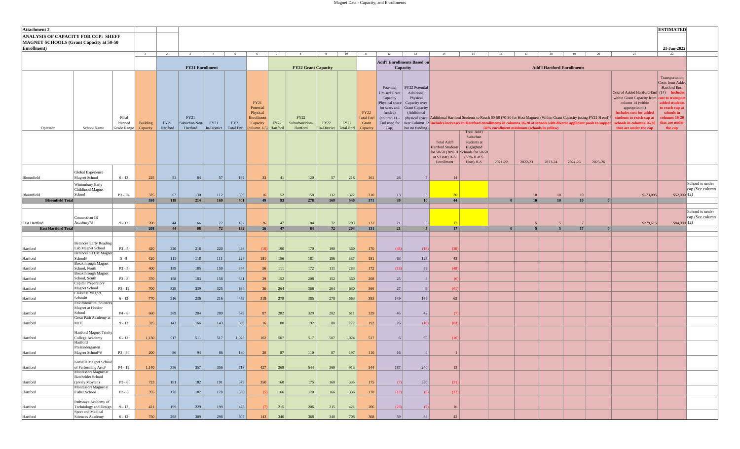| <b>Attachment 2</b>                                                                    |                                                                                   |                                 |                      |                  |                                   |                            |                                  |                                                                                                       |          |                                   |                                         |             |                                                       |                                                                                                                                       |                                                                                                               |                                                                                                                                                                                                                                                                |                                                                   |                                            |                |                                   |          |              |                                                                                                                                                                                                                                                  | <b>ESTIMATED</b>                                                                                                                                     |                                    |
|----------------------------------------------------------------------------------------|-----------------------------------------------------------------------------------|---------------------------------|----------------------|------------------|-----------------------------------|----------------------------|----------------------------------|-------------------------------------------------------------------------------------------------------|----------|-----------------------------------|-----------------------------------------|-------------|-------------------------------------------------------|---------------------------------------------------------------------------------------------------------------------------------------|---------------------------------------------------------------------------------------------------------------|----------------------------------------------------------------------------------------------------------------------------------------------------------------------------------------------------------------------------------------------------------------|-------------------------------------------------------------------|--------------------------------------------|----------------|-----------------------------------|----------|--------------|--------------------------------------------------------------------------------------------------------------------------------------------------------------------------------------------------------------------------------------------------|------------------------------------------------------------------------------------------------------------------------------------------------------|------------------------------------|
| ANALYSIS OF CAPACITY FOR CCP: SHEFF<br><b>MAGNET SCHOOLS (Grant Capacity at 50-50)</b> |                                                                                   |                                 |                      |                  |                                   |                            |                                  |                                                                                                       |          |                                   |                                         |             |                                                       |                                                                                                                                       |                                                                                                               |                                                                                                                                                                                                                                                                |                                                                   |                                            |                |                                   |          |              |                                                                                                                                                                                                                                                  |                                                                                                                                                      |                                    |
| Enrollment)                                                                            |                                                                                   |                                 | 1                    | 2                | 3 <sup>1</sup>                    | $-4$                       | 5                                | 6                                                                                                     | 7        | 8 <sup>1</sup>                    | $9 \mid$                                | 10          | 11                                                    | 12                                                                                                                                    | 13                                                                                                            | 14                                                                                                                                                                                                                                                             | 15                                                                | 16                                         | 17             | 18                                | 19       | 20           | 21                                                                                                                                                                                                                                               | 21-Jan-2022<br>22                                                                                                                                    |                                    |
|                                                                                        |                                                                                   |                                 |                      |                  | <b>FY21 Enrollment</b>            |                            |                                  |                                                                                                       |          | <b>FY22 Grant Capacity</b>        |                                         |             |                                                       |                                                                                                                                       | <b>Add'l Enrollments Based on</b><br>Capacity                                                                 |                                                                                                                                                                                                                                                                |                                                                   |                                            |                | <b>Add'l Hartford Enrollments</b> |          |              |                                                                                                                                                                                                                                                  |                                                                                                                                                      |                                    |
| Operator                                                                               | School Name                                                                       | Final<br>Planned<br>Grade Range | Building<br>Capacity | FY21<br>Hartford | FY21<br>Suburban/Non-<br>Hartford | <b>FY21</b><br>In-District | <b>FY21</b><br><b>Total Enrl</b> | FY21<br>Potential<br>Physical<br>Enrollment<br>Capacity<br>$\left(\text{column } 1-5\right)$ Hartford | FY22     | FY22<br>Suburban/Non-<br>Hartford | <b>FY22</b><br>In-District   Total Enrl | <b>FY22</b> | <b>FY22</b><br><b>Total Enrl</b><br>Grant<br>Capacity | Potential<br><b>Unused Grant</b><br>Capacity<br>(Physical space)<br>for seats and<br>funded)<br>(column $11$<br>Enrl used for<br>Cap) | FY22 Potential<br>Additional<br>Physical<br>Capacity over<br>Grant Capacity<br>(Additional<br>but no funding) | physical space Additional Hartford Students to Reach 50-50 (70-30 for Host Magnets) Within Grant Capacity (using FY21 H enrl)*<br>over Column 12 Includes increases in Hartford enrollments in columns 16-20 at schools with diverse applicant pools to suppor | <b>Total Add'l</b>                                                | 50% enrollment minimum (schools in yellow) |                |                                   |          |              | Cost of Added Hartford Enrl (14) Include<br>within Grant Capacity from cost to transpor<br>column 14 (within<br>appropriation)<br><b>Includes cost for added</b><br>tudents to reach cap at<br>chools in columns 16-20<br>that are under the cap | Transportation<br>Costs from Added<br>Hartford Enrl<br>added students<br>to reach cap at<br>schools in<br>columns 16-20<br>that are under<br>the cap |                                    |
|                                                                                        |                                                                                   |                                 |                      |                  |                                   |                            |                                  |                                                                                                       |          |                                   |                                         |             |                                                       |                                                                                                                                       |                                                                                                               | <b>Total Add'l</b><br>Hartford Students<br>for 50-50 (30% H Schools for 50-50<br>at S Host) H-S<br>Enrollment                                                                                                                                                  | Suburban<br>Students at<br>Higlighted<br>(30% H at S<br>Host) H-S | 2021-22                                    | 2022-23        | 2023-24                           | 2024-25  | 2025-26      |                                                                                                                                                                                                                                                  |                                                                                                                                                      |                                    |
| Bloomfield                                                                             | Global Experience<br>Magnet School                                                | $6 - 12$                        | 225                  | 51               | 84                                | 57                         | 192                              | 33                                                                                                    | 41       | 120                               | 57                                      | 218         | 161                                                   | 26                                                                                                                                    | 7 <sup>1</sup>                                                                                                | 14                                                                                                                                                                                                                                                             |                                                                   |                                            |                |                                   |          |              |                                                                                                                                                                                                                                                  |                                                                                                                                                      |                                    |
| Bloomfield<br><b>Bloomfield Total</b>                                                  | Wintonbury Early<br>Childhood Magnet<br>School                                    | P3 - P4                         | 325<br>550           | 67<br>118        | 130<br>214                        | 112<br>169                 | 309<br>501                       | 16<br>49                                                                                              | 52<br>93 | 158<br>278                        | 112<br>169                              | 322<br>540  | 210<br>371                                            | 13<br>39                                                                                                                              | 10 <sup>1</sup>                                                                                               | 30 <sup>1</sup><br>44                                                                                                                                                                                                                                          |                                                                   | $\overline{0}$                             | 10<br>10       | 10<br>10                          | 10<br>10 | $\theta$     | \$173,095                                                                                                                                                                                                                                        | $$52,000$ <sup>12</sup> )                                                                                                                            | School is under<br>cap (See column |
| <b>East Hartford</b><br><b>East Hartford Total</b>                                     | <b>Connecticut IB</b><br>Academy*#                                                | $9 - 12$                        | 208<br>208           | 44<br>44         | 66<br>66                          | 72<br>72                   | 182<br>182                       | 26<br>26                                                                                              | 47<br>47 | 84<br>84                          | 72<br>72                                | 203<br>203  | 131<br>131                                            | 21<br>21                                                                                                                              | $\sim$                                                                                                        | 17<br>17                                                                                                                                                                                                                                                       |                                                                   | $\mathbf{0}$                               | 5 <sup>1</sup> | 5 <sup>1</sup>                    | 17       | $\mathbf{0}$ | \$279,615                                                                                                                                                                                                                                        | $$84,000$ <sup>12</sup> )                                                                                                                            | School is under<br>cap (See column |
| Hartford                                                                               | <b>Betances Early Reading</b><br>Lab Magnet School<br><b>Betances STEM Magnet</b> | $P3 - 5$                        | 420                  | 220              | 218                               | 220                        | 438                              | (18)                                                                                                  | 190      | 170                               | 190                                     | 360         | 170                                                   | (48)                                                                                                                                  | (18)                                                                                                          | (30)                                                                                                                                                                                                                                                           |                                                                   |                                            |                |                                   |          |              |                                                                                                                                                                                                                                                  |                                                                                                                                                      |                                    |
| Hartford                                                                               | School#                                                                           | $5 - 8$                         | 420                  | 111              | 118                               | 111                        | 229                              | 191                                                                                                   | 156      | 181                               | 156                                     | 337         | 181                                                   | 63                                                                                                                                    | 128                                                                                                           | 45                                                                                                                                                                                                                                                             |                                                                   |                                            |                |                                   |          |              |                                                                                                                                                                                                                                                  |                                                                                                                                                      |                                    |
| Hartford                                                                               | <b>Breakthrough Magnet</b><br>School, North<br><b>Breakthrough Magnet</b>         | $P3 - 5$                        | 400                  | 159              | 185                               | 159                        | 344                              | 56                                                                                                    | 111      | $172\,$                           | 111                                     | 283         | 172                                                   | (13)                                                                                                                                  | 56                                                                                                            | (48)                                                                                                                                                                                                                                                           |                                                                   |                                            |                |                                   |          |              |                                                                                                                                                                                                                                                  |                                                                                                                                                      |                                    |
| Hartford                                                                               | School, South<br>Capital Preparatory                                              | $P3 - 8$                        | 370                  | 158              | 183                               | 158                        | 341                              | 29                                                                                                    | 152      | 208                               | 152                                     | 360         | 208                                                   | 25                                                                                                                                    |                                                                                                               | - (6)                                                                                                                                                                                                                                                          |                                                                   |                                            |                |                                   |          |              |                                                                                                                                                                                                                                                  |                                                                                                                                                      |                                    |
| Hartford                                                                               | Magnet School                                                                     | $P3 - 12$                       | 700                  | 325              | 339                               | 325                        | 664                              | 36                                                                                                    | 264      | 366                               | 264                                     | 630         | 366                                                   | 27                                                                                                                                    | $\mathbf{Q}$                                                                                                  | (61)                                                                                                                                                                                                                                                           |                                                                   |                                            |                |                                   |          |              |                                                                                                                                                                                                                                                  |                                                                                                                                                      |                                    |
| Hartford                                                                               | <b>Classical Magnet</b><br>School#                                                | $6 - 12$                        | 770                  | 216              | 236                               | 216                        | 452                              | 318                                                                                                   | 278      | 385                               | 278                                     | 663         | 385                                                   | 149                                                                                                                                   | 169                                                                                                           | 62                                                                                                                                                                                                                                                             |                                                                   |                                            |                |                                   |          |              |                                                                                                                                                                                                                                                  |                                                                                                                                                      |                                    |
| Hartford                                                                               | <b>Environmental Sciences</b><br>Magnet at Hooker<br>School                       | $P4 - 8$                        | 660                  | 289              | 284                               | 289                        | 573                              | 87                                                                                                    | 282      | 329                               | 282                                     | 611         | 329                                                   | 45                                                                                                                                    | 42                                                                                                            |                                                                                                                                                                                                                                                                |                                                                   |                                            |                |                                   |          |              |                                                                                                                                                                                                                                                  |                                                                                                                                                      |                                    |
| Hartford                                                                               | Great Path Academy at<br>MCC                                                      | $9 - 12$                        | 325                  | 143              | 166                               | 143                        | 309                              | 16                                                                                                    | 80       | 192                               | 80                                      | 272         | 192                                                   | 26                                                                                                                                    | (10)                                                                                                          | (63)                                                                                                                                                                                                                                                           |                                                                   |                                            |                |                                   |          |              |                                                                                                                                                                                                                                                  |                                                                                                                                                      |                                    |
| Hartford                                                                               | Hartford Magnet Trinity<br>College Academy                                        | $6 - 12$                        | 1,130                | 517              | 511                               | 517                        | 1,028                            | 102                                                                                                   | 507      | 517                               | 507                                     | 1,024       | 517                                                   | 6                                                                                                                                     | 96                                                                                                            | (10)                                                                                                                                                                                                                                                           |                                                                   |                                            |                |                                   |          |              |                                                                                                                                                                                                                                                  |                                                                                                                                                      |                                    |
| Hartford                                                                               | Hartford<br>PreKindergarten<br>Magnet School*#                                    | P3 - P4                         | 200                  | 86               | 94                                | 86                         | 180                              | 20                                                                                                    | 87       | 110                               | 87                                      | 197         | 110                                                   | 16                                                                                                                                    | 4                                                                                                             | $\vert$ 1                                                                                                                                                                                                                                                      |                                                                   |                                            |                |                                   |          |              |                                                                                                                                                                                                                                                  |                                                                                                                                                      |                                    |
| Hartford                                                                               | Kinsella Magnet School<br>of Performing Arts#<br>Montessori Magnet at             | $P4 - 12$                       | 1,140                | 356              | 357                               | 356                        | 713                              | 427                                                                                                   | 369      | 544                               | 369                                     | 913         | 544                                                   | 187                                                                                                                                   | 240                                                                                                           | 13                                                                                                                                                                                                                                                             |                                                                   |                                            |                |                                   |          |              |                                                                                                                                                                                                                                                  |                                                                                                                                                      |                                    |
| Hartford                                                                               | <b>Batchelder School</b><br>(prvsly Moylan)                                       | $P3 - 6$                        | 723                  | 191              | 182                               | 191                        | 373                              | 350                                                                                                   | 160      | 175                               | 160                                     | 335         | 175                                                   | (7)                                                                                                                                   | 350                                                                                                           | (31)                                                                                                                                                                                                                                                           |                                                                   |                                            |                |                                   |          |              |                                                                                                                                                                                                                                                  |                                                                                                                                                      |                                    |
| Hartford                                                                               | Montessori Magnet at<br>Fisher School                                             | $P3 - 8$                        | 355                  | 178              | 182                               | 178                        | 360                              |                                                                                                       | 166      | 170                               | 166                                     | 336         | 170                                                   | (12)                                                                                                                                  | (5)                                                                                                           | (12)                                                                                                                                                                                                                                                           |                                                                   |                                            |                |                                   |          |              |                                                                                                                                                                                                                                                  |                                                                                                                                                      |                                    |
| Hartford                                                                               | Pathways Academy of<br>Technology and Design                                      | $9 - 12$                        | 421                  | 199              | 229                               | 199                        | 428                              |                                                                                                       | 215      | 206                               | 215                                     | 421         | 206                                                   | (23)                                                                                                                                  | (7)                                                                                                           | 16                                                                                                                                                                                                                                                             |                                                                   |                                            |                |                                   |          |              |                                                                                                                                                                                                                                                  |                                                                                                                                                      |                                    |
| Hartford                                                                               | Sport and Medical<br>Sciences Academy                                             | $6 - 12$                        | 750                  | 298              | 309                               | 298                        | 607                              | 143                                                                                                   | 340      | 368                               | 340                                     | 708         | 368                                                   | 59                                                                                                                                    | 84                                                                                                            | 42                                                                                                                                                                                                                                                             |                                                                   |                                            |                |                                   |          |              |                                                                                                                                                                                                                                                  |                                                                                                                                                      |                                    |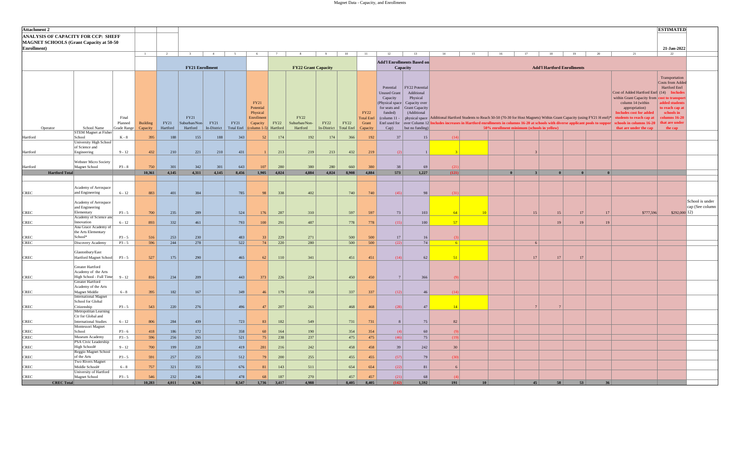| <b>Attachment 2</b>                     |                                                   |             |                 |                |                        |              |                   |                        |              |                            |              |              |                                  |                                 |                                   |                                                                                                                                            |    |              |                                            |                                   |          |    |                                                                                         | <b>ESTIMATED</b>           |                 |
|-----------------------------------------|---------------------------------------------------|-------------|-----------------|----------------|------------------------|--------------|-------------------|------------------------|--------------|----------------------------|--------------|--------------|----------------------------------|---------------------------------|-----------------------------------|--------------------------------------------------------------------------------------------------------------------------------------------|----|--------------|--------------------------------------------|-----------------------------------|----------|----|-----------------------------------------------------------------------------------------|----------------------------|-----------------|
| ANALYSIS OF CAPACITY FOR CCP: SHEFF     |                                                   |             |                 |                |                        |              |                   |                        |              |                            |              |              |                                  |                                 |                                   |                                                                                                                                            |    |              |                                            |                                   |          |    |                                                                                         |                            |                 |
| MAGNET SCHOOLS (Grant Capacity at 50-50 |                                                   |             |                 |                |                        |              |                   |                        |              |                            |              |              |                                  |                                 |                                   |                                                                                                                                            |    |              |                                            |                                   |          |    |                                                                                         |                            |                 |
| Enrollment)                             |                                                   |             |                 |                |                        |              |                   |                        |              |                            |              |              |                                  |                                 |                                   |                                                                                                                                            |    |              |                                            |                                   |          |    |                                                                                         | 21-Jan-2022                |                 |
|                                         |                                                   |             | $\blacksquare$  | $\overline{2}$ | $\mathcal{Z}$          |              |                   | - 6                    |              |                            | Q            | 10           | 11                               | 12                              | 13                                | 14                                                                                                                                         | 15 | 16           | 17                                         | 18                                | 19       | 20 | 21                                                                                      | 22                         |                 |
|                                         |                                                   |             |                 |                |                        |              |                   |                        |              |                            |              |              |                                  |                                 | <b>Add'l Enrollments Based on</b> |                                                                                                                                            |    |              |                                            |                                   |          |    |                                                                                         |                            |                 |
|                                         |                                                   |             |                 |                | <b>FY21 Enrollment</b> |              |                   |                        |              | <b>FY22 Grant Capacity</b> |              |              |                                  |                                 | Capacity                          |                                                                                                                                            |    |              |                                            | <b>Add'l Hartford Enrollments</b> |          |    |                                                                                         |                            |                 |
|                                         |                                                   |             |                 |                |                        |              |                   |                        |              |                            |              |              |                                  |                                 |                                   |                                                                                                                                            |    |              |                                            |                                   |          |    |                                                                                         | Transportation             |                 |
|                                         |                                                   |             |                 |                |                        |              |                   |                        |              |                            |              |              |                                  |                                 |                                   |                                                                                                                                            |    |              |                                            |                                   |          |    |                                                                                         | Costs from Added           |                 |
|                                         |                                                   |             |                 |                |                        |              |                   |                        |              |                            |              |              |                                  | Potential                       | FY22 Potential                    |                                                                                                                                            |    |              |                                            |                                   |          |    |                                                                                         | Hartford Enrl              |                 |
|                                         |                                                   |             |                 |                |                        |              |                   |                        |              |                            |              |              |                                  | <b>Unused Grant</b><br>Capacity | Additional<br>Physical            |                                                                                                                                            |    |              |                                            |                                   |          |    | Cost of Added Hartford Enrl (14) Include<br>within Grant Capacity from cost to transpor |                            |                 |
|                                         |                                                   |             |                 |                |                        |              |                   | <b>FY21</b>            |              |                            |              |              |                                  | (Physical space)                | Capacity over                     |                                                                                                                                            |    |              |                                            |                                   |          |    | column 14 (within                                                                       | added students             |                 |
|                                         |                                                   |             |                 |                |                        |              |                   | Potential              |              |                            |              |              |                                  |                                 | for seats and Grant Capacity      |                                                                                                                                            |    |              |                                            |                                   |          |    | appropriation)                                                                          | o reach cap at             |                 |
|                                         |                                                   | Final       |                 |                | FY21                   |              |                   | Physical<br>Enrollment |              | FY22                       |              |              | <b>FY22</b><br><b>Total Enrl</b> | funded)<br>(column $11$         | (Additional                       | physical space Additional Hartford Students to Reach 50-50 (70-30 for Host Magnets) Within Grant Capacity (using FY21 H enrl)*             |    |              |                                            |                                   |          |    | <b>Includes cost for added</b><br>students to reach cap at                              | schools in<br>olumns 16-20 |                 |
|                                         |                                                   | Planned     | <b>Building</b> | FY21           | Suburban/Non-          | FY21         | FY21              | Capacity               | FY22         | Suburban/Non-              | <b>FY22</b>  | FY22         | Grant                            |                                 |                                   | Enrl used for over Column 12 Includes increases in Hartford enrollments in columns 16-20 at schools with diverse applicant pools to suppor |    |              |                                            |                                   |          |    | chools in columns 16-20                                                                 | that are under             |                 |
| Operator                                | School Name                                       | Grade Range | Capacity        | Hartford       | Hartford               | In-District  | <b>Total Enrl</b> | $\text{column } 1-5)$  | Hartford     | Hartford                   | In-District  | Total Enrl   | Capacity                         | $Cap$ )                         | but no funding)                   |                                                                                                                                            |    |              | 50% enrollment minimum (schools in yellow) |                                   |          |    | that are under the cap                                                                  | the cap                    |                 |
| Hartford                                | <b>STEM Magnet at Fisher</b><br>School            | K - 8       | 395             | 188            | 155                    | 188          | 343               | 52                     | 174          | 192                        | 174          | 366          | 192                              | 37                              | 15                                | (14)                                                                                                                                       |    |              |                                            |                                   |          |    |                                                                                         |                            |                 |
|                                         | University High School                            |             |                 |                |                        |              |                   |                        |              |                            |              |              |                                  |                                 |                                   |                                                                                                                                            |    |              |                                            |                                   |          |    |                                                                                         |                            |                 |
|                                         | of Science and                                    | $9 - 12$    |                 |                |                        |              |                   |                        |              |                            |              |              |                                  |                                 |                                   |                                                                                                                                            |    |              |                                            |                                   |          |    |                                                                                         |                            |                 |
| Hartford                                | Engineering                                       |             | 432             | 210            | 221                    | 210          | 431               |                        | 213          | 219                        | 213          | 432          | 219                              | (2)                             |                                   |                                                                                                                                            |    |              |                                            |                                   |          |    |                                                                                         |                            |                 |
|                                         | <b>Webster Micro Society</b>                      |             |                 |                |                        |              |                   |                        |              |                            |              |              |                                  |                                 |                                   |                                                                                                                                            |    |              |                                            |                                   |          |    |                                                                                         |                            |                 |
| Hartford                                | Magnet School                                     | $P3 - 8$    | 750<br>10,361   | 301<br>4,145   | 342<br>4,311           | 301<br>4,145 | 643<br>8,456      | 107<br>1,905           | 280<br>4,024 | 380<br>4,884               | 280<br>4,024 | 660<br>8,908 | 380<br>4,884                     | 38                              | 69<br>1,227                       | (21)<br>(121)                                                                                                                              |    | $\mathbf{0}$ |                                            | $\mathbf{0}$                      | $\theta$ |    |                                                                                         |                            |                 |
| <b>Hartford Total</b>                   |                                                   |             |                 |                |                        |              |                   |                        |              |                            |              |              |                                  | 573                             |                                   |                                                                                                                                            |    |              |                                            |                                   |          |    |                                                                                         |                            |                 |
|                                         |                                                   |             |                 |                |                        |              |                   |                        |              |                            |              |              |                                  |                                 |                                   |                                                                                                                                            |    |              |                                            |                                   |          |    |                                                                                         |                            |                 |
|                                         | Academy of Aerospace                              |             |                 |                |                        |              |                   |                        |              |                            |              | 740          |                                  |                                 |                                   | (31)                                                                                                                                       |    |              |                                            |                                   |          |    |                                                                                         |                            |                 |
| <b>CREC</b>                             | and Engineering                                   | $6 - 12$    | 883             | 401            | 384                    |              | 785               | 98                     | 338          | 402                        |              |              | 740                              | (45)                            | 98                                |                                                                                                                                            |    |              |                                            |                                   |          |    |                                                                                         |                            |                 |
|                                         | Academy of Aerospace                              |             |                 |                |                        |              |                   |                        |              |                            |              |              |                                  |                                 |                                   |                                                                                                                                            |    |              |                                            |                                   |          |    |                                                                                         |                            | School is under |
| <b>CREC</b>                             | and Engineering<br>Elementary                     | $P3 - 5$    | 700             | 235            | 289                    |              | 524               | 176                    | 287          | 310                        |              | 597          | 597                              | 73                              | 103                               | 64                                                                                                                                         | 10 |              | 15                                         | 15                                | 17       | 17 | \$777,596                                                                               | $$292,000$ 12)             | cap (See column |
|                                         | Academy of Science and                            |             |                 |                |                        |              |                   |                        |              |                            |              |              |                                  |                                 |                                   |                                                                                                                                            |    |              |                                            |                                   |          |    |                                                                                         |                            |                 |
| <b>CREC</b>                             | Innovation                                        | $6 - 12$    | 893             | 332            | 461                    |              | 793               | 100                    | 291          | 487                        |              | 778          | 778                              | (15)                            | 100                               | 57                                                                                                                                         |    |              |                                            | 19                                | 19       | 19 |                                                                                         |                            |                 |
|                                         | Ana Grace Academy of<br>the Arts Elementary       |             |                 |                |                        |              |                   |                        |              |                            |              |              |                                  |                                 |                                   |                                                                                                                                            |    |              |                                            |                                   |          |    |                                                                                         |                            |                 |
| <b>CREC</b>                             | School*                                           | $P3 - 5$    | 516             | 253            | 230                    |              | 483               | 33                     | 229          | 271                        |              | 500          | 500                              | 17                              | 16                                |                                                                                                                                            |    |              |                                            |                                   |          |    |                                                                                         |                            |                 |
| <b>CREC</b>                             | Discovery Academy                                 | $P3 - 5$    | 596             | 244            | 278                    |              | 522               | 74                     | 220          | 280                        |              | 500          | 500                              | (22)                            | 74                                | $6 \mid$                                                                                                                                   |    |              | -6                                         |                                   |          |    |                                                                                         |                            |                 |
|                                         | Glastonbury/East                                  |             |                 |                |                        |              |                   |                        |              |                            |              |              |                                  |                                 |                                   |                                                                                                                                            |    |              |                                            |                                   |          |    |                                                                                         |                            |                 |
| <b>CREC</b>                             | Hartford Magnet School                            | $P3 - 5$    | 527             | 175            | 290                    |              | 465               | 62                     | 110          | 341                        |              | 451          | 451                              | (14)                            | 62                                | 51                                                                                                                                         |    |              | 17                                         | 17                                | 17       |    |                                                                                         |                            |                 |
|                                         | Greater Hartford                                  |             |                 |                |                        |              |                   |                        |              |                            |              |              |                                  |                                 |                                   |                                                                                                                                            |    |              |                                            |                                   |          |    |                                                                                         |                            |                 |
|                                         | Academy of the Arts                               |             |                 |                |                        |              |                   |                        |              |                            |              |              |                                  |                                 |                                   |                                                                                                                                            |    |              |                                            |                                   |          |    |                                                                                         |                            |                 |
| <b>CREC</b>                             | High School - Full Time                           | $9 - 12$    | 816             | 234            | 209                    |              | 443               | 373                    | 226          | 224                        |              | 450          | 450                              | 7 <sup>1</sup>                  | 366                               |                                                                                                                                            |    |              |                                            |                                   |          |    |                                                                                         |                            |                 |
|                                         | Greater Hartford<br>Academy of the Arts           |             |                 |                |                        |              |                   |                        |              |                            |              |              |                                  |                                 |                                   |                                                                                                                                            |    |              |                                            |                                   |          |    |                                                                                         |                            |                 |
| <b>CREC</b>                             | Magnet Middle                                     | $6 - 8$     | 395             | 182            | 167                    |              | 349               | 46                     | 179          | 158                        |              | 337          | 337                              | (12)                            | 46                                | (14)                                                                                                                                       |    |              |                                            |                                   |          |    |                                                                                         |                            |                 |
|                                         | <b>International Magnet</b>                       |             |                 |                |                        |              |                   |                        |              |                            |              |              |                                  |                                 |                                   |                                                                                                                                            |    |              |                                            |                                   |          |    |                                                                                         |                            |                 |
| <b>CREC</b>                             | School for Global<br>Citizenship                  | $P3 - 5$    | 543             | 220            | 276                    |              | 496               | 47                     | 207          | 261                        |              | 468          | 468                              | (28)                            | 47                                | 14                                                                                                                                         |    |              |                                            |                                   |          |    |                                                                                         |                            |                 |
|                                         | Metropolitan Learning                             |             |                 |                |                        |              |                   |                        |              |                            |              |              |                                  |                                 |                                   |                                                                                                                                            |    |              |                                            |                                   |          |    |                                                                                         |                            |                 |
|                                         | Ctr for Global and                                |             |                 |                |                        |              |                   |                        |              |                            |              |              |                                  |                                 |                                   |                                                                                                                                            |    |              |                                            |                                   |          |    |                                                                                         |                            |                 |
| <b>CREC</b>                             | <b>International Studies</b><br>Montessori Magnet | $6 - 12$    | 806             | 284            | 439                    |              | 723               | 83                     | 182          | 549                        |              | 731          | 731                              | 8                               | 75                                | 82                                                                                                                                         |    |              |                                            |                                   |          |    |                                                                                         |                            |                 |
| <b>CREC</b>                             | School                                            | $P3 - 6$    | 418             | 186            | 172                    |              | 358               | 60                     | 164          | 190                        |              | 354          | 354                              | (4)                             | 60                                | (9)                                                                                                                                        |    |              |                                            |                                   |          |    |                                                                                         |                            |                 |
| <b>CREC</b>                             | Museum Academy                                    | $P3 - 5$    | 596             | 256            | 265                    |              | 521               | 75                     | 238          | 237                        |              | 475          | 475                              | (46)                            | 75                                | (19)                                                                                                                                       |    |              |                                            |                                   |          |    |                                                                                         |                            |                 |
| <b>CREC</b>                             | PSA Civic Leadership<br>High School#              | $9 - 12$    | 700             | 199            | 220                    |              | 419               | 281                    | 216          | 242                        |              | 458          | 458                              | 39                              | 242                               | 30                                                                                                                                         |    |              |                                            |                                   |          |    |                                                                                         |                            |                 |
|                                         | Reggio Magnet School                              |             |                 |                |                        |              |                   |                        |              |                            |              |              |                                  |                                 |                                   |                                                                                                                                            |    |              |                                            |                                   |          |    |                                                                                         |                            |                 |
| CREC                                    | of the Arts<br><b>Two Rivers Magnet</b>           | $P3 - 5$    | 591             | 257            | 255                    |              | 512               | 79                     | 200          | 255                        |              | 455          | 455                              | (57)                            | 79                                | (30)                                                                                                                                       |    |              |                                            |                                   |          |    |                                                                                         |                            |                 |
| <b>CREC</b>                             | Middle School#                                    | $6 - 8$     | 757             | 321            | 355                    |              | 676               | 81                     | 143          | 511                        |              | 654          | 654                              | (22)                            | 81                                | 6                                                                                                                                          |    |              |                                            |                                   |          |    |                                                                                         |                            |                 |
|                                         | <b>University of Hartford</b>                     |             |                 |                |                        |              |                   |                        |              |                            |              |              |                                  |                                 |                                   |                                                                                                                                            |    |              |                                            |                                   |          |    |                                                                                         |                            |                 |
| <b>CREC</b><br><b>CREC Total</b>        | Magnet School                                     | $P3 - 5$    | 546<br>10.283   | 232<br>4.011   | 246<br>4.536           |              | 478<br>8.547      | 68<br>1.736            | 187<br>3.417 | 270<br>4.988               |              | 457<br>8.405 | 457<br>8.405                     | (21)<br>(142)                   | 68<br>1.592                       | 191                                                                                                                                        | 10 |              | 45                                         | 58                                | 53       | 36 |                                                                                         |                            |                 |
|                                         |                                                   |             |                 |                |                        |              |                   |                        |              |                            |              |              |                                  |                                 |                                   |                                                                                                                                            |    |              |                                            |                                   |          |    |                                                                                         |                            |                 |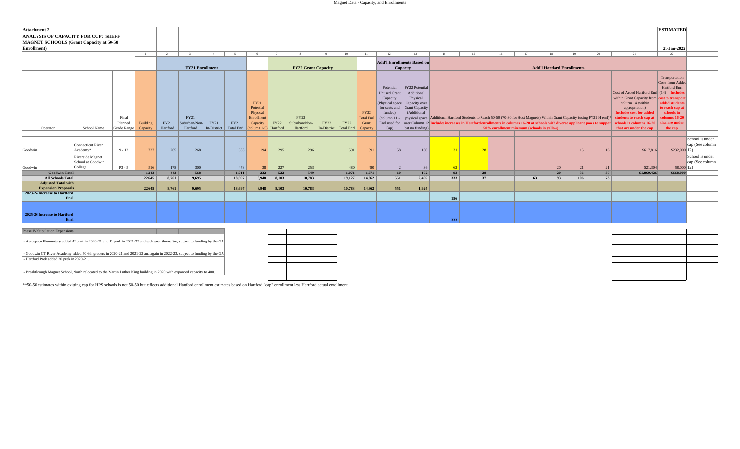|                                                                                                                                                                                                                                                                                                                      |                                                  |                                        |                             |                  |                                   |                     |                           |                                                                                                              |       |                                   |                     |                                  |                                                       |                                                                                                                                     |                                                                                                                      |                                                                                                                                                                                                                                                               |    |                                            |    |                                   |     |    |                                                                                                                                                                                                                                                   | <b>ESTIMATED</b>                                                                                                                                                 |                                    |
|----------------------------------------------------------------------------------------------------------------------------------------------------------------------------------------------------------------------------------------------------------------------------------------------------------------------|--------------------------------------------------|----------------------------------------|-----------------------------|------------------|-----------------------------------|---------------------|---------------------------|--------------------------------------------------------------------------------------------------------------|-------|-----------------------------------|---------------------|----------------------------------|-------------------------------------------------------|-------------------------------------------------------------------------------------------------------------------------------------|----------------------------------------------------------------------------------------------------------------------|---------------------------------------------------------------------------------------------------------------------------------------------------------------------------------------------------------------------------------------------------------------|----|--------------------------------------------|----|-----------------------------------|-----|----|---------------------------------------------------------------------------------------------------------------------------------------------------------------------------------------------------------------------------------------------------|------------------------------------------------------------------------------------------------------------------------------------------------------------------|------------------------------------|
| ANALYSIS OF CAPACITY FOR CCP: SHEFF<br><b>MAGNET SCHOOLS (Grant Capacity at 50-50)</b>                                                                                                                                                                                                                               |                                                  |                                        |                             |                  |                                   |                     |                           |                                                                                                              |       |                                   |                     |                                  |                                                       |                                                                                                                                     |                                                                                                                      |                                                                                                                                                                                                                                                               |    |                                            |    |                                   |     |    |                                                                                                                                                                                                                                                   |                                                                                                                                                                  |                                    |
| Enrollment)                                                                                                                                                                                                                                                                                                          |                                                  |                                        |                             |                  |                                   |                     |                           |                                                                                                              |       |                                   |                     |                                  |                                                       |                                                                                                                                     |                                                                                                                      |                                                                                                                                                                                                                                                               |    |                                            |    |                                   |     |    |                                                                                                                                                                                                                                                   | 21-Jan-2022                                                                                                                                                      |                                    |
|                                                                                                                                                                                                                                                                                                                      |                                                  |                                        | $\overline{1}$              | $\overline{2}$   | $\overline{3}$                    | $-4$                | 5 <sup>5</sup>            | 6                                                                                                            | 7     | 8                                 | 9                   | 10                               | 11                                                    | 12                                                                                                                                  | 13                                                                                                                   | 14                                                                                                                                                                                                                                                            | 15 | 16                                         | 17 | 18                                | 19  | 20 | 21                                                                                                                                                                                                                                                | 22                                                                                                                                                               |                                    |
|                                                                                                                                                                                                                                                                                                                      |                                                  |                                        |                             |                  | <b>FY21 Enrollment</b>            |                     |                           |                                                                                                              |       | <b>FY22 Grant Capacity</b>        |                     |                                  |                                                       |                                                                                                                                     | <b>Add'l Enrollments Based on</b><br>Capacity                                                                        |                                                                                                                                                                                                                                                               |    |                                            |    | <b>Add'l Hartford Enrollments</b> |     |    |                                                                                                                                                                                                                                                   |                                                                                                                                                                  |                                    |
| Operator                                                                                                                                                                                                                                                                                                             | School Name                                      | Final<br>Planned<br><b>Grade Range</b> | <b>Building</b><br>Capacity | FY21<br>Hartford | FY21<br>Suburban/Non-<br>Hartford | FY21<br>In-District | FY21<br><b>Total Enrl</b> | <b>FY21</b><br>Potential<br>Physical<br>Enrollment<br>Capacity<br>$\left(\text{column } 1-5\right)$ Hartford | FY22  | FY22<br>Suburban/Non-<br>Hartford | FY22<br>In-District | <b>FY22</b><br><b>Total Enrl</b> | <b>FY22</b><br><b>Total Enrl</b><br>Grant<br>Capacity | Potential<br><b>Unused Grant</b><br>Capacity<br>(Physical space)<br>for seats and<br>funded)<br>(column 11<br>Enrl used for<br>Cap) | FY22 Potential<br>Additional<br>Physical<br>Capacity over<br><b>Grant Capacity</b><br>(Additional<br>but no funding) | physical space Additional Hartford Students to Reach 50-50 (70-30 for Host Magnets) Within Grant Capacity (using FY21 H enrl)*<br>over Column 12 Includes increases in Hartford enrollments in columns 16-20 at schools with diverse applicant pools to suppo |    | 50% enrollment minimum (schools in yellow) |    |                                   |     |    | Cost of Added Hartford Enrl (14) Include<br>within Grant Capacity from cost to transpor<br>column 14 (within<br>appropriation)<br><b>Includes cost for added</b><br>students to reach cap at<br>chools in columns 16-20<br>that are under the cap | Transportation<br><b>Costs from Adde</b><br><b>Hartford Enrl</b><br>added students<br>o reach cap at<br>schools in<br>$\frac{1}{16}$<br>hat are under<br>the cap |                                    |
| Goodwin                                                                                                                                                                                                                                                                                                              | Connecticut River<br>Academy*                    | $9 - 12$                               | 727                         | 265              | 268                               |                     | 533                       | 194                                                                                                          | 295   | 296                               |                     | 591                              | 591                                                   | 58                                                                                                                                  | 136                                                                                                                  | 31                                                                                                                                                                                                                                                            | 28 |                                            |    |                                   | 15  | 16 | \$617,816                                                                                                                                                                                                                                         | $$232,000$ <sup>12</sup> )                                                                                                                                       | School is under<br>cap (See column |
| Goodwin                                                                                                                                                                                                                                                                                                              | Riverside Magnet<br>School at Goodwin<br>College | $P3 - 5$                               | 516                         | 178              | 300                               |                     | 478                       | 38                                                                                                           | 227   | 253                               |                     | 480                              | 480                                                   | 2                                                                                                                                   | 36                                                                                                                   | 62                                                                                                                                                                                                                                                            |    |                                            |    | 20                                | 21  | 21 | \$21,304                                                                                                                                                                                                                                          | $$8,000$ 12)                                                                                                                                                     | School is under<br>cap (See column |
| <b>Goodwin Total</b>                                                                                                                                                                                                                                                                                                 |                                                  |                                        | 1,243                       | 443              | 568                               |                     | 1,011                     | 232                                                                                                          | 522   | 549                               |                     | 1,071                            | 1,071                                                 | 60                                                                                                                                  | 172                                                                                                                  | 93                                                                                                                                                                                                                                                            | 28 |                                            |    | 20                                | 36  | 37 | \$1,869,426                                                                                                                                                                                                                                       | \$668,000                                                                                                                                                        |                                    |
| <b>All Schools Total</b><br><b>Adjusted Total with</b>                                                                                                                                                                                                                                                               |                                                  |                                        | 22,645                      | 8,761            | 9,695                             |                     | 18,697                    | 3,948                                                                                                        | 8,103 | 10,783                            |                     | 19,127                           | 14,862                                                | 551                                                                                                                                 | 2,405                                                                                                                | 333                                                                                                                                                                                                                                                           | 37 |                                            | 63 | 93                                | 106 | 73 |                                                                                                                                                                                                                                                   |                                                                                                                                                                  |                                    |
| <b>Expansion Proposals</b>                                                                                                                                                                                                                                                                                           |                                                  |                                        | 22,645                      | 8,761            | 9.695                             |                     | 18.697                    | 3,948                                                                                                        | 8.103 | 10.783                            |                     | 10,783                           | 14,862                                                | 551                                                                                                                                 | 1,924                                                                                                                |                                                                                                                                                                                                                                                               |    |                                            |    |                                   |     |    |                                                                                                                                                                                                                                                   |                                                                                                                                                                  |                                    |
| 2023-24 Increase to Hartford                                                                                                                                                                                                                                                                                         |                                                  |                                        |                             |                  |                                   |                     |                           |                                                                                                              |       |                                   |                     |                                  |                                                       |                                                                                                                                     |                                                                                                                      |                                                                                                                                                                                                                                                               |    |                                            |    |                                   |     |    |                                                                                                                                                                                                                                                   |                                                                                                                                                                  |                                    |
| Enrl                                                                                                                                                                                                                                                                                                                 |                                                  |                                        |                             |                  |                                   |                     |                           |                                                                                                              |       |                                   |                     |                                  |                                                       |                                                                                                                                     |                                                                                                                      | 156                                                                                                                                                                                                                                                           |    |                                            |    |                                   |     |    |                                                                                                                                                                                                                                                   |                                                                                                                                                                  |                                    |
| 2025-26 Increase to Hartford<br>Enrl                                                                                                                                                                                                                                                                                 |                                                  |                                        |                             |                  |                                   |                     |                           |                                                                                                              |       |                                   |                     |                                  |                                                       |                                                                                                                                     |                                                                                                                      | 333                                                                                                                                                                                                                                                           |    |                                            |    |                                   |     |    |                                                                                                                                                                                                                                                   |                                                                                                                                                                  |                                    |
| Phase IV Stipulation Expansions                                                                                                                                                                                                                                                                                      |                                                  |                                        |                             |                  |                                   |                     |                           |                                                                                                              |       |                                   |                     |                                  |                                                       |                                                                                                                                     |                                                                                                                      |                                                                                                                                                                                                                                                               |    |                                            |    |                                   |     |    |                                                                                                                                                                                                                                                   |                                                                                                                                                                  |                                    |
| Aerospace Elementary added 42 prek in 2020-21 and 11 prek in 2021-22 and each year thereafter, subject to funding by the GA.                                                                                                                                                                                         |                                                  |                                        |                             |                  |                                   |                     |                           |                                                                                                              |       |                                   |                     |                                  |                                                       |                                                                                                                                     |                                                                                                                      |                                                                                                                                                                                                                                                               |    |                                            |    |                                   |     |    |                                                                                                                                                                                                                                                   |                                                                                                                                                                  |                                    |
| Goodwin CT River Academy added 50 6th graders in 2020-21 and 2021-22 and again in 2022-23, subject to funding by the GA.                                                                                                                                                                                             |                                                  |                                        |                             |                  |                                   |                     |                           |                                                                                                              |       |                                   |                     |                                  |                                                       |                                                                                                                                     |                                                                                                                      |                                                                                                                                                                                                                                                               |    |                                            |    |                                   |     |    |                                                                                                                                                                                                                                                   |                                                                                                                                                                  |                                    |
| - Hartford Prek added 20 prek in 2020-21.                                                                                                                                                                                                                                                                            |                                                  |                                        |                             |                  |                                   |                     |                           |                                                                                                              |       |                                   |                     |                                  |                                                       |                                                                                                                                     |                                                                                                                      |                                                                                                                                                                                                                                                               |    |                                            |    |                                   |     |    |                                                                                                                                                                                                                                                   |                                                                                                                                                                  |                                    |
| Breakthrough Magnet School, North relocated to the Martin Luther King building in 2020 with expanded capacity to 400.<br>**50-50 estimates within existing cap for HPS schools is not 50-50 but reflects additional Hartford enrollment estimates based on Hartford "cap" enrollment less Hartford actual enrollment |                                                  |                                        |                             |                  |                                   |                     |                           |                                                                                                              |       |                                   |                     |                                  |                                                       |                                                                                                                                     |                                                                                                                      |                                                                                                                                                                                                                                                               |    |                                            |    |                                   |     |    |                                                                                                                                                                                                                                                   |                                                                                                                                                                  |                                    |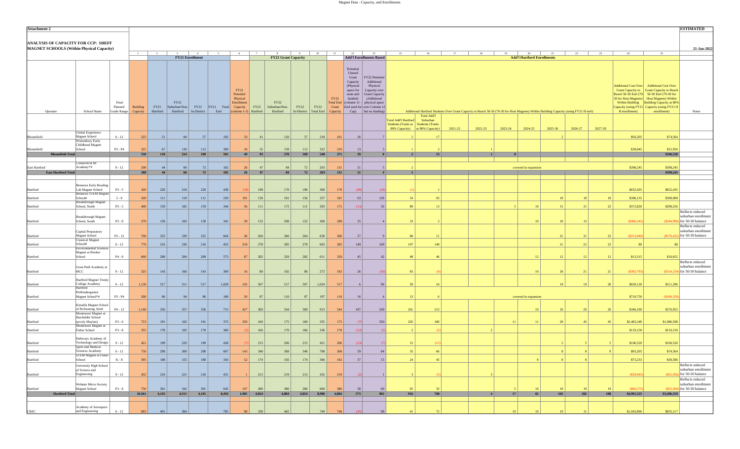| <b>Attachment 2</b>                                                                     |                                                                       |                                 |                      |                         |                       |                                       |                             |                                                                              |             |                                            |                                  |             |                  |                                                                                                                       |                                                                                                                                                                              |                                                                       |                                            |                                                                                                                                       |              |                  |                                         |                 |                 |         |                                                                                                                                                                                                                                                                                                 |                | <b>ESTIMATED</b>                                                              |
|-----------------------------------------------------------------------------------------|-----------------------------------------------------------------------|---------------------------------|----------------------|-------------------------|-----------------------|---------------------------------------|-----------------------------|------------------------------------------------------------------------------|-------------|--------------------------------------------|----------------------------------|-------------|------------------|-----------------------------------------------------------------------------------------------------------------------|------------------------------------------------------------------------------------------------------------------------------------------------------------------------------|-----------------------------------------------------------------------|--------------------------------------------|---------------------------------------------------------------------------------------------------------------------------------------|--------------|------------------|-----------------------------------------|-----------------|-----------------|---------|-------------------------------------------------------------------------------------------------------------------------------------------------------------------------------------------------------------------------------------------------------------------------------------------------|----------------|-------------------------------------------------------------------------------|
| ANALYSIS OF CAPACITY FOR CCP: SHEFF<br><b>MAGNET SCHOOLS (Within Physical Capacity)</b> |                                                                       |                                 |                      |                         |                       |                                       |                             |                                                                              |             |                                            |                                  |             |                  |                                                                                                                       |                                                                                                                                                                              |                                                                       |                                            |                                                                                                                                       |              |                  |                                         |                 |                 |         |                                                                                                                                                                                                                                                                                                 |                | 21-Jan-2022                                                                   |
|                                                                                         |                                                                       |                                 | $\overline{1}$       | $\overline{2}$          |                       | 4<br><b>FY21 Enrollment</b>           |                             | 6                                                                            |             | $\mathbf{R}$<br><b>FY22 Grant Capacity</b> | 9                                | 10          | 11               | 12                                                                                                                    | 13<br><b>Add'l Enrollments Based</b>                                                                                                                                         | 15                                                                    | 16                                         |                                                                                                                                       | 18           | 19               | 20<br><b>Add'l Hartford Enrollments</b> | 21              | 22              | 23      | 24                                                                                                                                                                                                                                                                                              | 25             |                                                                               |
| Operator                                                                                | School Name                                                           | Final<br>Planned<br>Grade Range | Building<br>Capacity | <b>FY21</b><br>Hartford | FY21<br>Suburban/Non- | <b>FY21</b><br>Hartford   In-District | FY21 Total Capacity<br>Enrl | FY21<br>Potential<br>Physical<br>Enrollment<br>$\vert$ (column 1-5) Hartford | <b>FY22</b> | <b>FY22</b><br>Suburban/Non-<br>Hartford   | FY22<br>In-District   Total Enrl | <b>FY22</b> | FY22<br>Capacity | Potential<br>Unused<br>Grant<br>Capacity<br>(Physical<br>space for<br>seats and<br>funded)<br>Total Enrl (column 11 - | FY22 Potential<br>Additional<br>Physical<br>Capacity over<br>Grant Capacity<br>(Additional<br>physical space<br>Grant Enrl used for over Column 12<br>$Cap)$ but no funding) |                                                                       | <b>Total Add'l</b>                         | Additional Hartford Students Over Grant Capacity to Reach 50-50 (70-30 for Host Magnets) Within Building Capacity (using FY21 H enrl) |              |                  |                                         |                 |                 |         | Additional Cost Over   Additional Cost Over<br>Grant Capacity to Grant Capacity to Reach<br>Reach 50-50 Enrl (70-50-50 Enrl (70-30 for<br>30 for Host Magnets) Host Magnets) Within<br>Within Building Building Capacity at 80%<br>Capacity (using FY21 Capacity (using FY21 H<br>H enrollment) | enrollment)    | Notes                                                                         |
|                                                                                         |                                                                       |                                 |                      |                         |                       |                                       |                             |                                                                              |             |                                            |                                  |             |                  |                                                                                                                       |                                                                                                                                                                              | <b>Total Add'l Hartford</b><br>Students (Totals at   Students (Totals | Suburban<br>80% Capacity) at 80% Capacity) | 2021-22                                                                                                                               | 2022-23      | 2023-24          | 2024-25                                 | 2025-26         | 2026-27         | 2027-28 |                                                                                                                                                                                                                                                                                                 |                |                                                                               |
| Bloomfield                                                                              | Global Experience<br>Magnet School                                    | $6 - 12$                        | 225                  | 51                      | 84                    | 57                                    | 192                         | 33                                                                           | 41          | 120                                        | 57                               | 218         | 161              | 26                                                                                                                    |                                                                                                                                                                              |                                                                       | -17                                        |                                                                                                                                       |              |                  |                                         |                 |                 |         | \$93,205                                                                                                                                                                                                                                                                                        | \$74,564       |                                                                               |
|                                                                                         | Wintonbury Early<br>Childhood Magnet                                  |                                 |                      |                         |                       |                                       |                             |                                                                              |             |                                            |                                  |             |                  |                                                                                                                       |                                                                                                                                                                              |                                                                       |                                            |                                                                                                                                       |              |                  |                                         |                 |                 |         |                                                                                                                                                                                                                                                                                                 |                |                                                                               |
| Bloomfield                                                                              | School                                                                | P3 - P4                         | 325                  | 67                      | 130                   | 112                                   | 309                         | 16                                                                           | 52          | 158                                        | 112                              | 322         | 210              | 13                                                                                                                    |                                                                                                                                                                              |                                                                       |                                            |                                                                                                                                       |              |                  |                                         |                 |                 |         | \$39,945                                                                                                                                                                                                                                                                                        | \$31,956       |                                                                               |
| <b>Bloomfield Total</b>                                                                 |                                                                       |                                 | 550                  | 118                     | 214                   | 169                                   | 501                         | 49                                                                           | 93          | 278                                        | 169                              | 540         | 371              | 39                                                                                                                    |                                                                                                                                                                              | $\overline{2}$                                                        | 15                                         |                                                                                                                                       | $\mathbf{1}$ |                  |                                         |                 |                 |         |                                                                                                                                                                                                                                                                                                 | \$106,520      |                                                                               |
| East Hartford                                                                           | Connecticut IB<br>Academy*#                                           | $9 - 12$                        | 208                  | 44                      | 66                    | 72                                    | 182                         | 26                                                                           | 47          | 84                                         | 72                               | 203         | 131              | 21                                                                                                                    |                                                                                                                                                                              |                                                                       |                                            |                                                                                                                                       |              |                  | covered in expansion                    |                 |                 |         | \$398,245                                                                                                                                                                                                                                                                                       | \$398,245      |                                                                               |
| <b>East Hartford Total</b>                                                              |                                                                       |                                 | 208                  | 44                      | 66                    | 72                                    | 182                         | 26                                                                           | 47          | 84                                         | 72                               | 203         | 131              | 21                                                                                                                    |                                                                                                                                                                              |                                                                       |                                            |                                                                                                                                       |              |                  |                                         |                 |                 |         |                                                                                                                                                                                                                                                                                                 | \$398,245      |                                                                               |
|                                                                                         |                                                                       |                                 |                      |                         |                       |                                       |                             |                                                                              |             |                                            |                                  |             |                  |                                                                                                                       |                                                                                                                                                                              |                                                                       |                                            |                                                                                                                                       |              |                  |                                         |                 |                 |         |                                                                                                                                                                                                                                                                                                 |                |                                                                               |
|                                                                                         | <b>Betances Early Reading</b>                                         |                                 |                      |                         |                       |                                       |                             |                                                                              |             |                                            |                                  |             |                  |                                                                                                                       |                                                                                                                                                                              |                                                                       |                                            |                                                                                                                                       |              |                  |                                         |                 |                 |         |                                                                                                                                                                                                                                                                                                 |                |                                                                               |
| Hartford                                                                                | Lab Magnet School<br><b>Betances STEM Magne</b>                       | $P3 - 5$                        | 420                  | 220                     | 218                   | 220                                   | 438                         |                                                                              | 190         | 170                                        | 190                              | 360         | 170              | (48)                                                                                                                  | (18)                                                                                                                                                                         |                                                                       |                                            |                                                                                                                                       |              |                  |                                         |                 |                 |         | \$652,435                                                                                                                                                                                                                                                                                       | \$652,435      |                                                                               |
| Hartford                                                                                | School#<br>Breakthrough Magnet                                        | $5 - 8$                         | 420                  | 111                     | 118                   | 111                                   | 229                         | 191                                                                          | 156         | 181                                        | 156                              | 337         | 181              | 63                                                                                                                    | 128                                                                                                                                                                          | -54                                                                   | 92                                         |                                                                                                                                       |              |                  |                                         | 18              | -18             | 18      | \$386,135                                                                                                                                                                                                                                                                                       | \$308,908      |                                                                               |
| Hartford                                                                                | School, North                                                         | $P3 - 5$                        | 400                  | 159                     | 185                   | 159                                   | 344                         | 56                                                                           | 111         | 172                                        | 111                              | 283         | 172              | (13)                                                                                                                  | 56                                                                                                                                                                           | 89                                                                    | 15                                         |                                                                                                                                       |              |                  | 10                                      | 15              | 21              | 22      | \$372,820                                                                                                                                                                                                                                                                                       | \$298,256      | Reflects reduced<br>suburban enrollment                                       |
| Hartford                                                                                | <b>Breakthrough Magnet</b><br>School, South                           | $P3 - 8$                        | 370                  | 158                     | 183                   | 158                                   | 341                         | 29                                                                           | 152         | 208                                        | 152                              | 360         | 208              | 25                                                                                                                    |                                                                                                                                                                              | 33                                                                    |                                            |                                                                                                                                       |              |                  | 10                                      | 10              | 13              |         | (\$306, 245)                                                                                                                                                                                                                                                                                    |                | (\$244,996) for 50-50 balance                                                 |
| Hartford                                                                                | Capital Preparatory<br>Magnet School                                  | $P3 - 12$                       | 700                  | 325                     | 339                   | 325                                   | 664                         | 36                                                                           | 264         | 366                                        | 264                              | 630         | 366              | 27                                                                                                                    |                                                                                                                                                                              | 86                                                                    | $\overline{11}$                            |                                                                                                                                       |              |                  |                                         | 21              | 21              | 22      | (S213,040)                                                                                                                                                                                                                                                                                      |                | Reflects reduced<br>suburban enrollment<br>(\$170,432) for 50-50 balance      |
|                                                                                         | <b>Classical Magnet</b>                                               |                                 |                      |                         |                       |                                       |                             |                                                                              |             |                                            |                                  |             |                  |                                                                                                                       |                                                                                                                                                                              |                                                                       |                                            |                                                                                                                                       |              |                  |                                         |                 |                 |         |                                                                                                                                                                                                                                                                                                 |                |                                                                               |
| Hartford                                                                                | School#<br><b>Environmental Sciences</b>                              | $6 - 12$                        | 770                  | 216                     | 236                   | 216                                   | 452                         | 318                                                                          | 278         | 385                                        | 278                              | 663         | 385              | 149                                                                                                                   | 169                                                                                                                                                                          | 107                                                                   | 149                                        |                                                                                                                                       |              |                  |                                         | 21              | 22              | 22      | $\vert$ \$0 $\vert$                                                                                                                                                                                                                                                                             | S <sub>0</sub> |                                                                               |
| Hartford                                                                                | Magnet at Hooker<br>School                                            | $P4 - 8$                        | 660                  | 289                     | 284                   | 289                                   | 573                         | 87                                                                           | 282         | 329                                        | 282                              | 611         | 329              | 45                                                                                                                    | 42                                                                                                                                                                           | 48                                                                    | 46                                         |                                                                                                                                       |              |                  | 12                                      | 12              | 12              | 12      | \$13,315                                                                                                                                                                                                                                                                                        | \$10,652       |                                                                               |
| Hartford                                                                                | Great Path Academy at<br>MCC                                          | $9 - 12$                        | 325                  | 143                     | 166                   | 143                                   | 309                         | 16                                                                           | 80          | 192                                        | 80                               | 272         | 192              | 26                                                                                                                    | (10)                                                                                                                                                                         | 83                                                                    |                                            |                                                                                                                                       |              |                  | 10                                      | 20              | 21              | 21      | (S392,793)                                                                                                                                                                                                                                                                                      |                | Reflects reduced<br>suburban enrollment<br>(\$314,234) for 50-50 balance      |
| Hartford                                                                                | Hartford Magnet Trinity<br>College Academy                            | $6 - 12$                        | 1,130                | 517                     | 511                   | 517                                   | 1,028                       | 102                                                                          | 507         | 517                                        | 507                              | 1,024       | 517              | 6                                                                                                                     | 96                                                                                                                                                                           | 58                                                                    | 54                                         |                                                                                                                                       |              |                  |                                         | 19              | 19              | 20      | \$639,120                                                                                                                                                                                                                                                                                       | \$511,296      |                                                                               |
| Hartford                                                                                | Hartford<br>PreKindergarten<br>Magnet School*#                        | P3 - P4                         | 200                  | 86                      | 94                    | 86                                    | 180                         | 20                                                                           | 87          | 110                                        | 87                               | 197         | 110              | 16                                                                                                                    | $\overline{4}$                                                                                                                                                               | 13                                                                    |                                            |                                                                                                                                       |              |                  | covered in expansion                    |                 |                 |         | \$710,750                                                                                                                                                                                                                                                                                       | \$106,520      |                                                                               |
| Hartford                                                                                | Kinsella Magnet School<br>of Performing Arts#<br>Montessori Magnet at | $P4 - 12$                       | 1,140                | 356                     | 357                   | 356                                   | 713                         | 427                                                                          | 369         | 544                                        | 369                              | 913         | 544              | 187                                                                                                                   | 240                                                                                                                                                                          | 201                                                                   | 213                                        |                                                                                                                                       |              |                  | 10                                      | 10              | 20              | 20      | \$346,190                                                                                                                                                                                                                                                                                       | \$276,952      |                                                                               |
|                                                                                         | <b>Batchelder School</b>                                              |                                 |                      |                         |                       |                                       |                             |                                                                              |             |                                            |                                  |             |                  |                                                                                                                       |                                                                                                                                                                              |                                                                       |                                            |                                                                                                                                       |              |                  |                                         |                 | 45              | 45      |                                                                                                                                                                                                                                                                                                 |                |                                                                               |
| Hartford                                                                                | (prvsly Moylan)<br>Montessori Magnet at                               | $P3 - 6$                        | 723                  | 191                     | 182                   | 191                                   | 373                         | 350                                                                          | 160         | 175                                        | 160                              | 335         | 175              |                                                                                                                       | 350                                                                                                                                                                          | 202                                                                   | 180                                        |                                                                                                                                       |              | 11               |                                         | 20              |                 |         | \$2,483,248                                                                                                                                                                                                                                                                                     | \$1,986,598    |                                                                               |
| Hartford                                                                                | <b>Fisher School</b><br>Pathways Academy of                           | $P3 - 8$                        | 355                  | 178                     | 182                   | 178                                   | 360                         |                                                                              | 166         | 170                                        | 166                              | 336         | 170              | (12)                                                                                                                  | (5                                                                                                                                                                           |                                                                       |                                            |                                                                                                                                       |              |                  |                                         |                 |                 |         | \$133,150                                                                                                                                                                                                                                                                                       | \$133,150      |                                                                               |
| Hartford                                                                                | Technology and Design                                                 | $9 - 12$                        | 421                  | 199                     | 229                   | 199                                   | 428                         |                                                                              | 215         | 206                                        | 215                              | 421         | 206              | (23)                                                                                                                  | (7)                                                                                                                                                                          | 15                                                                    | (15)                                       |                                                                                                                                       |              |                  |                                         |                 |                 |         | \$106,520                                                                                                                                                                                                                                                                                       | \$106,520      |                                                                               |
| Hartford                                                                                | Sport and Medical<br>Sciences Academy                                 | $6 - 12$                        | 750                  | 298                     | 309                   | 298                                   | 607                         | 143                                                                          | 340         | 368                                        | 340                              | 708         | 368              | 59                                                                                                                    | 84                                                                                                                                                                           | 35                                                                    |                                            |                                                                                                                                       |              |                  |                                         |                 |                 |         | \$93,205                                                                                                                                                                                                                                                                                        | \$74,564       |                                                                               |
| Hartford                                                                                | STEM Magnet at Fisher<br>School                                       | K - 8                           | 395                  | 188                     | 155                   | 188                                   | 343                         | 52                                                                           | 174         | 192                                        | 174                              | 366         | 192              | 37                                                                                                                    | 15                                                                                                                                                                           | 24                                                                    | 43                                         |                                                                                                                                       |              |                  |                                         |                 |                 |         | \$73,233                                                                                                                                                                                                                                                                                        | \$58,586       |                                                                               |
|                                                                                         | University High School<br>of Science and                              |                                 |                      |                         |                       |                                       |                             |                                                                              |             |                                            |                                  |             |                  |                                                                                                                       |                                                                                                                                                                              |                                                                       |                                            |                                                                                                                                       |              |                  |                                         |                 |                 |         | $($ \$39,945)                                                                                                                                                                                                                                                                                   |                | Reflects reduced<br>suburban enrollment<br>$($ \$31,956 $)$ for 50-50 balance |
| Hartford                                                                                | Engineering<br>Webster Micro Society                                  | $9 - 12$                        | 432                  | 210                     | 221                   | 210                                   | 431                         |                                                                              | 213         | 219                                        | 213                              | 432         | 219              |                                                                                                                       |                                                                                                                                                                              |                                                                       |                                            |                                                                                                                                       |              |                  |                                         |                 |                 |         |                                                                                                                                                                                                                                                                                                 |                | Reflects reduced<br>suburban enrollment                                       |
| Hartford                                                                                | Magnet School                                                         | $P3 - 8$                        | 750                  | 301                     | 342                   | 301                                   | 643                         | 107                                                                          | 280         | 380                                        | 280                              | 660         | 380              | 38                                                                                                                    | 69                                                                                                                                                                           | 95                                                                    | 33                                         |                                                                                                                                       |              |                  |                                         | 19              | 19              | 19      | (S66, 575)                                                                                                                                                                                                                                                                                      |                | $(553.260)$ for 50-50 balance                                                 |
| <b>Hartford Total</b>                                                                   |                                                                       |                                 | 10,361               | 4,145                   | 4,311                 | 4,145                                 | 8,456                       | 1,905                                                                        | 4,024       | 4,884                                      | 4,024                            | 8,908       | 4,884            | 573                                                                                                                   | 982                                                                                                                                                                          | 916                                                                   | 708                                        |                                                                                                                                       | $\vert$ 4    | 17               | 65                                      | 165             | 202             | 188     | \$4,991,523                                                                                                                                                                                                                                                                                     | \$3,496,519    |                                                                               |
| $_{\rm CREC}$                                                                           | Academy of Aerospace<br>and Engineering                               | $6 - 12$                        | 883                  | 401                     | 384                   |                                       | 785                         | 98                                                                           | 338         | 402                                        |                                  | 740         | 740              | (45)                                                                                                                  | 98                                                                                                                                                                           | 41                                                                    | 72                                         |                                                                                                                                       |              | 10 <sup>10</sup> | 10                                      | 10 <sup>2</sup> | $\overline{11}$ |         | \$1,043,896                                                                                                                                                                                                                                                                                     | \$835,117      |                                                                               |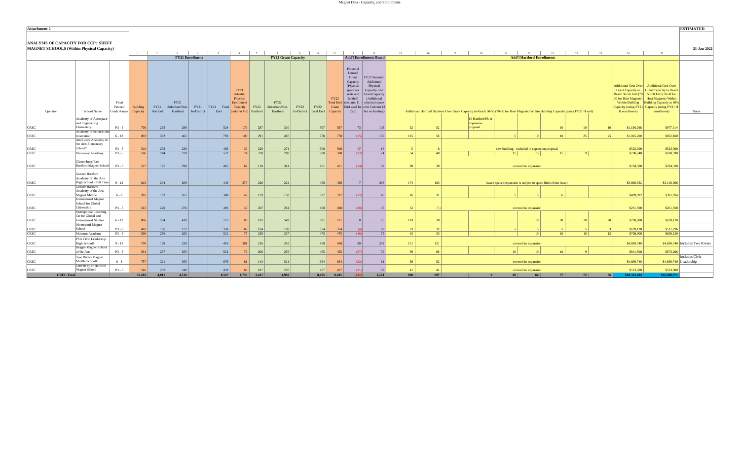| <b>Attachment 2</b>                        |                                                  |                      |                             |                  |                              |                        |               |                                           |            |                                            |                                          |                            |                                                  |                                        |                |          |    |                                                                                                                                       |                                                                |                                         |                  |                 |    |                        |                                                                                         | <b>ESTIMATED</b>                |
|--------------------------------------------|--------------------------------------------------|----------------------|-----------------------------|------------------|------------------------------|------------------------|---------------|-------------------------------------------|------------|--------------------------------------------|------------------------------------------|----------------------------|--------------------------------------------------|----------------------------------------|----------------|----------|----|---------------------------------------------------------------------------------------------------------------------------------------|----------------------------------------------------------------|-----------------------------------------|------------------|-----------------|----|------------------------|-----------------------------------------------------------------------------------------|---------------------------------|
|                                            |                                                  |                      |                             |                  |                              |                        |               |                                           |            |                                            |                                          |                            |                                                  |                                        |                |          |    |                                                                                                                                       |                                                                |                                         |                  |                 |    |                        |                                                                                         |                                 |
| <b>ANALYSIS OF CAPACITY FOR CCP: SHEFF</b> |                                                  |                      |                             |                  |                              |                        |               |                                           |            |                                            |                                          |                            |                                                  |                                        |                |          |    |                                                                                                                                       |                                                                |                                         |                  |                 |    |                        |                                                                                         |                                 |
| MAGNET SCHOOLS (Within Physical Capacity)  |                                                  |                      |                             |                  |                              |                        |               |                                           |            |                                            |                                          |                            |                                                  |                                        |                |          |    |                                                                                                                                       |                                                                |                                         |                  |                 |    |                        |                                                                                         | 21-Jan-2022                     |
|                                            |                                                  |                      | $\overline{1}$              | $\overline{2}$   |                              | <b>FY21 Enrollment</b> |               | 6                                         |            | $\mathbf{R}$<br><b>FY22 Grant Capacity</b> | 10<br>$\alpha$                           | 11                         | 12<br><b>Add'l Enrollments Based</b>             | 13                                     | 15             | 16       | 17 | 18                                                                                                                                    | 19                                                             | 20<br><b>Add'l Hartford Enrollments</b> | 21               | 22              | 23 | 24                     | 25                                                                                      |                                 |
|                                            |                                                  |                      |                             |                  |                              |                        |               |                                           |            |                                            |                                          |                            |                                                  |                                        |                |          |    |                                                                                                                                       |                                                                |                                         |                  |                 |    |                        |                                                                                         |                                 |
|                                            |                                                  |                      |                             |                  |                              |                        |               |                                           |            |                                            |                                          |                            | Potential                                        |                                        |                |          |    |                                                                                                                                       |                                                                |                                         |                  |                 |    |                        |                                                                                         |                                 |
|                                            |                                                  |                      |                             |                  |                              |                        |               |                                           |            |                                            |                                          |                            | Unused                                           |                                        |                |          |    |                                                                                                                                       |                                                                |                                         |                  |                 |    |                        |                                                                                         |                                 |
|                                            |                                                  |                      |                             |                  |                              |                        |               |                                           |            |                                            |                                          |                            | Grant<br>Capacity                                | FY22 Potential<br>Additional           |                |          |    |                                                                                                                                       |                                                                |                                         |                  |                 |    |                        |                                                                                         |                                 |
|                                            |                                                  |                      |                             |                  |                              |                        |               |                                           |            |                                            |                                          |                            | (Physical                                        | Physical                               |                |          |    |                                                                                                                                       |                                                                |                                         |                  |                 |    |                        | Additional Cost Over   Additional Cost Over                                             |                                 |
|                                            |                                                  |                      |                             |                  |                              |                        |               | FY21<br>Potential                         |            |                                            |                                          |                            | space for<br>seats and                           | Capacity over<br><b>Grant Capacity</b> |                |          |    |                                                                                                                                       |                                                                |                                         |                  |                 |    |                        | Grant Capacity to Grant Capacity to Reach<br>Reach 50-50 Enrl (70-50-50 Enrl (70-30 for |                                 |
|                                            |                                                  |                      |                             |                  |                              |                        |               | Physical                                  |            |                                            |                                          | FY22                       | funded)                                          | (Additional                            |                |          |    |                                                                                                                                       |                                                                |                                         |                  |                 |    |                        | 30 for Host Magnets) Host Magnets) Within                                               |                                 |
|                                            |                                                  | Final<br>Planned     |                             |                  | <b>FY21</b><br>Suburban/Non- | FY21                   | $ FY21$ Total | Enrollment                                |            | FY22<br>Suburban/Non-                      |                                          | <b>Total Enrl</b><br>Grant | $ $ (column 11 -<br>Enrl used for over Column 12 | physical space                         |                |          |    |                                                                                                                                       |                                                                |                                         |                  |                 |    |                        | Within Building Building Capacity at 80%                                                |                                 |
| Operator                                   | School Name                                      | Grade Range          | <b>Building</b><br>Capacity | FY21<br>Hartford | Hartford                     | In-District            | Enrl          | Capacity<br>$\vert$ (column 1-5) Hartford | FY22       | Hartford                                   | FY22<br>FY22<br>In-District   Total Enrl | Capacity                   | Cap)                                             | but no funding)                        |                |          |    | Additional Hartford Students Over Grant Capacity to Reach 50-50 (70-30 for Host Magnets) Within Building Capacity (using FY21 H enrl) |                                                                |                                         |                  |                 |    | H enrollment)          | Capacity (using FY21 Capacity (using FY21 H<br>enrollment)                              | <b>Notes</b>                    |
|                                            | Academy of Aerospace                             |                      |                             |                  |                              |                        |               |                                           |            |                                            |                                          |                            |                                                  |                                        |                |          |    | 10 Hartford Pk in                                                                                                                     |                                                                |                                         |                  |                 |    |                        |                                                                                         |                                 |
|                                            | and Engineering                                  |                      |                             |                  |                              |                        |               |                                           |            |                                            |                                          |                            |                                                  |                                        |                |          |    | expansion                                                                                                                             |                                                                |                                         |                  |                 |    |                        |                                                                                         |                                 |
| <b>CREC</b>                                | Elementary                                       | $P3 - 5$             | 700                         | 235              | 289                          |                        | 524           | 176                                       | 287        | 310                                        | 597                                      | 597                        | 73                                               | 103                                    | 52             | 52       |    | proposal                                                                                                                              |                                                                |                                         | 10 <sup>1</sup>  | 10 <sup>1</sup> | 10 | \$1,156,268            | \$977,314                                                                               |                                 |
| <b>CREC</b>                                | Academy of Science and<br>Innovation             | $6 - 12$             | 893                         | 332              | 461                          |                        | 793           | 100                                       | 291        | 487                                        | 778                                      | 778                        | (15)                                             | 100                                    | 115            | 58       |    |                                                                                                                                       |                                                                |                                         | 10 <sup>10</sup> | 25              | 25 | \$1,065,200            | \$852,160                                                                               |                                 |
|                                            | Ana Grace Academy of                             |                      |                             |                  |                              |                        |               |                                           |            |                                            |                                          |                            |                                                  |                                        |                |          |    |                                                                                                                                       |                                                                |                                         |                  |                 |    |                        |                                                                                         |                                 |
| <b>CREC</b>                                | the Arts Elementary<br>School*                   | $P3 - 5$             | 516                         | 253              | 230                          |                        | 483           | 33                                        | 229        | 271                                        | 500                                      | 500                        | 17                                               | 16                                     |                |          |    |                                                                                                                                       | new building - included in expansion proposal                  |                                         |                  |                 |    | \$523,000              | \$523,000                                                                               |                                 |
| <b>CREC</b>                                | Discovery Academy                                | $P3 - 5$             | 596                         | 244              | 278                          |                        | 522           | 74                                        | 220        | 280                                        | 500                                      | 500                        | (22)                                             | 74                                     | 54             | 48       |    |                                                                                                                                       | 15 <sup>1</sup>                                                | 15 <sup>1</sup>                         | 15 <sup>1</sup>  | 9 <sup>1</sup>  |    | \$788,248              | \$630,598                                                                               |                                 |
|                                            |                                                  |                      |                             |                  |                              |                        |               |                                           |            |                                            |                                          |                            |                                                  |                                        |                |          |    |                                                                                                                                       |                                                                |                                         |                  |                 |    |                        |                                                                                         |                                 |
| <b>CREC</b>                                | Glastonbury/East<br>Hartford Magnet School       | $P3 - 5$             | 527                         | 175              | 290                          |                        | 465           | 62                                        | 110        | 341                                        | 451                                      | 451                        | (14)                                             | 62                                     | 89             | 38       |    |                                                                                                                                       | covered in expansion                                           |                                         |                  |                 |    | \$784,500              | \$784,500                                                                               |                                 |
|                                            |                                                  |                      |                             |                  |                              |                        |               |                                           |            |                                            |                                          |                            |                                                  |                                        |                |          |    |                                                                                                                                       |                                                                |                                         |                  |                 |    |                        |                                                                                         |                                 |
|                                            | Greater Hartford<br>Academy of the Arts          |                      |                             |                  |                              |                        |               |                                           |            |                                            |                                          |                            |                                                  |                                        |                |          |    |                                                                                                                                       |                                                                |                                         |                  |                 |    |                        |                                                                                         |                                 |
| <b>CREC</b>                                | High School - Full Time 9 - 12                   |                      | 816                         | 234              | 209                          |                        | 443           | 373                                       | 226        | 224                                        | 450                                      | 450                        | 7                                                | 366                                    | 174            | 183      |    |                                                                                                                                       | leased space (expansion is subject to space limits from lease) |                                         |                  |                 |    | \$3,898,632            | \$3,118,906                                                                             |                                 |
|                                            | <b>Greater Hartford</b><br>Academy of the Arts   |                      |                             |                  |                              |                        |               |                                           |            |                                            |                                          |                            |                                                  |                                        |                |          |    |                                                                                                                                       |                                                                |                                         |                  |                 |    |                        |                                                                                         |                                 |
| <b>CREC</b>                                | Magnet Middle                                    | $6 - 8$              | 395                         | 182              | 167                          |                        | 349           | 46                                        | 179        | 158                                        | 337                                      | 337                        | (12)                                             | 46                                     | 16             | 31       |    |                                                                                                                                       |                                                                |                                         |                  |                 |    | \$489,992              | \$391,994                                                                               |                                 |
|                                            | <b>International Magnet</b><br>School for Global |                      |                             |                  |                              |                        |               |                                           |            |                                            |                                          |                            |                                                  |                                        |                |          |    |                                                                                                                                       |                                                                |                                         |                  |                 |    |                        |                                                                                         |                                 |
| <b>CREC</b>                                | Citizenship                                      | $P3 - 5$             | 543                         | 220              | 276                          |                        | 496           | 47                                        | 207        | 261                                        | 468                                      | 468                        | (28)                                             | 47                                     | 52             |          |    |                                                                                                                                       | covered in expansion                                           |                                         |                  |                 |    | \$261,500              | \$261,500                                                                               |                                 |
|                                            | Metropolitan Learning<br>Ctr for Global and      |                      |                             |                  |                              |                        |               |                                           |            |                                            |                                          |                            |                                                  |                                        |                |          |    |                                                                                                                                       |                                                                |                                         |                  |                 |    |                        |                                                                                         |                                 |
| <b>CREC</b>                                | <b>International Studies</b>                     | $6 - 12$             | 806                         | 284              | 439                          |                        | 723           | 83                                        | 182        | 549                                        | 731                                      | 731                        | $\mathbf{8}$                                     | 75                                     | 119            | 38       |    |                                                                                                                                       |                                                                |                                         | 20               | 20 <sup>1</sup> | 20 | \$798,900              | \$639,120                                                                               |                                 |
|                                            | Montessori Magnet                                |                      |                             |                  |                              |                        |               |                                           |            |                                            |                                          |                            |                                                  |                                        |                |          |    |                                                                                                                                       |                                                                |                                         |                  |                 |    |                        |                                                                                         |                                 |
| <b>CREC</b><br><b>CREC</b>                 | School<br>Museum Academy                         | $P3 - 6$<br>$P3 - 5$ | 418<br>596                  | 186<br>256       | 172<br>265                   |                        | 358<br>521    | 60<br>75                                  | 164<br>238 | 190<br>237                                 | 354<br>475                               | 354<br>475                 | (4)<br>(46)                                      | 60<br>75                               | 23<br>42       | 32<br>33 |    |                                                                                                                                       |                                                                | 10 <sup>1</sup>                         | 10 <sup>1</sup>  | 10 <sup>1</sup> | 12 | \$639,120<br>\$798,900 | \$511,296<br>\$639,120                                                                  |                                 |
|                                            | PSA Civic Leadership                             |                      |                             |                  |                              |                        |               |                                           |            |                                            |                                          |                            |                                                  |                                        |                |          |    |                                                                                                                                       |                                                                |                                         |                  |                 |    |                        |                                                                                         |                                 |
| <b>CREC</b>                                | High School#                                     | $9 - 12$             | 700                         | 199              | 220                          |                        | 419           | 281                                       | 216        | 242                                        | 458                                      | 458                        | 39                                               | 242                                    | 121            | 121      |    |                                                                                                                                       | covered in expansion                                           |                                         |                  |                 |    | \$4,699,740            |                                                                                         | \$4,699,740 includes Two Rivers |
| <b>CREC</b>                                | Reggio Magnet School<br>of the Arts              | $P3 - 5$             | 591                         | 257              | 255                          |                        | 512           | 79                                        | 200        | 255                                        | 455                                      | 455                        | (57)                                             | 79                                     | 39             | 68       |    |                                                                                                                                       | 10 <sup>1</sup>                                                |                                         | 10 <sup>1</sup>  |                 |    | \$841,508              | \$673,206                                                                               |                                 |
|                                            | Two Rivers Magnet                                |                      |                             |                  |                              |                        |               |                                           |            |                                            |                                          |                            |                                                  |                                        |                |          |    |                                                                                                                                       |                                                                |                                         |                  |                 |    |                        |                                                                                         | includes Civic                  |
| <b>CREC</b>                                | Middle School#                                   | $6 - 8$              | 757                         | 321              | 355                          |                        | 676           | 81                                        | 143        | 511                                        | 654                                      | 654                        | (22)                                             | 81                                     | 58             | 52       |    |                                                                                                                                       | covered in expansion                                           |                                         |                  |                 |    | \$4,699,740            |                                                                                         | $$4,699,740$ Leadership         |
| <b>CREC</b>                                | University of Hartford<br>Magnet School          | $P3 - 5$             | 546                         | 232              | 246                          |                        | 478           | 68                                        | 187        | 270                                        | 457                                      | 457                        | (21)                                             | 68                                     | $\overline{A}$ | 45       |    |                                                                                                                                       | covered in expansion                                           |                                         |                  |                 |    | \$523,000              | \$523,000                                                                               |                                 |
| <b>CREC Total</b>                          |                                                  |                      | 10,283                      | 4,011            | 4.536                        |                        | 8.547         | 1.736                                     | 3,417      | 4.988                                      | 8,405                                    | 8.405                      | (142)                                            | 1.274                                  | 830            | 697      |    |                                                                                                                                       | $\overline{10}$                                                | 60                                      | 77               | 72              | 56 | \$18,312,404           | \$16,060,571                                                                            |                                 |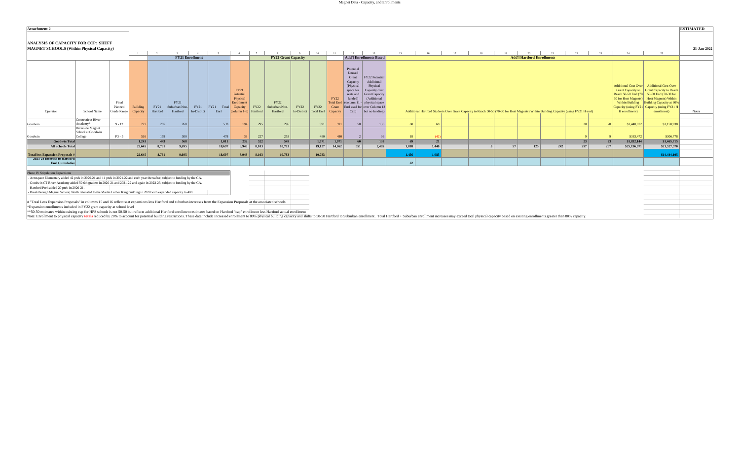| <b>Attachment 2</b>                                                                                                                                                                                                                                                                                                                                                                                                                                   |                              |                        |                      |                  |                           |                        |                       |                                             |             |                            |      |                                             |              |                                                                                            |                                                                                                                                             |       |    |            |                                                                                                                                       |    |                                   |     |     |     |    |                          |                                                                                                                                                                                                                                 | <b>ESTIMATED</b> |
|-------------------------------------------------------------------------------------------------------------------------------------------------------------------------------------------------------------------------------------------------------------------------------------------------------------------------------------------------------------------------------------------------------------------------------------------------------|------------------------------|------------------------|----------------------|------------------|---------------------------|------------------------|-----------------------|---------------------------------------------|-------------|----------------------------|------|---------------------------------------------|--------------|--------------------------------------------------------------------------------------------|---------------------------------------------------------------------------------------------------------------------------------------------|-------|----|------------|---------------------------------------------------------------------------------------------------------------------------------------|----|-----------------------------------|-----|-----|-----|----|--------------------------|---------------------------------------------------------------------------------------------------------------------------------------------------------------------------------------------------------------------------------|------------------|
| <b>ANALYSIS OF CAPACITY FOR CCP: SHEFF</b><br><b>MAGNET SCHOOLS (Within Physical Capacity)</b>                                                                                                                                                                                                                                                                                                                                                        |                              |                        | $\overline{1}$       |                  |                           |                        |                       |                                             |             |                            | Q    | 10                                          | 11           | 12                                                                                         |                                                                                                                                             | 15    |    |            |                                                                                                                                       |    |                                   |     | 22  | 23  |    | 24                       | 25                                                                                                                                                                                                                              | 21-Jan-2022      |
|                                                                                                                                                                                                                                                                                                                                                                                                                                                       |                              |                        |                      |                  |                           | <b>FY21 Enrollment</b> |                       |                                             |             | <b>FY22 Grant Capacity</b> |      |                                             |              |                                                                                            | <b>Add'l Enrollments Based</b>                                                                                                              |       |    |            |                                                                                                                                       |    | <b>Add'l Hartford Enrollments</b> |     |     |     |    |                          |                                                                                                                                                                                                                                 |                  |
|                                                                                                                                                                                                                                                                                                                                                                                                                                                       |                              | Final                  |                      |                  | FY21                      |                        |                       | FY21<br>Potential<br>Physical<br>Enrollment |             | FY22                       |      |                                             | FY22         | Potential<br>Unused<br>Grant<br>Capacity<br>(Physical<br>space for<br>seats and<br>funded) | FY22 Potential<br>Additional<br>Physical<br>Capacity over<br><b>Grant Capacity</b><br>(Additional<br>Total Enrl (column 11 - physical space |       |    |            |                                                                                                                                       |    |                                   |     |     |     |    |                          | Additional Cost Over   Additional Cost Over<br>Grant Capacity to Grant Capacity to Reach<br>Reach 50-50 Enrl (70-50-50 Enrl (70-30 for<br>30 for Host Magnets) Host Magnets) Within<br>Within Building Building Capacity at 80% |                  |
| Operator                                                                                                                                                                                                                                                                                                                                                                                                                                              | School Name                  | Planned<br>Grade Range | Building<br>Capacity | FY21<br>Hartford | Suburban/Non-<br>Hartford | FY21<br>In-District    | FY21<br>Total<br>Enrl | Capacity<br>$\vert$ (column 1-5) Hartford   | <b>FY22</b> | Suburban/Non-<br>Hartford  | FY22 | FY22<br>In-District   Total Enrl   Capacity | Grant        | Cap)                                                                                       | Enrl used for over Column 12<br>but no funding)                                                                                             |       |    |            | Additional Hartford Students Over Grant Capacity to Reach 50-50 (70-30 for Host Magnets) Within Building Capacity (using FY21 H enrl) |    |                                   |     |     |     |    | H enrollment)            | Capacity (using FY21 Capacity (using FY21 H<br>enrollment)                                                                                                                                                                      | <b>Notes</b>     |
|                                                                                                                                                                                                                                                                                                                                                                                                                                                       | <b>Connecticut River</b>     |                        |                      |                  |                           |                        |                       |                                             |             |                            |      |                                             |              |                                                                                            |                                                                                                                                             |       |    |            |                                                                                                                                       |    |                                   |     |     |     |    |                          |                                                                                                                                                                                                                                 |                  |
| Goodwin                                                                                                                                                                                                                                                                                                                                                                                                                                               | Academy*<br>Riverside Magnet | $9 - 12$               | 727                  | 265              | 268                       |                        | 533                   | 194                                         | 295         | 296                        |      | 591                                         | 591          | 58                                                                                         | 136                                                                                                                                         | 68    |    | 68         |                                                                                                                                       |    |                                   |     | 20  |     | 20 | \$1,448,672              | \$1,158,938                                                                                                                                                                                                                     |                  |
|                                                                                                                                                                                                                                                                                                                                                                                                                                                       | School at Goodwin            |                        |                      |                  |                           |                        |                       |                                             |             |                            |      |                                             |              |                                                                                            |                                                                                                                                             |       |    |            |                                                                                                                                       |    |                                   |     |     |     |    |                          |                                                                                                                                                                                                                                 |                  |
| Goodwin<br><b>Goodwin Total</b>                                                                                                                                                                                                                                                                                                                                                                                                                       | College                      | $P3 - 5$               | 516<br>1,243         | 178<br>443       | 300<br>568                |                        | 478<br>1,011          | 232                                         | 227<br>522  | 253<br>549                 |      | 480<br>1,071                                | 480<br>1,071 | 60                                                                                         | 138                                                                                                                                         |       | 69 | (42)<br>21 |                                                                                                                                       |    |                                   |     | 23  |     | 23 | \$383,472<br>\$1,832,144 | \$306,778<br>\$1,465,715                                                                                                                                                                                                        |                  |
| <b>All Schools Total</b>                                                                                                                                                                                                                                                                                                                                                                                                                              |                              |                        | 22,645               | 8,761            | 9.695                     |                        | 18,697                | 3,948                                       | 8.103       | 10.783                     |      | 19,127                                      | 14,862       | 551                                                                                        | 2,405                                                                                                                                       | 1.818 |    | 1,440      | $\sim$                                                                                                                                | 57 | 125                               | 242 | 297 | 267 |    | \$25,136,071             | \$21,527,570                                                                                                                                                                                                                    |                  |
|                                                                                                                                                                                                                                                                                                                                                                                                                                                       |                              |                        |                      |                  |                           |                        |                       |                                             |             |                            |      |                                             |              |                                                                                            |                                                                                                                                             |       |    |            |                                                                                                                                       |    |                                   |     |     |     |    |                          |                                                                                                                                                                                                                                 |                  |
| <b>Total less Expansion Proposals #</b>                                                                                                                                                                                                                                                                                                                                                                                                               |                              |                        | 22,645               | 8,761            | 9.695                     |                        | 18,697                | 3.948                                       | 8.103       | 10,783                     |      | 10,783                                      |              |                                                                                            |                                                                                                                                             | 1,456 |    | 1.085      |                                                                                                                                       |    |                                   |     |     |     |    |                          | \$14,444,10                                                                                                                                                                                                                     |                  |
| 2023-24 Increase to Hartford<br><b>Enrl Cumulative</b>                                                                                                                                                                                                                                                                                                                                                                                                |                              |                        |                      |                  |                           |                        |                       |                                             |             |                            |      |                                             |              |                                                                                            |                                                                                                                                             |       | 62 |            |                                                                                                                                       |    |                                   |     |     |     |    |                          |                                                                                                                                                                                                                                 |                  |
|                                                                                                                                                                                                                                                                                                                                                                                                                                                       |                              |                        |                      |                  |                           |                        |                       |                                             |             |                            |      |                                             |              |                                                                                            |                                                                                                                                             |       |    |            |                                                                                                                                       |    |                                   |     |     |     |    |                          |                                                                                                                                                                                                                                 |                  |
| <b>Phase IV Stipulation Expansions</b>                                                                                                                                                                                                                                                                                                                                                                                                                |                              |                        |                      |                  |                           |                        |                       |                                             |             |                            |      |                                             |              |                                                                                            |                                                                                                                                             |       |    |            |                                                                                                                                       |    |                                   |     |     |     |    |                          |                                                                                                                                                                                                                                 |                  |
| Aerospace Elementary added 42 prek in 2020-21 and 11 prek in 2021-22 and each year thereafter, subject to funding by the GA.                                                                                                                                                                                                                                                                                                                          |                              |                        |                      |                  |                           |                        |                       |                                             |             |                            |      |                                             |              |                                                                                            |                                                                                                                                             |       |    |            |                                                                                                                                       |    |                                   |     |     |     |    |                          |                                                                                                                                                                                                                                 |                  |
| Goodwin CT River Academy added 50 6th graders in 2020-21 and 2021-22 and again in 2022-23, subject to funding by the GA.<br>Hartford Prek added 20 prek in 2020-21.                                                                                                                                                                                                                                                                                   |                              |                        |                      |                  |                           |                        |                       |                                             |             |                            |      |                                             |              |                                                                                            |                                                                                                                                             |       |    |            |                                                                                                                                       |    |                                   |     |     |     |    |                          |                                                                                                                                                                                                                                 |                  |
| Breakthrough Magnet School, North relocated to the Martin Luther King building in 2020 with expanded capacity to 400.                                                                                                                                                                                                                                                                                                                                 |                              |                        |                      |                  |                           |                        |                       |                                             |             |                            |      |                                             |              |                                                                                            |                                                                                                                                             |       |    |            |                                                                                                                                       |    |                                   |     |     |     |    |                          |                                                                                                                                                                                                                                 |                  |
| # "Total Less Expansion Proposals" in columns 15 and 16 reflect seat expansions less Hartford and suburban increases from the Expansion Proposals at the associated schools.<br>*Expansion enrollments included in FY22 grant capacity at school level<br>**50-50 estimates within existing cap for HPS schools is not 50-50 but reflects additional Hartford enrollment estimates based on Hartford "cap" enrollment less Hartford actual enrollment |                              |                        |                      |                  |                           |                        |                       |                                             |             |                            |      |                                             |              |                                                                                            |                                                                                                                                             |       |    |            |                                                                                                                                       |    |                                   |     |     |     |    |                          |                                                                                                                                                                                                                                 |                  |
| Note: Enrollment to physical capacity totals reduced by 20% to account for potential building restrictions. These data include increased enrollment to 80% physical building capacity and shifts to 50-50 Hartford to Suburban                                                                                                                                                                                                                        |                              |                        |                      |                  |                           |                        |                       |                                             |             |                            |      |                                             |              |                                                                                            |                                                                                                                                             |       |    |            |                                                                                                                                       |    |                                   |     |     |     |    |                          |                                                                                                                                                                                                                                 |                  |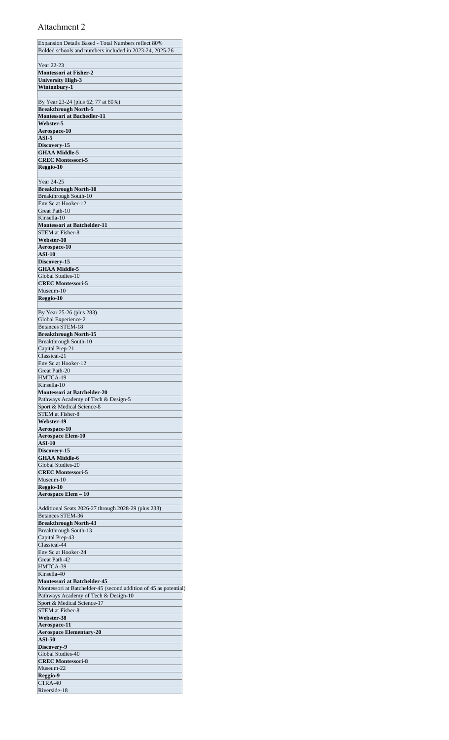| Expansion Details Based - Total Numbers reflect 80%               |
|-------------------------------------------------------------------|
| Bolded schools and numbers included in 2023-24, 2025-26           |
|                                                                   |
| Year 22-23                                                        |
| <b>Montessori at Fisher-2</b>                                     |
| <b>University High-3</b>                                          |
| Wintonbury-1                                                      |
|                                                                   |
| By Year 23-24 (plus 62; 77 at 80%)<br><b>Breakthrough North-5</b> |
| <b>Montessori at Bachedler-11</b>                                 |
| Webster-5                                                         |
| Aerospace-10                                                      |
| $ASI-5$                                                           |
| Discovery-15                                                      |
| <b>GHAA Middle-5</b>                                              |
| <b>CREC Montessori-5</b>                                          |
| Reggio-10                                                         |
|                                                                   |
| Year 24-25                                                        |
| <b>Breakthrough North-10</b>                                      |
| Breakthrough South-10                                             |
| Env Sc at Hooker-12                                               |
| Great Path-10                                                     |
| Kinsella-10                                                       |
| <b>Montessori at Batchelder-11</b>                                |
| STEM at Fisher-8                                                  |
| Webster-10                                                        |
| Aerospace-10<br><b>ASI-10</b>                                     |
| Discovery-15                                                      |
| <b>GHAA Middle-5</b>                                              |
| Global Studies-10                                                 |
| <b>CREC Montessori-5</b>                                          |
| Museum-10                                                         |
| Reggio-10                                                         |
|                                                                   |
| By Year 25-26 (plus 283)                                          |
| Global Experience-2                                               |
| <b>Betances STEM-18</b>                                           |
| <b>Breakthrough North-15</b>                                      |
| Breakthrough South-10                                             |
| Capital Prep-21                                                   |
| Classical-21                                                      |
| Env Sc at Hooker-12                                               |
| Great Path-20<br>HMTCA-19                                         |
| Kinsella-10                                                       |
| <b>Montessori at Batchelder-20</b>                                |
| Pathways Academy of Tech & Design-5                               |
| Sport & Medical Science-8                                         |
| STEM at Fisher-8                                                  |
| Webster-19                                                        |
| <b>Aerospace-10</b>                                               |
| <b>Aerospace Elem-10</b>                                          |
| ASI-10                                                            |
| Discovery-15                                                      |
| <b>GHAA Middle-6</b>                                              |
| Global Studies-20                                                 |
| <b>CREC Montessori-5</b>                                          |
| Museum-10                                                         |
| Reggio-10                                                         |
| Aerospace Elem - 10                                               |
| Additional Seats 2026-27 through 2028-29 (plus 233)               |
| Betances STEM-36                                                  |
| <b>Breakthrough North-43</b>                                      |
| Breakthrough South-13                                             |
| Capital Prep-43                                                   |
| Classical-44                                                      |
| Env Sc at Hooker-24                                               |
| Great Path-42                                                     |
| HMTCA-39                                                          |
| Kinsella-40                                                       |
| <b>Montessori at Batchelder-45</b>                                |
| Montessori at Batchelder-45 (second addition of 45 as potential)  |
| Pathways Academy of Tech & Design-10                              |
| Sport & Medical Science-17<br><b>STEM</b> at Fisher-8             |
| Webster-38                                                        |
| Aerospace-11                                                      |
| <b>Aerospace Elementary-20</b>                                    |
| <b>ASI-50</b>                                                     |
| Discovery-9                                                       |
| Global Studies-40                                                 |
| <b>CREC Montessori-8</b>                                          |
| Museum-22                                                         |
| Reggio-9                                                          |
| CTRA-40                                                           |
| Riverside-18                                                      |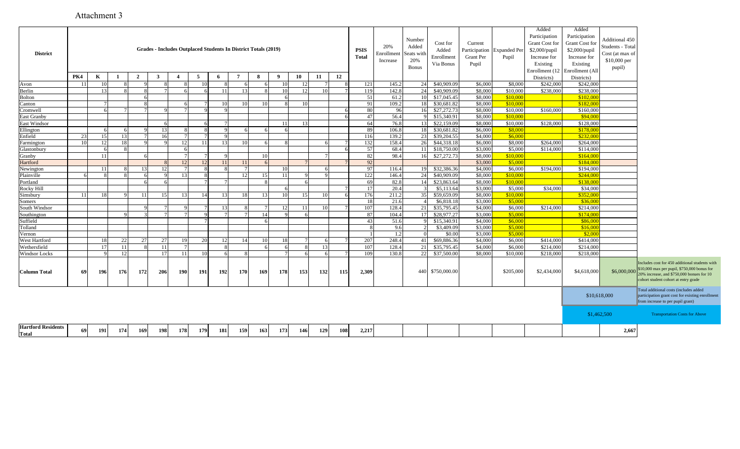| <b>District</b>                           |     |     |     |                |              |                |     | Grades - Includes Outplaced Students In District Totals (2019) |                 |     |                 |                |     |     | <b>PSIS</b><br><b>Total</b> | 20%<br>Enrollment<br>Increase | Number<br>Added<br>Seats wit<br>20%<br><b>Bonus</b> | Cost for<br>Added<br>Enrollment<br>Via Bonus | Current<br>Participation<br>Grant Per<br>Pupil | <b>Expanded Per</b><br>Pupil | Added<br>Participation<br><b>Grant Cost for</b><br>$$2,000$ /pupil<br>Increase for<br>Existing<br>Enrollment (12 | Added<br>Participation<br>Grant Cost for<br>\$2,000/pupil<br>Increase for<br>Existing<br>Enrollment (All | Additional 450<br>Students - Total<br>Cost (at max of<br>\$10,000 per<br>pupil) |                                                                                                                                                                                    |
|-------------------------------------------|-----|-----|-----|----------------|--------------|----------------|-----|----------------------------------------------------------------|-----------------|-----|-----------------|----------------|-----|-----|-----------------------------|-------------------------------|-----------------------------------------------------|----------------------------------------------|------------------------------------------------|------------------------------|------------------------------------------------------------------------------------------------------------------|----------------------------------------------------------------------------------------------------------|---------------------------------------------------------------------------------|------------------------------------------------------------------------------------------------------------------------------------------------------------------------------------|
|                                           | PK4 | K   |     | $\overline{2}$ | $\mathbf{3}$ | $\overline{4}$ | 5   | -6                                                             | 7               | 8   | - 9             | 10             | 11  | 12  |                             |                               |                                                     |                                              |                                                |                              | Districts)                                                                                                       | Districts)                                                                                               |                                                                                 |                                                                                                                                                                                    |
| Avon                                      | -11 | 10  |     |                |              |                |     |                                                                |                 |     | 10              |                |     |     | 121                         | 145.2                         | 24                                                  | \$40,909.09                                  | \$6,000                                        | \$8,000                      | \$242,000                                                                                                        | \$242,000                                                                                                |                                                                                 |                                                                                                                                                                                    |
| Berlin                                    |     | 13  |     |                |              |                |     | 11                                                             | 13              |     | 10              |                |     |     | 119                         | 142.8                         | 24                                                  | \$40,909.09                                  | \$8,000                                        | \$10,000                     | \$238,000                                                                                                        | \$238,000                                                                                                |                                                                                 |                                                                                                                                                                                    |
| Bolton                                    |     |     |     |                |              |                |     |                                                                |                 |     | -6              |                |     |     | 51                          | 61.2                          | 10 <sup>1</sup>                                     | \$17,045.45                                  | \$8,000                                        | \$10,000                     |                                                                                                                  | \$102,00                                                                                                 |                                                                                 |                                                                                                                                                                                    |
| Canton                                    |     |     |     | $\mathbf{R}$   |              |                |     | 10                                                             | 10 <sup>1</sup> | 10  | $\mathbf{R}$    | 10             |     |     | 91                          | 109.2                         | 18                                                  | \$30,681.82                                  | \$8,000                                        | \$10,000                     |                                                                                                                  | \$182,000                                                                                                |                                                                                 |                                                                                                                                                                                    |
| Cromwell                                  |     | -6  |     |                |              |                |     |                                                                |                 |     |                 |                |     | -6  | 80                          | 96                            | 16                                                  | \$27,272.73                                  | \$8,000                                        | \$10,000                     | \$160,000                                                                                                        | \$160,000                                                                                                |                                                                                 |                                                                                                                                                                                    |
| East Granby                               |     |     |     |                |              |                |     |                                                                |                 |     |                 |                |     | -6  | 47                          | 56.4                          | $\Omega$                                            | \$15,340.91                                  | \$8,000                                        | \$10,000                     |                                                                                                                  | \$94,000                                                                                                 |                                                                                 |                                                                                                                                                                                    |
| East Windsor                              |     |     |     |                |              |                |     |                                                                |                 |     | -11             | 13             |     |     | 64                          | 76.8                          | 13                                                  | \$22,159.09                                  | \$8,000                                        | \$10,000                     | \$128,000                                                                                                        | \$128,000                                                                                                |                                                                                 |                                                                                                                                                                                    |
| Ellington                                 |     | 6   |     |                | 13           |                |     |                                                                |                 |     |                 |                |     |     | 89                          | 106.8                         | 18                                                  | \$30,681.82                                  | \$6,000                                        | \$8,000                      |                                                                                                                  | \$178,00                                                                                                 |                                                                                 |                                                                                                                                                                                    |
| Enfield                                   | 23  | 15  | 13  |                | 16           |                |     |                                                                |                 |     |                 |                |     |     | 116                         | 139.2                         | 23                                                  | \$39,204.55                                  | \$4,000                                        | \$6,000                      |                                                                                                                  | \$232,00                                                                                                 |                                                                                 |                                                                                                                                                                                    |
| Farmington                                | 10  | 12  |     |                |              | 12             |     | 13                                                             |                 |     |                 |                |     |     | 132                         | 158.4                         | 26                                                  | \$44,318.18                                  | \$6,000                                        | \$8,000                      | \$264,000                                                                                                        | \$264,000                                                                                                |                                                                                 |                                                                                                                                                                                    |
| Glastonbury                               |     | 6   |     |                |              |                |     |                                                                |                 |     |                 |                |     |     | 57                          | 68.4                          | 11 <sup> </sup>                                     | \$18,750.00                                  | \$3,000                                        | \$5,000                      | \$114,000                                                                                                        | \$114,000                                                                                                |                                                                                 |                                                                                                                                                                                    |
| Granby                                    |     | 11  |     |                |              |                |     |                                                                |                 | 10  |                 |                |     |     | 82                          | 98.4                          | 16                                                  | \$27,272.73                                  | \$8,000                                        | \$10,000                     |                                                                                                                  | \$164,000                                                                                                |                                                                                 |                                                                                                                                                                                    |
| Hartford                                  |     |     |     |                |              | 12             |     | 12<br>11                                                       | 11              |     |                 |                |     |     | 92                          |                               |                                                     |                                              | \$3,000                                        | \$5,000                      |                                                                                                                  | \$184,000                                                                                                |                                                                                 |                                                                                                                                                                                    |
| Newington                                 |     | 11  |     | 13             | 12           |                |     |                                                                |                 |     | 10              |                |     |     | 97                          | 116.4                         | 19                                                  | \$32,386.36                                  | \$4,000                                        | \$6,000                      | \$194,000                                                                                                        | \$194,000                                                                                                |                                                                                 |                                                                                                                                                                                    |
| Plainville                                |     | -8  |     | -6             |              | -13            |     |                                                                | 12              | 15  | -11             |                |     |     | 122                         | 146.4                         | 24                                                  | \$40,909.09                                  | \$8,000                                        | \$10,000                     |                                                                                                                  | \$244,00                                                                                                 |                                                                                 |                                                                                                                                                                                    |
| Portland                                  |     |     |     | 6              |              |                |     |                                                                |                 |     |                 |                |     |     | 69                          | 82.8                          | 14                                                  | \$23,863.64                                  | \$8,000                                        | \$10,000                     |                                                                                                                  | \$138,00                                                                                                 |                                                                                 |                                                                                                                                                                                    |
| Rocky Hill                                |     |     |     |                |              |                |     |                                                                |                 |     | 6               |                |     |     | 17                          | 20.4                          |                                                     | \$5,113.64                                   | \$3,000                                        | \$5,000                      | \$34,000                                                                                                         | \$34,000                                                                                                 |                                                                                 |                                                                                                                                                                                    |
| Simsbury                                  | -11 | 18  |     | 11             | 15           |                |     |                                                                | 18              |     | 10 <sup>1</sup> | 1 <sup>5</sup> |     |     | 176                         | 211.2                         | 35                                                  | \$59,659.09                                  | \$8,000                                        | \$10,000                     |                                                                                                                  | \$352,00                                                                                                 |                                                                                 |                                                                                                                                                                                    |
| Somers                                    |     |     |     |                |              |                |     |                                                                |                 |     |                 |                |     |     | 18                          | 21.6                          |                                                     | \$6,818.18                                   | \$3,000                                        | \$5,000                      |                                                                                                                  | \$36,00                                                                                                  |                                                                                 |                                                                                                                                                                                    |
| South Windsor                             |     |     |     |                |              |                |     |                                                                |                 |     | 12              | 11             |     |     | 107                         | 128.4                         | 21                                                  | \$35,795.45                                  | \$4,000                                        | \$6,000                      | \$214,000                                                                                                        | \$214,000                                                                                                |                                                                                 |                                                                                                                                                                                    |
| Southington                               |     |     |     |                |              |                |     |                                                                |                 | 14  | $\Omega$        |                |     |     | 87                          | 104.4                         | 17                                                  | \$28,977.27                                  | \$3,000                                        | \$5,000                      |                                                                                                                  | \$174,000                                                                                                |                                                                                 |                                                                                                                                                                                    |
| Suffield                                  |     |     |     |                |              |                |     |                                                                |                 |     |                 |                |     |     | 43                          | 51.6                          | $\Omega$                                            | \$15,340.91                                  | \$4,000                                        | \$6,000                      |                                                                                                                  | \$86,000                                                                                                 |                                                                                 |                                                                                                                                                                                    |
| Tolland                                   |     |     |     |                |              |                |     |                                                                |                 |     |                 |                |     |     |                             | 9.6                           |                                                     | \$3,409.09                                   | \$3,000                                        | \$5,000                      |                                                                                                                  | \$16,000                                                                                                 |                                                                                 |                                                                                                                                                                                    |
| Vernon                                    |     |     |     |                |              |                |     |                                                                |                 |     |                 |                |     |     |                             | 1.2                           | $\Omega$                                            | \$0.00                                       | \$3,000                                        | \$5,000                      |                                                                                                                  | \$2,000                                                                                                  |                                                                                 |                                                                                                                                                                                    |
| West Hartford                             |     | 18  | 22  | 27             | 27           | 19             | 20  | 12                                                             | 14              | 10  | 18              |                |     |     | 207                         | 248.4                         | 41                                                  | \$69,886.36                                  | \$4,000                                        | \$6,000                      | \$414,000                                                                                                        | \$414,000                                                                                                |                                                                                 |                                                                                                                                                                                    |
| Wethersfield                              |     | 17  | 11  | $\mathbf{R}$   | 11           |                |     |                                                                |                 |     |                 |                | 13  |     | 107                         | 128.4                         | 21                                                  | \$35,795.45                                  | \$4,000                                        | \$6,000                      | \$214,000                                                                                                        | \$214,000                                                                                                |                                                                                 |                                                                                                                                                                                    |
| Windsor Locks                             |     |     | 12  |                | 17           | -11            |     |                                                                |                 |     |                 |                |     |     | 109                         | 130.8                         | 22                                                  | \$37,500.00                                  | \$8,000                                        | \$10,000                     | \$218,000                                                                                                        | \$218,000                                                                                                |                                                                                 |                                                                                                                                                                                    |
| <b>Column Total</b>                       | 69  | 196 | 176 | 172            | 206          | 190            | 191 | 192                                                            | 170             | 169 | 178             | 153            | 132 | 115 | 2,309                       |                               |                                                     | 440 \$750,000.00                             |                                                | \$205,000                    | \$2,434,000                                                                                                      | \$4,618,000                                                                                              | \$6,000,000                                                                     | Includes cost for 450 additional students with<br>\$10,000 max per pupil, \$750,000 bonus for<br>20% increase, and \$750,000 bonues for 10<br>cohort student cohort at entry grade |
|                                           |     |     |     |                |              |                |     |                                                                |                 |     |                 |                |     |     |                             |                               |                                                     |                                              |                                                |                              |                                                                                                                  | \$10,618,000                                                                                             |                                                                                 | Total additional costs (includes added<br>participation grant cost for existing enrollmen<br>from increase to per pupil grant)                                                     |
|                                           |     |     |     |                |              |                |     |                                                                |                 |     |                 |                |     |     |                             |                               |                                                     |                                              |                                                |                              |                                                                                                                  | \$1,462,500                                                                                              |                                                                                 | <b>Transportation Costs for Above</b>                                                                                                                                              |
| <b>Hartford Residents</b><br><b>Total</b> | 69  | 191 | 174 | 169            | 198          | 178            | 179 | <b>181</b>                                                     | 159             | 163 | 173             | 146            | 129 | 108 | 2,217                       |                               |                                                     |                                              |                                                |                              |                                                                                                                  |                                                                                                          | 2,667                                                                           |                                                                                                                                                                                    |

pollment

# Attachment 3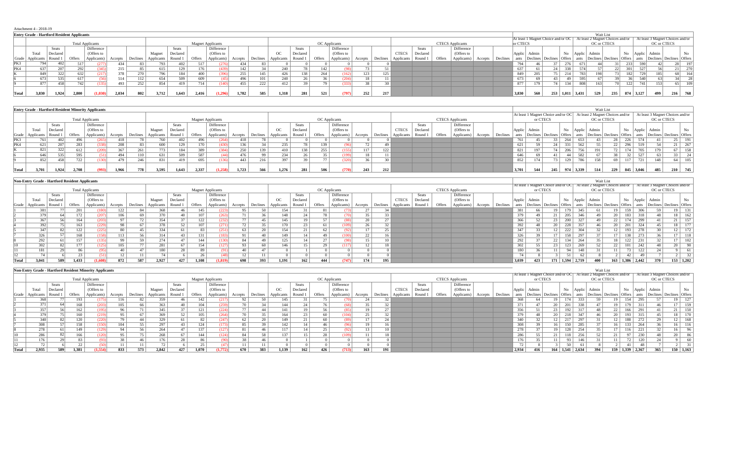| Attachment 4 - 2018-19 |  |
|------------------------|--|
|------------------------|--|

|       | $\cdots$                                          |              |        |                            |         |          |            |          |         |                          |         |          |            |          |               |             |         |          |              |          |        |                         |         |          |          |                          |                 |        |              |                                                                       |                 |              |                                  |                          |     |
|-------|---------------------------------------------------|--------------|--------|----------------------------|---------|----------|------------|----------|---------|--------------------------|---------|----------|------------|----------|---------------|-------------|---------|----------|--------------|----------|--------|-------------------------|---------|----------|----------|--------------------------|-----------------|--------|--------------|-----------------------------------------------------------------------|-----------------|--------------|----------------------------------|--------------------------|-----|
|       | <b>Entry Grade - Hartford Resident Applicants</b> |              |        |                            |         |          |            |          |         |                          |         |          |            |          |               |             |         |          |              |          |        |                         |         |          |          |                          |                 |        |              | Wait List                                                             |                 |              |                                  |                          |     |
|       |                                                   |              |        |                            |         |          |            |          |         |                          |         |          |            |          |               |             |         |          |              |          |        |                         |         |          |          |                          |                 |        |              | At least 1 Magnet Choice and/or OC   At least 2 Magnet Choices and/or |                 |              | At least 3 Magnet Choices and/or |                          |     |
|       |                                                   |              |        | <b>Total Applicants</b>    |         |          |            |          |         | <b>Magnet Applicants</b> |         |          |            |          | OC Applicants |             |         |          |              |          |        | <b>CTECS</b> Applicants |         |          | or CTECS |                          |                 |        |              | OC or CTECS                                                           |                 |              |                                  | OC or CTECS              |     |
|       |                                                   | <b>Seats</b> |        | Difference                 |         |          |            | Seats    |         | Difference               |         |          |            | Seats    |               | Difference  |         |          |              | Seats    |        | Difference              |         |          |          |                          |                 |        |              |                                                                       |                 |              |                                  |                          |     |
|       | Total                                             | Declared     |        | (Offers to                 |         |          | Magney     | Declared |         | (Offers to               |         |          | OC         | Declared |               | (Offers to  |         |          | <b>CTECS</b> | Declared |        | (Offers to              |         |          | Applic   | Admin                    |                 |        | Applic Admin |                                                                       | No              |              | Applic Admin                     |                          | No  |
|       | Grade   Applicants                                | Round        | Offers | Applicants)                | Accepts | Declines | Applicants | Round    | Offers  | Applicants)              | Accepts | Declines | Applicants | Round    | Offers        | Applicants) | Accepts | Declines | Applicants   | Round 1  | Offers | Applicants)             | Accepts | Declines | ants     | Declines Declines Offers |                 |        | ants         | Declines Declines                                                     | Offers          | ants         |                                  | Declines Declines Offers |     |
| PK3   |                                                   |              |        |                            | 434     | 83 I     | 793        | 402      | 517     |                          | 434     |          |            |          |               |             |         |          |              |          |        |                         |         |          | 794      |                          |                 |        | 671          |                                                                       |                 |              | 590                              |                          |     |
| PK4   |                                                   | 207          |        | 292                        | $215-1$ | 85.      | 615        | 129      |         | (439)                    | 142     |          | 240        |          | 142           |             |         |          |              |          |        |                         |         |          | 637      |                          | 24 <sup>1</sup> | 338    |              |                                                                       | 22 <sup>1</sup> |              | 527                              |                          |     |
|       | 849                                               | 322          |        | 632<br>(217)<br><b>ALL</b> | 378     | 270      | 796        | 184      | 400     | (396)                    | 255     | 145      | 426        | 138      | 264           | (162)       | 123     | 125      |              |          |        |                         |         |          | 849      | 205                      |                 | 75 214 | 783          | 198                                                                   |                 | 182          | 729                              |                          |     |
|       | 673                                               | 535          |        | 617                        | 514     | 112      | 654        | 509      | 609     | (45)                     | 496     | 101      | 240        |          |               | (204)       | 18      |          |              |          |        |                         |         |          | 673      |                          | 43              | -49    | 595          |                                                                       |                 |              | 540                              |                          |     |
|       | 877                                               | 458          |        | 742                        | 493     | 252      | 854        | 419      | $714 +$ | (140)                    | 455     | 222      | 412        |          | 79            | (333)       |         |          |              |          |        |                         |         |          | 877      | 179                      | 74              | 134    | 808          | 163                                                                   |                 | 1221         |                                  |                          | 109 |
|       |                                                   |              |        |                            |         |          |            |          |         |                          |         |          |            |          |               |             |         |          |              |          |        |                         |         |          |          |                          |                 |        |              |                                                                       |                 |              |                                  |                          |     |
| Total | 3.830                                             | 1,924        | 2.800  | (1.030)                    | 2,034   | 802      | 3,712      | 1,643    | 2.416   |                          | 1.782   | 585      | 1.318      |          | 521           |             | 252     | 217      |              |          |        |                         |         |          | 3,830    | 560                      | 253             | 1.011  | 3,431        | 529                                                                   | 235             | 874<br>3,127 | 499                              |                          | 768 |

|       |                    |          |        | <b>Entry Grade - Hartford Resident Minority Applicants</b> |         |          |            |          |        |                          |         |          |             |              |        |               |         |            |              |              |        |                         |         |          |        |                                    |     |     |              | Wait List                        |                 |               |                 |                                  |                 |
|-------|--------------------|----------|--------|------------------------------------------------------------|---------|----------|------------|----------|--------|--------------------------|---------|----------|-------------|--------------|--------|---------------|---------|------------|--------------|--------------|--------|-------------------------|---------|----------|--------|------------------------------------|-----|-----|--------------|----------------------------------|-----------------|---------------|-----------------|----------------------------------|-----------------|
|       |                    |          |        |                                                            |         |          |            |          |        |                          |         |          |             |              |        |               |         |            |              |              |        |                         |         |          |        | At least 1 Magnet Choice and/or OC |     |     |              | At least 2 Magnet Choices and/or |                 |               |                 | At least 3 Magnet Choices and/or |                 |
|       |                    |          |        | <b>Total Applicants</b>                                    |         |          |            |          |        | <b>Magnet Applicants</b> |         |          |             |              |        | OC Applicants |         |            |              |              |        | <b>CTECS</b> Applicants |         |          |        | or CTECS                           |     |     |              | OC or CTECS                      |                 |               |                 | OC or CTECS                      |                 |
|       |                    | Seats    |        | Difference                                                 |         |          |            | Seats    |        | Difference               |         |          |             | <b>Seats</b> |        | Difference    |         |            |              | <b>Seats</b> |        | Difference              |         |          |        |                                    |     |     |              |                                  |                 |               |                 |                                  |                 |
|       | Total              | Declared |        | (Offers to                                                 |         |          | Magnet     | Declared |        | (Offers to               |         |          | $_{\rm OC}$ | Declared     |        | (Offers to    |         |            | <b>CTECS</b> | Declared     |        | (Offers to              |         |          | Applic | Admin                              |     | No. | Applic Admin |                                  |                 |               | No Applic Admin |                                  | No              |
|       | Grade   Applicants | Round 1  | Offers | Applicants)                                                | Accepts | Declines | Applicants | Round 1  | Offers | Applicants)              | Accepts | Declines | Applicants  | Round        | Offers | Applicants)   | Accepts | Declines   | Applicants   | Round        | Offers | Applicants)             | Accepts | Declines |        | Declines Declines Offers           |     |     | ants         | Declines Declines                |                 | <b>Offers</b> | ants            | Declines                         | Declines Offers |
| PK3   | 761                | 402      | 496    |                                                            | 418     |          | 760        | 402      | 496    | (264)                    | 418     |          |             |              |        |               |         |            |              |              |        |                         |         |          | 761    |                                    |     | 264 | 653          |                                  |                 | 226           | 574             |                                  | 191             |
| PK4   | 621                | 207      | 283    |                                                            |         | 83       | 600        | 129      | 170    |                          | 136     |          | 235         |              | 139    |               |         |            |              |              |        |                         |         |          | 621    |                                    | 24  | 331 | 562          |                                  | 22 <sub>1</sub> | 296           | 519             |                                  | 267             |
|       | 821                | 322      | 612    |                                                            | 367     | 261      | 773        | 184      | 389    | (384)                    | 250     | 139      | 410         | 138          | 255    | (155)         |         | 122<br>144 |              |              |        |                         |         |          | 821    |                                    | 74  | 206 | 756          | 191                              |                 | 174           | 705             |                                  | 158             |
|       | 646                | 535      | 595    | 51).                                                       | 494     | 110      | 631        | 509      | 587    |                          | 476     | 99       | 234         |              | 35.    | (199)         |         |            |              |              |        |                         |         |          | 646    |                                    |     |     | 582          |                                  |                 | - 34          | 527             |                                  |                 |
|       | 852                | 458      | 722    |                                                            | 479     | 246      | 831        | 419      | 695    | (136)                    | 443     | 216      | 397         |              |        | (320)         |         |            |              |              |        |                         |         |          | 852    |                                    | 73  | 129 | 786          | 158                              | 69              | 117           | 721             |                                  | 105<br>64 l     |
|       |                    |          |        |                                                            |         |          |            |          |        |                          |         |          |             |              |        |               |         |            |              |              |        |                         |         |          |        |                                    |     |     |              |                                  |                 |               |                 |                                  |                 |
| Total | 3.701              | .924     | 2.708  |                                                            | 1.966   | 778      | 3.595      | 1.643    | 2.337  | (1.258)                  | 1.723   | 566      | 1.276       |              | 506    |               | 243     | 212<br>414 |              |              |        |                         |         |          | 3.701  |                                    | 245 |     | 974 3.339    | 514                              | 229             | 845           | 3.046           |                                  | 745<br>210      |

|       |                  | <b>Non-Entry Grade - Hartford Resident Applicants</b> |               |                         |         |          |            |                 |        |                          |         |          |             |              |                 |             |         |          |              |              |        |                         |         |          |        |          |                              |       |                 | Wait List                                                             |                 |             |                 |                                  |           |
|-------|------------------|-------------------------------------------------------|---------------|-------------------------|---------|----------|------------|-----------------|--------|--------------------------|---------|----------|-------------|--------------|-----------------|-------------|---------|----------|--------------|--------------|--------|-------------------------|---------|----------|--------|----------|------------------------------|-------|-----------------|-----------------------------------------------------------------------|-----------------|-------------|-----------------|----------------------------------|-----------|
|       |                  |                                                       |               |                         |         |          |            |                 |        |                          |         |          |             |              |                 |             |         |          |              |              |        |                         |         |          |        |          |                              |       |                 | At least 1 Magnet Choice and/or OC   At least 2 Magnet Choices and/or |                 |             |                 | At least 3 Magnet Choices and/or |           |
|       |                  |                                                       |               | <b>Total Applicants</b> |         |          |            |                 |        | <b>Magnet Applicants</b> |         |          |             |              | OC Applicants   |             |         |          |              |              |        | <b>CTECS</b> Applicants |         |          |        | or CTECS |                              |       |                 | OC or CTECS                                                           |                 |             |                 | OC or CTECS                      |           |
|       |                  | <b>Seats</b>                                          |               | Difference              |         |          |            | <b>Seats</b>    |        | Difference               |         |          |             | <b>Seats</b> |                 | Difference  |         |          |              | <b>Seats</b> |        | Difference              |         |          |        |          |                              |       |                 |                                                                       |                 |             |                 |                                  |           |
|       | Total            | Declared                                              |               | (Offers to              |         |          | Magnet     | Declared        |        | (Offers to               |         |          | $_{\rm OC}$ | Declared     |                 | (Offers to  |         |          | <b>CTECS</b> | Declared     |        | (Offers to              |         |          | Applic | Admin    |                              |       | No Applic Admin |                                                                       |                 |             | No Applic Admin |                                  | No        |
|       | Grade Applicants | Round                                                 | <b>Offers</b> | Applicants)             | Accepts | Declines | Applicants | Round:          | Offers | Applicants)              | Accepts | Declines | Applicants  | Round 1      | Offers          | Applicants) | Accepts | Declines | Applicants   | Round 1      | Offers | Applicants)             | Accepts | Declines | ants   |          | Declines   Declines   Offers |       | ants            | Declines Declines Offers                                              |                 | ants        |                 | Declines Declines Offers         |           |
|       | 381              |                                                       | 201           |                         | 122     | 84       | 368        | 46              | 145    | (223)                    | 95      |          | 154         |              | 81              |             |         |          |              |              |        |                         |         |          | 381    | 66       | 19                           | 179   | 345             | 61                                                                    |                 | 306<br>159  |                 |                                  | 131       |
|       | 379              |                                                       | 172           |                         | 106     | 69       | 370        |                 | 107    | (263)                    |         |          | 148         | 24           |                 |             |         |          |              |              |        |                         |         |          | 379    |          |                              | 205   | 346             |                                                                       |                 | 183<br>318. |                 |                                  | 162       |
|       | 367              |                                                       | 164           |                         | 97      | 72       | 354        |                 | 122    |                          | me.     |          | 145         | 19           |                 |             |         |          |              |              |        |                         |         |          | 366    |          |                              | 200   | 327             | 49                                                                    |                 | 174<br>299  |                 |                                  | 157       |
|       | 392              |                                                       | 163           |                         | 98      |          | 378        |                 | 107    | (271)                    | 72      |          | 170         |              |                 | (109)       |         |          |              |              |        |                         |         |          | 392    |          |                              | 228   | 357             | 46                                                                    |                 | 324<br>201  |                 | 18 <sup>1</sup>                  | 177       |
|       | 347              |                                                       | 122           | 225                     | 80      | 45       | 334        |                 |        | (251)                    | 63      |          | 154         |              | 62              |             |         |          |              |              |        |                         |         |          | 347    |          |                              | 222   | 304             |                                                                       | 12              | 278         |                 |                                  | 172       |
|       | 326              |                                                       | 168           |                         | 113     |          | 314        |                 | 131    | (183)                    | 91      |          | 149         | 14           |                 | (100)       |         |          |              |              |        |                         |         |          | 326    |          |                              | 158   | 297             |                                                                       |                 | 273<br>138  |                 |                                  | 118       |
|       | 292              |                                                       | 157           | 1351                    | 99      | 59       | 274        |                 | 144    |                          | 84      |          | 125         | 14           | 27 <sub>1</sub> |             |         |          |              |              |        |                         |         |          | 292    |          | 22                           | 134   | 264             |                                                                       |                 | 122<br>231  |                 |                                  | 102       |
|       | 302              |                                                       | 177           | 125                     | 105     |          | 281        |                 | 154    | (127)                    | 93      | -60      | 146         | 15           |                 | (117)       |         |          |              |              |        |                         |         |          | 302    |          |                              | 123   | 269             |                                                                       | 22 <sub>1</sub> | 242<br>101  |                 |                                  |           |
|       | 181              |                                                       | 86            | (95)                    | 40      | 47       | 180        | 28 <sup>1</sup> | 89     | (91)                     | 40      |          |             |              |                 |             |         |          |              |              |        |                         |         |          | 180    |          |                              | 94    | 148             |                                                                       |                 | 122         |                 |                                  |           |
|       |                  |                                                       |               |                         | 14      |          | 74         |                 |        |                          |         |          |             |              |                 |             |         |          |              |              |        |                         |         |          |        |          |                              |       | 62              |                                                                       |                 | 49          |                 |                                  |           |
| Total | 3,041            | 589                                                   | 1,433         |                         | 872     | 587      | 2,927      | 427             | 1,108  | (1.819)                  | 698     | 393      | 1,191       | 162          | 444             | (747)       | 174     | 195      |              |              |        |                         |         |          | 3,039  | 423      | 171                          | 1,594 | 2,719           | 400                                                                   | 163 1,386       | 2,442       | 370             |                                  | 153 1,202 |

|       |            |          |        | <b>Non-Entry Grade - Hartford Resident Minority Applicants</b> |         |          |            |          |                          |             |         |          |               |                 |                 |               |         |          |              |          |        |                         |         |          |                 |                                    |                 |               |                   | Wait List                        |                 |               |                 |             |                                  |
|-------|------------|----------|--------|----------------------------------------------------------------|---------|----------|------------|----------|--------------------------|-------------|---------|----------|---------------|-----------------|-----------------|---------------|---------|----------|--------------|----------|--------|-------------------------|---------|----------|-----------------|------------------------------------|-----------------|---------------|-------------------|----------------------------------|-----------------|---------------|-----------------|-------------|----------------------------------|
|       |            |          |        |                                                                |         |          |            |          |                          |             |         |          |               |                 |                 |               |         |          |              |          |        |                         |         |          |                 | At least 1 Magnet Choice and/or OC |                 |               |                   | At least 2 Magnet Choices and/or |                 |               |                 |             | At least 3 Magnet Choices and/or |
|       |            |          |        | <b>Total Applicants</b>                                        |         |          |            |          | <b>Magnet Applicants</b> |             |         |          |               |                 |                 | OC Applicants |         |          |              |          |        | <b>CTECS</b> Applicants |         |          |                 | or CTECS                           |                 |               |                   | OC or CTECS                      |                 |               |                 | OC or CTECS |                                  |
|       |            | Seats    |        | Difference                                                     |         |          |            | Seats    |                          | Difference  |         |          |               | <b>Seats</b>    |                 | Difference    |         |          |              | Seats    |        | Difference              |         |          |                 |                                    |                 |               |                   |                                  |                 |               |                 |             |                                  |
|       | Total      | Declared |        | (Offers to                                                     |         |          | Magnet     | Declared |                          | (Offers to  |         |          | <sub>OC</sub> | Declared        |                 | (Offers to    |         |          | <b>CTECS</b> | Declared |        | (Offers to              |         |          | Applic          | Admin                              |                 |               |                   | No Applic Admin                  |                 |               | No Applic Admin |             | No                               |
| Grade | Applicants | Round    | Offers | Applicants)                                                    | Accepts | Declines | Applicants | Round:   | Offers                   | Applicants) | Accepts | Declines | Applicants    | Round:          | Offers          | Applicants)   | Accepts | Declines | Applicants   | Round 1  | Offers | Applicants)             | Accepts | Declines | ants            | Declines                           | <b>Declines</b> | <b>Offers</b> | ants              | Declines Declines                |                 | <b>Offers</b> | ants            |             | Declines Declines Offers         |
|       | 368        |          | 193    | 175                                                            |         |          | 359        |          | 142                      |             |         |          | 145           |                 |                 |               |         |          |              |          |        |                         |         |          | 368             |                                    |                 | 174           | 333               | 59.                              | 19              | 154           | 295             |             | 127                              |
|       |            |          | 168    |                                                                |         |          | 363        |          | 104                      | (259)       |         |          | 144           |                 |                 |               |         |          |              |          |        |                         |         |          | $\sim$          |                                    |                 |               | 338               |                                  | 19 <sup>1</sup> | 179           | 311             |             |                                  |
|       | 357        |          | 162    | 195                                                            | 96      |          | 345        |          | 121                      | (224)       |         |          | 141           |                 |                 |               |         |          |              |          |        |                         |         |          | 356             |                                    |                 | 192           | 317               |                                  | 22              | 166           | 291             |             |                                  |
|       |            |          | 160    | 219                                                            | 95.     |          | 369        |          | 105                      | (264)       |         |          | 164           | 23              | 60              |               |         |          |              |          |        |                         |         |          | 37 <sup>0</sup> |                                    |                 | 218           | 347               |                                  | 20 I            | 193           | 315             |             |                                  |
|       | 340        |          | 120    |                                                                |         |          | 329        |          |                          | (247)       | 62      |          | 149           | 21              | 60              |               |         |          |              |          |        |                         |         |          | 340             |                                    |                 | 217           | 297               |                                  | 12 <sub>1</sub> | 188           | 272             |             |                                  |
|       | 308        |          | 158    | 150 <sub>1</sub>                                               | 104     |          | 297        |          |                          | (173)       | 85      |          | 142           | 14              | 46              |               |         | 16       |              |          |        |                         |         |          |                 |                                    |                 | 150           | 285               |                                  | 16              | 133           | 264             |             |                                  |
|       | 278        |          | 149    | 129)                                                           |         |          | 264        |          | 137                      | (127)       | 81      |          | 117           |                 | 25              |               |         |          |              |          |        |                         |         |          | 278             |                                    |                 | 128           | 254               |                                  | 17              | 116           | 221             |             |                                  |
|       | 286        |          | 166    | 120)                                                           | 95      |          | 268        |          | 144                      | (124)       | 84      | 58       | 137           | 15 <sup>1</sup> | 28 <sub>1</sub> | (109,         | 11      | 18       |              |          |        |                         |         |          | 286             |                                    |                 | 118           | 256               |                                  | 21              | 97            | 230             |             |                                  |
|       | 176        |          |        | (93)                                                           |         |          |            |          |                          |             |         |          |               |                 |                 |               |         |          |              |          |        |                         |         |          | 176             |                                    |                 |               | 146               |                                  | 11              | 72            | 120             |             |                                  |
|       | 72         |          |        |                                                                |         |          |            |          |                          |             | 11      |          |               |                 |                 |               |         |          |              |          |        |                         |         |          |                 |                                    |                 | 50.           | 61                |                                  |                 |               | 48              |             |                                  |
| Total | 2.935      | 589      | 1.381  | (1.554)                                                        | 833     | 573      | 2.842      |          | 1.070                    | (1.772)     | 670     | 383      | 1.139         | 162             | 426             |               | 163     | 191      |              |          |        |                         |         |          | 2.934           | 416                                | 164             |               | $1.541 \pm 2.634$ | 394                              |                 | 159 1.339     | 2.367           | 365         | 150 1,163                        |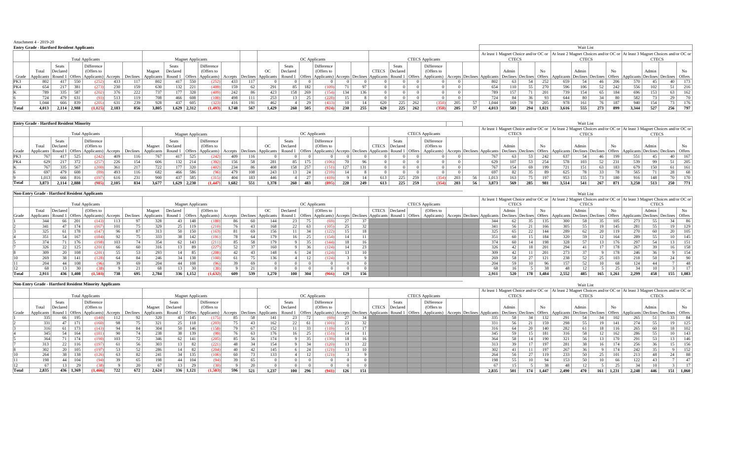|       | Attachment 4 - 2019-20                            |              |       |                                                                          |       |     |                  |                  |                          |                      |         |     |                     |          |                      |                                                          |     |     |              |              |     |                         |     |                                                                                                                              |              |     |       |       |              |     |     |       |                                                                                                                         |              |
|-------|---------------------------------------------------|--------------|-------|--------------------------------------------------------------------------|-------|-----|------------------|------------------|--------------------------|----------------------|---------|-----|---------------------|----------|----------------------|----------------------------------------------------------|-----|-----|--------------|--------------|-----|-------------------------|-----|------------------------------------------------------------------------------------------------------------------------------|--------------|-----|-------|-------|--------------|-----|-----|-------|-------------------------------------------------------------------------------------------------------------------------|--------------|
|       | <b>Entry Grade - Hartford Resident Applicants</b> |              |       |                                                                          |       |     |                  |                  |                          |                      |         |     |                     |          |                      |                                                          |     |     |              |              |     |                         |     |                                                                                                                              |              |     |       |       | Wait List    |     |     |       |                                                                                                                         |              |
|       |                                                   |              |       |                                                                          |       |     |                  |                  |                          |                      |         |     |                     |          |                      |                                                          |     |     |              |              |     |                         |     |                                                                                                                              |              |     |       |       |              |     |     |       | At least 1 Magnet Choice and/or OC or   At least 2 Magnet Choices and/or OC or   At least 3 Magnet Choices and/or OC or |              |
|       |                                                   |              |       | <b>Total Applicants</b>                                                  |       |     |                  |                  | <b>Magnet Applicants</b> |                      |         |     |                     |          | <b>OC</b> Applicants |                                                          |     |     |              |              |     | <b>CTECS</b> Applicants |     |                                                                                                                              | <b>CTECS</b> |     |       |       | <b>CTECS</b> |     |     |       | <b>CTECS</b>                                                                                                            |              |
|       |                                                   | <b>Seats</b> |       | Difference                                                               |       |     |                  | Seats            |                          | Difference           |         |     |                     | Seats    |                      | Difference                                               |     |     |              | <b>Seats</b> |     | Difference              |     |                                                                                                                              |              |     |       |       |              |     |     |       |                                                                                                                         |              |
|       | Total                                             | Declared     |       | (Offers to                                                               |       |     | Magnet           | Declared         |                          | (Offers to           |         |     | OC                  | Declared |                      | (Offers to                                               |     |     | <b>CTECS</b> | Declared     |     | (Offers to              |     |                                                                                                                              | Admin        |     | No    |       | Admin        |     | No. |       | Admin                                                                                                                   | No.          |
|       |                                                   |              |       | Grade   Applicants   Round 1   Offers   Applicants)   Accepts   Declines |       |     | Applicants       | Round 1          |                          | Offers   Applicants) | Accepts |     | Declines Applicants | Round 1  | <b>Offers</b>        | Applicants) Accepts Declines Applicants Round 1   Offers |     |     |              |              |     | Applicants)             |     | Accepts Declines Applicants Declines Declines Offers Applicants Declines Declines Offers Applicants Declines Declines Offers |              |     |       |       |              |     |     |       |                                                                                                                         |              |
| PK3   |                                                   | 417          | 550   | (252)                                                                    | 433   |     | 802              | 417              | 550                      | (252)                | 433     | 117 |                     |          |                      |                                                          |     |     |              |              |     |                         |     | 802                                                                                                                          | 63           |     | 252   | 659   |              |     | 206 | 570   |                                                                                                                         | $40^{\circ}$ |
| PK4   | 654                                               | 217          | 381   |                                                                          | 230   | 159 | 630              | 132              | 221                      | (409)                | 159     | 62  | 291                 | 85       | 182                  |                                                          |     | 97  |              |              |     |                         |     | 654                                                                                                                          | 110          |     | 270   | 596   | 106          |     | 242 | 556   | 102                                                                                                                     | 51  <br>216  |
|       | 789                                               | 335          | 587   | (202)                                                                    | 376   | 222 | 737 <sup>1</sup> | 177              | 528                      | (409)                | 242     | 86  | 423                 |          | 158 269              |                                                          | 134 | 136 |              |              |     |                         |     | 789                                                                                                                          | 157          |     | 201   | 739   | 154          |     | 184 | 696   | 153                                                                                                                     | 63<br>162    |
|       | 724                                               | 479          | 631   |                                                                          | 513   |     | 708              | 466              |                          | (100)                | 498     | 111 | 253                 | 13       | 25                   |                                                          |     |     |              |              |     |                         |     | 724                                                                                                                          | 84           |     |       | 644   |              |     |     | 582   |                                                                                                                         | 29           |
|       | 1.044                                             | 666          | 839   | (205)                                                                    | 631   | 239 | 928              | 437 <sup>1</sup> | 605                      | (323)                | 416     | 191 | 462                 |          | 29                   |                                                          |     |     | 620          | 225          | 262 | 358)                    | 205 | 1.044                                                                                                                        | 169          |     | 205   | 978.  | 161          |     | 187 | 940   | 154                                                                                                                     | 73<br>176    |
| Total | 4,013                                             | 2,114        | 2.988 | (1,025)                                                                  | 2,183 | 856 | 3.805            |                  | 1,629 2,312              | 1.493                | 1.748   | 567 | 1,429               | 260      | 505                  |                                                          | 230 | 255 | 620          | 225          | 262 | 358)                    | 205 | 4.013                                                                                                                        | 583          | 294 | 1,021 | 3,616 | 555          | 273 | 899 | 3,344 | 527                                                                                                                     | 256<br>-797  |

|       | <b>Entry Grade - Hartford Resident Minority</b> |                   |     |                                            |         |          |            |                  |                          |                                                                 |       |     |       |           |               |                                                          |     |     |              |          |     |                         |     |                                                                                                                              |              |     |     |       | Wait List    |     |     |       |                                                                                                                         |     |
|-------|-------------------------------------------------|-------------------|-----|--------------------------------------------|---------|----------|------------|------------------|--------------------------|-----------------------------------------------------------------|-------|-----|-------|-----------|---------------|----------------------------------------------------------|-----|-----|--------------|----------|-----|-------------------------|-----|------------------------------------------------------------------------------------------------------------------------------|--------------|-----|-----|-------|--------------|-----|-----|-------|-------------------------------------------------------------------------------------------------------------------------|-----|
|       |                                                 |                   |     |                                            |         |          |            |                  |                          |                                                                 |       |     |       |           |               |                                                          |     |     |              |          |     |                         |     |                                                                                                                              |              |     |     |       |              |     |     |       | At least 1 Magnet Choice and/or OC or   At least 2 Magnet Choices and/or OC or   At least 3 Magnet Choices and/or OC or |     |
|       |                                                 |                   |     | <b>Total Applicants</b>                    |         |          |            |                  | <b>Magnet Applicants</b> |                                                                 |       |     |       |           |               | <b>OC</b> Applicants                                     |     |     |              |          |     | <b>CTECS</b> Applicants |     |                                                                                                                              | <b>CTECS</b> |     |     |       | <b>CTECS</b> |     |     |       | <b>CTECS</b>                                                                                                            |     |
|       |                                                 | Seats             |     | Difference                                 |         |          |            | Seats            |                          | Difference                                                      |       |     |       | Seats     |               | Difference                                               |     |     |              | Seats    |     | Difference              |     |                                                                                                                              |              |     |     |       |              |     |     |       |                                                                                                                         |     |
|       | Total                                           | Declared          |     | (Offers to                                 |         |          | Magnet     | Declared         |                          | (Offers to                                                      |       |     | OC    | Declared  |               | (Offers to                                               |     |     | <b>CTECS</b> | Declared |     | (Offers to              |     |                                                                                                                              | Admir        |     | No  |       | Admir        |     | No. |       | Admin                                                                                                                   | No. |
| Grade |                                                 |                   |     | Applicants   Round 1   Offers   Applicants | Accepts | Declines | Applicants |                  |                          | Round 1   Offers   Applicants   Accepts   Declines   Applicants |       |     |       | Round 1   | <b>Offers</b> | Applicants) Accepts Declines Applicants Round 1   Offers |     |     |              |          |     | Applicants)             |     | Accepts Declines Applicants Declines Declines Offers Applicants Declines Declines Offers Applicants Declines Declines Offers |              |     |     |       |              |     |     |       |                                                                                                                         |     |
| PK3   |                                                 | 417               | 525 | (242)                                      | 409     |          | 767        | 417 <sup>1</sup> | 525                      | (242)                                                           | 409   | 116 |       |           |               |                                                          |     |     |              |          |     |                         |     | 767                                                                                                                          | 63           |     | 242 | 637   |              |     | 199 | 551   |                                                                                                                         |     |
| PK4   |                                                 |                   | 372 |                                            | 226     |          | 606        | 132              |                          | (392)                                                           | 156   | 58  | 281   | 85 I      | 175           |                                                          |     |     |              |          |     |                         |     | 629                                                                                                                          | 107          |     | 254 | 578   | 103          |     |     | 539   | 99                                                                                                                      |     |
|       |                                                 | 335               | 567 |                                            | 361     |          | 722        | 177 <sup>1</sup> |                          | (402)                                                           | 234   | 86  | 408   | 158       | 257           |                                                          |     | 131 |              |          |     |                         |     | 767                                                                                                                          | 154          |     |     | 721   | 151          |     | 183 | 679   | 150                                                                                                                     | 61  |
|       | 697                                             |                   | 608 |                                            | 493     |          | 682        | 466              | 586.                     |                                                                 | 479   | 108 | 243   | $13 \mid$ | 24            |                                                          |     |     |              |          |     |                         |     | 697                                                                                                                          | 82           |     |     |       |              |     |     | 565   |                                                                                                                         |     |
|       | 1.013                                           | 666               | 816 | (197)                                      | 616     |          | 900        | 437              | 585                      | (315)                                                           | 404   | 183 | 446   |           | 27            |                                                          |     |     | 61           |          | 259 | 354                     | 203 | 1.013                                                                                                                        | 163          |     |     | 953   | 155          |     |     | 916   | 148                                                                                                                     |     |
| Total | 3.873                                           | $2.114 \pm 2.888$ |     | (985)                                      | 2.105   | 834      | 3.677      | 1.629 2.230      |                          | (1.447)                                                         | 1.682 | 551 | 1.378 | 260       | 483           |                                                          | 220 | 249 | 613          | 225      | 259 | (354)                   |     | 3.873                                                                                                                        | 569          | 285 |     | 3.514 | 541          | 267 | 871 | 3.250 | 513                                                                                                                     | 250 |

|       | <b>Non-Entry Grade - Hartford Resident Applicants</b> |                 |           |                         |     |                                                                 |        |                 |                          |                                                                          |     |     |       |                 |     |                                                                                                                                                                                                                              |     |              |          |                         |  |       |                                                                                                                         |                 |       |       | Wait List    |     |       |       |              |     |       |
|-------|-------------------------------------------------------|-----------------|-----------|-------------------------|-----|-----------------------------------------------------------------|--------|-----------------|--------------------------|--------------------------------------------------------------------------|-----|-----|-------|-----------------|-----|------------------------------------------------------------------------------------------------------------------------------------------------------------------------------------------------------------------------------|-----|--------------|----------|-------------------------|--|-------|-------------------------------------------------------------------------------------------------------------------------|-----------------|-------|-------|--------------|-----|-------|-------|--------------|-----|-------|
|       |                                                       |                 |           |                         |     |                                                                 |        |                 |                          |                                                                          |     |     |       |                 |     |                                                                                                                                                                                                                              |     |              |          |                         |  |       | At least 1 Magnet Choice and/or OC or   At least 2 Magnet Choices and/or OC or   At least 3 Magnet Choices and/or OC or |                 |       |       |              |     |       |       |              |     |       |
|       |                                                       |                 |           | <b>Total Applicants</b> |     |                                                                 |        |                 | <b>Magnet Applicants</b> |                                                                          |     |     |       |                 |     | OC Applicants                                                                                                                                                                                                                |     |              |          | <b>CTECS Applicants</b> |  |       | <b>CTECS</b>                                                                                                            |                 |       |       | <b>CTECS</b> |     |       |       | <b>CTECS</b> |     |       |
|       | Total                                                 | Declared        |           | (Offers to              |     |                                                                 | Magnet | Declared        |                          | (Offers to                                                               |     |     | OC    | Declared        |     | (Offers to                                                                                                                                                                                                                   |     | <b>CTECS</b> | Declared | (Offers to              |  |       | Admin                                                                                                                   |                 | No    |       | Admin        |     | No    |       | Admin        |     | No    |
| Grade |                                                       |                 |           |                         |     | Applicants   Round 1   Offers   Applicants   Accepts   Declines |        |                 |                          | Applicants Round 1 Offers Applicants Accepts Declines Applicants Round 1 |     |     |       |                 |     | Offers   Applicants)   Accepts   Declines   Applicants   Round 1   Offers   Applicants   Applicants   Declines   Applicants   Declines   Offers   Applicants   Declines   Offers   Applicants   Declines   Offers   Applican |     |              |          |                         |  |       |                                                                                                                         |                 |       |       |              |     |       |       |              |     |       |
|       | 344                                                   | 66              | 201       | (143)                   |     |                                                                 | 328    | 43 <sup>1</sup> | 148                      | (180)                                                                    |     | 60  | 144   | 23 <sup>1</sup> |     | (69)                                                                                                                                                                                                                         |     |              |          |                         |  | 344   |                                                                                                                         |                 | 135   | 300 l |              |     | 105   | 273   |              |     |       |
|       | 341                                                   |                 | 174       | (167)                   |     |                                                                 | 329    | 25              | 119                      | (210)                                                                    |     | 43  | 168   | 22              | 63  |                                                                                                                                                                                                                              |     |              |          |                         |  | 341   | 56                                                                                                                      |                 | 166   | 305   |              |     | 145   | 281   |              | 19  |       |
|       | 325                                                   |                 | 178       | (147)                   |     |                                                                 | 313    |                 | 150                      | (163)                                                                    |     | 69  | 156   |                 |     | 122)                                                                                                                                                                                                                         | 15  |              |          |                         |  | 325   | 65                                                                                                                      | 22              | 144   | 289   |              |     | 119   | 270   | 60           |     |       |
|       | 351                                                   | 54              | 167       | (184)                   |     |                                                                 | 333    | 38 <sup>1</sup> | 142                      | (191)                                                                    |     | 64  | 179   |                 | 25  | (154)                                                                                                                                                                                                                        | 14  |              |          |                         |  | 351   | 60                                                                                                                      | 15 I            | 184   | 320   |              |     | 164   | 289   |              | 10  | 145   |
|       | $374 +$                                               |                 | 176       | (198)                   | 103 |                                                                 | 354    | 62              | 143                      | (211)                                                                    | 85  | 58  | 179   |                 | 35  | 144                                                                                                                                                                                                                          | 18  |              |          |                         |  | 374.  | 60 <sup>1</sup>                                                                                                         | 14              | 198   | 3281  |              |     | 176   | 297   | 54           |     |       |
|       |                                                       | 22              | 125       |                         |     |                                                                 | 316    |                 | 89                       | (227)                                                                    |     |     | 160   |                 |     | 124                                                                                                                                                                                                                          |     |              |          |                         |  | 326   |                                                                                                                         | 18 <sup>1</sup> | 201   | 294   |              |     | 178   | 267   |              |     |       |
|       | 309                                                   |                 | 108       |                         |     |                                                                 | 293    | 14              | 85                       | (208)                                                                    |     | 43  | 148   |                 | 24  | 124                                                                                                                                                                                                                          | 13  |              |          |                         |  | 309   |                                                                                                                         |                 | 201   | 273   |              |     | 178   | 246   |              |     |       |
|       | 269                                                   | 38 <sub>1</sub> | 141       | (128)                   |     |                                                                 | 246    | 34              | 138                      | (108)                                                                    | 61  | 75  | 136   |                 |     | (124)                                                                                                                                                                                                                        |     |              |          |                         |  | 269   | 58                                                                                                                      | $\sim$          | 121   | 238   |              |     | 103   | 218   |              |     |       |
|       | 204                                                   | 44              | 108       |                         |     |                                                                 | 204    | 44              | 108                      |                                                                          |     | 69  |       |                 |     |                                                                                                                                                                                                                              |     |              |          |                         |  | 204   | 59 <sup>1</sup>                                                                                                         | 10 <sup>1</sup> | 96    | 157   |              | 10  |       | 124   |              |     |       |
|       |                                                       | $\overline{3}$  | 30        |                         |     |                                                                 | 68     | 13 <sup>1</sup> | 30                       |                                                                          |     |     |       |                 |     |                                                                                                                                                                                                                              |     |              |          |                         |  | 68    | 16                                                                                                                      |                 |       |       |              |     |       |       |              |     |       |
| Total | 2.911                                                 |                 | 436 1,408 | (1.503)                 | 738 |                                                                 | 2,784  | 336             | 1.152                    | (1.632)                                                                  | 609 | 539 | 1,270 |                 | 304 |                                                                                                                                                                                                                              | 129 |              |          |                         |  | 2,911 | 520                                                                                                                     | 178             | 1,484 | 2,552 | 485          | 165 | 1,261 | 2,299 | 458          | 155 | 1,083 |

|       | <b>Non-Entry Grade - Hartford Resident Minority Applicants</b> |          |       |                         |         |          |            |          |                          |                      |               |        |                             |                 |     |                       |                |                 |              |                                                                                       |                         |       |                                                                                          |     |       |                  | Wait List    |     |       |       |                                                                                                                     |     |       |
|-------|----------------------------------------------------------------|----------|-------|-------------------------|---------|----------|------------|----------|--------------------------|----------------------|---------------|--------|-----------------------------|-----------------|-----|-----------------------|----------------|-----------------|--------------|---------------------------------------------------------------------------------------|-------------------------|-------|------------------------------------------------------------------------------------------|-----|-------|------------------|--------------|-----|-------|-------|---------------------------------------------------------------------------------------------------------------------|-----|-------|
|       |                                                                |          |       |                         |         |          |            |          |                          |                      |               |        |                             |                 |     |                       |                |                 |              |                                                                                       |                         |       |                                                                                          |     |       |                  |              |     |       |       | At least 1 Magnet Choice and/or OC or At least 2 Magnet Choices and/or OC or At least 3 Magnet Choices and/or OC or |     |       |
|       |                                                                |          |       | <b>Total Applicants</b> |         |          |            |          | <b>Magnet Applicants</b> |                      |               |        |                             |                 |     | OC Applicants         |                |                 |              |                                                                                       | <b>CTECS</b> Applicants |       | <b>CTECS</b>                                                                             |     |       |                  | <b>CTECS</b> |     |       |       | <b>CTECS</b>                                                                                                        |     |       |
|       |                                                                | Seats    |       | Difference              |         |          |            | Seats    |                          | Difference           |               |        |                             | Seats           |     | Difference            |                |                 |              | <b>Seats</b>                                                                          | Difference              |       |                                                                                          |     |       |                  |              |     |       |       |                                                                                                                     |     |       |
|       | Total                                                          | Declared |       | (Offers to              |         |          | Magnet     | Declared |                          | (Offers to           |               |        | OC                          | Declared        |     | (Offers to            |                |                 | <b>CTECS</b> | Declared                                                                              | (Offers to              |       | Admin                                                                                    |     | No    |                  | Admin        |     | No    |       | Admin                                                                                                               |     | No    |
| Grade | Applicants                                                     | Round    |       | Offers Applicants)      | Accepts | Declines | Applicants | Round 1  |                          | Offers   Applicants) |               |        | Accepts Declines Applicants | Round:          |     |                       |                |                 |              | Offers   Applicants   Accepts   Declines   Applicants   Round 1   Offers   Applicants |                         |       | Accepts Declines Applicants Declines Declines Offers Applicants Declines Declines Offers |     |       |                  |              |     |       |       | Applicants Declines Declines Offers                                                                                 |     |       |
|       | 335                                                            | 66       | 195   |                         | 112     |          | 320        |          | 145                      | (175)                | 85            | 58     | 141                         | 23              |     |                       |                |                 |              |                                                                                       |                         | 335   | 58                                                                                       |     | 132   | 291              |              |     | 102   | 265   |                                                                                                                     |     |       |
|       | 331                                                            |          | 171   | (160)                   | 98      |          | 321        | 25       | 118                      | (203)                | 75            |        | 162                         | 22              |     |                       | 101)           | 23 <sup>1</sup> |              |                                                                                       |                         | 331   | 56                                                                                       | 21  |       | 298              | 55 I         |     | 141   | 274   |                                                                                                                     |     | 125   |
|       | 316                                                            |          | 173   | (143)                   | 94      |          | 304        | 50       | 146                      | (158)                |               | 67     | 152                         | 11 <sup>1</sup> |     |                       | 119)           |                 |              |                                                                                       |                         |       | 64                                                                                       |     |       | 282              |              |     | 116   | 265   | 60                                                                                                                  |     | 102   |
|       | 345                                                            |          | 164   | (181)                   | 90      |          | 238        | 38       | 139                      | (99)                 | $\mathcal{L}$ | 63     | 176 <sub>1</sub>            | 16 <sup>1</sup> |     | $\sim$                | 151            | 14              |              |                                                                                       |                         | 345   | 59                                                                                       |     | 181   | 316 <sub>1</sub> |              | 14  | 162   | 286   |                                                                                                                     |     | 143   |
|       | 364                                                            |          | 174   | (190)                   | 103     |          | 346        | 62       | 141                      | (205)                | 85            | 56     | 174                         |                 |     | 25                    | 139)           | 18              |              |                                                                                       |                         | 364   | 58                                                                                       |     |       | 321              |              |     | 170   | 291   |                                                                                                                     |     | 146   |
|       | 313                                                            | 22       | 116   |                         |         |          | 303        | 13       | 82                       | (221)                |               | 34     | 154                         |                 |     |                       | 1201           |                 |              |                                                                                       |                         |       |                                                                                          |     | 197   | 281              |              |     | 174   | 256   |                                                                                                                     |     | 156   |
|       | 302                                                            |          | 105   |                         |         |          | 286        | 14       | 82                       | (204)                |               |        | 145                         |                 |     | -24                   | 121)           |                 |              |                                                                                       |                         | 302   |                                                                                          |     | 197   | 267              |              |     | 174   | 242   |                                                                                                                     |     | 152   |
|       | 264                                                            |          | 138   | (120)                   |         |          | 241        | 34       | 135                      | (106)                | 60            | $\sim$ | 133                         |                 |     | $\overline{10}$<br>12 | 1011<br>12 I J |                 |              |                                                                                       |                         | 264   |                                                                                          |     | 119   | 233              |              |     | 101   | 213   |                                                                                                                     |     |       |
|       | 198                                                            | 44       | 104   |                         |         | 65.      | 198        | 44       | 104                      | (94)                 |               |        |                             |                 |     |                       |                |                 |              |                                                                                       |                         | 198   | $55^{\circ}$                                                                             |     |       | 153              | 50           |     | 66    | 122   |                                                                                                                     |     |       |
|       |                                                                |          |       |                         |         |          |            | 13       |                          | (38)                 |               |        |                             |                 |     |                       |                |                 |              |                                                                                       |                         |       |                                                                                          |     |       |                  |              |     | 25    |       |                                                                                                                     |     |       |
| Total | 2,835                                                          | 436      | 1,369 | (1.466)                 | 722     | 672      | 2,624      | 336      | 1.121                    | (1,503)              | 596           | 521    | 1.237                       | 100             | 296 |                       |                | 126             | 151          |                                                                                       |                         | 2,835 | 501                                                                                      | 174 | 1.447 | 2,490            | 470          | 161 | 1,231 | 2,248 | 446                                                                                                                 | 151 | 1,060 |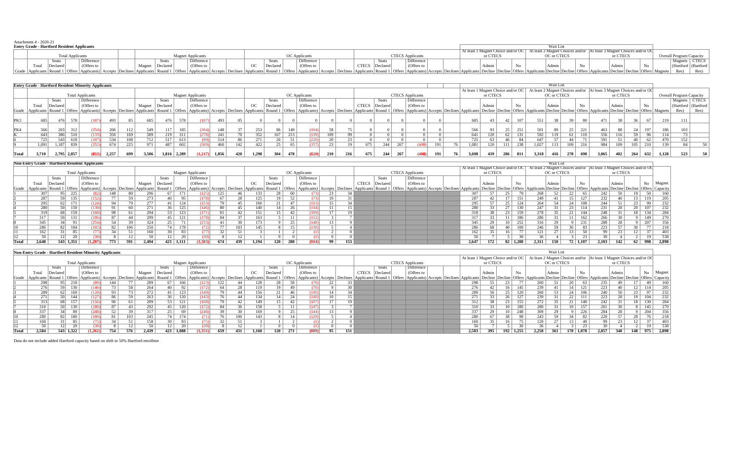| Attachment 4 - 2020-21                                                                                                                                                                                                         |            |                    |                   |  |          |               |                |                         |  |          |  |             |                                                                                                         |          |    |                                 |                       |
|--------------------------------------------------------------------------------------------------------------------------------------------------------------------------------------------------------------------------------|------------|--------------------|-------------------|--|----------|---------------|----------------|-------------------------|--|----------|--|-------------|---------------------------------------------------------------------------------------------------------|----------|----|---------------------------------|-----------------------|
| <b>Entry Grade - Hartford Resident Applicants</b>                                                                                                                                                                              |            |                    |                   |  |          |               |                |                         |  |          |  | Wait Lis    |                                                                                                         |          |    |                                 |                       |
|                                                                                                                                                                                                                                |            |                    |                   |  |          |               |                |                         |  |          |  |             | At least 1 Magnet Choice and/or OC 4t least 2 Magnet Choices and/or At least 3 Magnet Choices and/or OC |          |    |                                 |                       |
| <b>Total Applicants</b>                                                                                                                                                                                                        |            |                    | Aagnet Applicants |  |          | OC Applicants |                | <b>CTECS</b> Applicants |  | or CTECS |  | OC or CTECS |                                                                                                         | or CTECS |    | <b>Overall Program Capacity</b> |                       |
| Seats                                                                                                                                                                                                                          | Difference | Seats              | Difference        |  | Seats    | Difference    | <b>Seats</b>   | Difference              |  |          |  |             |                                                                                                         |          |    |                                 | Magnets CTECS         |
| Declared<br>Total                                                                                                                                                                                                              | (Offers to | Declared<br>Magnet | (Offers to        |  | Declared | (Offers to    | CTECS Declared | (Offers to              |  |          |  |             |                                                                                                         |          | No |                                 | (Hartford   (Hartford |
| Grade   Applicants  Round 1   Offers   Applicants  Applicants  Accepts   Declines   Applicants  Round 1   Offers   Applicants  Round 1   Offers   Applicants  Round 1   Offers   Applicants  Round 1   Offers   Applicants  Ro |            |                    |                   |  |          |               |                |                         |  |          |  |             |                                                                                                         |          |    |                                 | Res)                  |

|       |       |             |     | <b>Entry Grade - Hartford Resident Minority Applicants</b> |       |     |        |          |       |                          |       |     |       |          |                      |            |                 |     |              |          |     |                                                                                                                                                                                                                                |     |                                    |          |                 |     |       | Wait List       |       |     |                                                                        |          |     |     |                  |                                 |      |
|-------|-------|-------------|-----|------------------------------------------------------------|-------|-----|--------|----------|-------|--------------------------|-------|-----|-------|----------|----------------------|------------|-----------------|-----|--------------|----------|-----|--------------------------------------------------------------------------------------------------------------------------------------------------------------------------------------------------------------------------------|-----|------------------------------------|----------|-----------------|-----|-------|-----------------|-------|-----|------------------------------------------------------------------------|----------|-----|-----|------------------|---------------------------------|------|
|       |       |             |     |                                                            |       |     |        |          |       |                          |       |     |       |          |                      |            |                 |     |              |          |     |                                                                                                                                                                                                                                |     | At least 1 Magnet Choice and/or OC |          |                 |     |       |                 |       |     | At least 2 Magnet Choices and/or   At least 3 Magnet Choices and/or OC |          |     |     |                  |                                 |      |
|       |       |             |     | <b>Total Applicants</b>                                    |       |     |        |          |       | <b>Magnet Applicants</b> |       |     |       |          | <b>OC</b> Applicants |            |                 |     |              |          |     | <b>CTECS</b> Applicants                                                                                                                                                                                                        |     |                                    | or CTECS |                 |     |       | OC or CTECS     |       |     |                                                                        | or CTECS |     |     |                  | <b>Overall Program Capacity</b> |      |
|       |       | Seats       |     | Difference                                                 |       |     |        | Seats    |       | Difference               |       |     |       | Seats    |                      | Difference |                 |     |              | Seats    |     | Difference                                                                                                                                                                                                                     |     |                                    |          |                 |     |       |                 |       |     |                                                                        |          |     |     |                  | Magnets   CTECS                 |      |
|       | Total | Declared    |     | (Offers to                                                 |       |     | Magnet | Declared |       | (Offers to               |       |     | OC    | Declared |                      | (Offers to |                 |     | <b>CTECS</b> | Declared |     | (Offers to                                                                                                                                                                                                                     |     |                                    | Admir    |                 | No  |       | Admin           |       |     |                                                                        | Admi     |     | No  |                  | (Hartford   (Hartford           |      |
|       |       |             |     |                                                            |       |     |        |          |       |                          |       |     |       |          |                      |            |                 |     |              |          |     | Grade   Applicants  Round 1   Offers   Applicants  Applicants  Accepts   Declines   Applicants  Round 1   Offers   Applicants  Round 1   Offers   Applicants  Round 1   Offers   Applicants  Round 1   Offers   Applicants  Ro |     |                                    |          |                 |     |       |                 |       |     |                                                                        |          |     |     |                  | Res)                            | Res) |
|       |       |             |     |                                                            |       |     |        |          |       |                          |       |     |       |          |                      |            |                 |     |              |          |     |                                                                                                                                                                                                                                |     |                                    |          |                 |     |       |                 |       |     |                                                                        |          |     |     |                  |                                 |      |
| PK3   | 685   | 476         | 578 | (107)                                                      | 493   | 85  | 685    | 476      | 578   |                          | 493   | 85  |       |          |                      |            |                 |     |              |          |     |                                                                                                                                                                                                                                |     | 685                                |          | 42 <sup>1</sup> | 107 | 551   | 38 <sup>1</sup> |       |     | 471                                                                    | 38 I     |     | -67 | 219 <sup>1</sup> | 111                             |      |
|       |       |             |     |                                                            |       |     |        |          |       |                          |       |     |       |          |                      |            |                 |     |              |          |     |                                                                                                                                                                                                                                |     |                                    |          |                 |     |       |                 |       |     |                                                                        |          |     |     |                  |                                 |      |
| PK4   | 566   | 203         |     | 254                                                        | 206   |     | 549    |          | 185   |                          | 148   |     | 253   |          | 149                  | (104)      | 58              |     |              |          |     |                                                                                                                                                                                                                                |     | 566                                |          |                 | 251 |       |                 |       | 221 | 463                                                                    | 88       |     |     | 186              | 103                             |      |
|       | 643   |             |     |                                                            | 350.  | 169 | 589.   |          | 311   |                          | 241   |     | 352   | 167      | 213                  | 139)       | 109             | 99  |              |          |     |                                                                                                                                                                                                                                |     | 641                                | 120.     |                 | 131 | 592   |                 |       | 110 | 556                                                                    | 116      |     |     | 114              |                                 |      |
|       |       | 5431        |     | 107)                                                       | 534 I |     |        |          | 613   |                          | 514   |     | 271   |          |                      |            |                 |     |              |          |     |                                                                                                                                                                                                                                |     |                                    | -63      |                 | -84 | 647   |                 |       |     | 591                                                                    |          |     |     |                  | 152                             |      |
|       | 1,091 | 1.187       |     | 252                                                        | 674   |     |        | 487      | 602   |                          | 460   | 142 | 422   |          | 65                   | (357)      | 23 <sup>1</sup> |     | 675          | 244      | 267 |                                                                                                                                                                                                                                | 191 | 1.081                              | 120      |                 | 238 | 1,027 |                 | 109 I | 216 | 984                                                                    | 109      | 105 | 210 | 139              | 84                              |      |
|       |       |             |     |                                                            |       |     |        |          |       |                          |       |     |       |          |                      |            |                 |     |              |          |     |                                                                                                                                                                                                                                |     |                                    |          |                 |     |       |                 |       |     |                                                                        |          |     |     |                  |                                 |      |
| Total | 3.710 | 2,795 2,857 |     | (853)                                                      | 2,257 | 699 | 3.506  | 1.816    | 2.289 | (1.217)                  | 1.856 | 420 | 1.298 | 304      | 478                  | (820)      | 210             | 216 | 675          | 244      | 267 | 408)                                                                                                                                                                                                                           | 191 | 3.698                              | 439      | 286             | 811 | 3.318 | 416             | 278   | 698 | 3.065                                                                  | 402      | 264 | 632 | 1.128            | 523                             |      |

|       |                                                     | <b>Non-Entry Grade - Hartford Resident Applicants</b>                                |           |            |     |     |        |                 |           |                                                                 |                                                 |     |             |                 |     |                                                                                                                       |                 |     |              |              |                                    |  |       |          |                                  |     |                  | Wait List |                 |                                     |                 |                                                                                     |     |           |       |
|-------|-----------------------------------------------------|--------------------------------------------------------------------------------------|-----------|------------|-----|-----|--------|-----------------|-----------|-----------------------------------------------------------------|-------------------------------------------------|-----|-------------|-----------------|-----|-----------------------------------------------------------------------------------------------------------------------|-----------------|-----|--------------|--------------|------------------------------------|--|-------|----------|----------------------------------|-----|------------------|-----------|-----------------|-------------------------------------|-----------------|-------------------------------------------------------------------------------------|-----|-----------|-------|
|       |                                                     |                                                                                      |           |            |     |     |        |                 |           |                                                                 |                                                 |     |             |                 |     |                                                                                                                       |                 |     |              |              | At least 1 Magnet Choice and/or OC |  |       |          | At least 2 Magnet Choices and/or |     |                  |           |                 | At least 3 Magnet Choices and/or OC |                 |                                                                                     |     |           |       |
|       | <b>Total Applicants</b><br><b>Magnet Applicants</b> |                                                                                      |           |            |     |     |        |                 |           |                                                                 | <b>CTECS</b> Applicants<br><b>OC</b> Applicants |     |             |                 |     | or CTECS                                                                                                              |                 |     |              |              | OC or CTECS                        |  |       | or CTECS |                                  |     |                  |           |                 |                                     |                 |                                                                                     |     |           |       |
|       |                                                     | Seats                                                                                |           | Difference |     |     |        | <b>Seats</b>    |           | Difference                                                      |                                                 |     |             | Seats           |     | Difference                                                                                                            |                 |     |              | <b>Seats</b> | Difference                         |  |       |          |                                  |     |                  |           |                 |                                     |                 |                                                                                     |     |           |       |
|       | Total                                               | Declared                                                                             |           | (Offers to |     |     | Magnet | Declared        |           | (Offers to                                                      |                                                 |     | $_{\rm OC}$ | Declared        |     | (Offers to                                                                                                            |                 |     | <b>CTECS</b> | Declared     | (Offers to                         |  |       |          |                                  | No  |                  | Admin     |                 |                                     |                 | Admir                                                                               |     | No Magnet |       |
|       |                                                     | Grade   Applicants   Round 1   Offers   Applicants   Accepts   Declines   Applicants |           |            |     |     |        | Round 1         |           | Offers   Applicants   Accepts   Declines   Applicants   Round 1 |                                                 |     |             |                 |     | Offers Applicants) Accepts Declines Applicants Round 1 Offers Applicants) Accepts Declines Applicants Decline Decline |                 |     |              |              |                                    |  |       |          |                                  |     |                  |           |                 |                                     |                 | Offers Applicants Decline Decline Offers Applicants Decline Decline Offers Capacity |     |           |       |
|       |                                                     | 95                                                                                   | - 225     | (82)       | 148 | 80  | 296    |                 | 171       | 125)                                                            | 125.                                            |     | 133         | 28 <sup>1</sup> |     |                                                                                                                       | 23'             |     |              |              |                                    |  | 307   |          |                                  |     | 268              |           |                 | 65                                  | 242             |                                                                                     |     |           | 160   |
|       |                                                     | 59                                                                                   | 135       | (152)      | 77  |     | 273    | 40              | 95        | 178)                                                            |                                                 | 28. | 125         | 19 <sup>1</sup> |     | (73)                                                                                                                  |                 |     |              |              |                                    |  | 287   |          | 17 <sup>1</sup>                  | 151 | 249              |           | $15-1$          |                                     | 232             |                                                                                     |     | 119       | 205   |
|       | 295                                                 |                                                                                      | 62 171    | (124)      | 94  | 79  | 277    |                 | 124       | (153)                                                           |                                                 |     | 160         | 21 <sup>1</sup> |     | (113)                                                                                                                 | 15 <sup>1</sup> |     |              |              |                                    |  | 295   |          | 25 <sub>1</sub>                  | 124 | 264              |           | 24 <sup>1</sup> | 108                                 | 244             |                                                                                     |     | QQ        |       |
|       | 280                                                 |                                                                                      | 150       |            |     | 60  | 271    | 36 I            | 125       | (146)                                                           |                                                 |     | 140         | 14 <sup>1</sup> |     | (114)                                                                                                                 |                 |     |              |              |                                    |  | 280   |          |                                  | 130 | 247              |           | 23              | -114                                | 231             | 28                                                                                  | 20  | 107       |       |
|       |                                                     | 68                                                                                   | 159       | (160)      | 98  | 61  | 294    | 53 I            | 123       |                                                                 |                                                 |     | 151         | 15 <sup>1</sup> |     | (109)                                                                                                                 |                 | 19  |              |              |                                    |  | 318   |          | 23 <sup>1</sup>                  | 159 | 278              |           |                 | -144                                | 248             |                                                                                     |     | 134       |       |
|       | 317                                                 |                                                                                      | 50 131    | (186)      | 87  | 44  | 299    | 45 <sup>1</sup> | 121       | (178)                                                           | 84                                              |     | 163         |                 |     | (152)                                                                                                                 |                 |     |              |              |                                    |  | 317   |          |                                  |     | 286              |           |                 | 162                                 | 266             |                                                                                     |     | 149       |       |
|       | 345                                                 | 34                                                                                   | 91        | (254)      | 54  | 39  | 324    | 25 <sup>2</sup> |           | (253)                                                           |                                                 |     | 1731        |                 |     | (148)                                                                                                                 |                 |     |              |              |                                    |  | 345   |          | $10-1$                           | 252 | 316 <sub>1</sub> |           |                 | 231                                 | 288             |                                                                                     |     | 207       |       |
|       | 286                                                 |                                                                                      | 82 184    | (102)      | 82  | 106 | 250    | 74 l            | 178       | 72                                                              |                                                 |     | 145         |                 |     | (130)                                                                                                                 |                 |     |              |              |                                    |  | 286   | 68       |                                  |     | 246              |           | 36              | 83                                  | 223             |                                                                                     |     |           |       |
|       | 162                                                 | 31                                                                                   | 85        |            |     |     | 160    |                 | 83        | 77                                                              |                                                 |     |             |                 |     |                                                                                                                       |                 |     |              |              |                                    |  | 162   |          | 16 <sup>1</sup>                  |     | 121              |           | 13              | 50                                  | 99 <sup>1</sup> |                                                                                     |     |           |       |
|       | 50                                                  | 2                                                                                    | -20       |            |     |     | 50     | 12 <sup>2</sup> | 20        | 301                                                             |                                                 |     |             |                 |     |                                                                                                                       |                 |     |              |              |                                    |  | 50    |          |                                  |     | 36               |           |                 |                                     | 30              |                                                                                     |     | 10        |       |
| Total | 2.648                                               |                                                                                      | 543 1.351 | (1.297)    | 773 | 591 | 2.494  |                 | 423 1.111 | (1.383)                                                         | 674                                             | 439 | 1.194       | 120             | 280 | (914)                                                                                                                 | 99              | 153 |              |              |                                    |  | 2.647 | 172      | 82 1,288                         |     | 2.311            | 150       |                 | 72 1,107                            | 2.103           | 142                                                                                 | -62 | 998       | 2.898 |

|                                                     | <b>Non-Entry Grade - Hartford Resident Minority Applicants</b><br>Wait List |              |           |                               |                 |     |                     |          |                      |                      |         |     |                         |                 |        |                                    |          |     |              |          |             |                                                                                               |  |          |                 |           |     |       |       |                                                                                                     |                  |       |     |      |        |
|-----------------------------------------------------|-----------------------------------------------------------------------------|--------------|-----------|-------------------------------|-----------------|-----|---------------------|----------|----------------------|----------------------|---------|-----|-------------------------|-----------------|--------|------------------------------------|----------|-----|--------------|----------|-------------|-----------------------------------------------------------------------------------------------|--|----------|-----------------|-----------|-----|-------|-------|-----------------------------------------------------------------------------------------------------|------------------|-------|-----|------|--------|
|                                                     |                                                                             |              |           |                               |                 |     |                     |          |                      |                      |         |     |                         |                 |        | At least 1 Magnet Choice and/or OC |          |     |              |          |             | At least 2 Magnet Choices and/or   At least 3 Magnet Choices and/or OC                        |  |          |                 |           |     |       |       |                                                                                                     |                  |       |     |      |        |
| <b>Total Applicants</b><br><b>Magnet Applicants</b> |                                                                             |              |           |                               |                 |     |                     |          | <b>OC</b> Applicants |                      |         |     | <b>CTECS Applicants</b> |                 |        |                                    | or CTECS |     |              |          | OC or CTECS |                                                                                               |  | or CTECS |                 |           |     |       |       |                                                                                                     |                  |       |     |      |        |
|                                                     |                                                                             | <b>Seats</b> |           | Difference                    |                 |     |                     | Seats    |                      | Difference           |         |     |                         | Seats           |        | Difference                         |          |     |              | Seats    |             | Difference                                                                                    |  |          |                 |           |     |       |       |                                                                                                     |                  |       |     |      |        |
|                                                     | Total                                                                       | Declared     |           | (Offers to                    |                 |     | Magnet              | Declared |                      | (Offers to           |         |     | $_{\rm OC}$             | Declared        |        | (Offers to                         |          |     | <b>CTECS</b> | Declared |             | (Offers to                                                                                    |  |          | Admin           |           | No. |       | Admin | No                                                                                                  |                  | Admin |     | No   | Magnet |
| Grade                                               | Applicants                                                                  | Round 1      |           | Offers   Applicants   Accepts |                 |     | Declines Applicants | Round    |                      | Offers   Applicants) | Accepts |     | Declines Applicants     | Round           | Offers |                                    |          |     |              |          |             | Applicants) Accepts Declines Applicants Round 1 Offers Applicants Accepts Declines Applicants |  |          |                 |           |     |       |       | Decline Decline Offers Applicants Decline Decline Offers Applicants Decline Decline Offers Capacity |                  |       |     |      |        |
|                                                     | 298                                                                         | 95.          | 218       |                               | 144             |     | 289                 |          | 166                  | (123)                | 122     |     | 128                     | 28 <sup>1</sup> |        | (70)                               | ZZ.      |     |              |          |             |                                                                                               |  | 298      | 55.             | -23 L     |     | 260   |       |                                                                                                     | 235              |       |     |      | 160    |
|                                                     | 276                                                                         |              | 130       | (146)                         | 73 <sub>1</sub> | 58  | 264                 | 40       | 92                   |                      |         | 28  | 119                     | 19 <sup>1</sup> |        | (70)                               |          |     |              |          |             |                                                                                               |  | 276      |                 |           | 145 | 239   |       | 14 <sup>1</sup>                                                                                     | 223              |       |     | 14   | 205    |
|                                                     | 289                                                                         |              | 169       | (120)                         | 93              |     |                     |          | 123                  | (149)                |         |     | 156                     | 21              |        | (110)                              | 14       |     |              |          |             |                                                                                               |  | 289      | 56              |           | 120 | 260   |       |                                                                                                     | 240              |       |     |      | 232    |
|                                                     | 271                                                                         |              | 144       | (127)                         | 86              | 59  | 263                 |          | 120                  | (143)                | 76.     |     | 134                     | 14 <sup>1</sup> |        | (110)                              | 10       |     |              |          |             |                                                                                               |  | 271      |                 |           | 127 | 239   |       | 22                                                                                                  | 223              |       |     | 104  | 232    |
|                                                     |                                                                             |              | 157       | (156)                         | 96              |     | 289                 |          | 121                  | 168)                 |         |     | 149                     | ا 5،            |        | (107)                              |          |     |              |          |             |                                                                                               |  | 312      | 58              | 231       | 155 | 272   |       |                                                                                                     | 242              |       |     | l 30 | 284    |
|                                                     |                                                                             |              |           | (180)                         | 87              |     | 292                 |          | 120                  | (172)                |         |     | 158                     |                 |        | (147)                              |          |     |              |          |             |                                                                                               |  | 310      | 33              |           | 180 | 280   |       | 10 <sup>1</sup>                                                                                     | 261              |       |     | 145  | 270    |
|                                                     | 337                                                                         |              | 89        | (248)                         | 52              |     |                     | 25 I     | 69                   | 248                  | 30      |     | 169                     |                 |        | (144)                              |          |     |              |          |             |                                                                                               |  | 337      |                 |           | 248 | 309   |       |                                                                                                     | 284              |       |     | 204. | 356    |
|                                                     | 280                                                                         |              | 180       | (100)                         | -81             | 103 | 245                 |          | 174                  | 71                   |         |     | 143                     |                 |        | (129)                              |          |     |              |          |             |                                                                                               |  | 280      |                 | 38        | -98 | 243   | -59   |                                                                                                     | 220 <sub>1</sub> |       |     |      | 218    |
|                                                     | 160                                                                         |              | 85        | (75)                          | 34              |     | 158                 |          | 83                   | 75)                  |         |     |                         |                 |        |                                    |          |     |              |          |             |                                                                                               |  | 160      | 35 <sub>1</sub> |           | 75  | 120   |       | 13                                                                                                  | 99               |       |     |      | 403    |
|                                                     |                                                                             |              |           |                               |                 |     |                     | 12       |                      | ጓበነ                  |         |     |                         |                 |        |                                    |          |     |              |          |             |                                                                                               |  | 50       |                 |           |     |       |       |                                                                                                     | 30.              |       |     |      | 538    |
| Total                                               | 2,584                                                                       |              | 543 1,322 | (1.262)                       | 754             | 576 | 2.439               | 423      | 1.088                | (1,351)              | 659     | 431 | 1.160                   | 120             |        | (889)                              | 95       | 151 |              |          |             |                                                                                               |  | 2,583    | 395             | 192 1,255 |     | 2,258 | 361   | 170 1,078                                                                                           | 2,057            | 340   | 148 | 975  | 2,898  |

Data do not include added Hartford capacity based on shift to 50% Hartford enrollment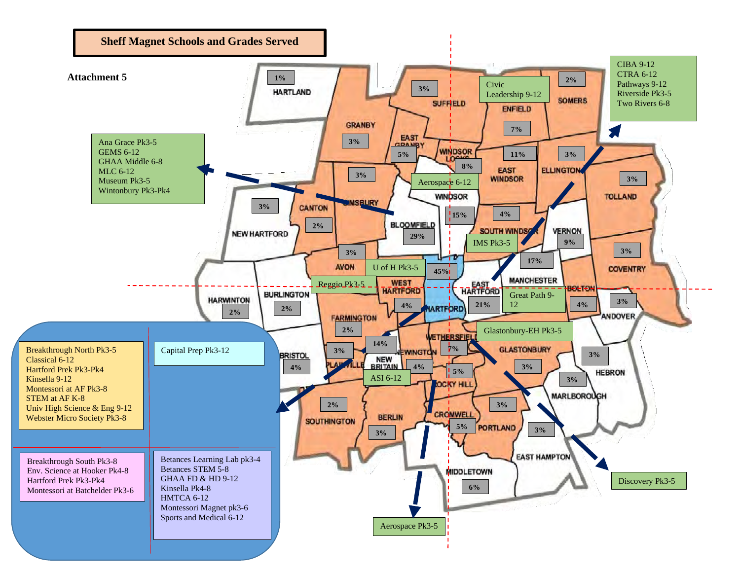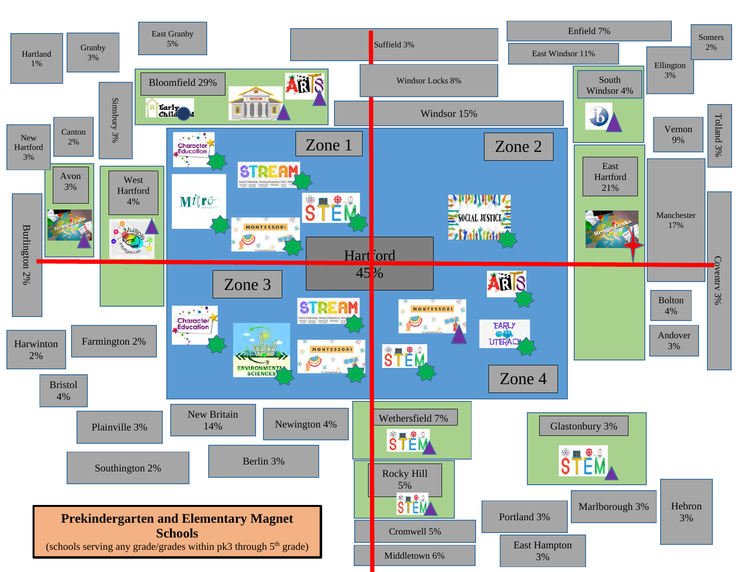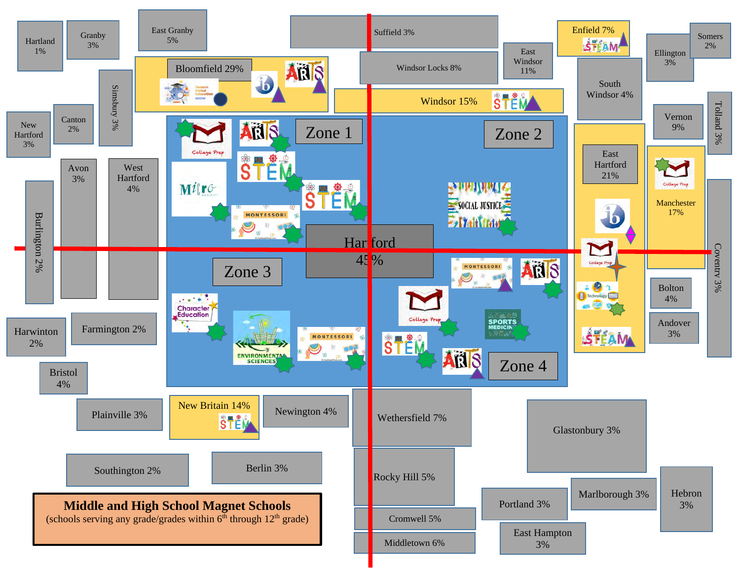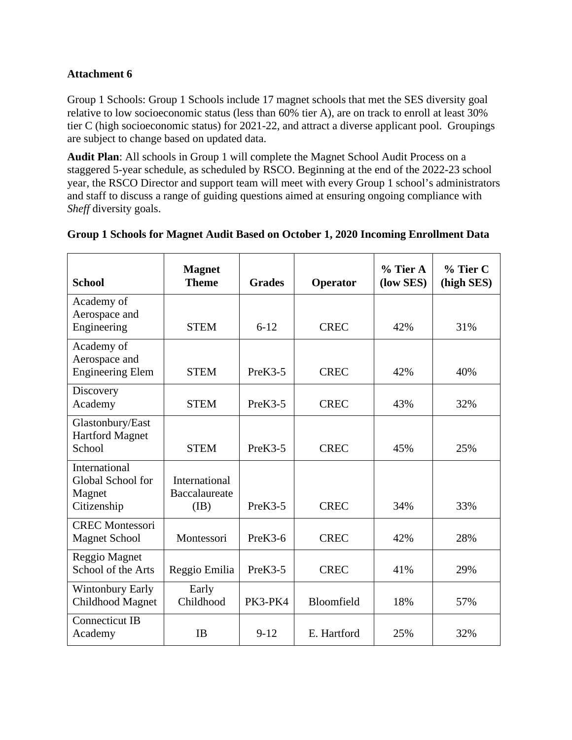Group 1 Schools: Group 1 Schools include 17 magnet schools that met the SES diversity goal relative to low socioeconomic status (less than 60% tier A), are on track to enroll at least 30% tier C (high socioeconomic status) for 2021-22, and attract a diverse applicant pool. Groupings are subject to change based on updated data.

**Audit Plan**: All schools in Group 1 will complete the Magnet School Audit Process on a staggered 5-year schedule, as scheduled by RSCO. Beginning at the end of the 2022-23 school year, the RSCO Director and support team will meet with every Group 1 school's administrators and staff to discuss a range of guiding questions aimed at ensuring ongoing compliance with *Sheff* diversity goals.

| <b>School</b>                                                      | <b>Magnet</b><br><b>Theme</b>                 | <b>Grades</b> | Operator    | $%$ Tier A<br>(low SES) | % Tier C<br>(high SES) |
|--------------------------------------------------------------------|-----------------------------------------------|---------------|-------------|-------------------------|------------------------|
| Academy of<br>Aerospace and<br>Engineering                         | <b>STEM</b>                                   | $6 - 12$      | <b>CREC</b> | 42%                     | 31%                    |
| Academy of<br>Aerospace and<br><b>Engineering Elem</b>             | <b>STEM</b>                                   | $PreK3-5$     | <b>CREC</b> | 42%                     | 40%                    |
| Discovery<br>Academy                                               | <b>STEM</b>                                   | $PreK3-5$     | <b>CREC</b> | 43%                     | 32%                    |
| Glastonbury/East<br><b>Hartford Magnet</b><br>School               | <b>STEM</b>                                   | $PreK3-5$     | <b>CREC</b> | 45%                     | 25%                    |
| <b>International</b><br>Global School for<br>Magnet<br>Citizenship | <b>International</b><br>Baccalaureate<br>(IB) | PreK3-5       | <b>CREC</b> | 34%                     | 33%                    |
| <b>CREC Montessori</b><br><b>Magnet School</b>                     | Montessori                                    | $PreK3-6$     | <b>CREC</b> | 42%                     | 28%                    |
| Reggio Magnet<br>School of the Arts                                | Reggio Emilia                                 | $PreK3-5$     | <b>CREC</b> | 41%                     | 29%                    |
| <b>Wintonbury Early</b><br>Childhood Magnet                        | Early<br>Childhood                            | PK3-PK4       | Bloomfield  | 18%                     | 57%                    |
| <b>Connecticut IB</b><br>Academy                                   | <b>IB</b>                                     | $9 - 12$      | E. Hartford | 25%                     | 32%                    |

## **Group 1 Schools for Magnet Audit Based on October 1, 2020 Incoming Enrollment Data**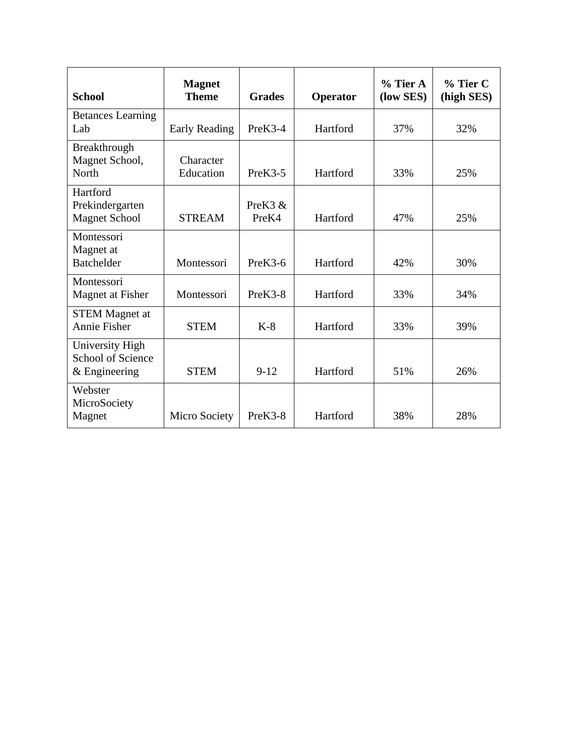| <b>School</b>                                           | <b>Magnet</b><br><b>Theme</b> | <b>Grades</b>                | Operator | $%$ Tier A<br>(low SES) | $%$ Tier C<br>(high SES) |
|---------------------------------------------------------|-------------------------------|------------------------------|----------|-------------------------|--------------------------|
| <b>Betances Learning</b><br>Lab                         | <b>Early Reading</b>          | PreK3-4                      | Hartford | 37%                     | 32%                      |
| Breakthrough<br>Magnet School,<br>North                 | Character<br>Education        | $PreK3-5$                    | Hartford | 33%                     | 25%                      |
| Hartford<br>Prekindergarten<br><b>Magnet School</b>     | <b>STREAM</b>                 | PreK <sub>3</sub> &<br>PreK4 | Hartford | 47%                     | 25%                      |
| Montessori<br>Magnet at<br><b>Batchelder</b>            | Montessori                    | PreK3-6                      | Hartford | 42%                     | 30%                      |
| Montessori<br>Magnet at Fisher                          | Montessori                    | PreK3-8                      | Hartford | 33%                     | 34%                      |
| <b>STEM Magnet at</b><br>Annie Fisher                   | <b>STEM</b>                   | $K-8$                        | Hartford | 33%                     | 39%                      |
| University High<br>School of Science<br>$&$ Engineering | <b>STEM</b>                   | $9 - 12$                     | Hartford | 51%                     | 26%                      |
| Webster<br>MicroSociety<br>Magnet                       | Micro Society                 | PreK3-8                      | Hartford | 38%                     | 28%                      |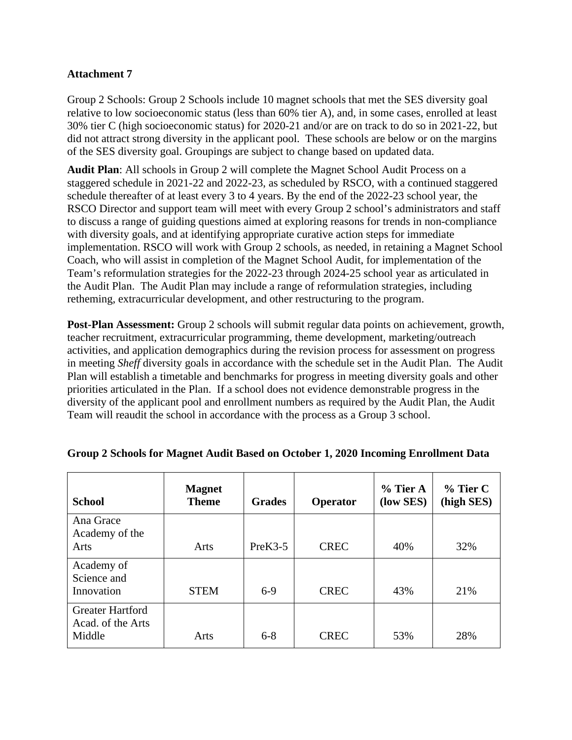Group 2 Schools: Group 2 Schools include 10 magnet schools that met the SES diversity goal relative to low socioeconomic status (less than 60% tier A), and, in some cases, enrolled at least 30% tier C (high socioeconomic status) for 2020-21 and/or are on track to do so in 2021-22, but did not attract strong diversity in the applicant pool. These schools are below or on the margins of the SES diversity goal. Groupings are subject to change based on updated data.

**Audit Plan**: All schools in Group 2 will complete the Magnet School Audit Process on a staggered schedule in 2021-22 and 2022-23, as scheduled by RSCO, with a continued staggered schedule thereafter of at least every 3 to 4 years. By the end of the 2022-23 school year, the RSCO Director and support team will meet with every Group 2 school's administrators and staff to discuss a range of guiding questions aimed at exploring reasons for trends in non-compliance with diversity goals, and at identifying appropriate curative action steps for immediate implementation. RSCO will work with Group 2 schools, as needed, in retaining a Magnet School Coach, who will assist in completion of the Magnet School Audit, for implementation of the Team's reformulation strategies for the 2022-23 through 2024-25 school year as articulated in the Audit Plan. The Audit Plan may include a range of reformulation strategies, including retheming, extracurricular development, and other restructuring to the program.

**Post-Plan Assessment:** Group 2 schools will submit regular data points on achievement, growth, teacher recruitment, extracurricular programming, theme development, marketing/outreach activities, and application demographics during the revision process for assessment on progress in meeting *Sheff* diversity goals in accordance with the schedule set in the Audit Plan. The Audit Plan will establish a timetable and benchmarks for progress in meeting diversity goals and other priorities articulated in the Plan. If a school does not evidence demonstrable progress in the diversity of the applicant pool and enrollment numbers as required by the Audit Plan, the Audit Team will reaudit the school in accordance with the process as a Group 3 school.

| <b>School</b>                                | <b>Magnet</b><br><b>Theme</b> | <b>Grades</b> | Operator    | $%$ Tier A<br>(low SES) | $%$ Tier C<br>(high SES) |
|----------------------------------------------|-------------------------------|---------------|-------------|-------------------------|--------------------------|
| Ana Grace                                    |                               |               |             |                         |                          |
| Academy of the<br>Arts                       | Arts                          | $PreK3-5$     | <b>CREC</b> | 40%                     | 32%                      |
| Academy of                                   |                               |               |             |                         |                          |
| Science and<br>Innovation                    | <b>STEM</b>                   | $6-9$         | <b>CREC</b> | 43%                     | 21%                      |
| <b>Greater Hartford</b><br>Acad. of the Arts |                               |               |             |                         |                          |
| Middle                                       | Arts                          | $6 - 8$       | <b>CREC</b> | 53%                     | 28%                      |

### **Group 2 Schools for Magnet Audit Based on October 1, 2020 Incoming Enrollment Data**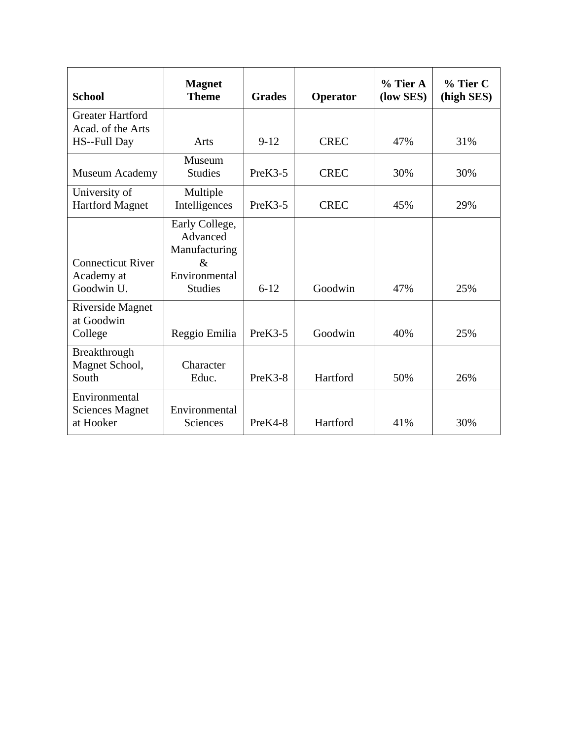| <b>School</b>                                                | <b>Magnet</b><br><b>Theme</b>                                                          | <b>Grades</b> | Operator    | $%$ Tier A<br>(low SES) | $%$ Tier C<br>(high SES) |
|--------------------------------------------------------------|----------------------------------------------------------------------------------------|---------------|-------------|-------------------------|--------------------------|
| <b>Greater Hartford</b><br>Acad. of the Arts<br>HS--Full Day | Arts                                                                                   | $9-12$        | <b>CREC</b> | 47%                     | 31%                      |
| Museum Academy                                               | Museum<br><b>Studies</b>                                                               | $PreK3-5$     | <b>CREC</b> | 30%                     | 30%                      |
| University of<br><b>Hartford Magnet</b>                      | Multiple<br>Intelligences                                                              | $PreK3-5$     | <b>CREC</b> | 45%                     | 29%                      |
| <b>Connecticut River</b><br>Academy at<br>Goodwin U.         | Early College,<br>Advanced<br>Manufacturing<br>$\&$<br>Environmental<br><b>Studies</b> | $6 - 12$      | Goodwin     | 47%                     | 25%                      |
| Riverside Magnet<br>at Goodwin<br>College                    | Reggio Emilia                                                                          | $PreK3-5$     | Goodwin     | 40%                     | 25%                      |
| Breakthrough<br>Magnet School,<br>South                      | Character<br>Educ.                                                                     | $PreK3-8$     | Hartford    | 50%                     | 26%                      |
| Environmental<br><b>Sciences Magnet</b><br>at Hooker         | Environmental<br>Sciences                                                              | $PreK4-8$     | Hartford    | 41%                     | 30%                      |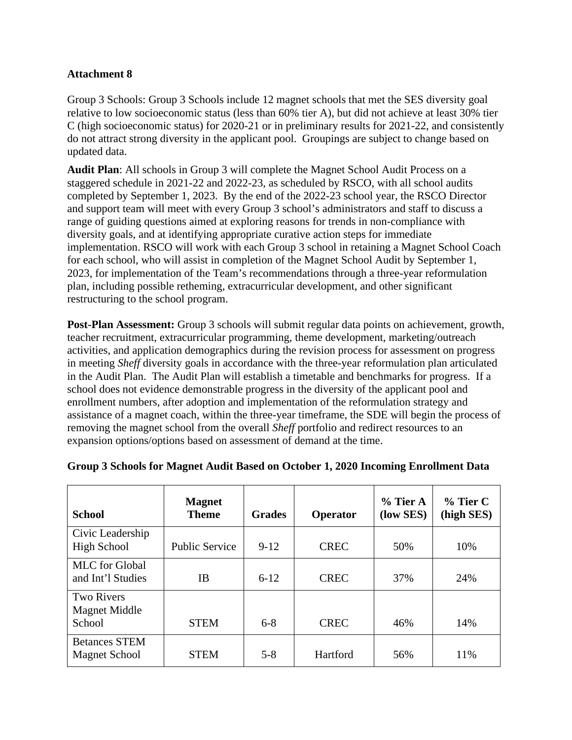Group 3 Schools: Group 3 Schools include 12 magnet schools that met the SES diversity goal relative to low socioeconomic status (less than 60% tier A), but did not achieve at least 30% tier C (high socioeconomic status) for 2020-21 or in preliminary results for 2021-22, and consistently do not attract strong diversity in the applicant pool. Groupings are subject to change based on updated data.

**Audit Plan**: All schools in Group 3 will complete the Magnet School Audit Process on a staggered schedule in 2021-22 and 2022-23, as scheduled by RSCO, with all school audits completed by September 1, 2023. By the end of the 2022-23 school year, the RSCO Director and support team will meet with every Group 3 school's administrators and staff to discuss a range of guiding questions aimed at exploring reasons for trends in non-compliance with diversity goals, and at identifying appropriate curative action steps for immediate implementation. RSCO will work with each Group 3 school in retaining a Magnet School Coach for each school, who will assist in completion of the Magnet School Audit by September 1, 2023, for implementation of the Team's recommendations through a three-year reformulation plan, including possible retheming, extracurricular development, and other significant restructuring to the school program.

**Post-Plan Assessment:** Group 3 schools will submit regular data points on achievement, growth, teacher recruitment, extracurricular programming, theme development, marketing/outreach activities, and application demographics during the revision process for assessment on progress in meeting *Sheff* diversity goals in accordance with the three-year reformulation plan articulated in the Audit Plan. The Audit Plan will establish a timetable and benchmarks for progress. If a school does not evidence demonstrable progress in the diversity of the applicant pool and enrollment numbers, after adoption and implementation of the reformulation strategy and assistance of a magnet coach, within the three-year timeframe, the SDE will begin the process of removing the magnet school from the overall *Sheff* portfolio and redirect resources to an expansion options/options based on assessment of demand at the time.

| <b>School</b>                                       | <b>Magnet</b><br><b>Theme</b> | <b>Grades</b> | Operator    | $%$ Tier A<br>(low SES) | $%$ Tier C<br>(high SES) |
|-----------------------------------------------------|-------------------------------|---------------|-------------|-------------------------|--------------------------|
| Civic Leadership<br><b>High School</b>              | <b>Public Service</b>         | $9-12$        | <b>CREC</b> | 50%                     | 10%                      |
| <b>MLC</b> for Global<br>and Int'l Studies          | IΒ                            | $6 - 12$      | <b>CREC</b> | 37%                     | 24%                      |
| <b>Two Rivers</b><br><b>Magnet Middle</b><br>School | <b>STEM</b>                   | $6 - 8$       | <b>CREC</b> | 46%                     | 14%                      |
| <b>Betances STEM</b><br><b>Magnet School</b>        | <b>STEM</b>                   | $5-8$         | Hartford    | 56%                     | 11%                      |

# **Group 3 Schools for Magnet Audit Based on October 1, 2020 Incoming Enrollment Data**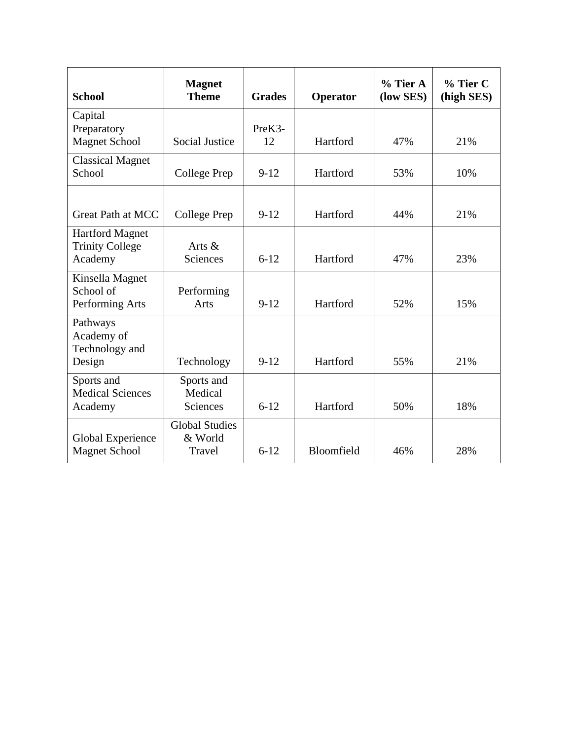| <b>School</b>                                               | <b>Magnet</b><br><b>Theme</b>              | <b>Grades</b> | Operator   | $%$ Tier A<br>(low SES) | % Tier C<br>(high SES) |
|-------------------------------------------------------------|--------------------------------------------|---------------|------------|-------------------------|------------------------|
| Capital<br>Preparatory<br><b>Magnet School</b>              | <b>Social Justice</b>                      | PreK3-<br>12  | Hartford   | 47%                     | 21%                    |
| <b>Classical Magnet</b><br>School                           | <b>College Prep</b>                        | $9-12$        | Hartford   | 53%                     | 10%                    |
| <b>Great Path at MCC</b>                                    | College Prep                               | $9 - 12$      | Hartford   | 44%                     | 21%                    |
| <b>Hartford Magnet</b><br><b>Trinity College</b><br>Academy | Arts &<br><b>Sciences</b>                  | $6 - 12$      | Hartford   | 47%                     | 23%                    |
| Kinsella Magnet<br>School of<br>Performing Arts             | Performing<br>Arts                         | $9-12$        | Hartford   | 52%                     | 15%                    |
| Pathways<br>Academy of<br>Technology and<br>Design          | Technology                                 | $9-12$        | Hartford   | 55%                     | 21%                    |
| Sports and<br><b>Medical Sciences</b><br>Academy            | Sports and<br>Medical<br>Sciences          | $6 - 12$      | Hartford   | 50%                     | 18%                    |
| Global Experience<br><b>Magnet School</b>                   | <b>Global Studies</b><br>& World<br>Travel | $6 - 12$      | Bloomfield | 46%                     | 28%                    |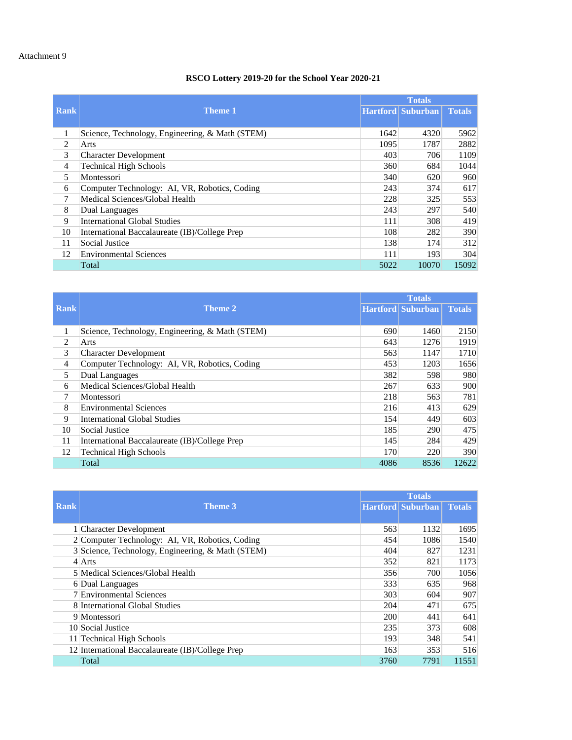### **RSCO Lottery 2019-20 for the School Year 2020-21**

|             |                                                 |      | <b>Totals</b>            |               |  |
|-------------|-------------------------------------------------|------|--------------------------|---------------|--|
| <b>Rank</b> | <b>Theme 1</b>                                  |      | <b>Hartford Suburban</b> | <b>Totals</b> |  |
|             |                                                 |      |                          |               |  |
| 1           | Science, Technology, Engineering, & Math (STEM) | 1642 | 4320                     | 5962          |  |
| 2           | Arts                                            | 1095 | 1787                     | 2882          |  |
| 3           | <b>Character Development</b>                    | 403  | 706                      | 1109          |  |
| 4           | <b>Technical High Schools</b>                   | 360  | 684                      | 1044          |  |
| 5           | Montessori                                      | 340  | 620                      | 960           |  |
| 6           | Computer Technology: AI, VR, Robotics, Coding   | 243  | 374                      | 617           |  |
| 7           | Medical Sciences/Global Health                  | 228  | 325                      | 553           |  |
| 8           | Dual Languages                                  | 243  | 297                      | 540           |  |
| 9           | <b>International Global Studies</b>             | 111  | 308                      | 419           |  |
| 10          | International Baccalaureate (IB)/College Prep   | 108  | 282                      | 390           |  |
| 11          | Social Justice                                  | 138  | 174                      | 312           |  |
| 12          | <b>Environmental Sciences</b>                   | 111  | 193                      | 304           |  |
|             | Total                                           | 5022 | 10070                    | 15092         |  |

|                |                                                 | <b>Totals</b> |                   |               |
|----------------|-------------------------------------------------|---------------|-------------------|---------------|
| Rank           | Theme 2                                         |               | Hartford Suburban | <b>Totals</b> |
|                |                                                 |               |                   |               |
| 1              | Science, Technology, Engineering, & Math (STEM) | 690           | 1460              | 2150          |
| $\overline{c}$ | Arts                                            | 643           | 1276              | 1919          |
| 3              | <b>Character Development</b>                    | 563           | 1147              | 1710          |
| 4              | Computer Technology: AI, VR, Robotics, Coding   | 453           | 1203              | 1656          |
| 5              | Dual Languages                                  | 382           | 598               | 980           |
| 6              | Medical Sciences/Global Health                  | 267           | 633               | 900           |
| $\tau$         | Montessori                                      | 218           | 563               | 781           |
| 8              | <b>Environmental Sciences</b>                   | 216           | 413               | 629           |
| 9              | <b>International Global Studies</b>             | 154           | 449               | 603           |
| 10             | Social Justice                                  | 185           | 290               | 475           |
| 11             | International Baccalaureate (IB)/College Prep   | 145           | 284               | 429           |
| 12             | <b>Technical High Schools</b>                   | 170           | 220               | 390           |
|                | Total                                           | 4086          | 8536              | 12622         |

|      |                                                   | <b>Totals</b> |                          |               |
|------|---------------------------------------------------|---------------|--------------------------|---------------|
| Rank | <b>Theme 3</b>                                    |               | <b>Hartford Suburban</b> | <b>Totals</b> |
|      |                                                   |               |                          |               |
|      | 1 Character Development                           | 563           | 1132                     | 1695          |
|      | 2 Computer Technology: AI, VR, Robotics, Coding   | 454           | 1086                     | 1540          |
|      | 3 Science, Technology, Engineering, & Math (STEM) | 404           | 827                      | 1231          |
|      | $4$ Arts                                          | 352           | 821                      | 1173          |
|      | 5 Medical Sciences/Global Health                  | 356           | 700                      | 1056          |
|      | 6 Dual Languages                                  | 333           | 635                      | 968           |
|      | 7 Environmental Sciences                          | 303           | 604                      | 907           |
|      | 8 International Global Studies                    | 204           | 471                      | 675           |
|      | 9 Montessori                                      | 200           | 441                      | 641           |
|      | 10 Social Justice                                 | 235           | 373                      | 608           |
|      | 11 Technical High Schools                         | 193           | 348                      | 541           |
|      | 12 International Baccalaureate (IB)/College Prep  | 163           | 353                      | 516           |
|      | Total                                             | 3760          | 7791                     | 11551         |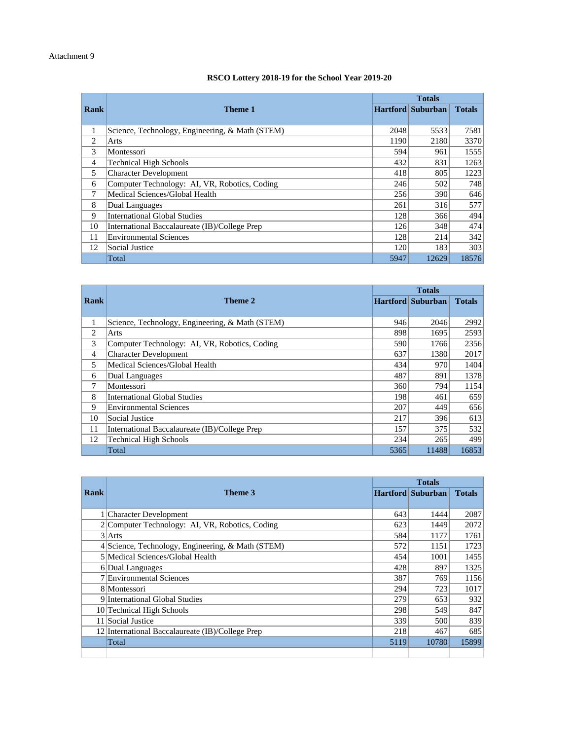#### **RSCO Lottery 2018-19 for the School Year 2019-20**

|                |                                                 |      | <b>Totals</b><br><b>Hartford Suburban</b> |               |
|----------------|-------------------------------------------------|------|-------------------------------------------|---------------|
| Rank           | Theme 1                                         |      |                                           | <b>Totals</b> |
|                |                                                 |      |                                           |               |
| 1              | Science, Technology, Engineering, & Math (STEM) | 2048 | 5533                                      | 7581          |
| $\overline{c}$ | Arts                                            | 1190 | 2180                                      | 3370          |
| 3              | Montessori                                      | 594  | 961                                       | 1555          |
| 4              | <b>Technical High Schools</b>                   | 432  | 831                                       | 1263          |
| 5              | <b>Character Development</b>                    | 418  | 805                                       | 1223          |
| 6              | Computer Technology: AI, VR, Robotics, Coding   | 246  | 502                                       | 748           |
| 7              | Medical Sciences/Global Health                  | 256  | 390                                       | 646           |
| 8              | Dual Languages                                  | 261  | 316                                       | 577           |
| 9              | <b>International Global Studies</b>             | 128  | 366                                       | 494           |
| 10             | International Baccalaureate (IB)/College Prep   | 126  | 348                                       | 474           |
| 11             | <b>Environmental Sciences</b>                   | 128  | 214                                       | 342           |
| 12             | Social Justice                                  | 120  | 183                                       | 303           |
|                | Total                                           | 5947 | 12629                                     | 18576         |

| <b>Rank</b> | Theme 2                                         |      | <b>Hartford Suburban</b> | <b>Totals</b> |
|-------------|-------------------------------------------------|------|--------------------------|---------------|
|             |                                                 |      |                          |               |
| 1           | Science, Technology, Engineering, & Math (STEM) | 946  | 2046                     | 2992          |
| 2           | Arts                                            | 898  | 1695                     | 2593          |
| 3           | Computer Technology: AI, VR, Robotics, Coding   | 590  | 1766                     | 2356          |
| 4           | <b>Character Development</b>                    | 637  | 1380                     | 2017          |
| 5           | Medical Sciences/Global Health                  | 434  | 970                      | 1404          |
| 6           | Dual Languages                                  | 487  | 891                      | 1378          |
| 7           | Montessori                                      | 360  | 794                      | 1154          |
| 8           | <b>International Global Studies</b>             | 198  | 461                      | 659           |
| 9           | <b>Environmental Sciences</b>                   | 207  | 449                      | 656           |
| 10          | Social Justice                                  | 217  | 396                      | 613           |
| 11          | International Baccalaureate (IB)/College Prep   | 157  | 375                      | 532           |
| 12          | <b>Technical High Schools</b>                   | 234  | 265                      | 499           |
|             | Total                                           | 5365 | 11488                    | 16853         |

| <b>Rank</b> | Theme 3                                           |      | <b>Hartford Suburban</b> | <b>Totals</b> |
|-------------|---------------------------------------------------|------|--------------------------|---------------|
|             |                                                   |      |                          |               |
|             | 1 Character Development                           | 643  | 1444                     | 2087          |
|             | 2 Computer Technology: AI, VR, Robotics, Coding   | 623  | 1449                     | 2072          |
|             | $3$ Arts                                          | 584  | 1177                     | 1761          |
|             | 4 Science, Technology, Engineering, & Math (STEM) | 572  | 1151                     | 1723          |
|             | 5 Medical Sciences/Global Health                  | 454  | 1001                     | 1455          |
|             | 6 Dual Languages                                  | 428  | 897                      | 1325          |
|             | 7 Environmental Sciences                          | 387  | 769                      | 1156          |
|             | 8 Montessori                                      | 294  | 723                      | 1017          |
|             | 9 International Global Studies                    | 279  | 653                      | 932           |
|             | 10 Technical High Schools                         | 298  | 549                      | 847           |
|             | 11 Social Justice                                 | 339  | 500                      | 839           |
|             | 12 International Baccalaureate (IB)/College Prep  | 218  | 467                      | 685           |
|             | Total                                             | 5119 | 10780                    | 15899         |
|             |                                                   |      |                          |               |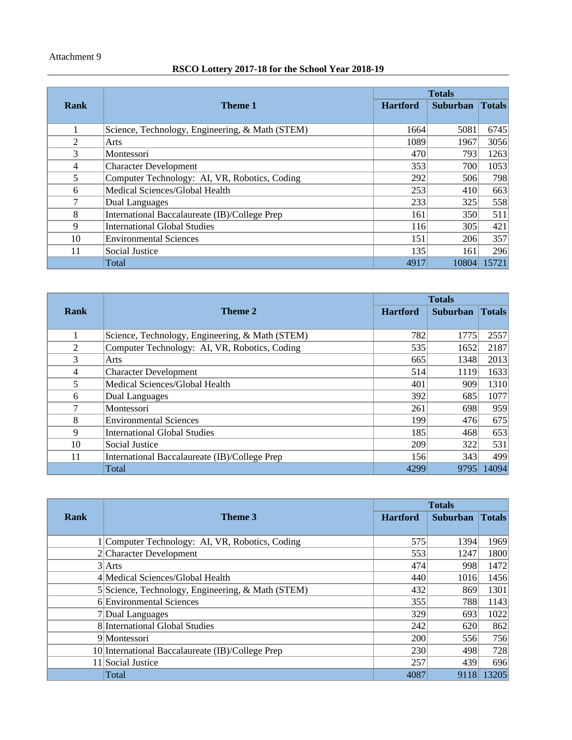### Attachment 9

# **RSCO Lottery 2017-18 for the School Year 2018-19**

|      |                                                 | <b>Totals</b>   |                 |               |
|------|-------------------------------------------------|-----------------|-----------------|---------------|
| Rank | <b>Theme 1</b>                                  | <b>Hartford</b> | <b>Suburban</b> | <b>Totals</b> |
|      |                                                 |                 |                 |               |
| 1    | Science, Technology, Engineering, & Math (STEM) | 1664            | 5081            | 6745          |
| 2    | Arts                                            | 1089            | 1967            | 3056          |
| 3    | Montessori                                      | 470             | 793             | 1263          |
| 4    | <b>Character Development</b>                    | 353             | 700             | 1053          |
| 5    | Computer Technology: AI, VR, Robotics, Coding   | 292             | 506             | 798           |
| 6    | Medical Sciences/Global Health                  | 253             | 410             | 663           |
| 7    | Dual Languages                                  | 233             | 325             | 558           |
| 8    | International Baccalaureate (IB)/College Prep   | 161             | 350             | 511           |
| 9    | <b>International Global Studies</b>             | 116             | 305             | 421           |
| 10   | <b>Environmental Sciences</b>                   | 151             | 206             | 357           |
| 11   | Social Justice                                  | 135             | 161             | 296           |
|      | Total                                           | 4917            | 10804           | 15721         |

|      |                                                 | <b>Totals</b>   |          |               |
|------|-------------------------------------------------|-----------------|----------|---------------|
| Rank | Theme 2                                         | <b>Hartford</b> | Suburban | <b>Totals</b> |
|      |                                                 |                 |          |               |
| 1    | Science, Technology, Engineering, & Math (STEM) | 782             | 1775     | 2557          |
| 2    | Computer Technology: AI, VR, Robotics, Coding   | 535             | 1652     | 2187          |
| 3    | Arts                                            | 665             | 1348     | 2013          |
| 4    | <b>Character Development</b>                    | 514             | 1119     | 1633          |
| 5    | Medical Sciences/Global Health                  | 401             | 909      | 1310          |
| 6    | <b>Dual Languages</b>                           | 392             | 685      | 1077          |
| 7    | Montessori                                      | 261             | 698      | 959           |
| 8    | <b>Environmental Sciences</b>                   | 199             | 476      | 675           |
| 9    | <b>International Global Studies</b>             | 185             | 468      | 653           |
| 10   | Social Justice                                  | 209             | 322      | 531           |
| 11   | International Baccalaureate (IB)/College Prep   | 156             | 343      | 499           |
|      | Total                                           | 4299            | 9795     | 14094         |

|      |                                                   | <b>Totals</b>   |                 |               |  |
|------|---------------------------------------------------|-----------------|-----------------|---------------|--|
| Rank | Theme 3                                           | <b>Hartford</b> | <b>Suburban</b> | <b>Totals</b> |  |
|      |                                                   |                 |                 |               |  |
|      | 1 Computer Technology: AI, VR, Robotics, Coding   | 575             | 1394            | 1969          |  |
|      | 2 Character Development                           | 553             | 1247            | 1800          |  |
|      | $3$ Arts                                          | 474             | 998             | 1472          |  |
|      | 4 Medical Sciences/Global Health                  | 440             | 1016            | 1456          |  |
|      | 5 Science, Technology, Engineering, & Math (STEM) | 432             | 869             | 1301          |  |
|      | 6 Environmental Sciences                          | 355             | 788             | 1143          |  |
|      | 7 Dual Languages                                  | 329             | 693             | 1022          |  |
|      | 8 International Global Studies                    | 242             | 620             | 862           |  |
|      | 9 Montessori                                      | 200             | 556             | 756           |  |
|      | 10 International Baccalaureate (IB)/College Prep  | 230             | 498             | 728           |  |
|      | 11 Social Justice                                 | 257             | 439             | 696           |  |
|      | Total                                             | 4087            | 9118            | 13205         |  |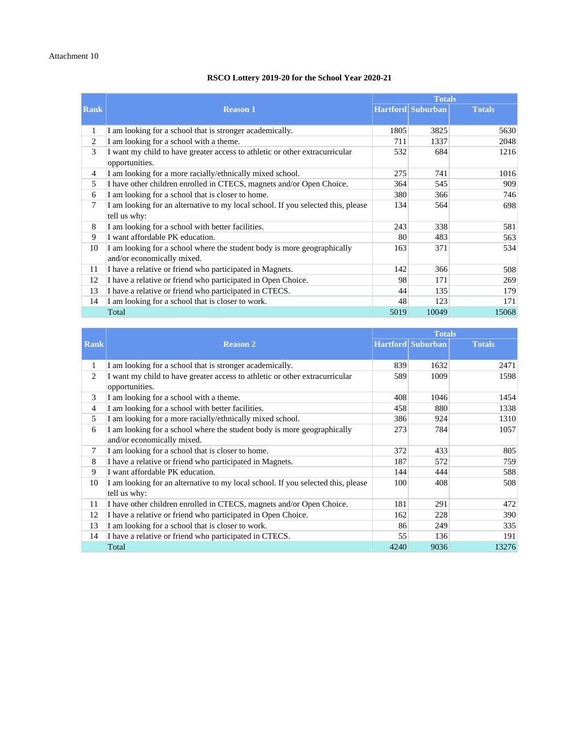#### **RSCO Lottery 2019-20 for the School Year 2020-21**

|                |                                                                                               | <b>Totals</b> |                          |               |  |
|----------------|-----------------------------------------------------------------------------------------------|---------------|--------------------------|---------------|--|
| <b>Rank</b>    | <b>Reason 1</b>                                                                               |               | <b>Hartford</b> Suburban | <b>Totals</b> |  |
|                |                                                                                               |               |                          |               |  |
| 1              | I am looking for a school that is stronger academically.                                      | 1805          | 3825                     | 5630          |  |
| 2              | I am looking for a school with a theme.                                                       | 711           | 1337                     | 2048          |  |
| 3              | I want my child to have greater access to athletic or other extracurricular<br>opportunities. | 532           | 684                      | 1216          |  |
| $\overline{4}$ | I am looking for a more racially/ethnically mixed school.                                     | 275           | 741                      | 1016          |  |
| 5              | I have other children enrolled in CTECS, magnets and/or Open Choice.                          | 364           | 545                      | 909           |  |
| 6              | I am looking for a school that is closer to home.                                             | 380           | 366                      | 746           |  |
| 7              | I am looking for an alternative to my local school. If you selected this, please              | 134           | 564                      | 698           |  |
|                | tell us why:                                                                                  |               |                          |               |  |
| 8              | I am looking for a school with better facilities.                                             | 243           | 338                      | 581           |  |
| 9              | I want affordable PK education.                                                               | 80            | 483                      | 563           |  |
| 10             | I am looking for a school where the student body is more geographically                       | 163           | 371                      | 534           |  |
|                | and/or economically mixed.                                                                    |               |                          |               |  |
| 11             | I have a relative or friend who participated in Magnets.                                      | 142           | 366                      | 508           |  |
| 12             | I have a relative or friend who participated in Open Choice.                                  | 98            | 171                      | 269           |  |
| 13             | I have a relative or friend who participated in CTECS.                                        | 44            | 135                      | 179           |  |
| 14             | I am looking for a school that is closer to work.                                             | 48            | 123                      | 171           |  |
|                | Total                                                                                         | 5019          | 10049                    | 15068         |  |

|                |                                                                                                       | <b>Totals</b> |                          |               |
|----------------|-------------------------------------------------------------------------------------------------------|---------------|--------------------------|---------------|
| <b>Rank</b>    | <b>Reason 2</b>                                                                                       |               | <b>Hartford</b> Suburban | <b>Totals</b> |
|                |                                                                                                       |               |                          |               |
| 1              | I am looking for a school that is stronger academically.                                              | 839           | 1632                     | 2471          |
| 2              | I want my child to have greater access to athletic or other extracurricular<br>opportunities.         | 589           | 1009                     | 1598          |
| 3              | I am looking for a school with a theme.                                                               | 408           | 1046                     | 1454          |
| $\overline{4}$ | I am looking for a school with better facilities.                                                     | 458           | 880                      | 1338          |
| 5              | I am looking for a more racially/ethnically mixed school.                                             | 386           | 924                      | 1310          |
| 6              | I am looking for a school where the student body is more geographically<br>and/or economically mixed. | 273           | 784                      | 1057          |
| 7              | I am looking for a school that is closer to home.                                                     | 372           | 433                      | 805           |
| 8              | I have a relative or friend who participated in Magnets.                                              | 187           | 572                      | 759           |
| 9              | I want affordable PK education.                                                                       | 144           | 444                      | 588           |
| 10             | I am looking for an alternative to my local school. If you selected this, please<br>tell us why:      | 100           | 408                      | 508           |
| 11             | I have other children enrolled in CTECS, magnets and/or Open Choice.                                  | 181           | 291                      | 472           |
| 12             | I have a relative or friend who participated in Open Choice.                                          | 162           | 228                      | 390           |
| 13             | I am looking for a school that is closer to work.                                                     | 86            | 249                      | 335           |
| 14             | I have a relative or friend who participated in CTECS.                                                | 55            | 136                      | 191           |
|                | Total                                                                                                 | 4240          | 9036                     | 13276         |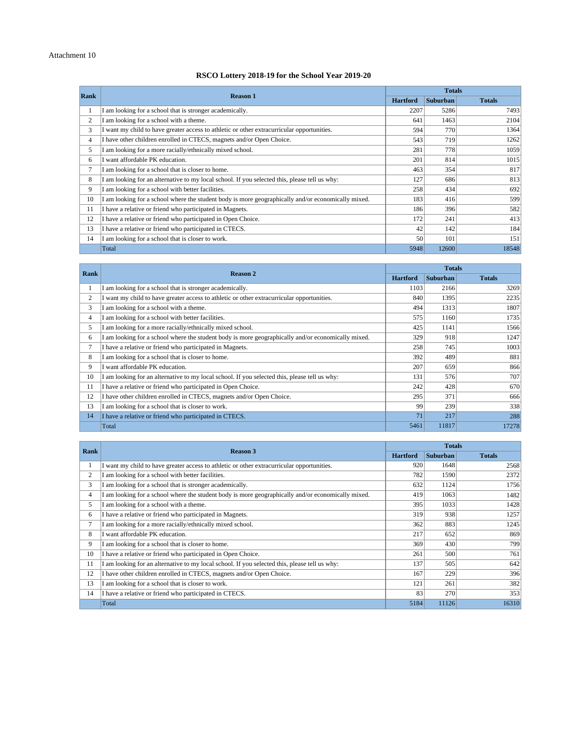#### **RSCO Lottery 2018-19 for the School Year 2019-20**

|                | <b>Reason 1</b>                                                                                  |      | <b>Totals</b>   |               |
|----------------|--------------------------------------------------------------------------------------------------|------|-----------------|---------------|
| Rank           |                                                                                                  |      | <b>Suburban</b> | <b>Totals</b> |
| $\mathbf{I}$   | am looking for a school that is stronger academically.                                           | 2207 | 5286            | 7493          |
| $\overline{c}$ | am looking for a school with a theme.                                                            | 641  | 1463            | 2104          |
| 3              | want my child to have greater access to athletic or other extracurricular opportunities.         | 594  | 770             | 1364          |
| 4              | I have other children enrolled in CTECS, magnets and/or Open Choice.                             | 543  | 719             | 1262          |
| 5              | am looking for a more racially/ethnically mixed school.                                          | 281  | 778             | 1059          |
| 6              | want affordable PK education.                                                                    | 201  | 814             | 1015          |
| 7              | am looking for a school that is closer to home.                                                  | 463  | 354             | 817           |
| 8              | am looking for an alternative to my local school. If you selected this, please tell us why:      | 127  | 686             | 813           |
| 9              | am looking for a school with better facilities.                                                  | 258  | 434             | 692           |
| 10             | am looking for a school where the student body is more geographically and/or economically mixed. | 183  | 416             | 599           |
| 11             | have a relative or friend who participated in Magnets.                                           | 186  | 396             | 582           |
| 12             | I have a relative or friend who participated in Open Choice.                                     | 172  | 241             | 413           |
| 13             | I have a relative or friend who participated in CTECS.                                           | 42   | 142             | 184           |
| 14             | am looking for a school that is closer to work.                                                  | 50   | 101             | 151           |
|                | Total                                                                                            | 5948 | 12600           | 18548         |

| Rank           | <b>Reason 2</b>                                                                                  | <b>Totals</b>   |                 |               |  |
|----------------|--------------------------------------------------------------------------------------------------|-----------------|-----------------|---------------|--|
|                |                                                                                                  | <b>Hartford</b> | <b>Suburban</b> | <b>Totals</b> |  |
|                | I am looking for a school that is stronger academically.                                         | 1103            | 2166            | 3269          |  |
| $\overline{c}$ | want my child to have greater access to athletic or other extracurricular opportunities.         | 840             | 1395            | 2235          |  |
| 3              | am looking for a school with a theme.                                                            | 494             | 1313            | 1807          |  |
| 4              | am looking for a school with better facilities.                                                  | 575             | 1160            | 1735          |  |
| 5.             | am looking for a more racially/ethnically mixed school.                                          | 425             | 1141            | 1566          |  |
| 6              | am looking for a school where the student body is more geographically and/or economically mixed. | 329             | 918             | 1247          |  |
| 7              | I have a relative or friend who participated in Magnets.                                         | 258             | 745             | 1003          |  |
| 8              | am looking for a school that is closer to home.                                                  | 392             | 489             | 881           |  |
| 9              | I want affordable PK education.                                                                  | 207             | 659             | 866           |  |
| 10             | am looking for an alternative to my local school. If you selected this, please tell us why:      | 131             | 576             | 707           |  |
| 11             | I have a relative or friend who participated in Open Choice.                                     | 242             | 428             | 670           |  |
| 12             | I have other children enrolled in CTECS, magnets and/or Open Choice.                             | 295             | 371             | 666           |  |
| 13             | am looking for a school that is closer to work.                                                  | 99              | 239             | 338           |  |
| 14             | I have a relative or friend who participated in CTECS.                                           | 71              | 217             | 288           |  |
|                | Total                                                                                            | 5461            | 11817           | 17278         |  |

| Rank           | Reason 3                                                                                           | <b>Totals</b>   |                 |               |  |  |
|----------------|----------------------------------------------------------------------------------------------------|-----------------|-----------------|---------------|--|--|
|                |                                                                                                    | <b>Hartford</b> | <b>Suburban</b> | <b>Totals</b> |  |  |
|                | I want my child to have greater access to athletic or other extracurricular opportunities.         | 920             | 1648            | 2568          |  |  |
| $\overline{2}$ | I am looking for a school with better facilities.                                                  | 782             | 1590            | 2372          |  |  |
| 3              | am looking for a school that is stronger academically.                                             | 632             | 1124            | 1756          |  |  |
| 4              | I am looking for a school where the student body is more geographically and/or economically mixed. | 419             | 1063            | 1482          |  |  |
| 5              | am looking for a school with a theme.                                                              | 395             | 1033            | 1428          |  |  |
| 6              | I have a relative or friend who participated in Magnets.                                           | 319             | 938             | 1257          |  |  |
| 7              | I am looking for a more racially/ethnically mixed school.                                          | 362             | 883             | 1245          |  |  |
| 8              | I want affordable PK education.                                                                    | 217             | 652             | 869           |  |  |
| 9              | I am looking for a school that is closer to home.                                                  | 369             | 430             | 799           |  |  |
| 10             | I have a relative or friend who participated in Open Choice.                                       | 261             | 500             | 761           |  |  |
| 11             | am looking for an alternative to my local school. If you selected this, please tell us why:        | 137             | 505             | 642           |  |  |
| 12             | I have other children enrolled in CTECS, magnets and/or Open Choice.                               | 167             | 229             | 396           |  |  |
| 13             | am looking for a school that is closer to work.                                                    | 121             | 261             | 382           |  |  |
| 14             | I have a relative or friend who participated in CTECS.                                             | 83              | 270             | 353           |  |  |
|                | Total                                                                                              | 5184            | 11126           | 16310         |  |  |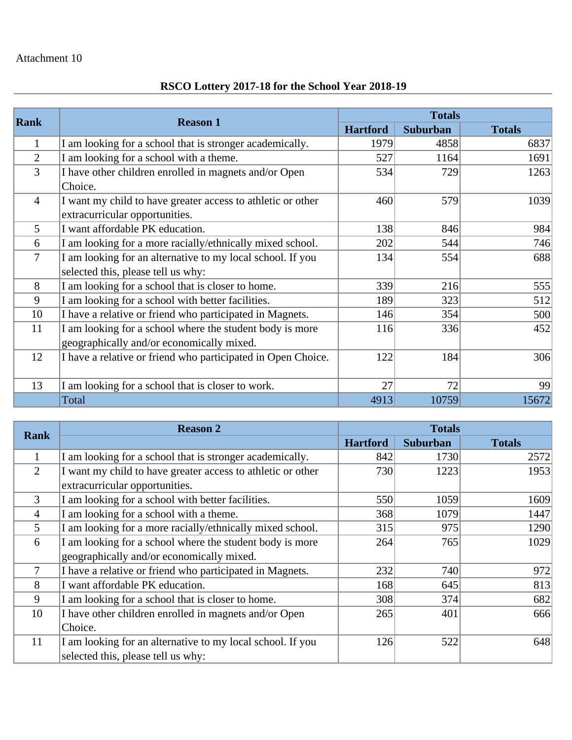# **RSCO Lottery 2017-18 for the School Year 2018-19**

|                |                                                              | <b>Totals</b>   |          |               |  |  |  |
|----------------|--------------------------------------------------------------|-----------------|----------|---------------|--|--|--|
| Rank           | <b>Reason 1</b>                                              | <b>Hartford</b> | Suburban | <b>Totals</b> |  |  |  |
| $\mathbf{1}$   | I am looking for a school that is stronger academically.     | 1979            | 4858     | 6837          |  |  |  |
| $\overline{2}$ | I am looking for a school with a theme.                      | 527             | 1164     | 1691          |  |  |  |
| 3              | I have other children enrolled in magnets and/or Open        | 534             | 729      | 1263          |  |  |  |
|                | Choice.                                                      |                 |          |               |  |  |  |
| $\overline{4}$ | I want my child to have greater access to athletic or other  | 460             | 579      | 1039          |  |  |  |
|                | extracurricular opportunities.                               |                 |          |               |  |  |  |
| 5              | I want affordable PK education.                              | 138             | 846      | 984           |  |  |  |
| 6              | I am looking for a more racially/ethnically mixed school.    | 202             | 544      | 746           |  |  |  |
| 7              | I am looking for an alternative to my local school. If you   | 134             | 554      | 688           |  |  |  |
|                | selected this, please tell us why:                           |                 |          |               |  |  |  |
| 8              | I am looking for a school that is closer to home.            | 339             | 216      | 555           |  |  |  |
| 9              | I am looking for a school with better facilities.            | 189             | 323      | 512           |  |  |  |
| 10             | I have a relative or friend who participated in Magnets.     | 146             | 354      | 500           |  |  |  |
| 11             | I am looking for a school where the student body is more     | 116             | 336      | 452           |  |  |  |
|                | geographically and/or economically mixed.                    |                 |          |               |  |  |  |
| 12             | I have a relative or friend who participated in Open Choice. | 122             | 184      | 306           |  |  |  |
|                |                                                              |                 |          |               |  |  |  |
| 13             | I am looking for a school that is closer to work.            | 27              | 72       | 99            |  |  |  |
|                | Total                                                        | 4913            | 10759    | 15672         |  |  |  |

| <b>Rank</b>    | <b>Reason 2</b>                                             |                 | <b>Totals</b> |               |  |  |  |
|----------------|-------------------------------------------------------------|-----------------|---------------|---------------|--|--|--|
|                |                                                             | <b>Hartford</b> | Suburban      | <b>Totals</b> |  |  |  |
| 1              | I am looking for a school that is stronger academically.    | 842             | 1730          | 2572          |  |  |  |
| $\overline{2}$ | I want my child to have greater access to athletic or other | 730             | 1223          | 1953          |  |  |  |
|                | extracurricular opportunities.                              |                 |               |               |  |  |  |
| 3              | I am looking for a school with better facilities.           | 550             | 1059          | 1609          |  |  |  |
| $\overline{4}$ | I am looking for a school with a theme.                     | 368             | 1079          | 1447          |  |  |  |
| 5              | I am looking for a more racially/ethnically mixed school.   | 315             | 975           | 1290          |  |  |  |
| 6              | I am looking for a school where the student body is more    | 264             | 765           | 1029          |  |  |  |
|                | geographically and/or economically mixed.                   |                 |               |               |  |  |  |
| 7              | I have a relative or friend who participated in Magnets.    | 232             | 740           | 972           |  |  |  |
| 8              | I want affordable PK education.                             | 168             | 645           | 813           |  |  |  |
| 9              | I am looking for a school that is closer to home.           | 308             | 374           | 682           |  |  |  |
| 10             | I have other children enrolled in magnets and/or Open       | 265             | 401           | 666           |  |  |  |
|                | Choice.                                                     |                 |               |               |  |  |  |
| 11             | I am looking for an alternative to my local school. If you  | 126             | 522           | 648           |  |  |  |
|                | selected this, please tell us why:                          |                 |               |               |  |  |  |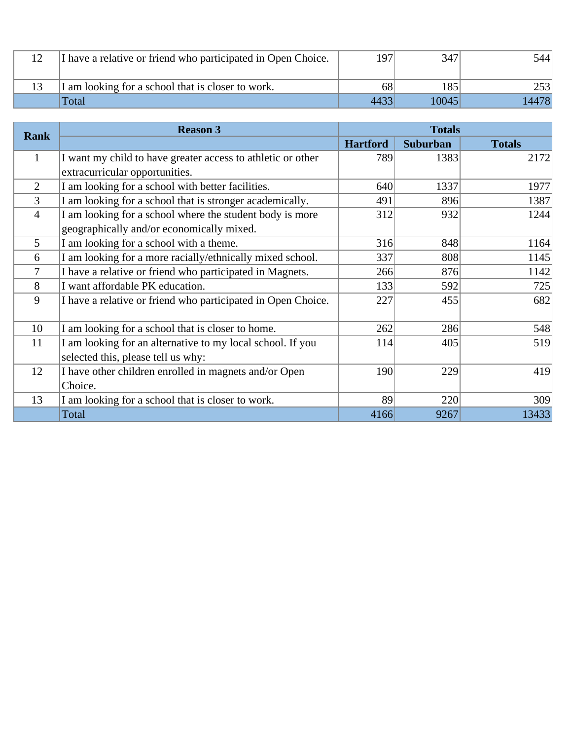| I have a relative or friend who participated in Open Choice. | 197  | 347   | 5441   |
|--------------------------------------------------------------|------|-------|--------|
| I am looking for a school that is closer to work.            | 68   | 185   |        |
| Total                                                        | 4433 | 10045 | 144781 |

|                | <b>Reason 3</b>                                              | <b>Totals</b>   |                 |               |  |  |
|----------------|--------------------------------------------------------------|-----------------|-----------------|---------------|--|--|
| <b>Rank</b>    |                                                              | <b>Hartford</b> | <b>Suburban</b> | <b>Totals</b> |  |  |
| $\mathbf{1}$   | I want my child to have greater access to athletic or other  | 789             | 1383            | 2172          |  |  |
|                | extracurricular opportunities.                               |                 |                 |               |  |  |
| 2              | I am looking for a school with better facilities.            | 640             | 1337            | 1977          |  |  |
| $\overline{3}$ | I am looking for a school that is stronger academically.     | 491             | 896             | 1387          |  |  |
| $\overline{4}$ | I am looking for a school where the student body is more     | 312             | 932             | 1244          |  |  |
|                | geographically and/or economically mixed.                    |                 |                 |               |  |  |
| 5              | I am looking for a school with a theme.                      | 316             | 848             | 1164          |  |  |
| 6              | I am looking for a more racially/ethnically mixed school.    | 337             | 808             | 1145          |  |  |
| 7              | I have a relative or friend who participated in Magnets.     | 266             | 876             | 1142          |  |  |
| 8              | I want affordable PK education.                              | 133             | 592             | 725           |  |  |
| 9              | I have a relative or friend who participated in Open Choice. | 227             | 455             | 682           |  |  |
| 10             | I am looking for a school that is closer to home.            | 262             | 286             | 548           |  |  |
| 11             | I am looking for an alternative to my local school. If you   | 114             | 405             | 519           |  |  |
|                | selected this, please tell us why:                           |                 |                 |               |  |  |
| 12             | I have other children enrolled in magnets and/or Open        | 190             | 229             | 419           |  |  |
|                | Choice.                                                      |                 |                 |               |  |  |
| 13             | I am looking for a school that is closer to work.            | 89              | 220             | 309           |  |  |
|                | Total                                                        | 4166            | 9267            | 13433         |  |  |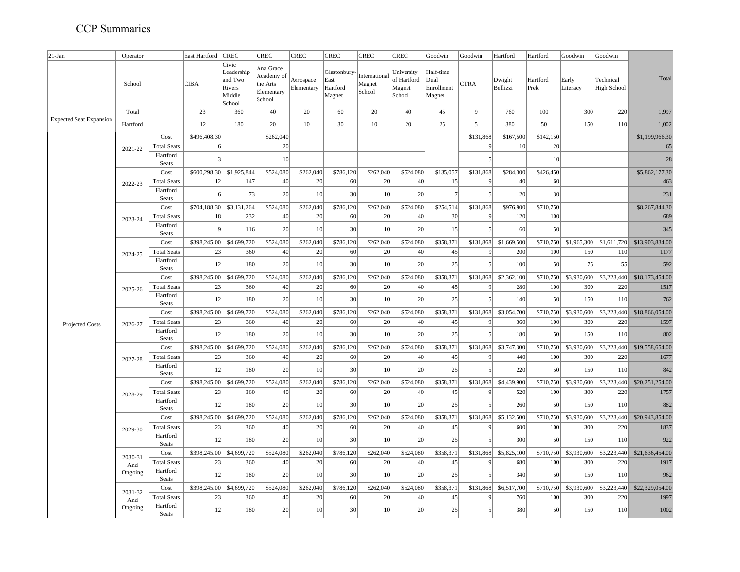| $21-Jan$                       | Operator |                    | East Hartford | <b>CREC</b>                                                  | <b>CREC</b>                                                 | <b>CREC</b>             | <b>CREC</b>                                | <b>CREC</b>                       | <b>CREC</b>                                   | Goodwin                                   | Goodwin     | Hartford           | Hartford         | Goodwin           | Goodwin                         |                 |
|--------------------------------|----------|--------------------|---------------|--------------------------------------------------------------|-------------------------------------------------------------|-------------------------|--------------------------------------------|-----------------------------------|-----------------------------------------------|-------------------------------------------|-------------|--------------------|------------------|-------------------|---------------------------------|-----------------|
|                                | School   |                    | <b>CIBA</b>   | Civic<br>Leadership<br>and Two<br>Rivers<br>Middle<br>School | Ana Grace<br>Academy of<br>the Arts<br>Elementary<br>School | Aerospace<br>Elementary | Glastonbury-<br>East<br>Hartford<br>Magnet | International<br>Magnet<br>School | University<br>of Hartford<br>Magnet<br>School | Half-time<br>Dual<br>Enrollment<br>Magnet | <b>CTRA</b> | Dwight<br>Bellizzi | Hartford<br>Prek | Early<br>Literacy | Technical<br><b>High School</b> | Total           |
|                                | Total    |                    | 23            | 360                                                          | 40                                                          | 20                      | 60                                         | 20                                | 40                                            | 45                                        | 9           | 760                | 100              | 300               | 220                             | 1,997           |
| <b>Expected Seat Expansion</b> | Hartford |                    | 12            | 180                                                          | 20                                                          | 10                      | 30                                         | $10\,$                            | 20                                            | 25                                        | 5           | 380                | 50               | 150               | 110                             | 1,002           |
|                                |          | Cost               | \$496,408.30  |                                                              | \$262,040                                                   |                         |                                            |                                   |                                               |                                           | \$131,868   | \$167,500          | \$142,150        |                   |                                 | \$1,199,966.30  |
|                                | 2021-22  | <b>Total Seats</b> | 6             |                                                              | 20                                                          |                         |                                            |                                   |                                               |                                           | $\epsilon$  | 10                 | 20               |                   |                                 | 65              |
|                                |          | Hartford<br>Seats  | 3             |                                                              | 10                                                          |                         |                                            |                                   |                                               |                                           | 5           |                    | 10               |                   |                                 | 28              |
|                                |          | Cost               | \$600,298.30  | \$1,925,844                                                  | \$524,080                                                   | \$262,040               | \$786,120                                  | \$262,040                         | \$524,080                                     | \$135,057                                 | \$131,868   | \$284,300          | \$426,450        |                   |                                 | \$5,862,177.30  |
|                                | 2022-23  | <b>Total Seats</b> | 12            | 147                                                          | 40                                                          | 20                      | 60                                         | 20                                | 40                                            | 15                                        | q           | 40                 | 60               |                   |                                 | 463             |
|                                |          | Hartford<br>Seats  | 6             | 73                                                           | 20                                                          | 10                      | 30                                         | 10                                | 20                                            |                                           |             | 20                 | 30               |                   |                                 | 231             |
|                                |          | Cost               | \$704,188.30  | \$3,131,264                                                  | \$524,080                                                   | \$262,040               | \$786,120                                  | \$262,040                         | \$524,080                                     | \$254,514                                 | \$131,868   | \$976,900          | \$710,750        |                   |                                 | \$8,267,844.30  |
|                                | 2023-24  | <b>Total Seats</b> | 18            | 232                                                          | 40                                                          | 20                      | 60                                         | 20                                | 40                                            | 30                                        | 9           | 120                | 100              |                   |                                 | 689             |
|                                |          | Hartford<br>Seats  | q             | 116                                                          | 20                                                          | 10                      | 30                                         | 10                                | 20                                            | 15                                        |             | 60                 | 50               |                   |                                 | 345             |
|                                | 2024-25  | Cost               | \$398,245.00  | \$4,699,720                                                  | \$524,080                                                   | \$262,040               | \$786,120                                  | \$262,040                         | \$524,080                                     | \$358,371                                 | \$131,868   | \$1,669,500        | \$710,750        | \$1,965,300       | \$1,611,720                     | \$13,903,834.00 |
|                                |          | <b>Total Seats</b> | 23            | 360                                                          | 40                                                          | 20                      | 60                                         | 20                                | 40                                            | 45                                        | $\epsilon$  | 200                | 100              | 150               | 110                             | 1177            |
|                                |          | Hartford<br>Seats  | 12            | 180                                                          | 20                                                          | 10                      | 30                                         | 10                                | 20                                            | 25                                        |             | 100                | 50               | 75                | 55                              | 592             |
|                                |          | Cost               | \$398,245.00  | \$4,699,720                                                  | \$524,080                                                   | \$262,040               | \$786,120                                  | \$262,040                         | \$524,080                                     | \$358,371                                 | \$131,868   | \$2,362,100        | \$710,750        | \$3,930,600       | \$3,223,440                     | \$18,173,454.00 |
|                                | 2025-26  | <b>Total Seats</b> | 23            | 360                                                          | 40                                                          | 20                      | 60                                         | 20                                | 40                                            | 45                                        | $\epsilon$  | 280                | 100              | 300               | 220                             | 1517            |
|                                |          | Hartford<br>Seats  | 12            | 180                                                          | 20                                                          | 10                      | 30                                         | 10                                | 20                                            | 25                                        |             | 140                | 50               | 150               | 110                             | 762             |
|                                | 2026-27  | Cost               | \$398,245.00  | \$4,699,720                                                  | \$524,080                                                   | \$262,040               | \$786,120                                  | \$262,040                         | \$524,080                                     | \$358,371                                 | \$131,868   | \$3,054,700        | \$710,750        | \$3,930,600       | \$3,223,440                     | \$18,866,054.00 |
| Projected Costs                |          | <b>Total Seats</b> | 23            | 360                                                          | 40                                                          | 20                      | 60                                         | 20                                | 40                                            | 45                                        | 9           | 360                | 100              | 300               | 220                             | 1597            |
|                                |          | Hartford<br>Seats  | 12            | 180                                                          | 20                                                          | 10                      | 30                                         | 10                                | 20                                            | 25                                        |             | 180                | 50               | 150               | 110                             | 802             |
|                                |          | Cost               | \$398,245.00  | \$4,699,720                                                  | \$524,080                                                   | \$262,040               | \$786,120                                  | \$262,040                         | \$524,080                                     | \$358,371                                 | \$131,868   | \$3,747,300        | \$710,750        | \$3,930,600       | \$3,223,440                     | \$19,558,654.00 |
|                                | 2027-28  | <b>Total Seats</b> | 23            | 360                                                          | 40                                                          | 20                      | 60                                         | 20                                | 40                                            | 45                                        | $\epsilon$  | 440                | 100              | 300               | 220                             | 1677            |
|                                |          | Hartford<br>Seats  | 12            | 180                                                          | 20                                                          | 10                      | 30                                         | 10                                | 20                                            | 25                                        | 5           | 220                | 50               | 150               | 110                             | 842             |
|                                |          | Cost               | \$398,245.00  | \$4,699,720                                                  | \$524,080                                                   | \$262,040               | \$786,120                                  | \$262,040                         | \$524,080                                     | \$358,371                                 | \$131,868   | \$4,439,900        | \$710,750        | \$3,930,600       | \$3,223,440                     | \$20,251,254.00 |
|                                | 2028-29  | <b>Total Seats</b> | 23            | 360                                                          | 40                                                          | 20                      | 60                                         | 20                                | 40                                            | 45                                        | 9           | 520                | 100              | 300               | 220                             | 1757            |
|                                |          | Hartford<br>Seats  | 12            | 180                                                          | 20                                                          | 10                      | 30                                         | 10                                | 20                                            | 25                                        |             | 260                | 50               | 150               | 110                             | 882             |
|                                |          | Cost               | \$398,245.00  | \$4,699,720                                                  | \$524,080                                                   | \$262,040               | \$786,120                                  | \$262,040                         | \$524,080                                     | \$358,371                                 | \$131,868   | \$5,132,500        | \$710,750        | \$3,930,600       | \$3,223,440                     | \$20,943,854.00 |
|                                | 2029-30  | <b>Total Seats</b> | 23            | 360                                                          | 40                                                          | 20                      | 60                                         | 20                                | 40                                            | 45                                        | $\epsilon$  | 600                | 100              | 300               | 220                             | 1837            |
|                                |          | Hartford<br>Seats  | 12            | 180                                                          | 20                                                          | 10                      | 30                                         | 10                                | 20                                            | 25                                        |             | 300                | 50               | 150               | 110                             | 922             |
|                                | 2030-31  | Cost               | \$398,245.00  | \$4,699,720                                                  | \$524,080                                                   | \$262,040               | \$786,120                                  | \$262,040                         | \$524,080                                     | \$358,371                                 | \$131,868   | \$5,825,100        | \$710,750        | \$3,930,600       | \$3,223,440                     | \$21,636,454.00 |
|                                | And      | <b>Total Seats</b> | 23            | 360                                                          | 40                                                          | 20                      | 60                                         | 20                                | 40                                            | 45                                        | $\epsilon$  | 680                | 100              | 300               | 220                             | 1917            |
|                                | Ongoing  | Hartford<br>Seats  | 12            | 180                                                          | 20                                                          | 10                      | 30                                         | 10                                | 20                                            | 25                                        |             | 340                | 50               | 150               | 110                             | 962             |
|                                | 2031-32  | Cost               | \$398,245.00  | \$4,699,720                                                  | \$524,080                                                   | \$262,040               | \$786,120                                  | \$262,040                         | \$524,080                                     | \$358,371                                 | \$131,868   | \$6,517,700        | \$710,750        | \$3,930,600       | \$3,223,440                     | \$22,329,054.00 |
|                                | And      | <b>Total Seats</b> | 23            | 360                                                          | 40                                                          | 20                      | 60                                         | 20                                | 40                                            | 45                                        |             | 760                | 100              | 300               | 220                             | 1997            |
|                                | Ongoing  | Hartford<br>Seats  | 12            | 180                                                          | 20                                                          | 10                      | 30                                         | 10                                | 20                                            | 25                                        |             | 380                | 50               | 150               | 110                             | 1002            |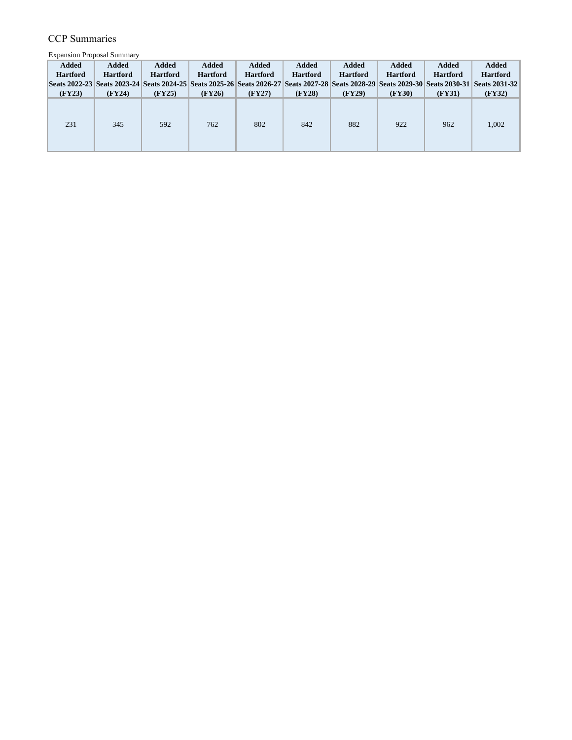Expansion Proposal Summary

| <b>Added</b>    | Added           | <b>Added</b>    | Added           | <b>Added</b>    | <b>Added</b>    | <b>Added</b>    | Added           | <b>Added</b>    | Added                                                                                                                                       |
|-----------------|-----------------|-----------------|-----------------|-----------------|-----------------|-----------------|-----------------|-----------------|---------------------------------------------------------------------------------------------------------------------------------------------|
| <b>Hartford</b> | <b>Hartford</b> | <b>Hartford</b> | <b>Hartford</b> | <b>Hartford</b> | <b>Hartford</b> | <b>Hartford</b> | <b>Hartford</b> | <b>Hartford</b> | <b>Hartford</b>                                                                                                                             |
|                 |                 |                 |                 |                 |                 |                 |                 |                 | Seats 2022-23 Seats 2023-24 Seats 2024-25 Seats 2025-26 Seats 2026-27 Seats 2027-28 Seats 2028-29 Seats 2029-30 Seats 2030-31 Seats 2031-32 |
| (FY23)          | (FY24)          | (FY25)          | (FY26)          | (FY27)          | (FY28)          | (FY29)          | (FY30)          | (FY31)          | (FY32)                                                                                                                                      |
| 231             | 345             | 592             | 762             | 802             | 842             | 882             | 922             | 962             | 1,002                                                                                                                                       |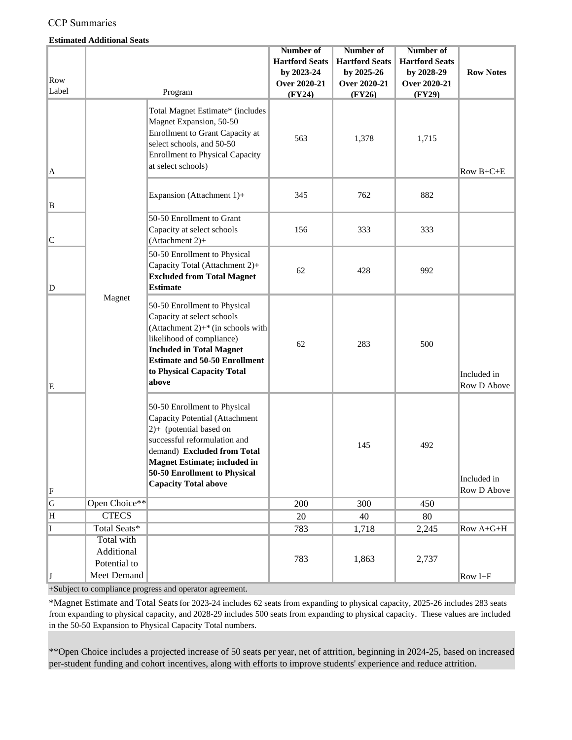#### **Estimated Additional Seats**

|             |               |                                                                                                                                                                                                                                                                         | Number of             | Number of             | Number of             |                            |
|-------------|---------------|-------------------------------------------------------------------------------------------------------------------------------------------------------------------------------------------------------------------------------------------------------------------------|-----------------------|-----------------------|-----------------------|----------------------------|
|             |               |                                                                                                                                                                                                                                                                         | <b>Hartford Seats</b> | <b>Hartford Seats</b> | <b>Hartford Seats</b> |                            |
|             |               |                                                                                                                                                                                                                                                                         | by 2023-24            | by 2025-26            | by 2028-29            | <b>Row Notes</b>           |
| Row         |               |                                                                                                                                                                                                                                                                         | Over 2020-21          | <b>Over 2020-21</b>   | Over 2020-21          |                            |
| Label       |               | Program                                                                                                                                                                                                                                                                 | (FY24)                | (FY26)                | (FY29)                |                            |
| A           |               | Total Magnet Estimate* (includes<br>Magnet Expansion, 50-50<br><b>Enrollment to Grant Capacity at</b><br>select schools, and 50-50<br><b>Enrollment to Physical Capacity</b><br>at select schools)                                                                      | 563                   | 1,378                 | 1,715                 | Row $B+C+E$                |
| B           |               | Expansion (Attachment 1)+                                                                                                                                                                                                                                               | 345                   | 762                   | 882                   |                            |
| C           |               | 50-50 Enrollment to Grant<br>Capacity at select schools<br>(Attachment 2)+                                                                                                                                                                                              | 156                   | 333                   | 333                   |                            |
| $\mathbb D$ |               | 50-50 Enrollment to Physical<br>Capacity Total (Attachment 2)+<br><b>Excluded from Total Magnet</b><br>Estimate                                                                                                                                                         | 62                    | 428                   | 992                   |                            |
| E           |               | Magnet<br>50-50 Enrollment to Physical<br>Capacity at select schools<br>(Attachment 2) $+$ <sup>*</sup> (in schools with<br>likelihood of compliance)<br><b>Included in Total Magnet</b><br><b>Estimate and 50-50 Enrollment</b><br>to Physical Capacity Total<br>above |                       | 283                   | 500                   | Included in<br>Row D Above |
|             |               | 50-50 Enrollment to Physical<br>Capacity Potential (Attachment<br>2)+ (potential based on<br>successful reformulation and<br>demand) Excluded from Total<br><b>Magnet Estimate; included in</b><br>50-50 Enrollment to Physical<br><b>Capacity Total above</b>          |                       | 145                   | 492                   | Included in                |
| F           |               |                                                                                                                                                                                                                                                                         |                       |                       |                       | Row D Above                |
| G           | Open Choice** |                                                                                                                                                                                                                                                                         | 200                   | 300                   | 450                   |                            |
| H           | <b>CTECS</b>  |                                                                                                                                                                                                                                                                         | 20                    | 40                    | 80                    |                            |
| I           | Total Seats*  |                                                                                                                                                                                                                                                                         | 783                   | 1,718                 | 2,245                 | Row A+G+H                  |
|             | Total with    |                                                                                                                                                                                                                                                                         |                       |                       |                       |                            |
|             | Additional    |                                                                                                                                                                                                                                                                         |                       |                       |                       |                            |
|             | Potential to  |                                                                                                                                                                                                                                                                         | 783                   | 1,863                 | 2,737                 |                            |
| IJ          | Meet Demand   |                                                                                                                                                                                                                                                                         |                       |                       |                       | Row I+F                    |

+Subject to compliance progress and operator agreement.

\*Magnet Estimate and Total Seats for 2023-24 includes 62 seats from expanding to physical capacity, 2025-26 includes 283 seats from expanding to physical capacity, and 2028-29 includes 500 seats from expanding to physical capacity. These values are included in the 50-50 Expansion to Physical Capacity Total numbers.

\*\*Open Choice includes a projected increase of 50 seats per year, net of attrition, beginning in 2024-25, based on increased per-student funding and cohort incentives, along with efforts to improve students' experience and reduce attrition.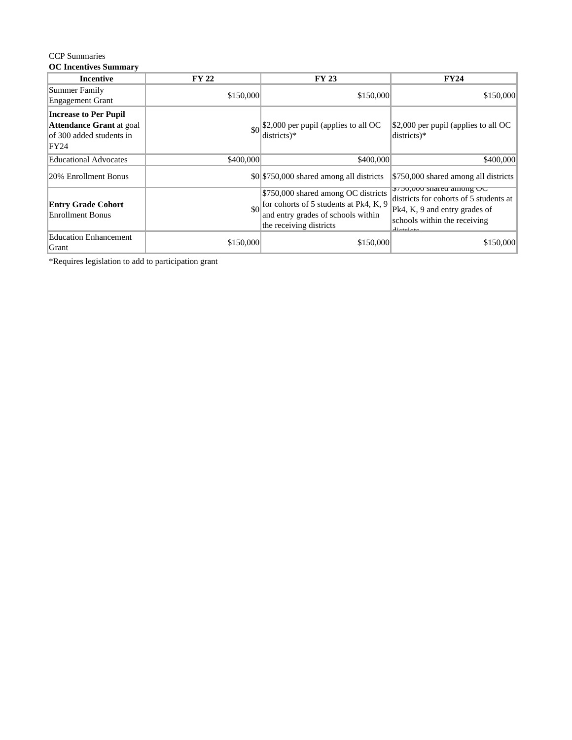#### **OC Incentives Summary**

| <b>Incentive</b>                                                                                    | <b>FY 22</b>                                                                                                                                                        | <b>FY 23</b>                             | <b>FY24</b>                                                                                                                                      |
|-----------------------------------------------------------------------------------------------------|---------------------------------------------------------------------------------------------------------------------------------------------------------------------|------------------------------------------|--------------------------------------------------------------------------------------------------------------------------------------------------|
| Summer Family<br><b>Engagement Grant</b>                                                            | \$150,000                                                                                                                                                           | \$150,000                                | \$150,000                                                                                                                                        |
| <b>Increase to Per Pupil</b><br><b>Attendance Grant</b> at goal<br>of 300 added students in<br>FY24 |                                                                                                                                                                     | districts)*                              | $\frac{1}{2}$ (\$2,000 per pupil (applies to all OC<br>$districts)*$                                                                             |
| <b>Educational Advocates</b>                                                                        | \$400,000                                                                                                                                                           | \$400,000                                | \$400,000                                                                                                                                        |
| 20% Enrollment Bonus                                                                                |                                                                                                                                                                     | \$0 \$750,000 shared among all districts | \$750,000 shared among all districts                                                                                                             |
| <b>Entry Grade Cohort</b><br><b>Enrollment Bonus</b>                                                | \$750,000 shared among OC districts<br>$\big  \text{for cohorts of 5 students at Pk4, K, 9} \big $<br>and entry grades of schools within<br>the receiving districts |                                          | 3130,000 snared among OC<br>districts for cohorts of 5 students at<br>Pk4, K, 9 and entry grades of<br>schools within the receiving<br>معمنسهمنه |
| <b>Education Enhancement</b><br>Grant                                                               | \$150,000                                                                                                                                                           | \$150,000                                | \$150,000                                                                                                                                        |

\*Requires legislation to add to participation grant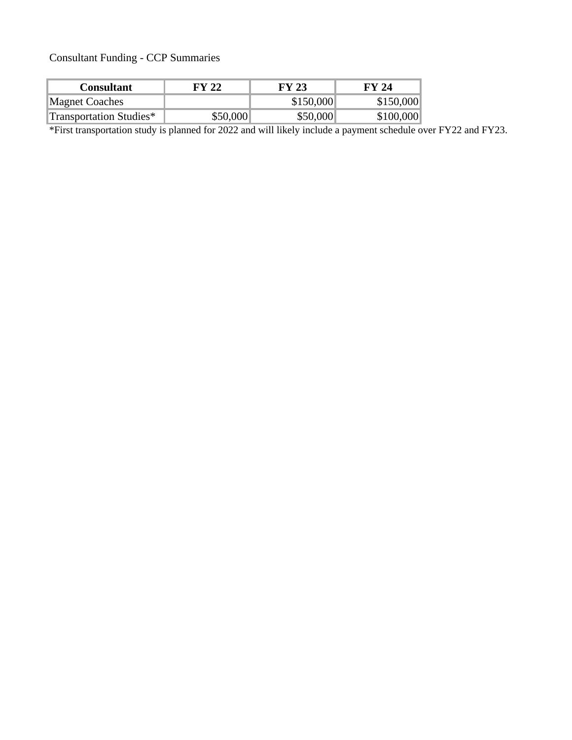Consultant Funding - CCP Summaries

| <b>Consultant</b>       | FY 22    | FY 23     | FY 24     |
|-------------------------|----------|-----------|-----------|
| <b>Magnet Coaches</b>   |          | \$150,000 | \$150,000 |
| Transportation Studies* | \$50,000 | \$50,000  | \$100,000 |

\*First transportation study is planned for 2022 and will likely include a payment schedule over FY22 and FY23.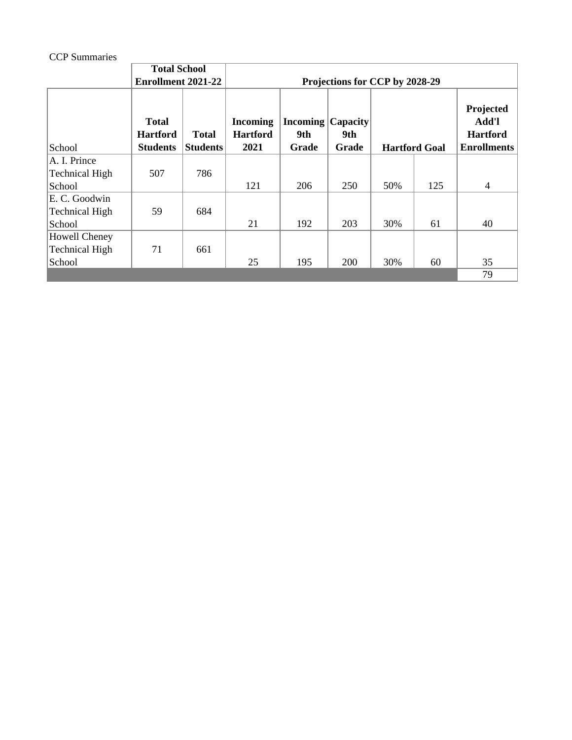|                                 | <b>Total School</b>                                |                                 |                                            |                                          |              |     |                      |                                                             |  |
|---------------------------------|----------------------------------------------------|---------------------------------|--------------------------------------------|------------------------------------------|--------------|-----|----------------------|-------------------------------------------------------------|--|
|                                 | <b>Enrollment 2021-22</b>                          |                                 | Projections for CCP by 2028-29             |                                          |              |     |                      |                                                             |  |
| School                          | <b>Total</b><br><b>Hartford</b><br><b>Students</b> | <b>Total</b><br><b>Students</b> | <b>Incoming</b><br><b>Hartford</b><br>2021 | <b>Incoming Capacity</b><br>9th<br>Grade | 9th<br>Grade |     | <b>Hartford Goal</b> | Projected<br>Add'l<br><b>Hartford</b><br><b>Enrollments</b> |  |
| A. I. Prince                    |                                                    |                                 |                                            |                                          |              |     |                      |                                                             |  |
| <b>Technical High</b>           | 507                                                | 786                             |                                            |                                          |              |     |                      |                                                             |  |
| School                          |                                                    |                                 | 121                                        | 206                                      | 250          | 50% | 125                  | $\overline{4}$                                              |  |
| E. C. Goodwin<br>Technical High | 59                                                 | 684                             |                                            |                                          |              |     |                      |                                                             |  |
| School                          |                                                    |                                 | 21                                         | 192                                      | 203          | 30% | 61                   | 40                                                          |  |
| Howell Cheney<br>Technical High | 71                                                 | 661                             |                                            |                                          |              |     |                      |                                                             |  |
| School                          |                                                    |                                 | 25                                         | 195                                      | <b>200</b>   | 30% | 60                   | 35                                                          |  |
|                                 |                                                    |                                 |                                            |                                          |              |     |                      | 79                                                          |  |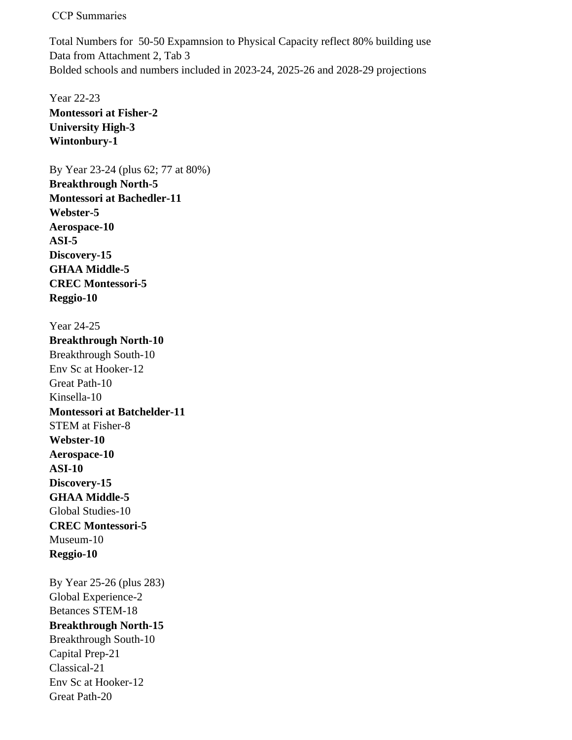Total Numbers for 50-50 Expamnsion to Physical Capacity reflect 80% building use Data from Attachment 2, Tab 3 Bolded schools and numbers included in 2023-24, 2025-26 and 2028-29 projections

Year 22-23 **Montessori at Fisher-2 University High-3 Wintonbury-1**

By Year 23-24 (plus 62; 77 at 80%) **Breakthrough North-5 Montessori at Bachedler-11 Webster-5 Aerospace-10 ASI-5 Discovery-15 GHAA Middle-5 CREC Montessori-5 Reggio-10**

Year 24-25 **Breakthrough North-10** Breakthrough South-10 Env Sc at Hooker-12 Great Path-10 Kinsella-10 **Montessori at Batchelder-11** STEM at Fisher-8 **Webster-10 Aerospace-10 ASI-10 Discovery-15 GHAA Middle-5** Global Studies-10 **CREC Montessori-5** Museum-10 **Reggio-10**

By Year 25-26 (plus 283) Global Experience-2 Betances STEM-18 **Breakthrough North-15** Breakthrough South-10 Capital Prep-21 Classical-21 Env Sc at Hooker-12 Great Path-20